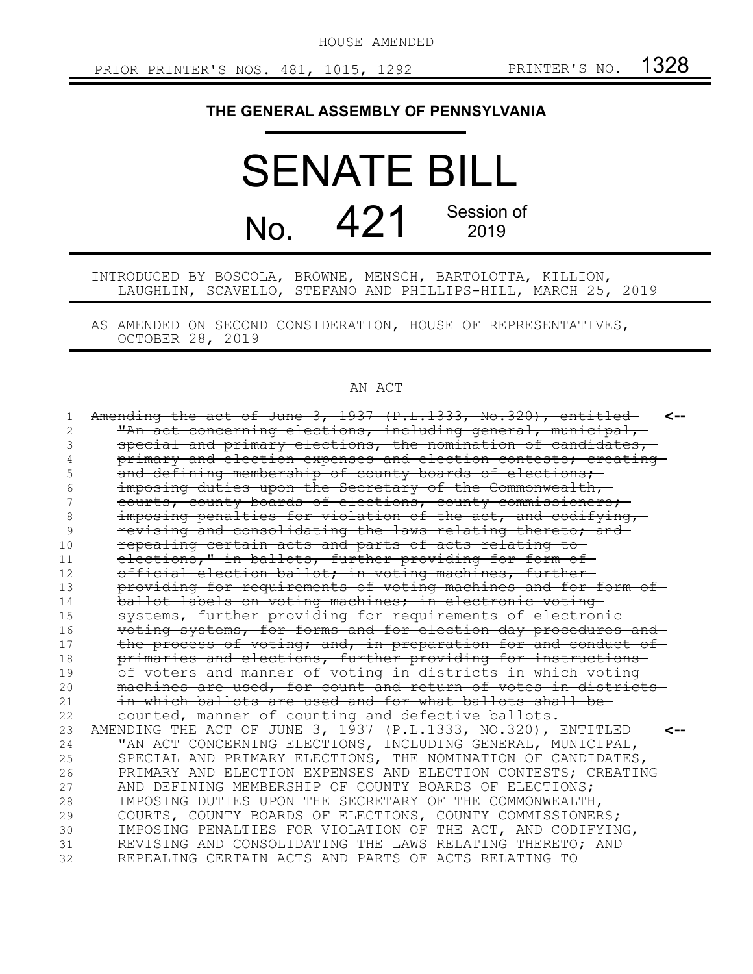HOUSE AMENDED

## **THE GENERAL ASSEMBLY OF PENNSYLVANIA**

## SENATE BILL No. 421 Session of 2019

INTRODUCED BY BOSCOLA, BROWNE, MENSCH, BARTOLOTTA, KILLION, LAUGHLIN, SCAVELLO, STEFANO AND PHILLIPS-HILL, MARCH 25, 2019

AS AMENDED ON SECOND CONSIDERATION, HOUSE OF REPRESENTATIVES, OCTOBER 28, 2019

## AN ACT

| 1  | Amending the act of June 3, 1937 $(P.L.1333, No.320)$ , entitled<br><-- |
|----|-------------------------------------------------------------------------|
| 2  | "An act concerning elections, including general, municipal,             |
| 3  | special and primary elections, the nomination of candidates,            |
|    | primary and election expenses and election contests; creating-          |
| 5  | and defining membership of county boards of elections,                  |
| 6  | imposing duties upon the Secretary of the Commonwealth,                 |
|    | courts, county boards of elections, county commissioners;               |
| 8  | imposing penalties for violation of the act, and codifying,             |
| 9  | revising and consolidating the laws relating thereto; and               |
| 10 | repealing certain acts and parts of acts relating to-                   |
| 11 | elections," in ballots, further providing for form of                   |
| 12 | official election ballot; in voting machines, further-                  |
| 13 | providing for requirements of voting machines and for form of           |
| 14 | ballot labels on voting machines; in electronic voting                  |
| 15 | systems, further providing for requirements of electronic-              |
| 16 | voting systems, for forms and for election day procedures and           |
| 17 | the process of voting; and, in preparation for and conduct of           |
| 18 | primaries and elections, further providing for instructions             |
| 19 | of voters and manner of voting in districts in which voting             |
| 20 | machines are used, for count and return of votes in districts-          |
| 21 | in which ballots are used and for what ballots shall be-                |
| 22 | counted, manner of counting and defective ballots.                      |
| 23 | AMENDING THE ACT OF JUNE 3, 1937 (P.L.1333, NO.320), ENTITLED           |
| 24 | "AN ACT CONCERNING ELECTIONS, INCLUDING GENERAL, MUNICIPAL,             |
| 25 | SPECIAL AND PRIMARY ELECTIONS, THE NOMINATION OF CANDIDATES,            |
| 26 | PRIMARY AND ELECTION EXPENSES AND ELECTION CONTESTS; CREATING           |
| 27 | AND DEFINING MEMBERSHIP OF COUNTY BOARDS OF ELECTIONS;                  |
| 28 | IMPOSING DUTIES UPON THE SECRETARY OF THE COMMONWEALTH,                 |
| 29 | COURTS, COUNTY BOARDS OF ELECTIONS, COUNTY COMMISSIONERS;               |
| 30 | IMPOSING PENALTIES FOR VIOLATION OF THE ACT, AND CODIFYING,             |
| 31 | REVISING AND CONSOLIDATING THE LAWS RELATING THERETO; AND               |
| 32 | REPEALING CERTAIN ACTS AND PARTS OF ACTS RELATING TO                    |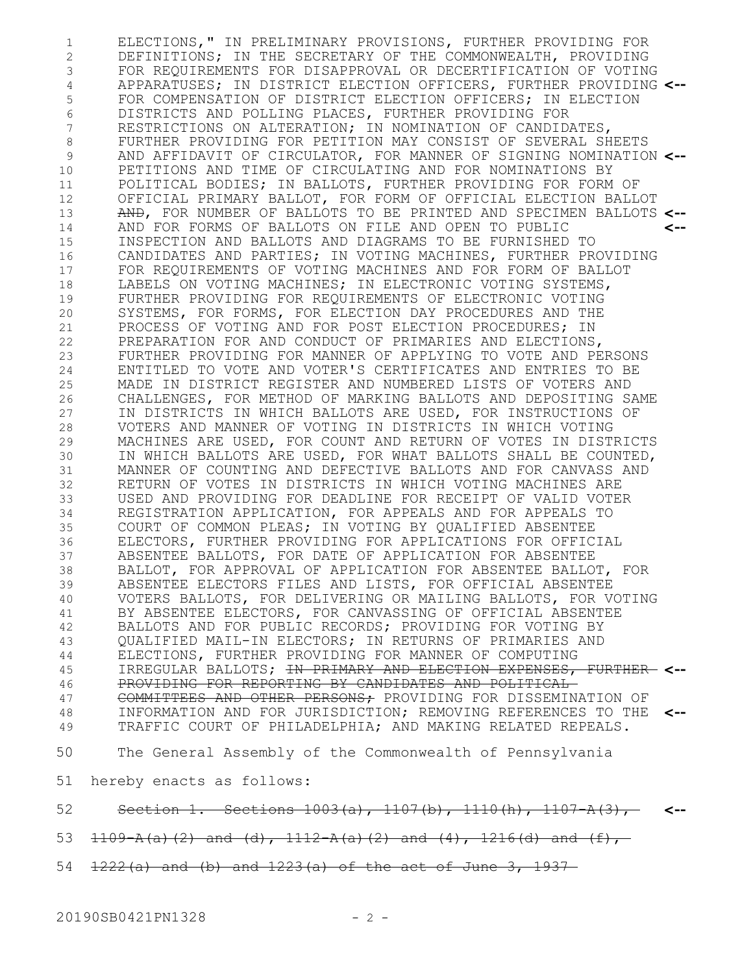ELECTIONS," IN PRELIMINARY PROVISIONS, FURTHER PROVIDING FOR DEFINITIONS; IN THE SECRETARY OF THE COMMONWEALTH, PROVIDING FOR REQUIREMENTS FOR DISAPPROVAL OR DECERTIFICATION OF VOTING APPARATUSES; IN DISTRICT ELECTION OFFICERS, FURTHER PROVIDING **<--** FOR COMPENSATION OF DISTRICT ELECTION OFFICERS; IN ELECTION DISTRICTS AND POLLING PLACES, FURTHER PROVIDING FOR RESTRICTIONS ON ALTERATION; IN NOMINATION OF CANDIDATES, FURTHER PROVIDING FOR PETITION MAY CONSIST OF SEVERAL SHEETS AND AFFIDAVIT OF CIRCULATOR, FOR MANNER OF SIGNING NOMINATION **<--** PETITIONS AND TIME OF CIRCULATING AND FOR NOMINATIONS BY POLITICAL BODIES; IN BALLOTS, FURTHER PROVIDING FOR FORM OF OFFICIAL PRIMARY BALLOT, FOR FORM OF OFFICIAL ELECTION BALLOT AND, FOR NUMBER OF BALLOTS TO BE PRINTED AND SPECIMEN BALLOTS **<--** AND FOR FORMS OF BALLOTS ON FILE AND OPEN TO PUBLIC INSPECTION AND BALLOTS AND DIAGRAMS TO BE FURNISHED TO CANDIDATES AND PARTIES; IN VOTING MACHINES, FURTHER PROVIDING FOR REQUIREMENTS OF VOTING MACHINES AND FOR FORM OF BALLOT LABELS ON VOTING MACHINES; IN ELECTRONIC VOTING SYSTEMS, FURTHER PROVIDING FOR REQUIREMENTS OF ELECTRONIC VOTING SYSTEMS, FOR FORMS, FOR ELECTION DAY PROCEDURES AND THE PROCESS OF VOTING AND FOR POST ELECTION PROCEDURES; IN PREPARATION FOR AND CONDUCT OF PRIMARIES AND ELECTIONS, FURTHER PROVIDING FOR MANNER OF APPLYING TO VOTE AND PERSONS ENTITLED TO VOTE AND VOTER'S CERTIFICATES AND ENTRIES TO BE MADE IN DISTRICT REGISTER AND NUMBERED LISTS OF VOTERS AND CHALLENGES, FOR METHOD OF MARKING BALLOTS AND DEPOSITING SAME IN DISTRICTS IN WHICH BALLOTS ARE USED, FOR INSTRUCTIONS OF VOTERS AND MANNER OF VOTING IN DISTRICTS IN WHICH VOTING MACHINES ARE USED, FOR COUNT AND RETURN OF VOTES IN DISTRICTS IN WHICH BALLOTS ARE USED, FOR WHAT BALLOTS SHALL BE COUNTED, MANNER OF COUNTING AND DEFECTIVE BALLOTS AND FOR CANVASS AND RETURN OF VOTES IN DISTRICTS IN WHICH VOTING MACHINES ARE USED AND PROVIDING FOR DEADLINE FOR RECEIPT OF VALID VOTER REGISTRATION APPLICATION, FOR APPEALS AND FOR APPEALS TO COURT OF COMMON PLEAS; IN VOTING BY QUALIFIED ABSENTEE ELECTORS, FURTHER PROVIDING FOR APPLICATIONS FOR OFFICIAL ABSENTEE BALLOTS, FOR DATE OF APPLICATION FOR ABSENTEE BALLOT, FOR APPROVAL OF APPLICATION FOR ABSENTEE BALLOT, FOR ABSENTEE ELECTORS FILES AND LISTS, FOR OFFICIAL ABSENTEE VOTERS BALLOTS, FOR DELIVERING OR MAILING BALLOTS, FOR VOTING BY ABSENTEE ELECTORS, FOR CANVASSING OF OFFICIAL ABSENTEE BALLOTS AND FOR PUBLIC RECORDS; PROVIDING FOR VOTING BY QUALIFIED MAIL-IN ELECTORS; IN RETURNS OF PRIMARIES AND ELECTIONS, FURTHER PROVIDING FOR MANNER OF COMPUTING IRREGULAR BALLOTS; IN PRIMARY AND ELECTION EXPENSES, FURTHER **<--** PROVIDING FOR REPORTING BY CANDIDATES AND POLITICAL COMMITTEES AND OTHER PERSONS; PROVIDING FOR DISSEMINATION OF INFORMATION AND FOR JURISDICTION; REMOVING REFERENCES TO THE **<--** TRAFFIC COURT OF PHILADELPHIA; AND MAKING RELATED REPEALS. The General Assembly of the Commonwealth of Pennsylvania hereby enacts as follows: Section 1. Sections 1003(a), 1107(b), 1110(h), 1107-A(3), **<--**  $1109$  A(a)(2) and (d),  $1112$  A(a)(2) and (4),  $1216$ (d) and (f), **<--** 1 2 3 4 5 6 7 8 9 10 11 12 13 14 15 16 17 18 19 20 21 22 23 24 25 26 27 28 29 30 31 32 33 34 35 36 37 38 39 40 41 42 43 44 45 46 47 48 49 50 51 52 53

1222(a) and (b) and 1223(a) of the act of June 3, 1937 54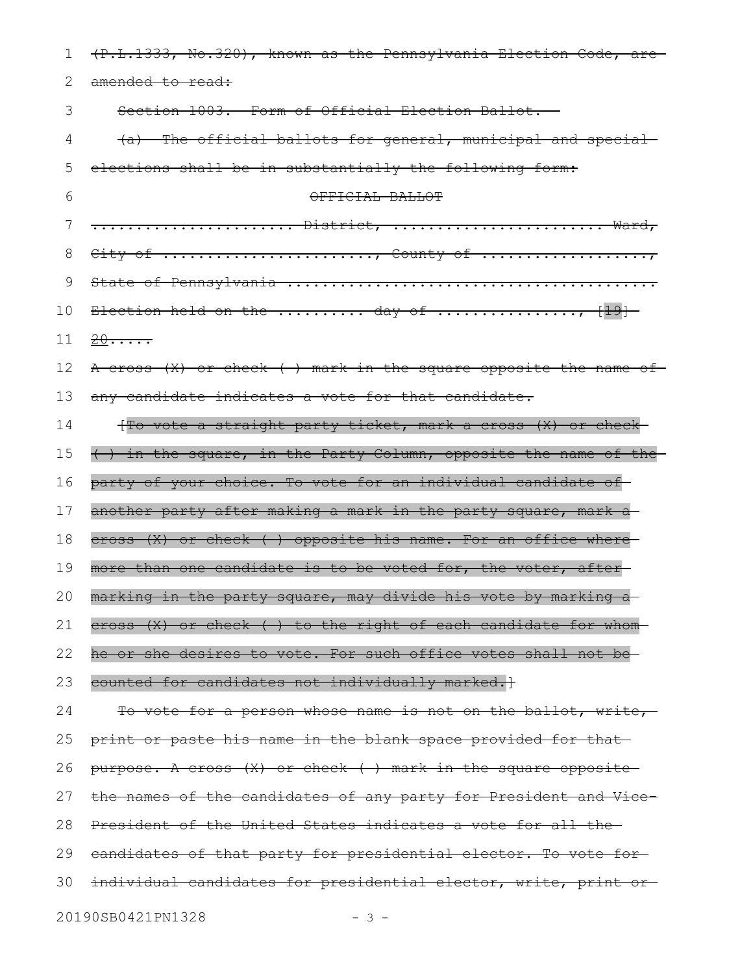| ı  | (P.L.1333, No.320), known as the Pennsylvania Election Code, are |
|----|------------------------------------------------------------------|
| 2  | amended to read:                                                 |
| 3  | Section 1003. Form of Official Election Ballot.                  |
| 4  | (a) The official ballots for general, municipal and special-     |
| 5  | elections shall be in substantially the following form:          |
| 6  | OFFICIAL BALLOT                                                  |
| 7  | <del> District,  Ward,</del>                                     |
| 8  | City of , County of                                              |
| 9  |                                                                  |
| 10 | Election held on the  day of , [19]                              |
| 11 | $20 \cdots$                                                      |
| 12 | A cross (X) or check () mark in the square opposite the name of  |
| 13 | any candidate indicates a vote for that candidate.               |
| 14 | {To vote a straight party ticket, mark a cross (X) or check      |
| 15 | () in the square, in the Party Column, opposite the name of the  |
| 16 | party of your choice. To vote for an individual candidate of     |
| 17 | another party after making a mark in the party square, mark a    |
| 18 | cross (X) or check () opposite his name. For an office where     |
| 19 | more than one candidate is to be voted for, the voter, after     |
| 20 | marking in the party square, may divide his vote by marking a    |
| 21 | eross (X) or check () to the right of each candidate for whom    |
| 22 | he or she desires to vote. For such office votes shall not be    |
| 23 | counted for candidates not individually marked.}                 |
| 24 | To vote for a person whose name is not on the ballot, write,     |
| 25 | print or paste his name in the blank space provided for that     |
| 26 | purpose. A cross (X) or check () mark in the square opposite     |
| 27 | the names of the candidates of any party for President and Vice- |
| 28 | President of the United States indicates a vote for all the-     |
| 29 | eandidates of that party for presidential elector. To vote for-  |
| 30 | individual candidates for presidential elector, write, print or- |
|    | 20190SB0421PN1328<br>- 3 -                                       |
|    |                                                                  |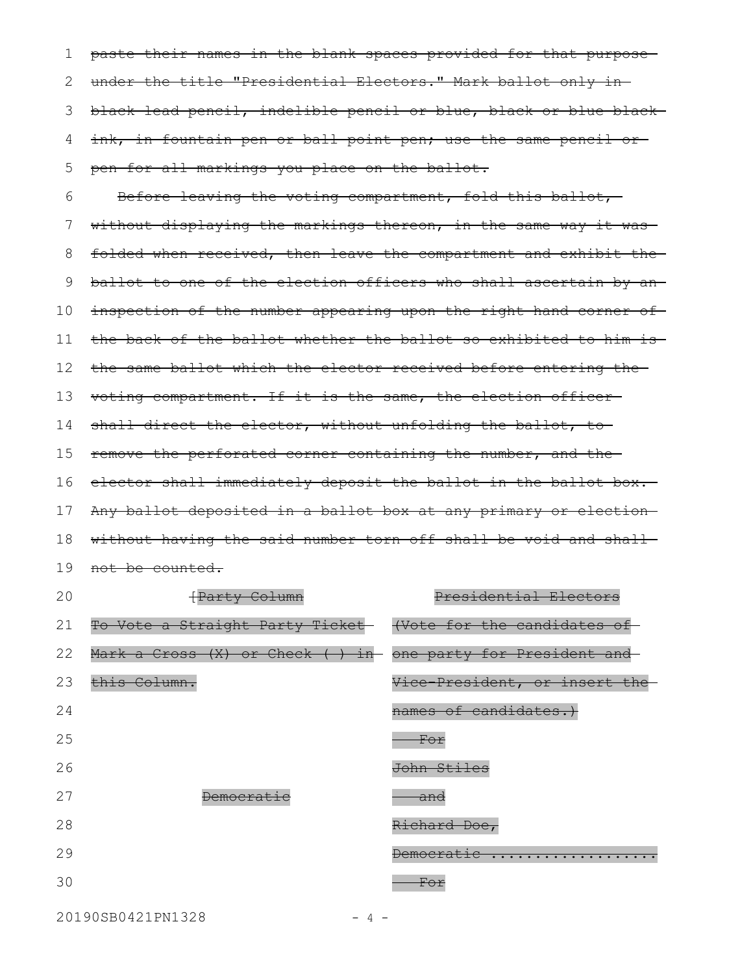paste their names in the blank spaces provided for that purpose under the title "Presidential Electors." Mark ballot only in black lead pencil, indelible pencil or blue, black or blue-black ink, in fountain pen or ball point pen; use the same pencil or pen for all markings you place on the ballot. 1 2 3 4 5

Before leaving the voting compartment, fold this ballot, without displaying the markings thereon, in the same way it wasfolded when received, then leave the compartment and exhibit the ballot to one of the election officers who shall ascertain by an inspection of the number appearing upon the right hand corner of the back of the ballot whether the ballot so exhibited to him is the same ballot which the elector received before entering the voting compartment. If it is the same, the election officer shall direct the elector, without unfolding the ballot, to remove the perforated corner containing the number, and the elector shall immediately deposit the ballot in the ballot box. Any ballot deposited in a ballot box at any primary or election without having the said number torn off shall be void and shall 19 <del>not be counted.</del> 6 7 8 9 10 11 12 13 14 15 16 17 18

| 20 | Party Column                     | Presidential Electors         |
|----|----------------------------------|-------------------------------|
| 21 | To Vote a Straight Party Ticket- | (Vote for the candidates      |
| 22 | Mark a Cross (X) or Check ( ) in | one party for President and   |
| 23 | this Column.                     | Vice-President, or insert the |
| 24 |                                  | names of candidates.          |
| 25 |                                  | <del>For</del>                |
| 26 |                                  | John Stiles                   |
| 27 | <b>Democratic</b>                | <del>anc</del>                |
| 28 |                                  | Richard Doe,                  |
| 29 |                                  | <b>Democratic</b><br>.        |
| 30 |                                  | For                           |
|    |                                  |                               |

20190SB0421PN1328 - 4 -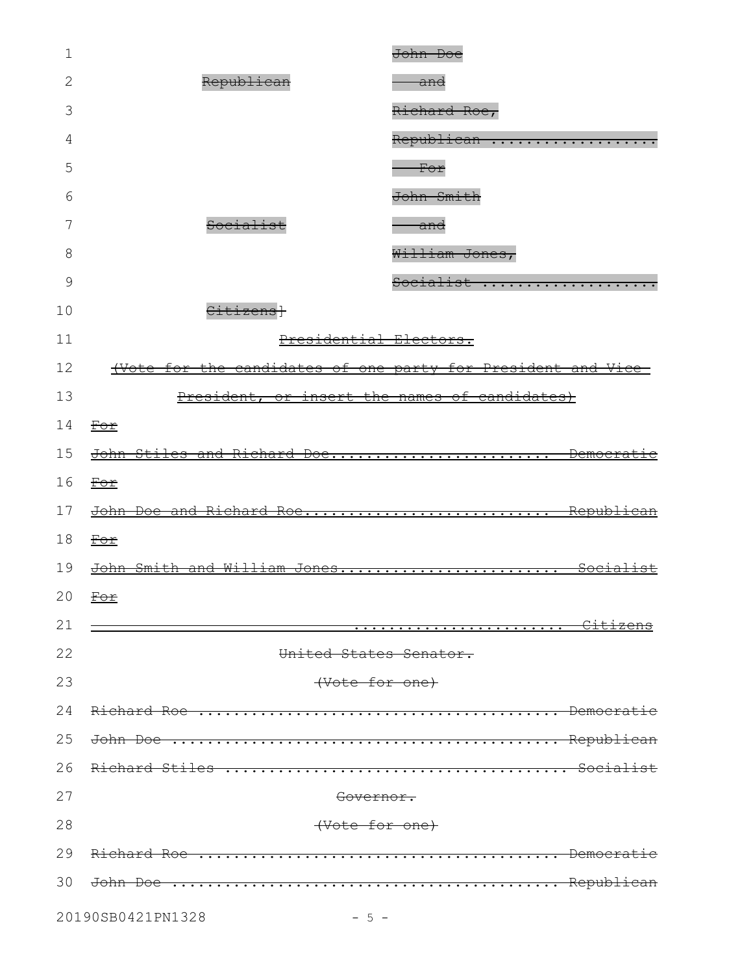| 1  |                                                              | John Doe              |
|----|--------------------------------------------------------------|-----------------------|
| 2  | Republican                                                   | <del>and</del>        |
| 3  |                                                              | Richard Roe,          |
| 4  |                                                              | Republican            |
| 5  |                                                              | For                   |
| 6  |                                                              | John Smith            |
| 7  | Socialist                                                    | <del>anc</del>        |
| 8  |                                                              | William Jones,        |
| 9  |                                                              | Socialist             |
| 10 | Citizensl                                                    |                       |
| 11 | Presidential Electors.                                       |                       |
| 12 | (Vote for the candidates of one party for President and Vice |                       |
| 13 | President, or insert the names of candidates)                |                       |
| 14 | For                                                          |                       |
| 15 | John Stiles and Richard Doe                                  | <u>Democratic</u>     |
| 16 | For                                                          |                       |
| 17 | <u> John Doe and Richard Roe</u>                             | <del>Republican</del> |
| 18 | For                                                          |                       |
| 19 | John Smith and William Jones                                 | <del>Socialist</del>  |
|    | 20 $F$ or                                                    |                       |
| 21 |                                                              | <del>Citizens</del>   |
| 22 | United States Senator.                                       |                       |
| 23 | (Vote for one)                                               |                       |
| 24 |                                                              |                       |
| 25 |                                                              |                       |
| 26 | Richard Stiles                                               |                       |
| 27 | <del>Governor.</del>                                         |                       |
| 28 | (Vote for one)                                               |                       |
| 29 | Richard Roe                                                  | <del>Democra</del>    |
| 30 | <del>John Doe</del>                                          |                       |
|    |                                                              |                       |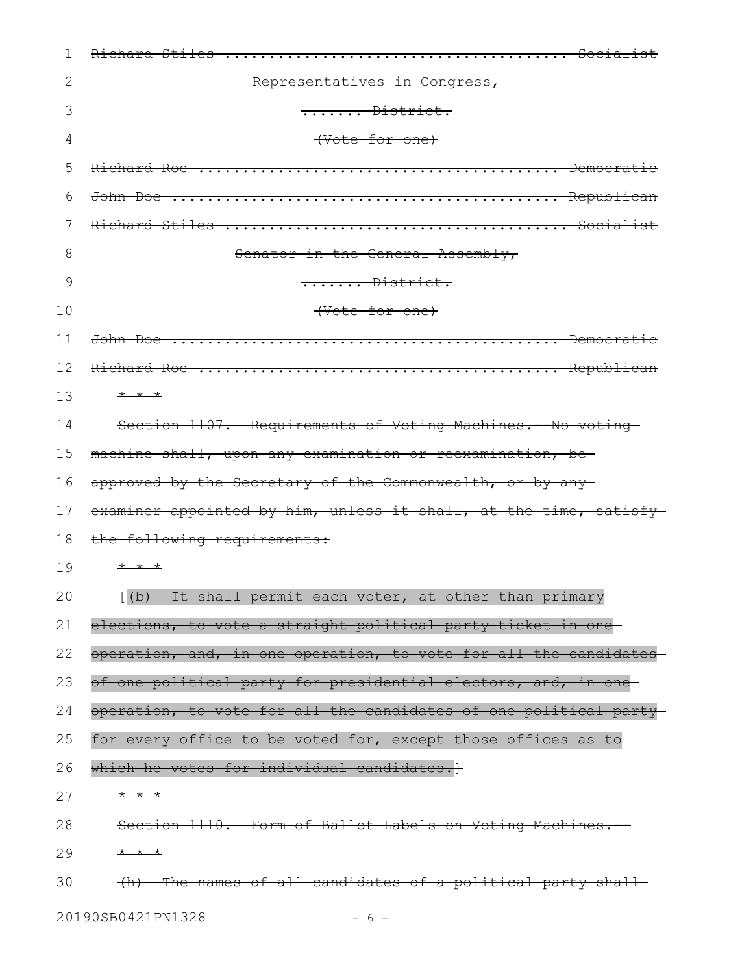| 1  |                                                                   |
|----|-------------------------------------------------------------------|
| 2  | Representatives in Congress,                                      |
| 3  | District.                                                         |
| 4  | (Vote for one)                                                    |
| 5  |                                                                   |
| 6  | <del>John Doe</del>                                               |
| 7  |                                                                   |
| 8  | Senator in the General Assembly,                                  |
| 9  | $\dots \dots$ District.                                           |
| 10 | (Vote for one)                                                    |
| 11 |                                                                   |
| 12 |                                                                   |
| 13 | * * *                                                             |
| 14 | Section 1107. Requirements of Voting Machines. - No voting        |
| 15 | machine shall, upon any examination or reexamination, be          |
| 16 | approved by the Secretary of the Commonwealth, or by any          |
| 17 | examiner appointed by him, unless it shall, at the time, satisfy- |
| 18 | the following requirements:                                       |
| 19 | * * *                                                             |
| 20 | {(b) It shall permit each voter, at other than primary            |
| 21 | elections, to vote a straight political party ticket in one       |
| 22 | operation, and, in one operation, to vote for all the candidates  |
| 23 | of one political party for presidential electors, and, in one     |
| 24 | operation, to vote for all the candidates of one political party- |
| 25 | for every office to be voted for, except those offices as to      |
| 26 | which he votes for individual candidates. +                       |
| 27 | * * *                                                             |
| 28 | Section 1110. Form of Ballot Labels on Voting Machines.           |
| 29 | * * *                                                             |
| 30 | (h) The names of all candidates of a political party shall        |

20190SB0421PN1328 - 6 -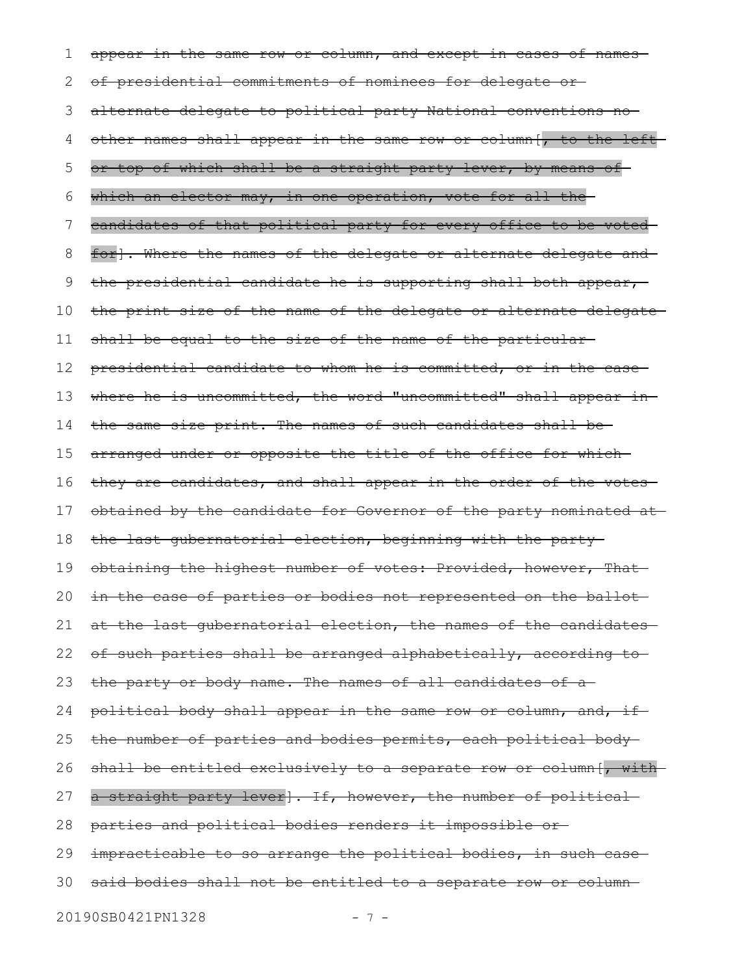appear in the same row or column, and except in cases of namesof presidential commitments of nominees for delegate or alternate delegate to political party National conventions no other names shall appear in the same row or column[, to the left or top of which shall be a straight party lever, by means of which an elector may, in one operation, vote for all the candidates of that political party for every office to be voted for]. Where the names of the delegate or alternate delegate and the presidential candidate he is supporting shall both appear, the print size of the name of the delegate or alternate delegate shall be equal to the size of the name of the particularpresidential candidate to whom he is committed, or in the case where he is uncommitted, the word "uncommitted" shall appear inthe same size print. The names of such candidates shall be arranged under or opposite the title of the office for which they are candidates, and shall appear in the order of the votesobtained by the candidate for Governor of the party nominated at the last gubernatorial election, beginning with the party obtaining the highest number of votes: Provided, however, That in the case of parties or bodies not represented on the ballot at the last gubernatorial election, the names of the candidates of such parties shall be arranged alphabetically, according to the party or body name. The names of all candidates of a political body shall appear in the same row or column, and, if the number of parties and bodies permits, each political body shall be entitled exclusively to a separate row or column[, witha straight party lever]. If, however, the number of political parties and political bodies renders it impossible or impracticable to so arrange the political bodies, in such casesaid bodies shall not be entitled to a separate row or column 20190SB0421PN1328 - 7 -1 2 3 4 5 6 7 8 9 10 11 12 13 14 15 16 17 18 19 20 21 22 23 24 25 26 27 28 29 30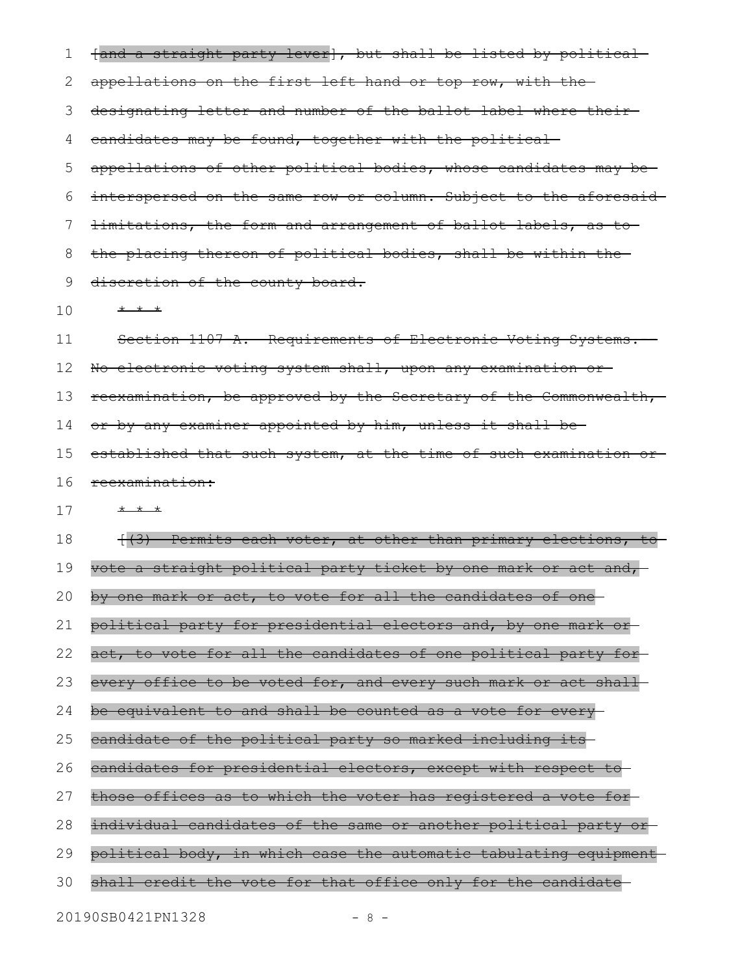| 1  | fand a straight party lever], but shall be listed by political-   |
|----|-------------------------------------------------------------------|
| 2  | appellations on the first left hand or top row, with the-         |
| З  | designating letter and number of the ballot label where their-    |
| 4  | candidates may be found, together with the political              |
| 5  | appellations of other political bodies, whose candidates may be-  |
| 6  | interspersed on the same row or column. Subject to the aforesaid  |
| 7  | limitations, the form and arrangement of ballot labels, as to-    |
| 8  | the placing thereon of political bodies, shall be within the      |
| 9  | discretion of the county board.                                   |
| 10 | $+$ $+$ $+$                                                       |
| 11 | Section 1107 A. Requirements of Electronic Voting Systems.        |
| 12 | No electronic voting system shall, upon any examination or-       |
| 13 | reexamination, be approved by the Secretary of the Commonwealth,  |
| 14 | or by any examiner appointed by him, unless it shall be-          |
| 15 | established that such system, at the time of such examination or- |
| 16 | reexamination:                                                    |
| 17 | * * *                                                             |
| 18 | (3) Permits each voter, at other than primary elections, to       |
| 19 | vote a straight political party ticket by one mark or act and,    |
| 20 | by one mark or act, to vote for all the candidates of one         |
| 21 | political party for presidential electors and, by one mark or     |
| 22 | act, to vote for all the candidates of one political party for-   |
| 23 | every office to be voted for, and every such mark or act shall    |
| 24 | be equivalent to and shall be counted as a vote for every         |
| 25 | eandidate of the political party so marked including its          |
| 26 | candidates for presidential electors, except with respect to      |
| 27 | those offices as to which the voter has registered a vote for     |
| 28 | individual candidates of the same or another political party or   |
| 29 | political body, in which case the automatic tabulating equipment  |
| 30 | shall credit the vote for that office only for the candidate      |
|    | 20190SB0421PN1328<br>$-8-$                                        |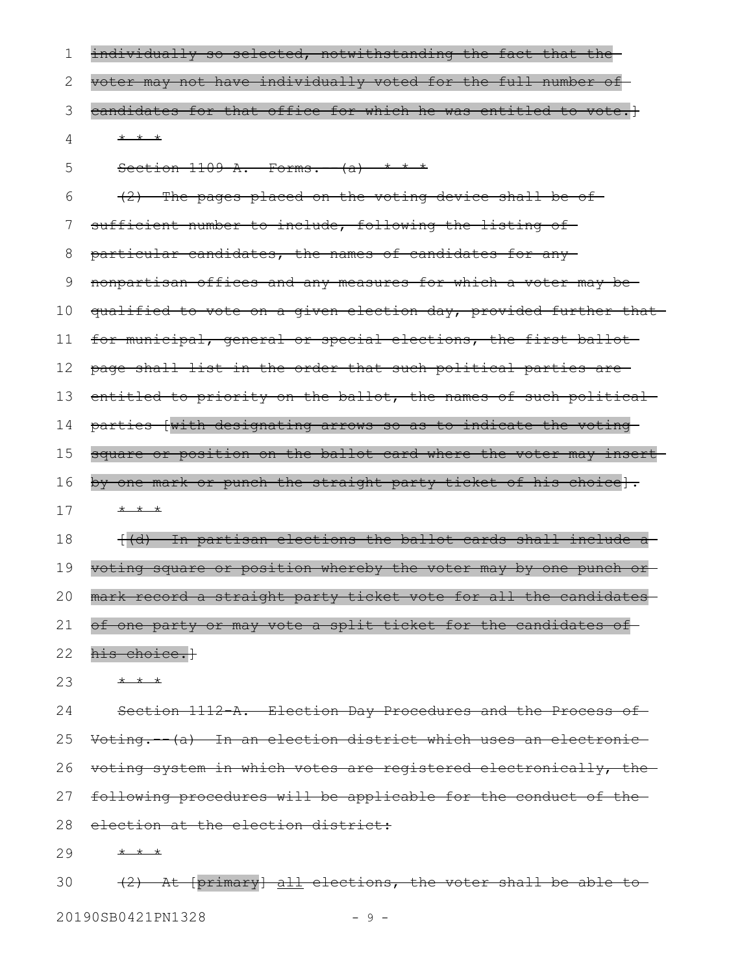| 1  | individually so selected, notwithstanding the fact that the      |
|----|------------------------------------------------------------------|
| 2  | voter may not have individually voted for the full number of     |
| 3  | candidates for that office for which he was entitled to vote.]   |
| 4  | $+$ $+$ $+$                                                      |
| 5  | Section $1109-A.$ Forms. $-(a)$ * * *                            |
| 6  | $(2)$ The pages placed on the voting device shall be of          |
| 7  | sufficient number to include, following the listing of-          |
| 8  | particular candidates, the names of candidates for any-          |
| 9  | nonpartisan offices and any measures for which a voter may be    |
| 10 | qualified to vote on a given election day, provided further that |
| 11 | for municipal, general or special elections, the first ballot    |
| 12 | page shall list in the order that such political parties are-    |
| 13 | entitled to priority on the ballot, the names of such political  |
| 14 | parties [with designating arrows so as to indicate the voting    |
| 15 | square or position on the ballot card where the voter may insert |
| 16 | by one mark or punch the straight party ticket of his choice].   |
| 17 | * * *                                                            |
| 18 | ((d) In partisan elections the ballot cards shall include a      |
| 19 | voting square or position whereby the voter may by one punch or  |
| 20 | mark record a straight party ticket vote for all the candidates  |
| 21 | of one party or may vote a split ticket for the candidates of    |
| 22 | his choice.}                                                     |
| 23 | * * *                                                            |
| 24 | Section 1112 A. Election Day Procedures and the Process of       |
| 25 | Voting. (a) In an election district which uses an electronic     |
| 26 | voting system in which votes are registered electronically, the  |
| 27 | following procedures will be applicable for the conduct of the   |
| 28 | election at the election district:                               |
| 29 | * * *                                                            |

(2) At [primary] all elections, the voter shall be able to 30

20190SB0421PN1328 - 9 -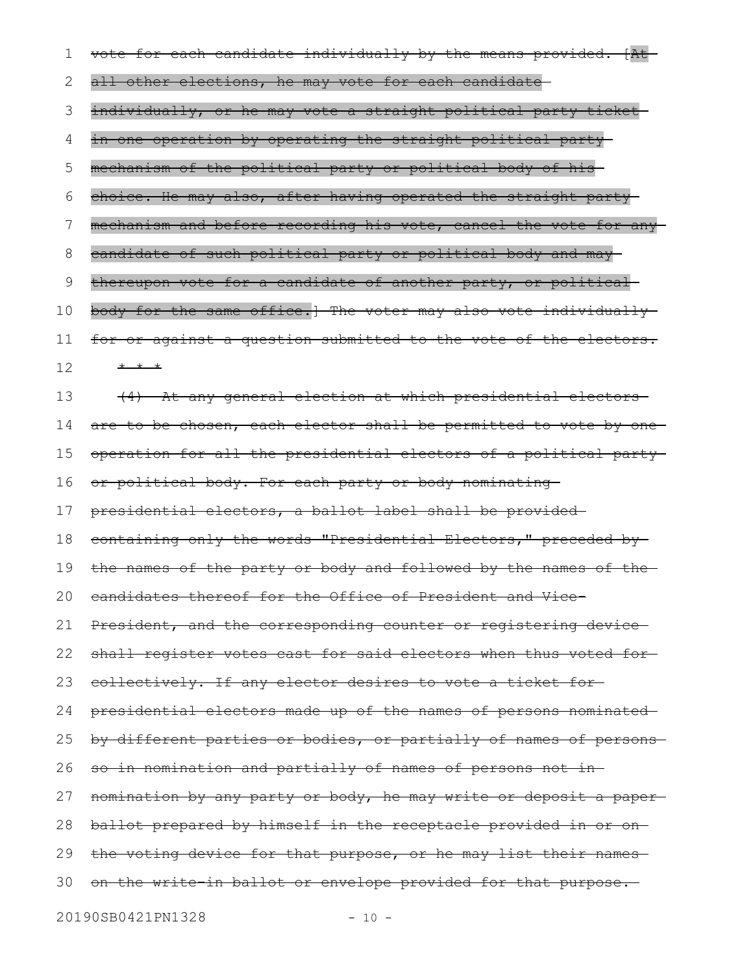| 1  | vote for each candidate individually by the means provided. [At-  |
|----|-------------------------------------------------------------------|
| 2  | all other elections, he may vote for each candidate-              |
| 3  | individually, or he may vote a straight political party ticket    |
| 4  | in one operation by operating the straight political party        |
| 5  | mechanism of the political party or political body of his         |
| 6  | choice. He may also, after having operated the straight party-    |
| 7  | mechanism and before recording his vote, cancel the vote for any  |
| 8  | candidate of such political party or political body and may-      |
| 9  | thereupon vote for a candidate of another party, or political     |
| 10 | body for the same office.] The voter may also vote individually   |
| 11 | for or against a question submitted to the vote of the electors.  |
| 12 | * * *                                                             |
| 13 | (4) At any general election at which presidential electors        |
| 14 | are to be chosen, each elector shall be permitted to vote by one  |
| 15 | operation for all the presidential electors of a political party  |
| 16 | or political body. For each party or body nominating              |
| 17 | presidential electors, a ballot label shall be provided-          |
| 18 | containing only the words "Presidential Electors," preceded by-   |
| 19 | the names of the party or body and followed by the names of the-  |
|    | 20 candidates thereof for the Office of President and Vice-       |
| 21 | President, and the corresponding counter or registering device-   |
| 22 | shall register votes cast for said electors when thus voted for-  |
| 23 | collectively. If any elector desires to vote a ticket for-        |
| 24 | presidential electors made up of the names of persons nominated   |
| 25 | by different parties or bodies, or partially of names of persons- |
| 26 | so in nomination and partially of names of persons not in-        |
| 27 | nomination by any party or body, he may write or deposit a paper- |
| 28 | ballot prepared by himself in the receptacle provided in or on-   |
| 29 | the voting device for that purpose, or he may list their names    |
| 30 | on the write in ballot or envelope provided for that purpose.     |
|    |                                                                   |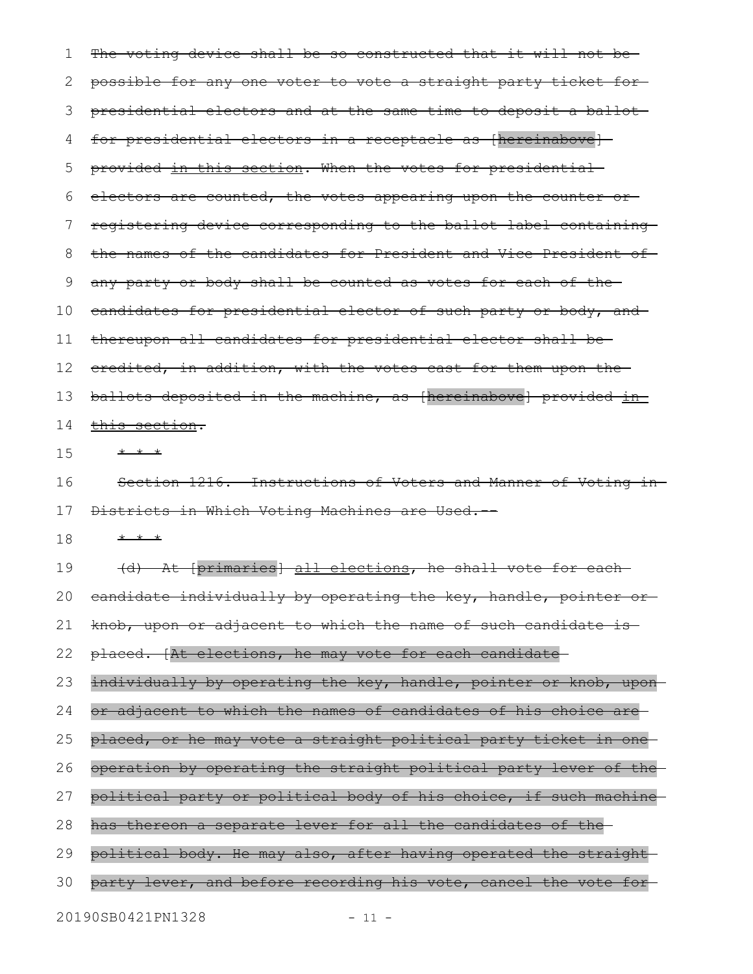The voting device shall be so constructed that it will not bepossible for any one voter to vote a straight party ticket for presidential electors and at the same time to deposit a ballot for presidential electors in a receptacle as [hereinabove]provided in this section. When the votes for presidential electors are counted, the votes appearing upon the counter or registering device corresponding to the ballot label containing the names of the candidates for President and Vice-President of any party or body shall be counted as votes for each of the candidates for presidential elector of such party or body, and thereupon all candidates for presidential elector shall be credited, in addition, with the votes cast for them upon the ballots deposited in the machine, as [hereinabove] provided inthis section. \* \* \* Section 1216. Instructions of Voters and Manner of Voting in Districts in Which Voting Machines are Used.-- \* \* \* (d) At [primaries] all elections, he shall vote for each candidate individually by operating the key, handle, pointer or knob, upon or adjacent to which the name of such candidate is placed. [At elections, he may vote for each candidate individually by operating the key, handle, pointer or knob, uponor adjacent to which the names of candidates of his choice are placed, or he may vote a straight political party ticket in one operation by operating the straight political party lever of the political party or political body of his choice, if such machine has thereon a separate lever for all the candidates of the political body. He may also, after having operated the straight party lever, and before recording his vote, cancel the vote for 1 2 3 4 5 6 7 8 9 10 11 12 13 14 15 16 17 18 19 20 21 22 23 24 25 26 27 28 29 30

20190SB0421PN1328 - 11 -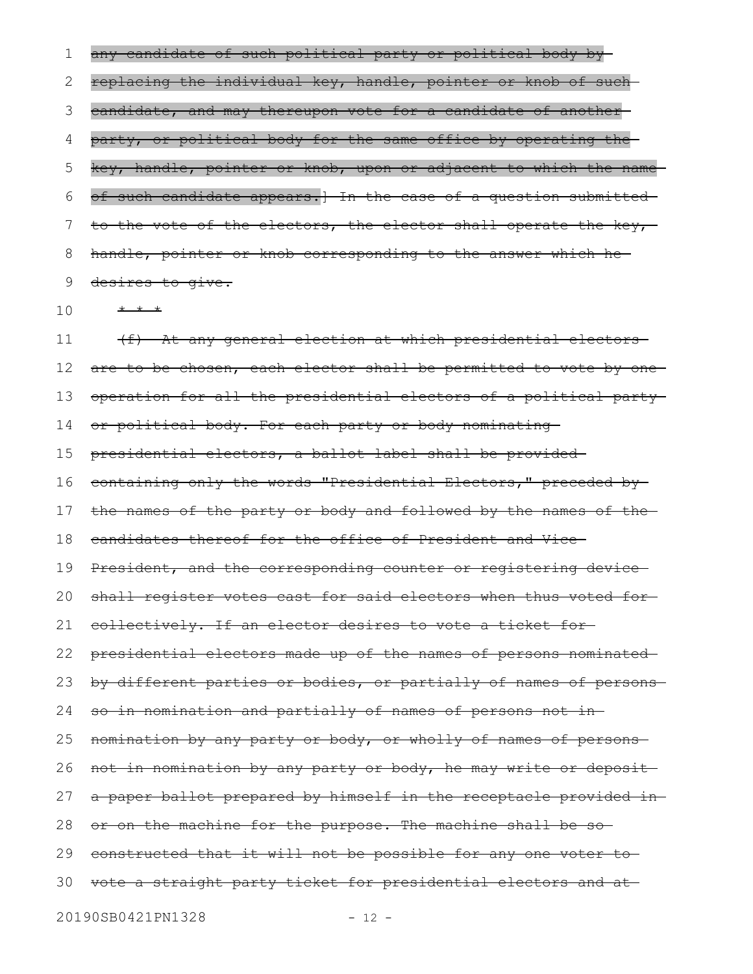any candidate of such political party or political body by replacing the individual key, handle, pointer or knob of such candidate, and may thereupon vote for a candidate of another party, or political body for the same office by operating the key, handle, pointer or knob, upon or adjacent to which the name of such candidate appears.] In the case of a question submitted to the vote of the electors, the elector shall operate the key,handle, pointer or knob corresponding to the answer which he desires to give. 1 2 3 4 5 6 7 8 9

\* \* \* 10

(f) At any general election at which presidential electors are to be chosen, each elector shall be permitted to vote by one operation for all the presidential electors of a political party or political body. For each party or body nominating presidential electors, a ballot label shall be provided containing only the words "Presidential Electors," preceded by the names of the party or body and followed by the names of the candidates thereof for the office of President and Vice-President, and the corresponding counter or registering device shall register votes cast for said electors when thus voted forcollectively. If an elector desires to vote a ticket for presidential electors made up of the names of persons nominated by different parties or bodies, or partially of names of persons so in nomination and partially of names of persons not in nomination by any party or body, or wholly of names of persons not in nomination by any party or body, he may write or deposit a paper ballot prepared by himself in the receptacle provided in or on the machine for the purpose. The machine shall be so constructed that it will not be possible for any one voter to 30 vote a straight party ticket for presidential electors and at 11 12 13 14 15 16 17 18 19 20 21 22 23 24 25 26 27 28 29

20190SB0421PN1328 - 12 -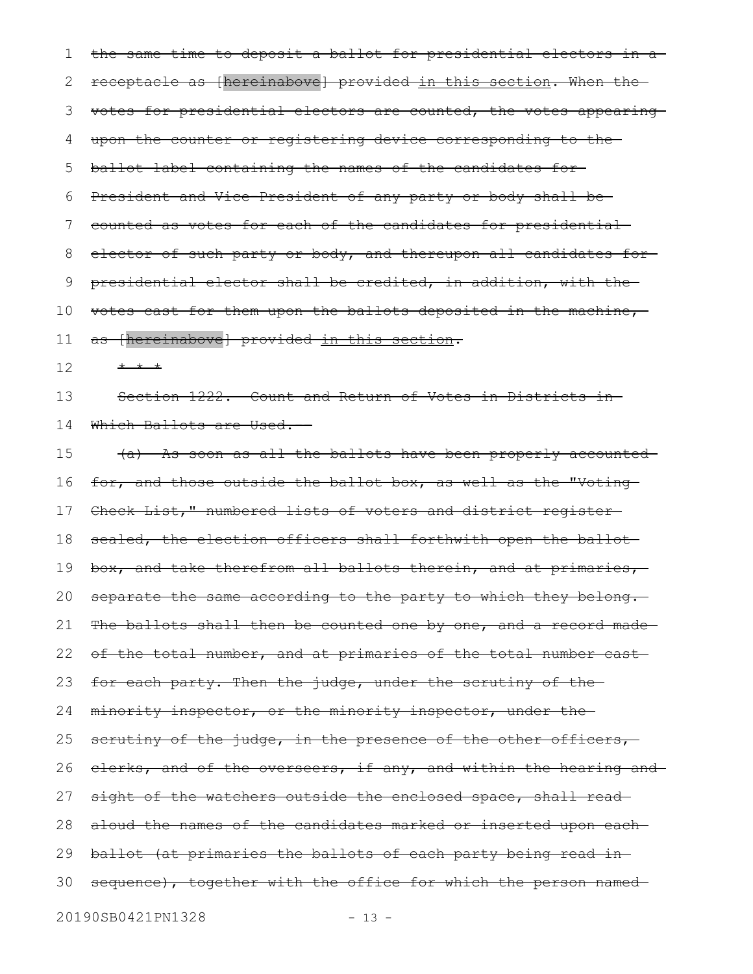the same time to deposit a ballot for presidential electors in a receptacle as [hereinabove] provided in this section. When the votes for presidential electors are counted, the votes appearing upon the counter or registering device corresponding to the ballot label containing the names of the candidates for President and Vice-President of any party or body shall be counted as votes for each of the candidates for presidential elector of such party or body, and thereupon all candidates for presidential elector shall be credited, in addition, with the votes cast for them upon the ballots deposited in the machine, as [hereinabove] provided in this section. \* \* \* Section 1222. Count and Return of Votes in Districts in Which Ballots are Used.-(a) As soon as all the ballots have been properly accounted for, and those outside the ballot box, as well as the "Voting Check List," numbered lists of voters and district register sealed, the election officers shall forthwith open the ballot box, and take therefrom all ballots therein, and at primaries, separate the same according to the party to which they belong. The ballots shall then be counted one by one, and a record madeof the total number, and at primaries of the total number cast for each party. Then the judge, under the scrutiny of the minority inspector, or the minority inspector, under the scrutiny of the judge, in the presence of the other officers, clerks, and of the overseers, if any, and within the hearing and sight of the watchers outside the enclosed space, shall readaloud the names of the candidates marked or inserted upon each ballot (at primaries the ballots of each party being read in sequence), together with the office for which the person named-20190SB0421PN1328 - 13 -1 2 3 4 5 6 7 8 9 10 11 12 13 14 15 16 17 18 19 20 21 22 23 24 25 26 27 28 29 30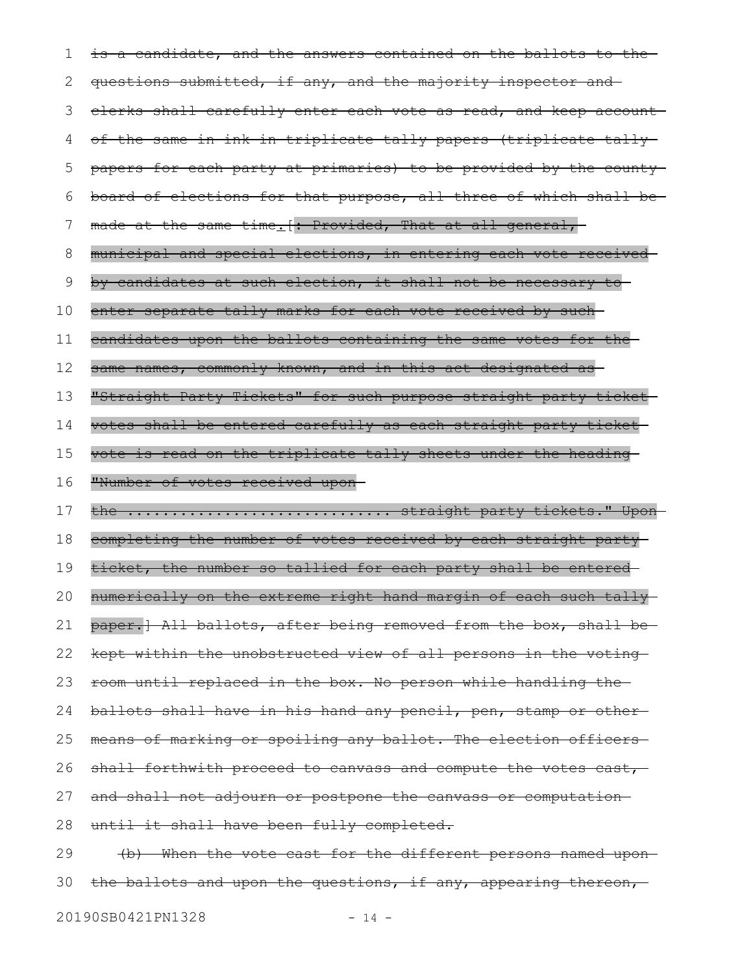is a candidate, and the answers contained on the ballots to the questions submitted, if any, and the majority inspector and clerks shall carefully enter each vote as read, and keep account of the same in ink in triplicate tally papers (triplicate tally papers for each party at primaries) to be provided by the county board of elections for that purpose, all three of which shall be made at the same time. [: Provided, That at all general, municipal and special elections, in entering each vote received by candidates at such election, it shall not be necessary to enter separate tally marks for each vote received by suchcandidates upon the ballots containing the same votes for the same names, commonly known, and in this act designated as "Straight Party Tickets" for such purpose straight party ticket votes shall be entered carefully as each straight party ticket vote is read on the triplicate tally sheets under the heading "Number of votes received upon the .................................. straight party tickets." Uponcompleting the number of votes received by each straight party ticket, the number so tallied for each party shall be entered numerically on the extreme right hand margin of each such tally paper.] All ballots, after being removed from the box, shall bekept within the unobstructed view of all persons in the voting room until replaced in the box. No person while handling the ballots shall have in his hand any pencil, pen, stamp or other means of marking or spoiling any ballot. The election officers shall forthwith proceed to canvass and compute the votes cast, and shall not adjourn or postpone the canvass or computation until it shall have been fully completed. (b) When the vote cast for the different persons named upon 1 2 3 4 5 6 7 8 9 10 11 12 13 14 15 16 17 18 19 20 21 22 23 24 25 26 27 28 29

the ballots and upon the questions, if any, appearing thereon, 30

20190SB0421PN1328 - 14 -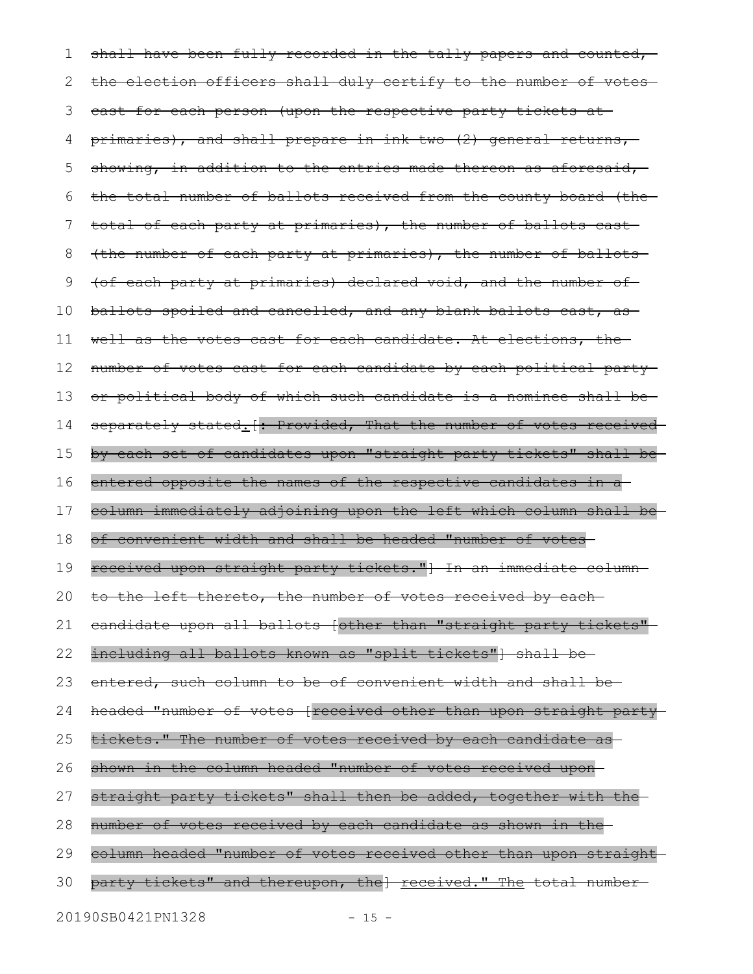shall have been fully recorded in the tally papers and counted, the election officers shall duly certify to the number of votescast for each person (upon the respective party tickets at primaries), and shall prepare in ink two (2) general returns, showing, in addition to the entries made thereon as aforesaid, the total number of ballots received from the county board (the total of each party at primaries), the number of ballots cast (the number of each party at primaries), the number of ballots (of each party at primaries) declared void, and the number of ballots spoiled and cancelled, and any blank ballots cast, as well as the votes cast for each candidate. At elections, the number of votes cast for each candidate by each political party or political body of which such candidate is a nominee shall be separately stated. [: Provided, That the number of votes receivedby each set of candidates upon "straight party tickets" shall be entered opposite the names of the respective candidates in a column immediately adjoining upon the left which column shall be of convenient width and shall be headed "number of votes received upon straight party tickets."] In an immediate column to the left thereto, the number of votes received by each candidate upon all ballots [other than "straight party tickets" including all ballots known as "split tickets" shall beentered, such column to be of convenient width and shall be headed "number of votes [received other than upon straight party tickets." The number of votes received by each candidate as shown in the column headed "number of votes received upon straight party tickets" shall then be added, together with the number of votes received by each candidate as shown in the column headed "number of votes received other than upon straight party tickets" and thereupon, the] received." The total number-1 2 3 4 5 6 7 8 9 10 11 12 13 14 15 16 17 18 19 20 21 22 23 24 25 26 27 28 29 30

20190SB0421PN1328 - 15 -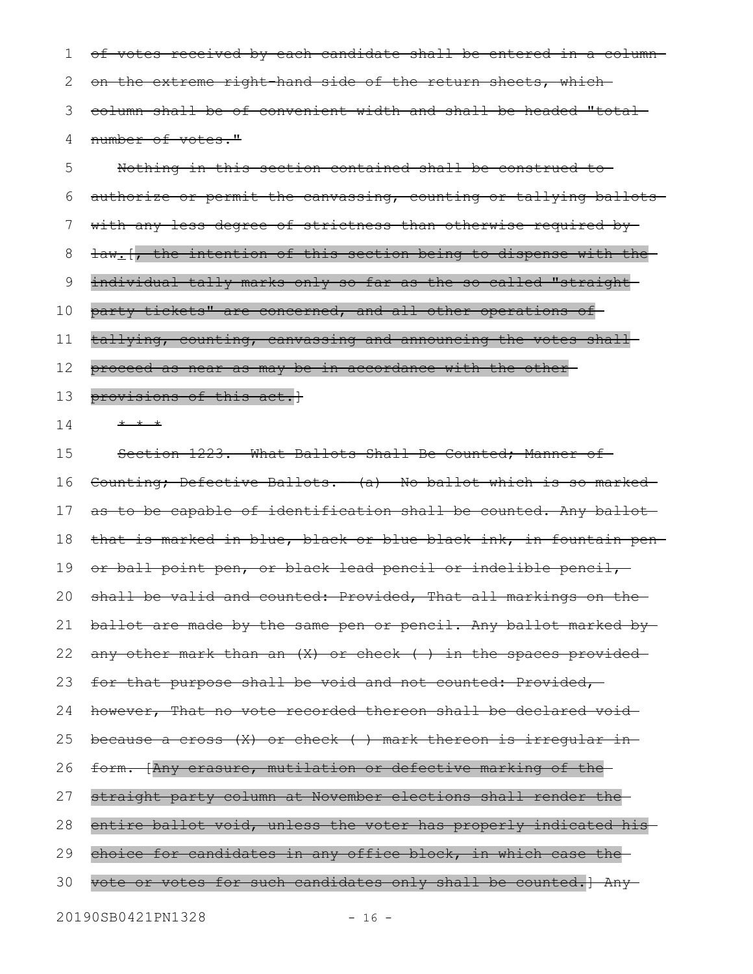of votes received by each candidate shall be entered in a column on the extreme right-hand side of the return sheets, which column shall be of convenient width and shall be headed "total number of votes." 1 2 3 4

Nothing in this section contained shall be construed to authorize or permit the canvassing, counting or tallying ballots with any less degree of strictness than otherwise required bylaw<sub>:</sub>[, the intention of this section being to dispense with the individual tally marks only so far as the so-called "straightparty tickets" are concerned, and all other operations of tallying, counting, canvassing and announcing the votes shall proceed as near as may be in accordance with the other provisions of this act.] \* \* \* Section 1223. What Ballots Shall Be Counted; Manner of Counting; Defective Ballots. (a) No ballot which is so marked as to be capable of identification shall be counted. Any ballot that is marked in blue, black or blue-black ink, in fountain pen or ball point pen, or black lead pencil or indelible pencil, shall be valid and counted: Provided, That all markings on theballot are made by the same pen or pencil. Any ballot marked by any other mark than an (X) or check ( ) in the spaces provided for that purpose shall be void and not counted: Provided, however, That no vote recorded thereon shall be declared void because a cross (X) or check ( ) mark thereon is irregular in form. [Any erasure, mutilation or defective marking of the straight party column at November elections shall render the entire ballot void, unless the voter has properly indicated hischoice for candidates in any office block, in which case the 5 6 7 8 9 10 11 12 13 14 15 16 17 18 19 20 21 22 23 24 25 26 27 28 29

vote or votes for such candidates only shall be counted.] Any 30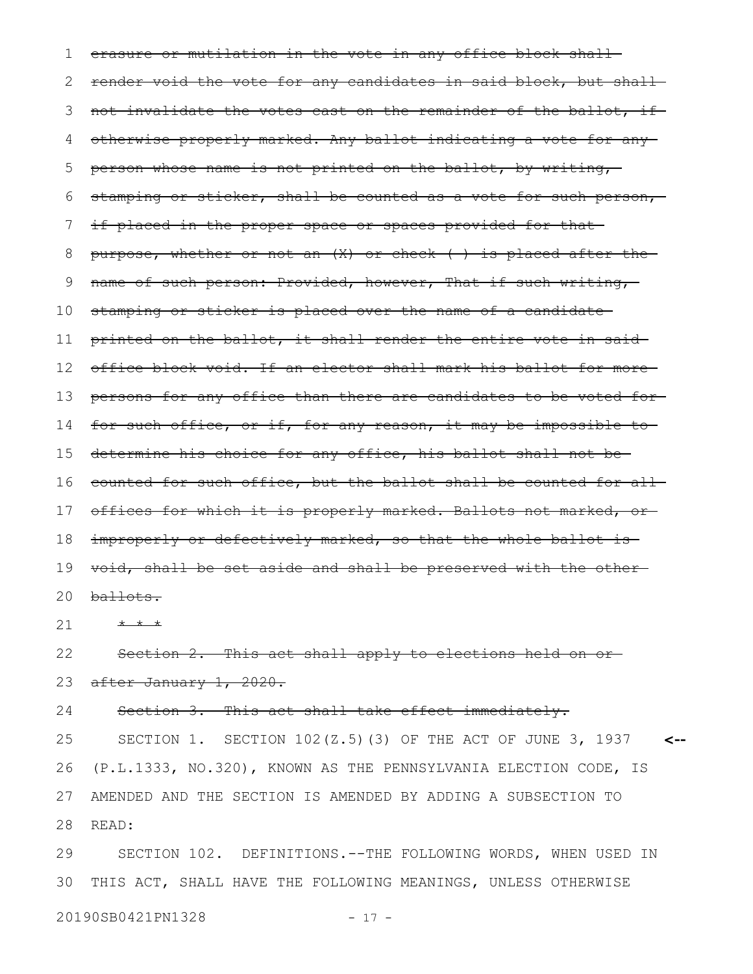erasure or mutilation in the vote in any office block shallrender void the vote for any candidates in said block, but shallnot invalidate the votes cast on the remainder of the ballot, if otherwise properly marked. Any ballot indicating a vote for any person whose name is not printed on the ballot, by writing, stamping or sticker, shall be counted as a vote for such person, if placed in the proper space or spaces provided for that purpose, whether or not an  $(X)$  or check () is placed after the name of such person: Provided, however, That if such writing, stamping or sticker is placed over the name of a candidate printed on the ballot, it shall render the entire vote in said office block void. If an elector shall mark his ballot for more persons for any office than there are candidates to be voted for for such office, or if, for any reason, it may be impossible to determine his choice for any office, his ballot shall not be counted for such office, but the ballot shall be counted for all 17 offices for which it is properly marked. Ballots not marked, or improperly or defectively marked, so that the whole ballot is void, shall be set aside and shall be preserved with the other ballots. \* \* \* Section 2. This act shall apply to elections held on orafter January 1, 2020. Section 3. This act shall take effect immediately. SECTION 1. SECTION 102(Z.5)(3) OF THE ACT OF JUNE 3, 1937 (P.L.1333, NO.320), KNOWN AS THE PENNSYLVANIA ELECTION CODE, IS AMENDED AND THE SECTION IS AMENDED BY ADDING A SUBSECTION TO **<--** 1 2 3 4 5 6 7 8 9 10 11 12 13 14 15 16 18 19 20 21 22 23 24 25 26 27

READ: 28

SECTION 102. DEFINITIONS.--THE FOLLOWING WORDS, WHEN USED IN THIS ACT, SHALL HAVE THE FOLLOWING MEANINGS, UNLESS OTHERWISE 29 30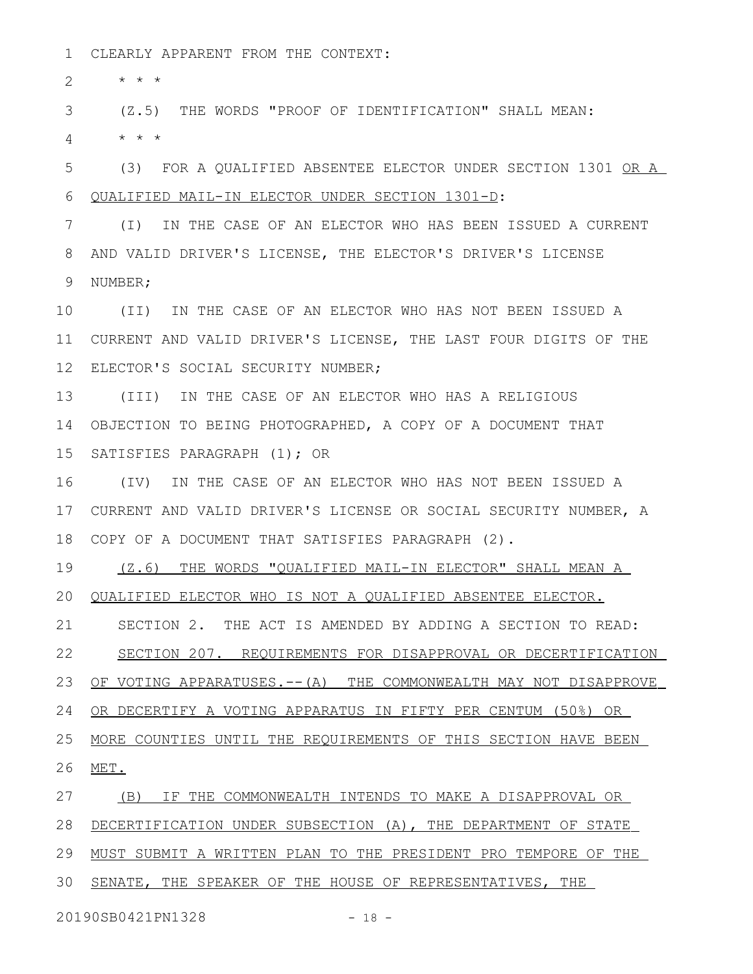CLEARLY APPARENT FROM THE CONTEXT: 1

\* \* \* 2

(Z.5) THE WORDS "PROOF OF IDENTIFICATION" SHALL MEAN: 3

\* \* \* 4

(3) FOR A QUALIFIED ABSENTEE ELECTOR UNDER SECTION 1301 OR A QUALIFIED MAIL-IN ELECTOR UNDER SECTION 1301-D: 5 6

(I) IN THE CASE OF AN ELECTOR WHO HAS BEEN ISSUED A CURRENT AND VALID DRIVER'S LICENSE, THE ELECTOR'S DRIVER'S LICENSE NUMBER; 7 8 9

(II) IN THE CASE OF AN ELECTOR WHO HAS NOT BEEN ISSUED A 11 CURRENT AND VALID DRIVER'S LICENSE, THE LAST FOUR DIGITS OF THE 12 ELECTOR'S SOCIAL SECURITY NUMBER; 10

(III) IN THE CASE OF AN ELECTOR WHO HAS A RELIGIOUS 13 14 OBJECTION TO BEING PHOTOGRAPHED, A COPY OF A DOCUMENT THAT 15 SATISFIES PARAGRAPH (1); OR

(IV) IN THE CASE OF AN ELECTOR WHO HAS NOT BEEN ISSUED A CURRENT AND VALID DRIVER'S LICENSE OR SOCIAL SECURITY NUMBER, A 17 COPY OF A DOCUMENT THAT SATISFIES PARAGRAPH (2). 18 16

(Z.6) THE WORDS "QUALIFIED MAIL-IN ELECTOR" SHALL MEAN A 19

20 QUALIFIED ELECTOR WHO IS NOT A QUALIFIED ABSENTEE ELECTOR.

SECTION 2. THE ACT IS AMENDED BY ADDING A SECTION TO READ: 21

SECTION 207. REQUIREMENTS FOR DISAPPROVAL OR DECERTIFICATION 22

OF VOTING APPARATUSES. -- (A) THE COMMONWEALTH MAY NOT DISAPPROVE 23

OR DECERTIFY A VOTING APPARATUS IN FIFTY PER CENTUM (50%) OR 24

 MORE COUNTIES UNTIL THE REQUIREMENTS OF THIS SECTION HAVE BEEN 25

MET. 26

(B) IF THE COMMONWEALTH INTENDS TO MAKE A DISAPPROVAL OR 27

28 DECERTIFICATION UNDER SUBSECTION (A), THE DEPARTMENT OF STATE

29 MUST SUBMIT A WRITTEN PLAN TO THE PRESIDENT PRO TEMPORE OF THE

30 SENATE, THE SPEAKER OF THE HOUSE OF REPRESENTATIVES, THE

20190SB0421PN1328 - 18 -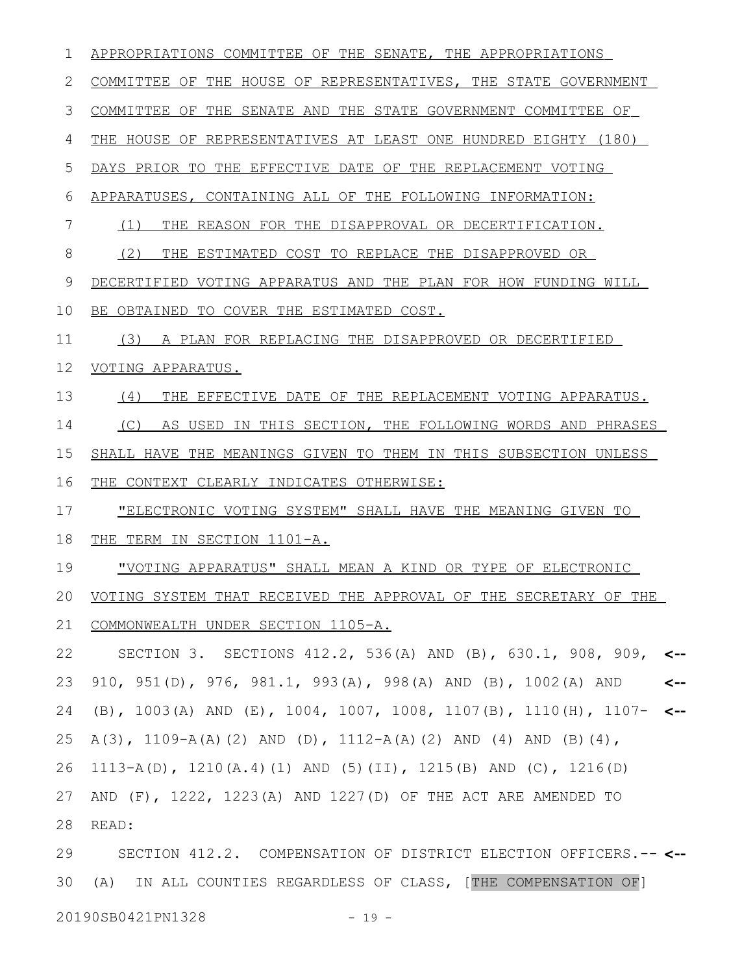| 1  | APPROPRIATIONS COMMITTEE OF THE SENATE, THE APPROPRIATIONS                      |  |  |
|----|---------------------------------------------------------------------------------|--|--|
| 2  | COMMITTEE OF THE HOUSE OF REPRESENTATIVES, THE STATE GOVERNMENT                 |  |  |
| 3  | COMMITTEE OF THE SENATE AND THE STATE GOVERNMENT COMMITTEE OF                   |  |  |
| 4  | THE HOUSE OF REPRESENTATIVES AT LEAST ONE HUNDRED EIGHTY (180)                  |  |  |
| 5  | DAYS PRIOR TO THE EFFECTIVE DATE OF THE REPLACEMENT VOTING                      |  |  |
| 6  | APPARATUSES, CONTAINING ALL OF THE FOLLOWING INFORMATION:                       |  |  |
| 7  | REASON FOR THE DISAPPROVAL OR DECERTIFICATION.<br>(1)<br>THE                    |  |  |
| 8  | (2)<br>THE<br>ESTIMATED COST TO REPLACE THE DISAPPROVED OR                      |  |  |
| 9  | DECERTIFIED VOTING APPARATUS AND THE PLAN FOR HOW FUNDING WILL                  |  |  |
| 10 | BE OBTAINED TO COVER THE ESTIMATED COST.                                        |  |  |
| 11 | A PLAN FOR REPLACING THE DISAPPROVED OR DECERTIFIED<br>(3)                      |  |  |
| 12 | VOTING APPARATUS.                                                               |  |  |
| 13 | (4)<br>THE EFFECTIVE DATE OF THE REPLACEMENT VOTING APPARATUS.                  |  |  |
| 14 | AS USED IN THIS SECTION, THE FOLLOWING WORDS AND PHRASES<br>(C)                 |  |  |
| 15 | SHALL HAVE THE MEANINGS GIVEN TO THEM IN THIS SUBSECTION UNLESS                 |  |  |
| 16 | THE CONTEXT CLEARLY INDICATES OTHERWISE:                                        |  |  |
| 17 | "ELECTRONIC VOTING SYSTEM" SHALL HAVE THE MEANING GIVEN TO                      |  |  |
| 18 | THE TERM IN SECTION 1101-A.                                                     |  |  |
| 19 | "VOTING APPARATUS" SHALL MEAN A KIND OR TYPE OF ELECTRONIC                      |  |  |
| 20 | VOTING SYSTEM THAT RECEIVED THE APPROVAL OF THE SECRETARY OF THE                |  |  |
| 21 | COMMONWEALTH UNDER SECTION 1105-A.                                              |  |  |
| 22 | SECTION 3. SECTIONS 412.2, 536(A) AND (B), 630.1, 908, 909,<br>$\leftarrow$     |  |  |
| 23 | 910, 951(D), 976, 981.1, 993(A), 998(A) AND (B), 1002(A) AND<br><--             |  |  |
| 24 | (B), 1003(A) AND (E), 1004, 1007, 1008, 1107(B), 1110(H), 1107-<br>$\leftarrow$ |  |  |
| 25 | A(3), 1109-A(A)(2) AND (D), 1112-A(A)(2) AND (4) AND (B)(4),                    |  |  |
| 26 | 1113-A(D), 1210(A.4)(1) AND (5)(II), 1215(B) AND (C), 1216(D)                   |  |  |
| 27 | AND $(F)$ , 1222, 1223(A) AND 1227(D) OF THE ACT ARE AMENDED TO                 |  |  |
| 28 | READ:                                                                           |  |  |
| 29 | SECTION 412.2. COMPENSATION OF DISTRICT ELECTION OFFICERS.-- <--                |  |  |
| 30 | IN ALL COUNTIES REGARDLESS OF CLASS, [THE COMPENSATION OF]<br>(A)               |  |  |

20190SB0421PN1328 - 19 -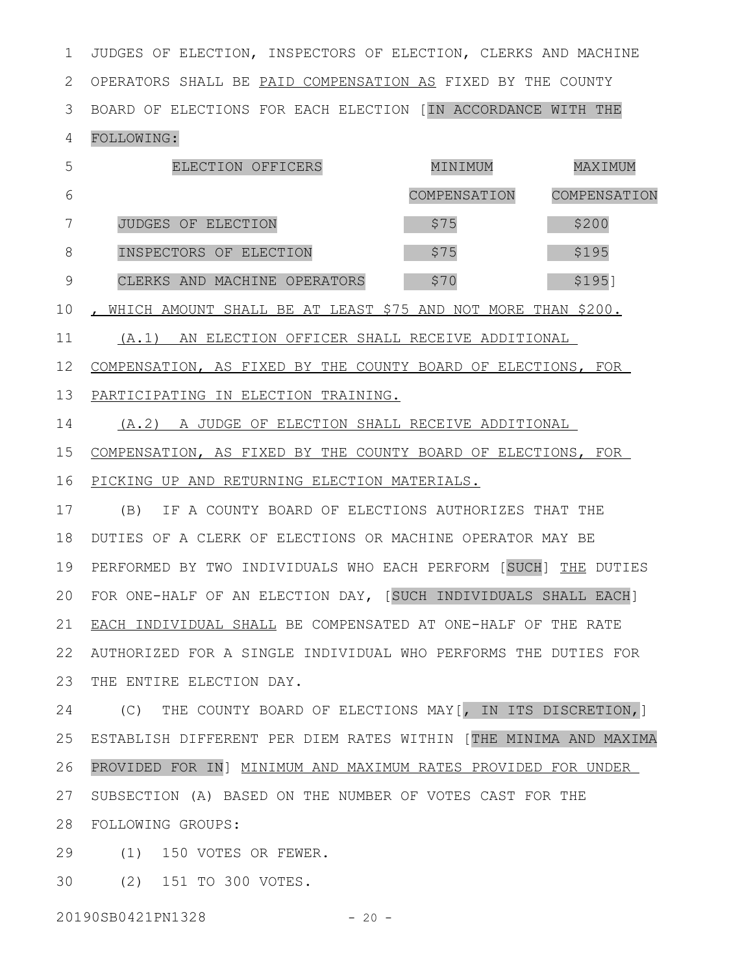JUDGES OF ELECTION, INSPECTORS OF ELECTION, CLERKS AND MACHINE 2 OPERATORS SHALL BE PAID COMPENSATION AS FIXED BY THE COUNTY BOARD OF ELECTIONS FOR EACH ELECTION [IN ACCORDANCE WITH THE 3 1

## FOLLOWING: 4

|   | ELECTION OFFICERS            | MINIMUM      | MAXIMUM      |
|---|------------------------------|--------------|--------------|
| 6 |                              | COMPENSATION | COMPENSATION |
|   | JUDGES OF ELECTION           | \$75         | \$200        |
|   | INSPECTORS OF ELECTION       | \$75         | \$195        |
|   | CLERKS AND MACHINE OPERATORS | \$70         | \$195]       |

10 , WHICH AMOUNT SHALL BE AT LEAST \$75 AND NOT MORE THAN \$200.

(A.1) AN ELECTION OFFICER SHALL RECEIVE ADDITIONAL 11

12 COMPENSATION, AS FIXED BY THE COUNTY BOARD OF ELECTIONS, FOR

PARTICIPATING IN ELECTION TRAINING. 13

(A.2) A JUDGE OF ELECTION SHALL RECEIVE ADDITIONAL 14

COMPENSATION, AS FIXED BY THE COUNTY BOARD OF ELECTIONS, FOR PICKING UP AND RETURNING ELECTION MATERIALS. 15 16

(B) IF A COUNTY BOARD OF ELECTIONS AUTHORIZES THAT THE 18 DUTIES OF A CLERK OF ELECTIONS OR MACHINE OPERATOR MAY BE 19 PERFORMED BY TWO INDIVIDUALS WHO EACH PERFORM [SUCH] THE DUTIES FOR ONE-HALF OF AN ELECTION DAY, [SUCH INDIVIDUALS SHALL EACH] 20 21 EACH INDIVIDUAL SHALL BE COMPENSATED AT ONE-HALF OF THE RATE AUTHORIZED FOR A SINGLE INDIVIDUAL WHO PERFORMS THE DUTIES FOR 22 23 THE ENTIRE ELECTION DAY. 17

(C) THE COUNTY BOARD OF ELECTIONS MAY[, IN ITS DISCRETION,] ESTABLISH DIFFERENT PER DIEM RATES WITHIN [THE MINIMA AND MAXIMA 25 PROVIDED FOR IN] MINIMUM AND MAXIMUM RATES PROVIDED FOR UNDER 27 SUBSECTION (A) BASED ON THE NUMBER OF VOTES CAST FOR THE FOLLOWING GROUPS: 28 24 26

(1) 150 VOTES OR FEWER. 29

(2) 151 TO 300 VOTES. 30

20190SB0421PN1328 - 20 -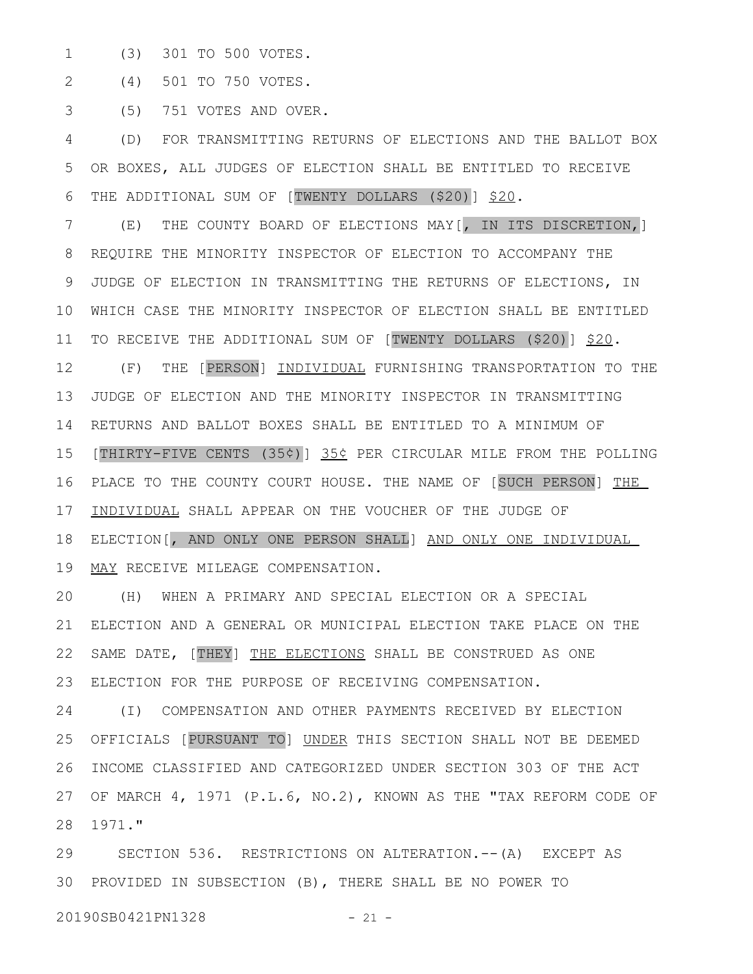(3) 301 TO 500 VOTES. 1

(4) 501 TO 750 VOTES. 2

(5) 751 VOTES AND OVER. 3

(D) FOR TRANSMITTING RETURNS OF ELECTIONS AND THE BALLOT BOX OR BOXES, ALL JUDGES OF ELECTION SHALL BE ENTITLED TO RECEIVE THE ADDITIONAL SUM OF [TWENTY DOLLARS (\$20)] \$20. 4 5 6

(E) THE COUNTY BOARD OF ELECTIONS MAY[, IN ITS DISCRETION,] REQUIRE THE MINORITY INSPECTOR OF ELECTION TO ACCOMPANY THE JUDGE OF ELECTION IN TRANSMITTING THE RETURNS OF ELECTIONS, IN WHICH CASE THE MINORITY INSPECTOR OF ELECTION SHALL BE ENTITLED 10 TO RECEIVE THE ADDITIONAL SUM OF [TWENTY DOLLARS (\$20)] \$20. (F) THE [PERSON] INDIVIDUAL FURNISHING TRANSPORTATION TO THE JUDGE OF ELECTION AND THE MINORITY INSPECTOR IN TRANSMITTING 14 RETURNS AND BALLOT BOXES SHALL BE ENTITLED TO A MINIMUM OF 15 [THIRTY-FIVE CENTS (35¢)] 35¢ PER CIRCULAR MILE FROM THE POLLING 16 PLACE TO THE COUNTY COURT HOUSE. THE NAME OF [SUCH PERSON] THE INDIVIDUAL SHALL APPEAR ON THE VOUCHER OF THE JUDGE OF ELECTION[, AND ONLY ONE PERSON SHALL] AND ONLY ONE INDIVIDUAL MAY RECEIVE MILEAGE COMPENSATION. 7 8 9 11 12 13 17 18 19

(H) WHEN A PRIMARY AND SPECIAL ELECTION OR A SPECIAL ELECTION AND A GENERAL OR MUNICIPAL ELECTION TAKE PLACE ON THE SAME DATE, [THEY] THE ELECTIONS SHALL BE CONSTRUED AS ONE ELECTION FOR THE PURPOSE OF RECEIVING COMPENSATION. 20 21 22 23

(I) COMPENSATION AND OTHER PAYMENTS RECEIVED BY ELECTION OFFICIALS [PURSUANT TO] UNDER THIS SECTION SHALL NOT BE DEEMED INCOME CLASSIFIED AND CATEGORIZED UNDER SECTION 303 OF THE ACT OF MARCH 4, 1971 (P.L.6, NO.2), KNOWN AS THE "TAX REFORM CODE OF 1971." 28 24 25 26 27

SECTION 536. RESTRICTIONS ON ALTERATION.--(A) EXCEPT AS PROVIDED IN SUBSECTION (B), THERE SHALL BE NO POWER TO 3029

20190SB0421PN1328 - 21 -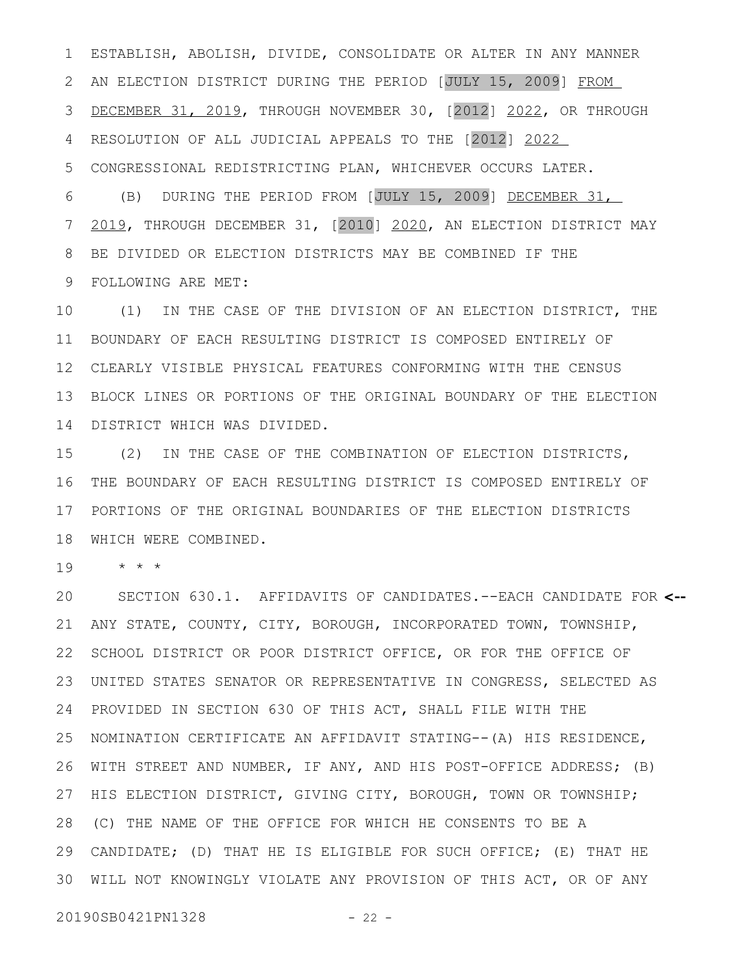ESTABLISH, ABOLISH, DIVIDE, CONSOLIDATE OR ALTER IN ANY MANNER 2 AN ELECTION DISTRICT DURING THE PERIOD [JULY 15, 2009] FROM DECEMBER 31, 2019, THROUGH NOVEMBER 30, [2012] 2022, OR THROUGH RESOLUTION OF ALL JUDICIAL APPEALS TO THE [2012] 2022 CONGRESSIONAL REDISTRICTING PLAN, WHICHEVER OCCURS LATER. 1 3 4 5

(B) DURING THE PERIOD FROM [JULY 15, 2009] DECEMBER 31, 2019, THROUGH DECEMBER 31, [2010] 2020, AN ELECTION DISTRICT MAY BE DIVIDED OR ELECTION DISTRICTS MAY BE COMBINED IF THE FOLLOWING ARE MET: 6 7 8 9

(1) IN THE CASE OF THE DIVISION OF AN ELECTION DISTRICT, THE 11 BOUNDARY OF EACH RESULTING DISTRICT IS COMPOSED ENTIRELY OF CLEARLY VISIBLE PHYSICAL FEATURES CONFORMING WITH THE CENSUS 12 BLOCK LINES OR PORTIONS OF THE ORIGINAL BOUNDARY OF THE ELECTION 13 DISTRICT WHICH WAS DIVIDED. 14 10

(2) IN THE CASE OF THE COMBINATION OF ELECTION DISTRICTS, THE BOUNDARY OF EACH RESULTING DISTRICT IS COMPOSED ENTIRELY OF 16 PORTIONS OF THE ORIGINAL BOUNDARIES OF THE ELECTION DISTRICTS 17 WHICH WERE COMBINED. 18 15

\* \* \* 19

SECTION 630.1. AFFIDAVITS OF CANDIDATES.--EACH CANDIDATE FOR **<--** ANY STATE, COUNTY, CITY, BOROUGH, INCORPORATED TOWN, TOWNSHIP, 22 SCHOOL DISTRICT OR POOR DISTRICT OFFICE, OR FOR THE OFFICE OF UNITED STATES SENATOR OR REPRESENTATIVE IN CONGRESS, SELECTED AS 23 PROVIDED IN SECTION 630 OF THIS ACT, SHALL FILE WITH THE NOMINATION CERTIFICATE AN AFFIDAVIT STATING--(A) HIS RESIDENCE, WITH STREET AND NUMBER, IF ANY, AND HIS POST-OFFICE ADDRESS; (B) HIS ELECTION DISTRICT, GIVING CITY, BOROUGH, TOWN OR TOWNSHIP; (C) THE NAME OF THE OFFICE FOR WHICH HE CONSENTS TO BE A 28 CANDIDATE; (D) THAT HE IS ELIGIBLE FOR SUCH OFFICE; (E) THAT HE 29 30 WILL NOT KNOWINGLY VIOLATE ANY PROVISION OF THIS ACT, OR OF ANY 20 21 24 25 26 27

20190SB0421PN1328 - 22 -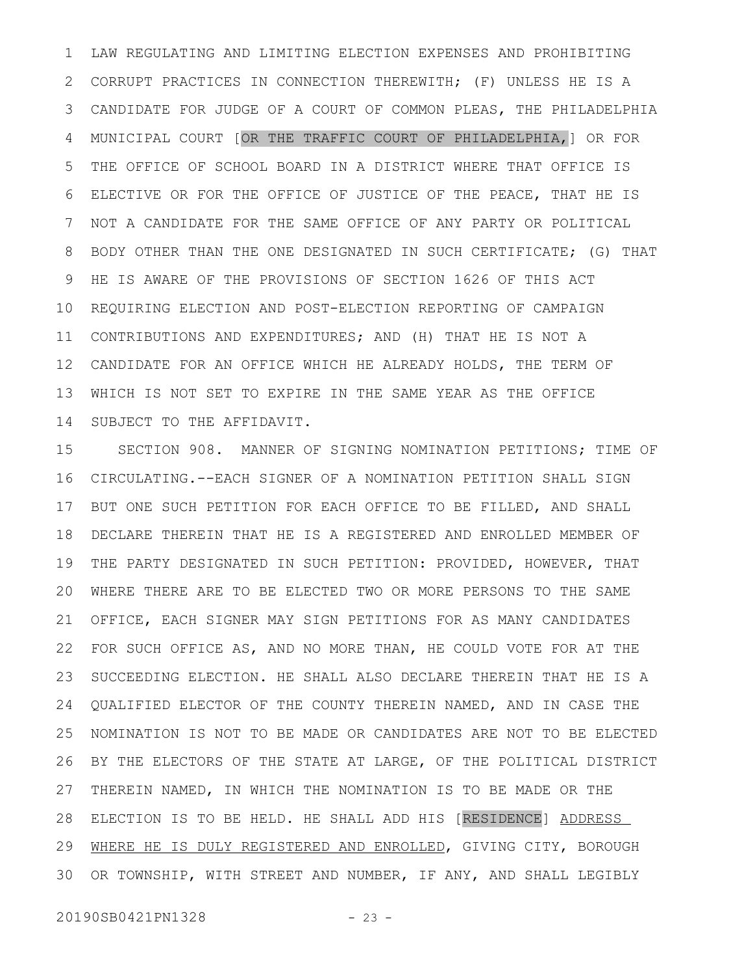LAW REGULATING AND LIMITING ELECTION EXPENSES AND PROHIBITING CORRUPT PRACTICES IN CONNECTION THEREWITH; (F) UNLESS HE IS A CANDIDATE FOR JUDGE OF A COURT OF COMMON PLEAS, THE PHILADELPHIA MUNICIPAL COURT [OR THE TRAFFIC COURT OF PHILADELPHIA,] OR FOR THE OFFICE OF SCHOOL BOARD IN A DISTRICT WHERE THAT OFFICE IS ELECTIVE OR FOR THE OFFICE OF JUSTICE OF THE PEACE, THAT HE IS NOT A CANDIDATE FOR THE SAME OFFICE OF ANY PARTY OR POLITICAL BODY OTHER THAN THE ONE DESIGNATED IN SUCH CERTIFICATE; (G) THAT HE IS AWARE OF THE PROVISIONS OF SECTION 1626 OF THIS ACT REQUIRING ELECTION AND POST-ELECTION REPORTING OF CAMPAIGN CONTRIBUTIONS AND EXPENDITURES; AND (H) THAT HE IS NOT A CANDIDATE FOR AN OFFICE WHICH HE ALREADY HOLDS, THE TERM OF WHICH IS NOT SET TO EXPIRE IN THE SAME YEAR AS THE OFFICE SUBJECT TO THE AFFIDAVIT. 1 2 3 4 5 6 7 8 9 10 11 12 13 14

SECTION 908. MANNER OF SIGNING NOMINATION PETITIONS; TIME OF CIRCULATING.--EACH SIGNER OF A NOMINATION PETITION SHALL SIGN BUT ONE SUCH PETITION FOR EACH OFFICE TO BE FILLED, AND SHALL DECLARE THEREIN THAT HE IS A REGISTERED AND ENROLLED MEMBER OF THE PARTY DESIGNATED IN SUCH PETITION: PROVIDED, HOWEVER, THAT WHERE THERE ARE TO BE ELECTED TWO OR MORE PERSONS TO THE SAME OFFICE, EACH SIGNER MAY SIGN PETITIONS FOR AS MANY CANDIDATES FOR SUCH OFFICE AS, AND NO MORE THAN, HE COULD VOTE FOR AT THE SUCCEEDING ELECTION. HE SHALL ALSO DECLARE THEREIN THAT HE IS A QUALIFIED ELECTOR OF THE COUNTY THEREIN NAMED, AND IN CASE THE NOMINATION IS NOT TO BE MADE OR CANDIDATES ARE NOT TO BE ELECTED BY THE ELECTORS OF THE STATE AT LARGE, OF THE POLITICAL DISTRICT THEREIN NAMED, IN WHICH THE NOMINATION IS TO BE MADE OR THE ELECTION IS TO BE HELD. HE SHALL ADD HIS [RESIDENCE] ADDRESS WHERE HE IS DULY REGISTERED AND ENROLLED, GIVING CITY, BOROUGH OR TOWNSHIP, WITH STREET AND NUMBER, IF ANY, AND SHALL LEGIBLY 15 16 17 18 19 20 21 22 23 24 25 26 27 28 29 30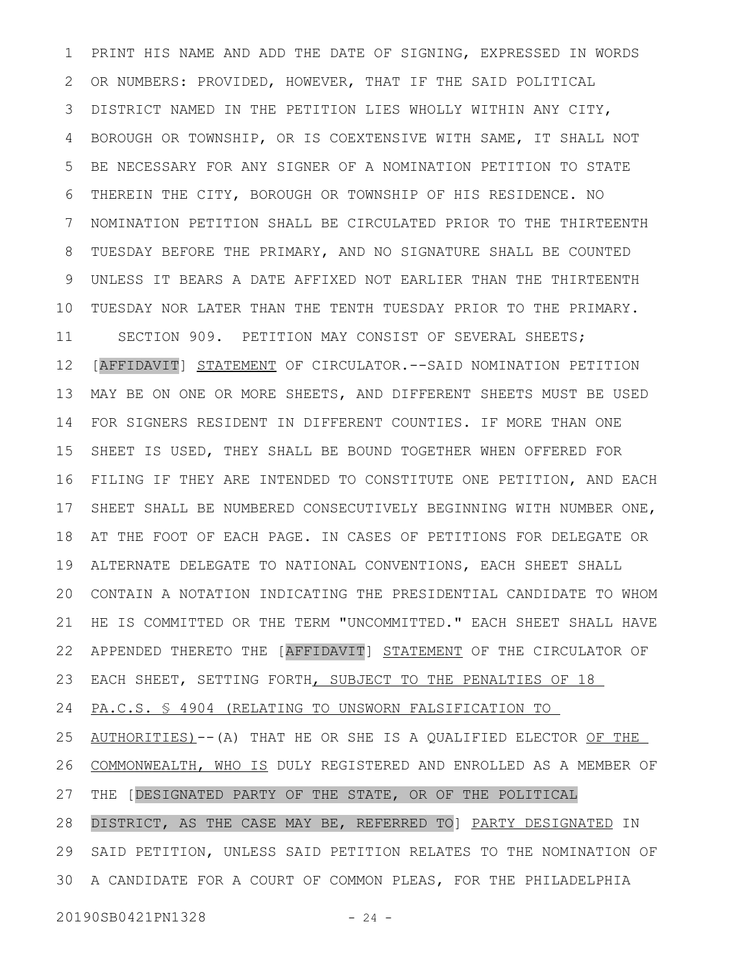PRINT HIS NAME AND ADD THE DATE OF SIGNING, EXPRESSED IN WORDS OR NUMBERS: PROVIDED, HOWEVER, THAT IF THE SAID POLITICAL DISTRICT NAMED IN THE PETITION LIES WHOLLY WITHIN ANY CITY, BOROUGH OR TOWNSHIP, OR IS COEXTENSIVE WITH SAME, IT SHALL NOT BE NECESSARY FOR ANY SIGNER OF A NOMINATION PETITION TO STATE THEREIN THE CITY, BOROUGH OR TOWNSHIP OF HIS RESIDENCE. NO NOMINATION PETITION SHALL BE CIRCULATED PRIOR TO THE THIRTEENTH TUESDAY BEFORE THE PRIMARY, AND NO SIGNATURE SHALL BE COUNTED UNLESS IT BEARS A DATE AFFIXED NOT EARLIER THAN THE THIRTEENTH TUESDAY NOR LATER THAN THE TENTH TUESDAY PRIOR TO THE PRIMARY. SECTION 909. PETITION MAY CONSIST OF SEVERAL SHEETS; [AFFIDAVIT] STATEMENT OF CIRCULATOR.--SAID NOMINATION PETITION MAY BE ON ONE OR MORE SHEETS, AND DIFFERENT SHEETS MUST BE USED FOR SIGNERS RESIDENT IN DIFFERENT COUNTIES. IF MORE THAN ONE SHEET IS USED, THEY SHALL BE BOUND TOGETHER WHEN OFFERED FOR FILING IF THEY ARE INTENDED TO CONSTITUTE ONE PETITION, AND EACH SHEET SHALL BE NUMBERED CONSECUTIVELY BEGINNING WITH NUMBER ONE, AT THE FOOT OF EACH PAGE. IN CASES OF PETITIONS FOR DELEGATE OR ALTERNATE DELEGATE TO NATIONAL CONVENTIONS, EACH SHEET SHALL CONTAIN A NOTATION INDICATING THE PRESIDENTIAL CANDIDATE TO WHOM HE IS COMMITTED OR THE TERM "UNCOMMITTED." EACH SHEET SHALL HAVE APPENDED THERETO THE [AFFIDAVIT] STATEMENT OF THE CIRCULATOR OF EACH SHEET, SETTING FORTH, SUBJECT TO THE PENALTIES OF 18 PA.C.S. § 4904 (RELATING TO UNSWORN FALSIFICATION TO AUTHORITIES)--(A) THAT HE OR SHE IS A QUALIFIED ELECTOR OF THE COMMONWEALTH, WHO IS DULY REGISTERED AND ENROLLED AS A MEMBER OF THE [DESIGNATED PARTY OF THE STATE, OR OF THE POLITICAL DISTRICT, AS THE CASE MAY BE, REFERRED TO] PARTY DESIGNATED IN SAID PETITION, UNLESS SAID PETITION RELATES TO THE NOMINATION OF A CANDIDATE FOR A COURT OF COMMON PLEAS, FOR THE PHILADELPHIA 301 2 3 4 5 6 7 8 9 10 11 12 13 14 15 16 17 18 19 20 21 22 23 24 25 26 27 28 29

20190SB0421PN1328 - 24 -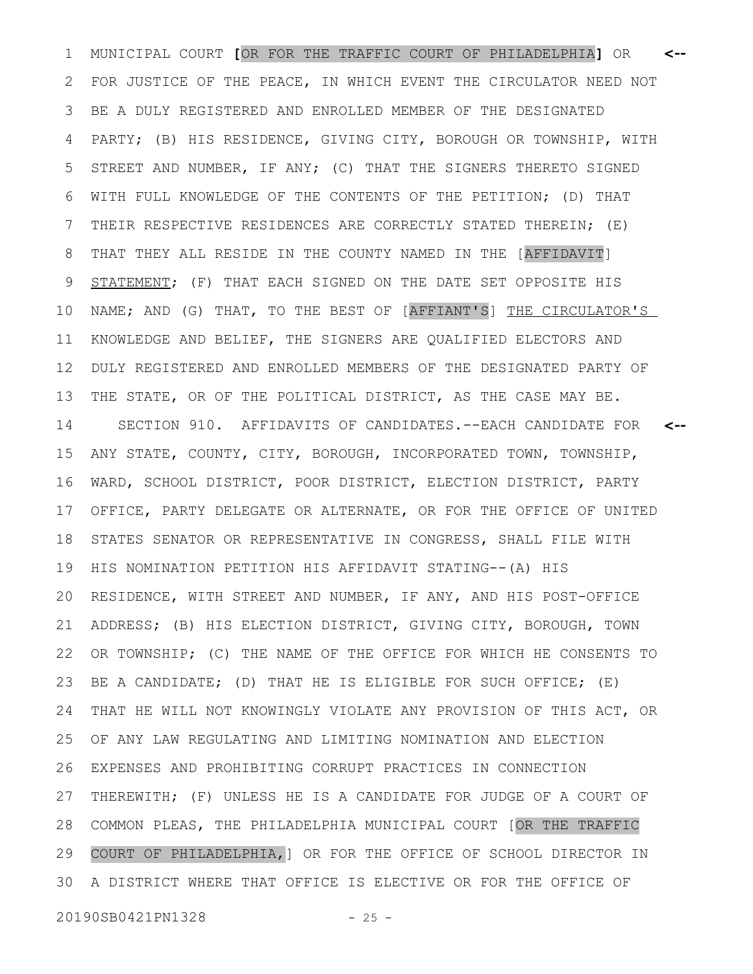MUNICIPAL COURT **[**OR FOR THE TRAFFIC COURT OF PHILADELPHIA**]** OR 1 **<--** FOR JUSTICE OF THE PEACE, IN WHICH EVENT THE CIRCULATOR NEED NOT BE A DULY REGISTERED AND ENROLLED MEMBER OF THE DESIGNATED PARTY; (B) HIS RESIDENCE, GIVING CITY, BOROUGH OR TOWNSHIP, WITH STREET AND NUMBER, IF ANY; (C) THAT THE SIGNERS THERETO SIGNED WITH FULL KNOWLEDGE OF THE CONTENTS OF THE PETITION; (D) THAT THEIR RESPECTIVE RESIDENCES ARE CORRECTLY STATED THEREIN; (E) THAT THEY ALL RESIDE IN THE COUNTY NAMED IN THE [AFFIDAVIT] STATEMENT; (F) THAT EACH SIGNED ON THE DATE SET OPPOSITE HIS NAME; AND (G) THAT, TO THE BEST OF [AFFIANT'S] THE CIRCULATOR'S KNOWLEDGE AND BELIEF, THE SIGNERS ARE QUALIFIED ELECTORS AND DULY REGISTERED AND ENROLLED MEMBERS OF THE DESIGNATED PARTY OF THE STATE, OR OF THE POLITICAL DISTRICT, AS THE CASE MAY BE. SECTION 910. AFFIDAVITS OF CANDIDATES.--EACH CANDIDATE FOR ANY STATE, COUNTY, CITY, BOROUGH, INCORPORATED TOWN, TOWNSHIP, WARD, SCHOOL DISTRICT, POOR DISTRICT, ELECTION DISTRICT, PARTY OFFICE, PARTY DELEGATE OR ALTERNATE, OR FOR THE OFFICE OF UNITED STATES SENATOR OR REPRESENTATIVE IN CONGRESS, SHALL FILE WITH HIS NOMINATION PETITION HIS AFFIDAVIT STATING--(A) HIS RESIDENCE, WITH STREET AND NUMBER, IF ANY, AND HIS POST-OFFICE ADDRESS; (B) HIS ELECTION DISTRICT, GIVING CITY, BOROUGH, TOWN OR TOWNSHIP; (C) THE NAME OF THE OFFICE FOR WHICH HE CONSENTS TO BE A CANDIDATE; (D) THAT HE IS ELIGIBLE FOR SUCH OFFICE; (E) THAT HE WILL NOT KNOWINGLY VIOLATE ANY PROVISION OF THIS ACT, OR OF ANY LAW REGULATING AND LIMITING NOMINATION AND ELECTION EXPENSES AND PROHIBITING CORRUPT PRACTICES IN CONNECTION THEREWITH; (F) UNLESS HE IS A CANDIDATE FOR JUDGE OF A COURT OF COMMON PLEAS, THE PHILADELPHIA MUNICIPAL COURT [OR THE TRAFFIC COURT OF PHILADELPHIA,] OR FOR THE OFFICE OF SCHOOL DIRECTOR IN A DISTRICT WHERE THAT OFFICE IS ELECTIVE OR FOR THE OFFICE OF 30**<--** 2 3 4 5 6 7 8 9 10 11 12 13 14 15 16 17 18 19 20 21 22 23 24 25 26 27 28 29

20190SB0421PN1328 - 25 -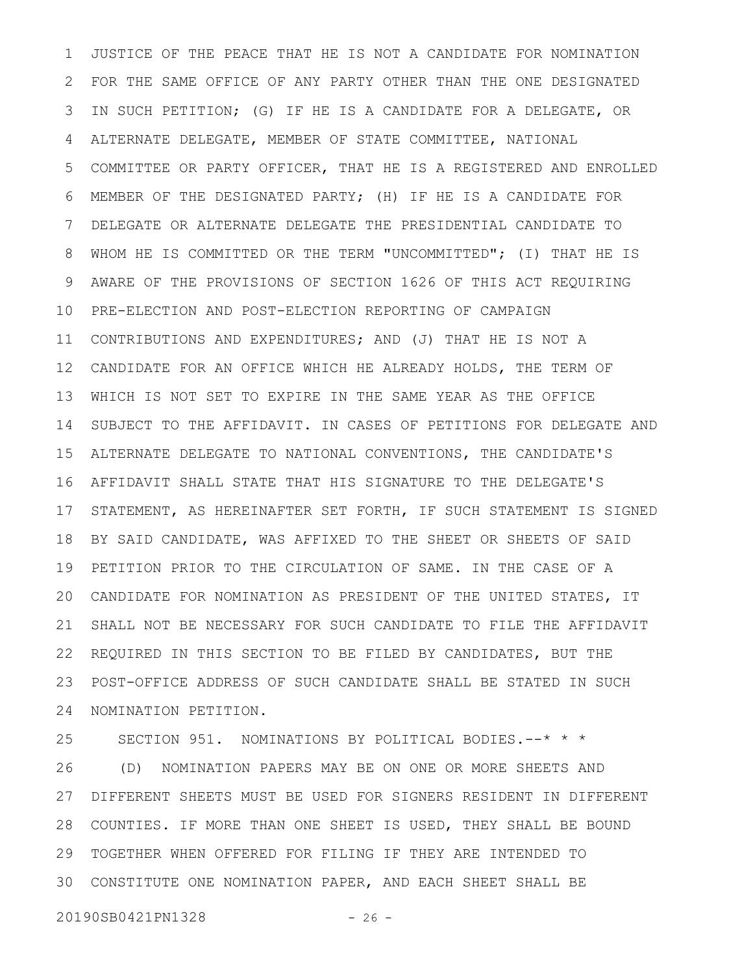JUSTICE OF THE PEACE THAT HE IS NOT A CANDIDATE FOR NOMINATION FOR THE SAME OFFICE OF ANY PARTY OTHER THAN THE ONE DESIGNATED IN SUCH PETITION; (G) IF HE IS A CANDIDATE FOR A DELEGATE, OR ALTERNATE DELEGATE, MEMBER OF STATE COMMITTEE, NATIONAL COMMITTEE OR PARTY OFFICER, THAT HE IS A REGISTERED AND ENROLLED MEMBER OF THE DESIGNATED PARTY; (H) IF HE IS A CANDIDATE FOR DELEGATE OR ALTERNATE DELEGATE THE PRESIDENTIAL CANDIDATE TO WHOM HE IS COMMITTED OR THE TERM "UNCOMMITTED"; (I) THAT HE IS AWARE OF THE PROVISIONS OF SECTION 1626 OF THIS ACT REQUIRING PRE-ELECTION AND POST-ELECTION REPORTING OF CAMPAIGN CONTRIBUTIONS AND EXPENDITURES; AND (J) THAT HE IS NOT A CANDIDATE FOR AN OFFICE WHICH HE ALREADY HOLDS, THE TERM OF WHICH IS NOT SET TO EXPIRE IN THE SAME YEAR AS THE OFFICE SUBJECT TO THE AFFIDAVIT. IN CASES OF PETITIONS FOR DELEGATE AND ALTERNATE DELEGATE TO NATIONAL CONVENTIONS, THE CANDIDATE'S AFFIDAVIT SHALL STATE THAT HIS SIGNATURE TO THE DELEGATE'S STATEMENT, AS HEREINAFTER SET FORTH, IF SUCH STATEMENT IS SIGNED BY SAID CANDIDATE, WAS AFFIXED TO THE SHEET OR SHEETS OF SAID PETITION PRIOR TO THE CIRCULATION OF SAME. IN THE CASE OF A CANDIDATE FOR NOMINATION AS PRESIDENT OF THE UNITED STATES, IT SHALL NOT BE NECESSARY FOR SUCH CANDIDATE TO FILE THE AFFIDAVIT REQUIRED IN THIS SECTION TO BE FILED BY CANDIDATES, BUT THE POST-OFFICE ADDRESS OF SUCH CANDIDATE SHALL BE STATED IN SUCH NOMINATION PETITION. 1 2 3 4 5 6 7 8 9 10 11 12 13 14 15 16 17 18 19 20 21 22 23 24

SECTION 951. NOMINATIONS BY POLITICAL BODIES.--\* \* \* (D) NOMINATION PAPERS MAY BE ON ONE OR MORE SHEETS AND DIFFERENT SHEETS MUST BE USED FOR SIGNERS RESIDENT IN DIFFERENT COUNTIES. IF MORE THAN ONE SHEET IS USED, THEY SHALL BE BOUND TOGETHER WHEN OFFERED FOR FILING IF THEY ARE INTENDED TO CONSTITUTE ONE NOMINATION PAPER, AND EACH SHEET SHALL BE 3025 26 27 28 29

20190SB0421PN1328 - 26 -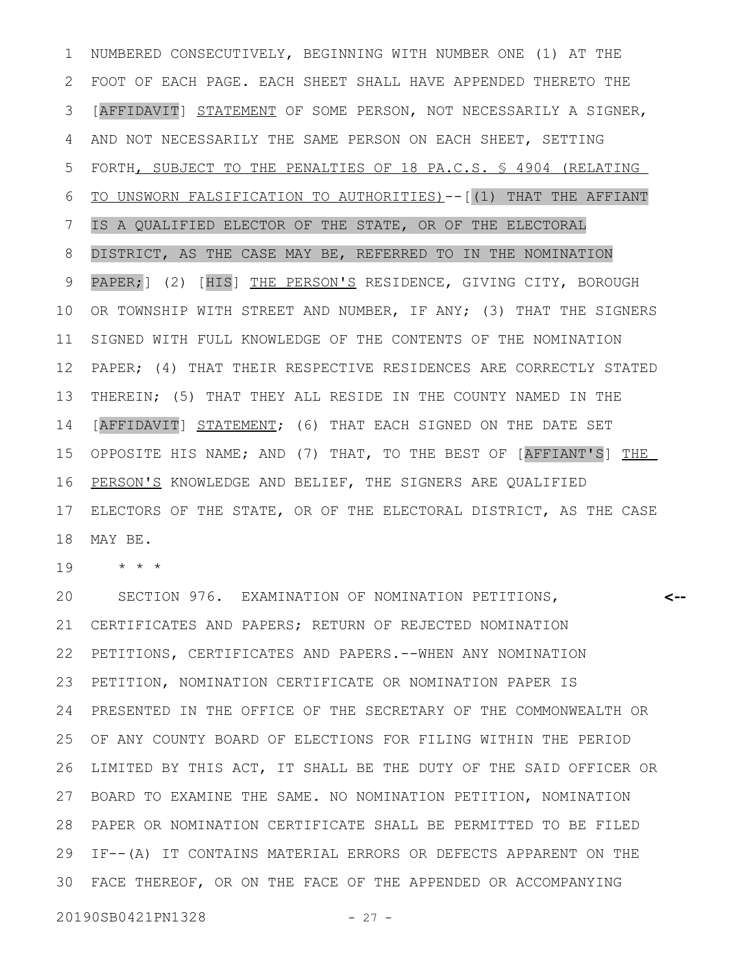NUMBERED CONSECUTIVELY, BEGINNING WITH NUMBER ONE (1) AT THE FOOT OF EACH PAGE. EACH SHEET SHALL HAVE APPENDED THERETO THE [AFFIDAVIT] STATEMENT OF SOME PERSON, NOT NECESSARILY A SIGNER, AND NOT NECESSARILY THE SAME PERSON ON EACH SHEET, SETTING FORTH, SUBJECT TO THE PENALTIES OF 18 PA.C.S. § 4904 (RELATING TO UNSWORN FALSIFICATION TO AUTHORITIES)--[(1) THAT THE AFFIANT IS A QUALIFIED ELECTOR OF THE STATE, OR OF THE ELECTORAL DISTRICT, AS THE CASE MAY BE, REFERRED TO IN THE NOMINATION PAPER;] (2) [HIS] THE PERSON'S RESIDENCE, GIVING CITY, BOROUGH OR TOWNSHIP WITH STREET AND NUMBER, IF ANY; (3) THAT THE SIGNERS SIGNED WITH FULL KNOWLEDGE OF THE CONTENTS OF THE NOMINATION PAPER; (4) THAT THEIR RESPECTIVE RESIDENCES ARE CORRECTLY STATED THEREIN; (5) THAT THEY ALL RESIDE IN THE COUNTY NAMED IN THE [AFFIDAVIT] STATEMENT; (6) THAT EACH SIGNED ON THE DATE SET OPPOSITE HIS NAME; AND (7) THAT, TO THE BEST OF [AFFIANT'S] THE PERSON'S KNOWLEDGE AND BELIEF, THE SIGNERS ARE QUALIFIED ELECTORS OF THE STATE, OR OF THE ELECTORAL DISTRICT, AS THE CASE MAY BE. 1 2 3 4 5 6 7 8 9 10 11 12 13 14 15 16 17 18

\* \* \* 19

SECTION 976. EXAMINATION OF NOMINATION PETITIONS, CERTIFICATES AND PAPERS; RETURN OF REJECTED NOMINATION PETITIONS, CERTIFICATES AND PAPERS.--WHEN ANY NOMINATION PETITION, NOMINATION CERTIFICATE OR NOMINATION PAPER IS PRESENTED IN THE OFFICE OF THE SECRETARY OF THE COMMONWEALTH OR OF ANY COUNTY BOARD OF ELECTIONS FOR FILING WITHIN THE PERIOD LIMITED BY THIS ACT, IT SHALL BE THE DUTY OF THE SAID OFFICER OR BOARD TO EXAMINE THE SAME. NO NOMINATION PETITION, NOMINATION PAPER OR NOMINATION CERTIFICATE SHALL BE PERMITTED TO BE FILED 28 IF--(A) IT CONTAINS MATERIAL ERRORS OR DEFECTS APPARENT ON THE FACE THEREOF, OR ON THE FACE OF THE APPENDED OR ACCOMPANYING **<--** 20 21 22 23 24 25 26 27 29 30

20190SB0421PN1328 - 27 -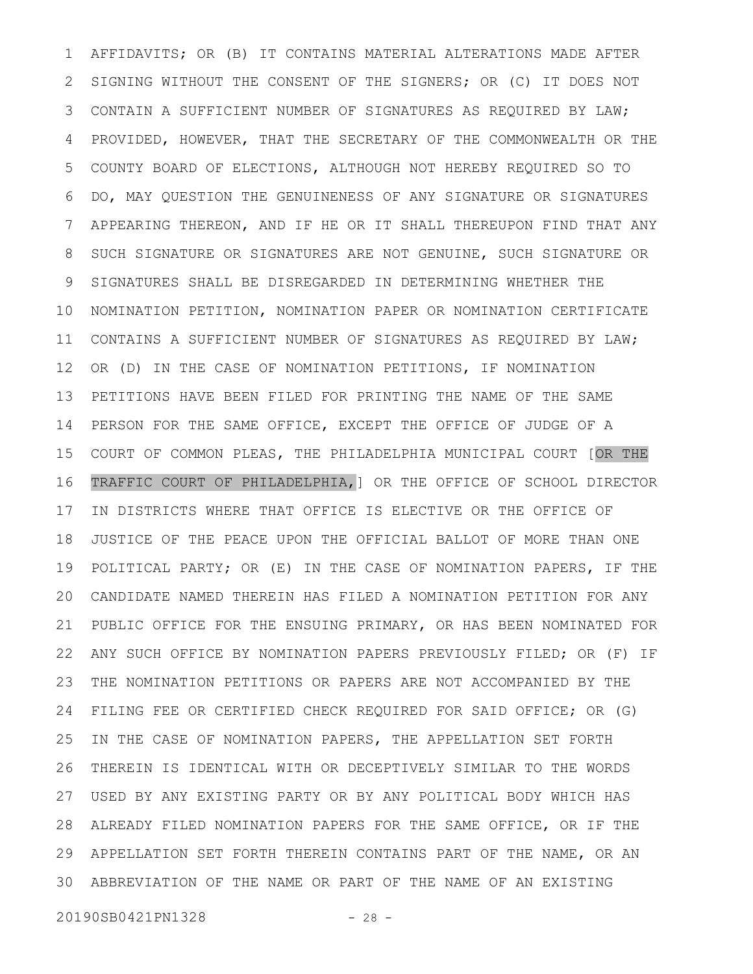AFFIDAVITS; OR (B) IT CONTAINS MATERIAL ALTERATIONS MADE AFTER SIGNING WITHOUT THE CONSENT OF THE SIGNERS; OR (C) IT DOES NOT CONTAIN A SUFFICIENT NUMBER OF SIGNATURES AS REQUIRED BY LAW; PROVIDED, HOWEVER, THAT THE SECRETARY OF THE COMMONWEALTH OR THE COUNTY BOARD OF ELECTIONS, ALTHOUGH NOT HEREBY REQUIRED SO TO DO, MAY QUESTION THE GENUINENESS OF ANY SIGNATURE OR SIGNATURES APPEARING THEREON, AND IF HE OR IT SHALL THEREUPON FIND THAT ANY SUCH SIGNATURE OR SIGNATURES ARE NOT GENUINE, SUCH SIGNATURE OR SIGNATURES SHALL BE DISREGARDED IN DETERMINING WHETHER THE NOMINATION PETITION, NOMINATION PAPER OR NOMINATION CERTIFICATE CONTAINS A SUFFICIENT NUMBER OF SIGNATURES AS REQUIRED BY LAW; OR (D) IN THE CASE OF NOMINATION PETITIONS, IF NOMINATION PETITIONS HAVE BEEN FILED FOR PRINTING THE NAME OF THE SAME PERSON FOR THE SAME OFFICE, EXCEPT THE OFFICE OF JUDGE OF A COURT OF COMMON PLEAS, THE PHILADELPHIA MUNICIPAL COURT [OR THE TRAFFIC COURT OF PHILADELPHIA,] OR THE OFFICE OF SCHOOL DIRECTOR IN DISTRICTS WHERE THAT OFFICE IS ELECTIVE OR THE OFFICE OF JUSTICE OF THE PEACE UPON THE OFFICIAL BALLOT OF MORE THAN ONE POLITICAL PARTY; OR (E) IN THE CASE OF NOMINATION PAPERS, IF THE CANDIDATE NAMED THEREIN HAS FILED A NOMINATION PETITION FOR ANY PUBLIC OFFICE FOR THE ENSUING PRIMARY, OR HAS BEEN NOMINATED FOR ANY SUCH OFFICE BY NOMINATION PAPERS PREVIOUSLY FILED; OR (F) IF THE NOMINATION PETITIONS OR PAPERS ARE NOT ACCOMPANIED BY THE FILING FEE OR CERTIFIED CHECK REQUIRED FOR SAID OFFICE; OR (G) IN THE CASE OF NOMINATION PAPERS, THE APPELLATION SET FORTH THEREIN IS IDENTICAL WITH OR DECEPTIVELY SIMILAR TO THE WORDS USED BY ANY EXISTING PARTY OR BY ANY POLITICAL BODY WHICH HAS ALREADY FILED NOMINATION PAPERS FOR THE SAME OFFICE, OR IF THE APPELLATION SET FORTH THEREIN CONTAINS PART OF THE NAME, OR AN 29 ABBREVIATION OF THE NAME OR PART OF THE NAME OF AN EXISTING 301 2 3 4 5 6 7 8 9 10 11 12 13 14 15 16 17 18 19 20 21 22 23 24 25 26 27 28

20190SB0421PN1328 - 28 -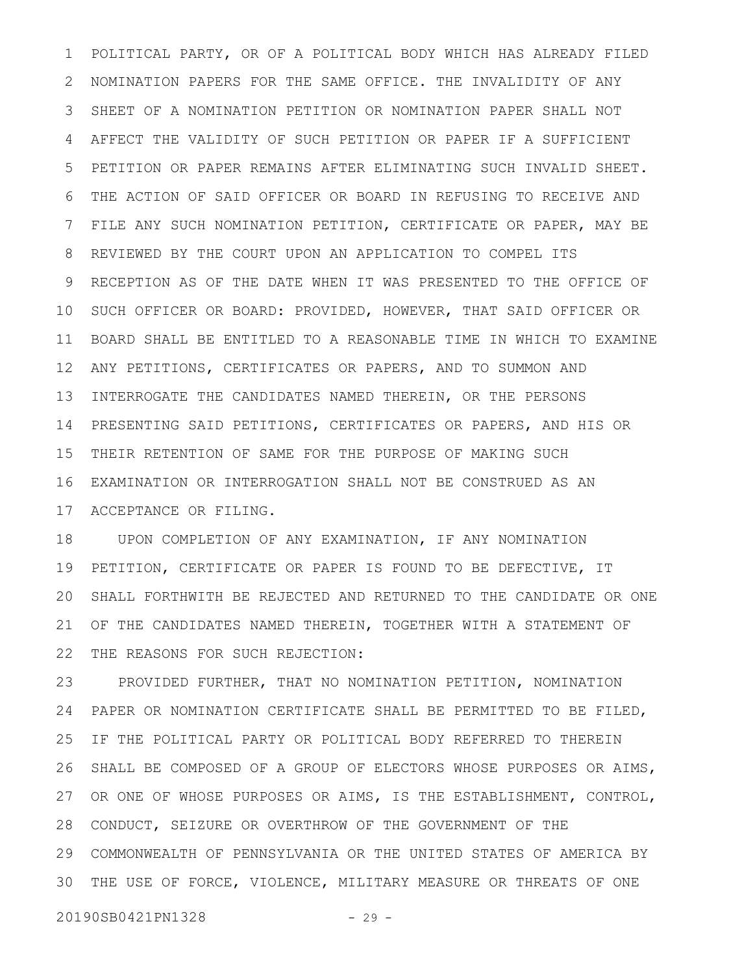POLITICAL PARTY, OR OF A POLITICAL BODY WHICH HAS ALREADY FILED NOMINATION PAPERS FOR THE SAME OFFICE. THE INVALIDITY OF ANY SHEET OF A NOMINATION PETITION OR NOMINATION PAPER SHALL NOT AFFECT THE VALIDITY OF SUCH PETITION OR PAPER IF A SUFFICIENT PETITION OR PAPER REMAINS AFTER ELIMINATING SUCH INVALID SHEET. THE ACTION OF SAID OFFICER OR BOARD IN REFUSING TO RECEIVE AND FILE ANY SUCH NOMINATION PETITION, CERTIFICATE OR PAPER, MAY BE REVIEWED BY THE COURT UPON AN APPLICATION TO COMPEL ITS RECEPTION AS OF THE DATE WHEN IT WAS PRESENTED TO THE OFFICE OF SUCH OFFICER OR BOARD: PROVIDED, HOWEVER, THAT SAID OFFICER OR BOARD SHALL BE ENTITLED TO A REASONABLE TIME IN WHICH TO EXAMINE ANY PETITIONS, CERTIFICATES OR PAPERS, AND TO SUMMON AND INTERROGATE THE CANDIDATES NAMED THEREIN, OR THE PERSONS PRESENTING SAID PETITIONS, CERTIFICATES OR PAPERS, AND HIS OR 14 THEIR RETENTION OF SAME FOR THE PURPOSE OF MAKING SUCH EXAMINATION OR INTERROGATION SHALL NOT BE CONSTRUED AS AN 17 ACCEPTANCE OR FILING. 1 2 3 4 5 6 7 8 9 10 11 12 13 15 16

UPON COMPLETION OF ANY EXAMINATION, IF ANY NOMINATION PETITION, CERTIFICATE OR PAPER IS FOUND TO BE DEFECTIVE, IT SHALL FORTHWITH BE REJECTED AND RETURNED TO THE CANDIDATE OR ONE OF THE CANDIDATES NAMED THEREIN, TOGETHER WITH A STATEMENT OF THE REASONS FOR SUCH REJECTION: 18 19 20 21 22

PROVIDED FURTHER, THAT NO NOMINATION PETITION, NOMINATION PAPER OR NOMINATION CERTIFICATE SHALL BE PERMITTED TO BE FILED, IF THE POLITICAL PARTY OR POLITICAL BODY REFERRED TO THEREIN SHALL BE COMPOSED OF A GROUP OF ELECTORS WHOSE PURPOSES OR AIMS, 27 OR ONE OF WHOSE PURPOSES OR AIMS, IS THE ESTABLISHMENT, CONTROL, 28 CONDUCT, SEIZURE OR OVERTHROW OF THE GOVERNMENT OF THE COMMONWEALTH OF PENNSYLVANIA OR THE UNITED STATES OF AMERICA BY 29 THE USE OF FORCE, VIOLENCE, MILITARY MEASURE OR THREATS OF ONE 3023 24 25 26

20190SB0421PN1328 - 29 -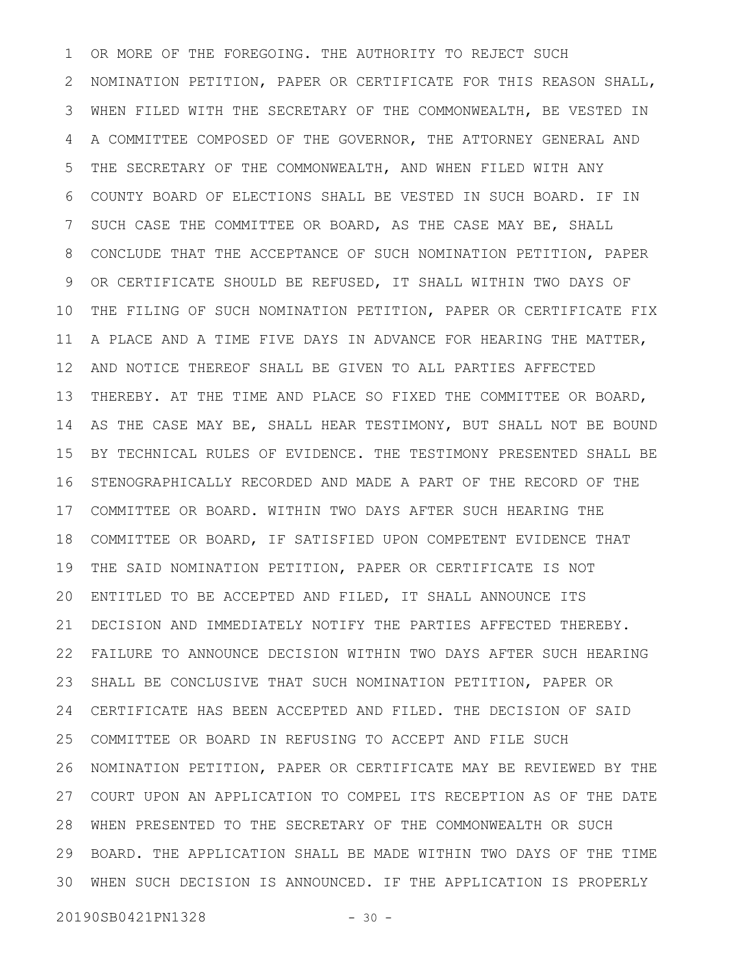OR MORE OF THE FOREGOING. THE AUTHORITY TO REJECT SUCH NOMINATION PETITION, PAPER OR CERTIFICATE FOR THIS REASON SHALL, WHEN FILED WITH THE SECRETARY OF THE COMMONWEALTH, BE VESTED IN A COMMITTEE COMPOSED OF THE GOVERNOR, THE ATTORNEY GENERAL AND THE SECRETARY OF THE COMMONWEALTH, AND WHEN FILED WITH ANY COUNTY BOARD OF ELECTIONS SHALL BE VESTED IN SUCH BOARD. IF IN SUCH CASE THE COMMITTEE OR BOARD, AS THE CASE MAY BE, SHALL CONCLUDE THAT THE ACCEPTANCE OF SUCH NOMINATION PETITION, PAPER OR CERTIFICATE SHOULD BE REFUSED, IT SHALL WITHIN TWO DAYS OF THE FILING OF SUCH NOMINATION PETITION, PAPER OR CERTIFICATE FIX A PLACE AND A TIME FIVE DAYS IN ADVANCE FOR HEARING THE MATTER, AND NOTICE THEREOF SHALL BE GIVEN TO ALL PARTIES AFFECTED THEREBY. AT THE TIME AND PLACE SO FIXED THE COMMITTEE OR BOARD, AS THE CASE MAY BE, SHALL HEAR TESTIMONY, BUT SHALL NOT BE BOUND BY TECHNICAL RULES OF EVIDENCE. THE TESTIMONY PRESENTED SHALL BE STENOGRAPHICALLY RECORDED AND MADE A PART OF THE RECORD OF THE 17 COMMITTEE OR BOARD. WITHIN TWO DAYS AFTER SUCH HEARING THE COMMITTEE OR BOARD, IF SATISFIED UPON COMPETENT EVIDENCE THAT THE SAID NOMINATION PETITION, PAPER OR CERTIFICATE IS NOT ENTITLED TO BE ACCEPTED AND FILED, IT SHALL ANNOUNCE ITS DECISION AND IMMEDIATELY NOTIFY THE PARTIES AFFECTED THEREBY. FAILURE TO ANNOUNCE DECISION WITHIN TWO DAYS AFTER SUCH HEARING SHALL BE CONCLUSIVE THAT SUCH NOMINATION PETITION, PAPER OR CERTIFICATE HAS BEEN ACCEPTED AND FILED. THE DECISION OF SAID COMMITTEE OR BOARD IN REFUSING TO ACCEPT AND FILE SUCH NOMINATION PETITION, PAPER OR CERTIFICATE MAY BE REVIEWED BY THE COURT UPON AN APPLICATION TO COMPEL ITS RECEPTION AS OF THE DATE WHEN PRESENTED TO THE SECRETARY OF THE COMMONWEALTH OR SUCH 28 BOARD. THE APPLICATION SHALL BE MADE WITHIN TWO DAYS OF THE TIME WHEN SUCH DECISION IS ANNOUNCED. IF THE APPLICATION IS PROPERLY 301 2 3 4 5 6 7 8 9 10 11 12 13 14 15 16 18 19 20 21 22 23 24 25 26 27 29

20190SB0421PN1328 - 30 -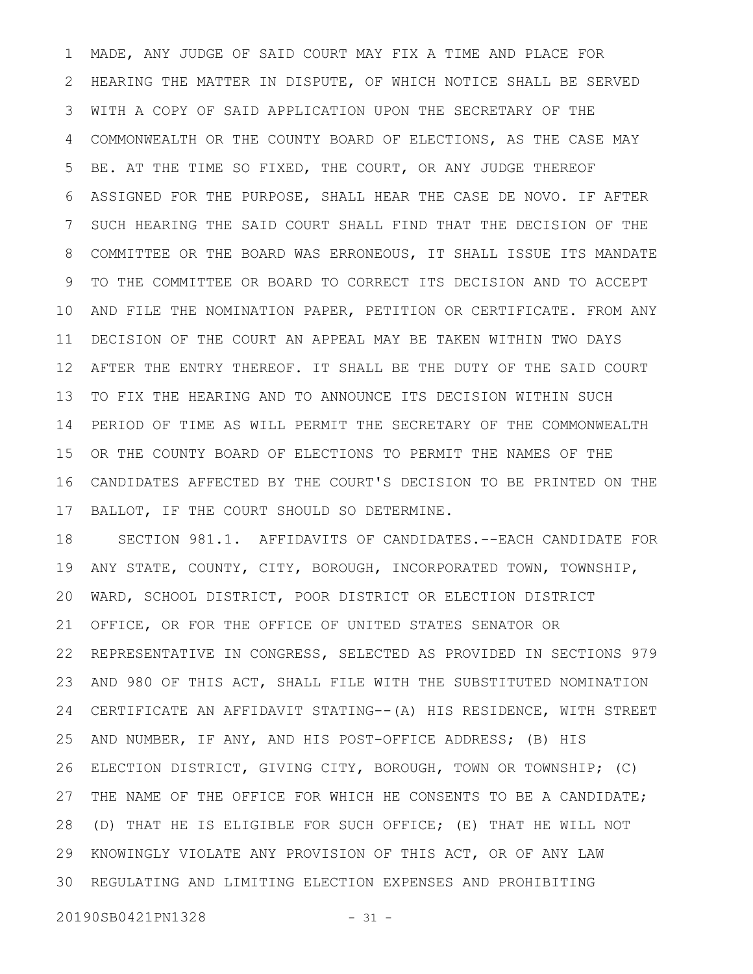MADE, ANY JUDGE OF SAID COURT MAY FIX A TIME AND PLACE FOR HEARING THE MATTER IN DISPUTE, OF WHICH NOTICE SHALL BE SERVED WITH A COPY OF SAID APPLICATION UPON THE SECRETARY OF THE COMMONWEALTH OR THE COUNTY BOARD OF ELECTIONS, AS THE CASE MAY BE. AT THE TIME SO FIXED, THE COURT, OR ANY JUDGE THEREOF ASSIGNED FOR THE PURPOSE, SHALL HEAR THE CASE DE NOVO. IF AFTER SUCH HEARING THE SAID COURT SHALL FIND THAT THE DECISION OF THE COMMITTEE OR THE BOARD WAS ERRONEOUS, IT SHALL ISSUE ITS MANDATE TO THE COMMITTEE OR BOARD TO CORRECT ITS DECISION AND TO ACCEPT AND FILE THE NOMINATION PAPER, PETITION OR CERTIFICATE. FROM ANY DECISION OF THE COURT AN APPEAL MAY BE TAKEN WITHIN TWO DAYS AFTER THE ENTRY THEREOF. IT SHALL BE THE DUTY OF THE SAID COURT TO FIX THE HEARING AND TO ANNOUNCE ITS DECISION WITHIN SUCH PERIOD OF TIME AS WILL PERMIT THE SECRETARY OF THE COMMONWEALTH OR THE COUNTY BOARD OF ELECTIONS TO PERMIT THE NAMES OF THE CANDIDATES AFFECTED BY THE COURT'S DECISION TO BE PRINTED ON THE BALLOT, IF THE COURT SHOULD SO DETERMINE. 1 2 3 4 5 6 7 8 9 10 11 12 13 14 15 16 17

SECTION 981.1. AFFIDAVITS OF CANDIDATES.--EACH CANDIDATE FOR ANY STATE, COUNTY, CITY, BOROUGH, INCORPORATED TOWN, TOWNSHIP, WARD, SCHOOL DISTRICT, POOR DISTRICT OR ELECTION DISTRICT OFFICE, OR FOR THE OFFICE OF UNITED STATES SENATOR OR REPRESENTATIVE IN CONGRESS, SELECTED AS PROVIDED IN SECTIONS 979 AND 980 OF THIS ACT, SHALL FILE WITH THE SUBSTITUTED NOMINATION CERTIFICATE AN AFFIDAVIT STATING--(A) HIS RESIDENCE, WITH STREET AND NUMBER, IF ANY, AND HIS POST-OFFICE ADDRESS; (B) HIS ELECTION DISTRICT, GIVING CITY, BOROUGH, TOWN OR TOWNSHIP; (C) THE NAME OF THE OFFICE FOR WHICH HE CONSENTS TO BE A CANDIDATE; (D) THAT HE IS ELIGIBLE FOR SUCH OFFICE; (E) THAT HE WILL NOT KNOWINGLY VIOLATE ANY PROVISION OF THIS ACT, OR OF ANY LAW REGULATING AND LIMITING ELECTION EXPENSES AND PROHIBITING 18 19 20 21 22 23 24 25 26 27 28 29 30

20190SB0421PN1328 - 31 -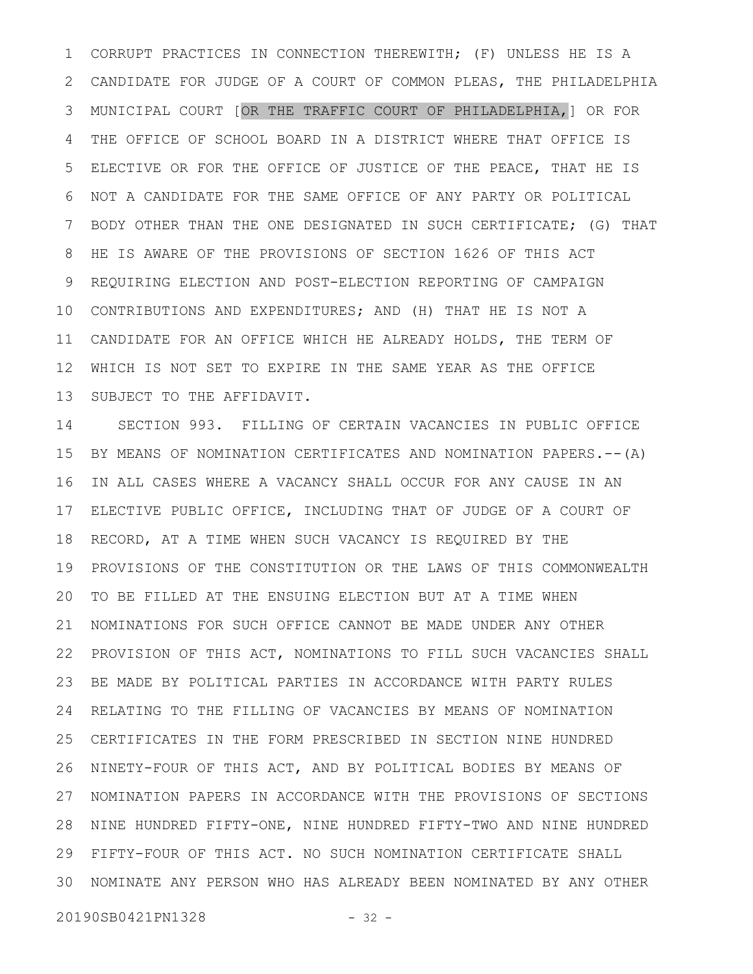CORRUPT PRACTICES IN CONNECTION THEREWITH; (F) UNLESS HE IS A CANDIDATE FOR JUDGE OF A COURT OF COMMON PLEAS, THE PHILADELPHIA MUNICIPAL COURT [OR THE TRAFFIC COURT OF PHILADELPHIA,] OR FOR THE OFFICE OF SCHOOL BOARD IN A DISTRICT WHERE THAT OFFICE IS ELECTIVE OR FOR THE OFFICE OF JUSTICE OF THE PEACE, THAT HE IS NOT A CANDIDATE FOR THE SAME OFFICE OF ANY PARTY OR POLITICAL BODY OTHER THAN THE ONE DESIGNATED IN SUCH CERTIFICATE; (G) THAT HE IS AWARE OF THE PROVISIONS OF SECTION 1626 OF THIS ACT REQUIRING ELECTION AND POST-ELECTION REPORTING OF CAMPAIGN 10 CONTRIBUTIONS AND EXPENDITURES; AND (H) THAT HE IS NOT A 11 CANDIDATE FOR AN OFFICE WHICH HE ALREADY HOLDS, THE TERM OF WHICH IS NOT SET TO EXPIRE IN THE SAME YEAR AS THE OFFICE SUBJECT TO THE AFFIDAVIT. 1 2 3 4 5 6 7 8 9 12 13

SECTION 993. FILLING OF CERTAIN VACANCIES IN PUBLIC OFFICE BY MEANS OF NOMINATION CERTIFICATES AND NOMINATION PAPERS.--(A) IN ALL CASES WHERE A VACANCY SHALL OCCUR FOR ANY CAUSE IN AN 17 ELECTIVE PUBLIC OFFICE, INCLUDING THAT OF JUDGE OF A COURT OF RECORD, AT A TIME WHEN SUCH VACANCY IS REQUIRED BY THE PROVISIONS OF THE CONSTITUTION OR THE LAWS OF THIS COMMONWEALTH 20 TO BE FILLED AT THE ENSUING ELECTION BUT AT A TIME WHEN NOMINATIONS FOR SUCH OFFICE CANNOT BE MADE UNDER ANY OTHER PROVISION OF THIS ACT, NOMINATIONS TO FILL SUCH VACANCIES SHALL BE MADE BY POLITICAL PARTIES IN ACCORDANCE WITH PARTY RULES RELATING TO THE FILLING OF VACANCIES BY MEANS OF NOMINATION CERTIFICATES IN THE FORM PRESCRIBED IN SECTION NINE HUNDRED 26 NINETY-FOUR OF THIS ACT, AND BY POLITICAL BODIES BY MEANS OF NOMINATION PAPERS IN ACCORDANCE WITH THE PROVISIONS OF SECTIONS 28 NINE HUNDRED FIFTY-ONE, NINE HUNDRED FIFTY-TWO AND NINE HUNDRED FIFTY-FOUR OF THIS ACT. NO SUCH NOMINATION CERTIFICATE SHALL 29 NOMINATE ANY PERSON WHO HAS ALREADY BEEN NOMINATED BY ANY OTHER 3014 15 16 18 19 21 22 23 24 25 27

20190SB0421PN1328 - 32 -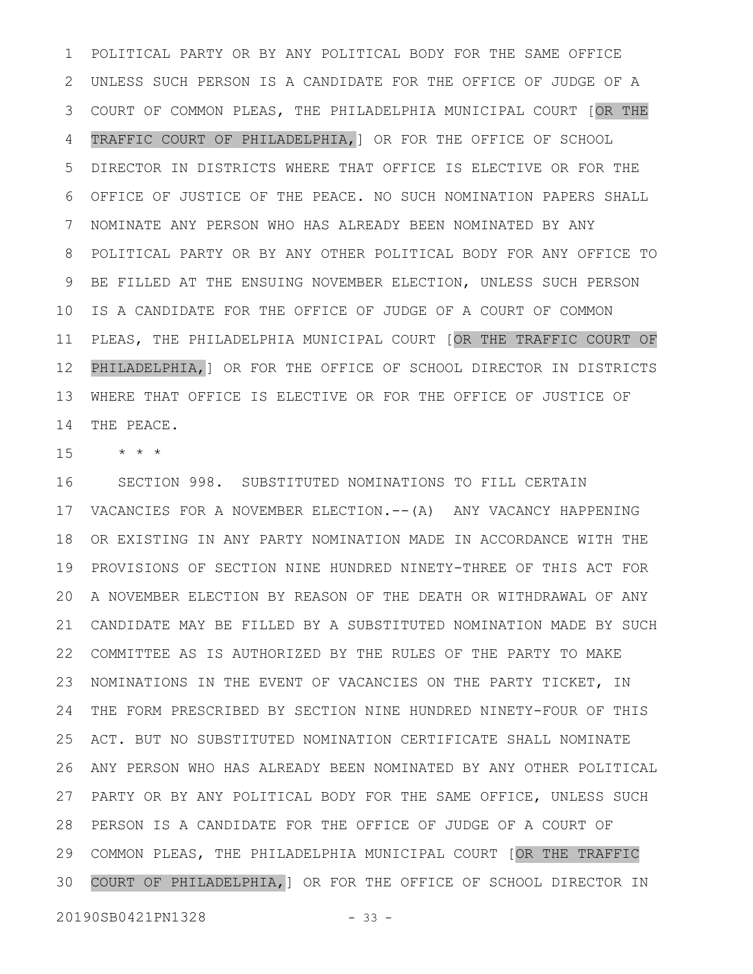POLITICAL PARTY OR BY ANY POLITICAL BODY FOR THE SAME OFFICE UNLESS SUCH PERSON IS A CANDIDATE FOR THE OFFICE OF JUDGE OF A COURT OF COMMON PLEAS, THE PHILADELPHIA MUNICIPAL COURT [OR THE 3 TRAFFIC COURT OF PHILADELPHIA,] OR FOR THE OFFICE OF SCHOOL DIRECTOR IN DISTRICTS WHERE THAT OFFICE IS ELECTIVE OR FOR THE OFFICE OF JUSTICE OF THE PEACE. NO SUCH NOMINATION PAPERS SHALL NOMINATE ANY PERSON WHO HAS ALREADY BEEN NOMINATED BY ANY POLITICAL PARTY OR BY ANY OTHER POLITICAL BODY FOR ANY OFFICE TO BE FILLED AT THE ENSUING NOVEMBER ELECTION, UNLESS SUCH PERSON IS A CANDIDATE FOR THE OFFICE OF JUDGE OF A COURT OF COMMON PLEAS, THE PHILADELPHIA MUNICIPAL COURT [OR THE TRAFFIC COURT OF PHILADELPHIA,] OR FOR THE OFFICE OF SCHOOL DIRECTOR IN DISTRICTS WHERE THAT OFFICE IS ELECTIVE OR FOR THE OFFICE OF JUSTICE OF THE PEACE. 1 2 4 5 6 7 8 9 10 11 12 13 14

\* \* \* 15

SECTION 998. SUBSTITUTED NOMINATIONS TO FILL CERTAIN VACANCIES FOR A NOVEMBER ELECTION.--(A) ANY VACANCY HAPPENING 17 OR EXISTING IN ANY PARTY NOMINATION MADE IN ACCORDANCE WITH THE PROVISIONS OF SECTION NINE HUNDRED NINETY-THREE OF THIS ACT FOR A NOVEMBER ELECTION BY REASON OF THE DEATH OR WITHDRAWAL OF ANY 20 CANDIDATE MAY BE FILLED BY A SUBSTITUTED NOMINATION MADE BY SUCH 21 COMMITTEE AS IS AUTHORIZED BY THE RULES OF THE PARTY TO MAKE 22 NOMINATIONS IN THE EVENT OF VACANCIES ON THE PARTY TICKET, IN THE FORM PRESCRIBED BY SECTION NINE HUNDRED NINETY-FOUR OF THIS ACT. BUT NO SUBSTITUTED NOMINATION CERTIFICATE SHALL NOMINATE ANY PERSON WHO HAS ALREADY BEEN NOMINATED BY ANY OTHER POLITICAL 27 PARTY OR BY ANY POLITICAL BODY FOR THE SAME OFFICE, UNLESS SUCH PERSON IS A CANDIDATE FOR THE OFFICE OF JUDGE OF A COURT OF 28 COMMON PLEAS, THE PHILADELPHIA MUNICIPAL COURT [OR THE TRAFFIC 29 COURT OF PHILADELPHIA,] OR FOR THE OFFICE OF SCHOOL DIRECTOR IN 16 18 19 23 24 25 26 30

20190SB0421PN1328 - 33 -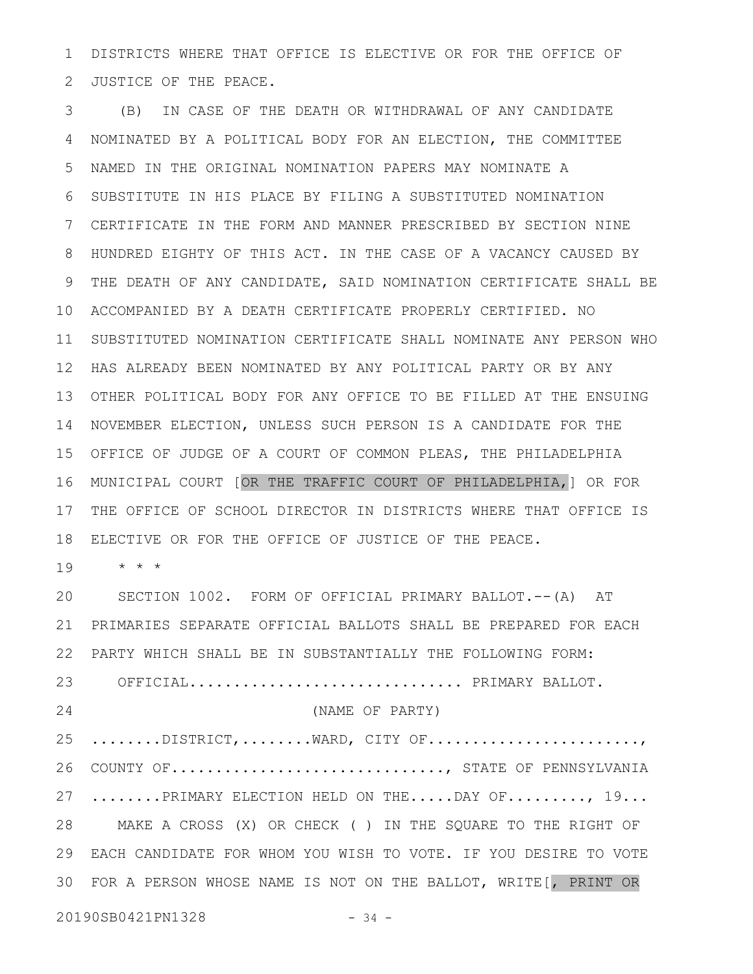DISTRICTS WHERE THAT OFFICE IS ELECTIVE OR FOR THE OFFICE OF JUSTICE OF THE PEACE. 1 2

(B) IN CASE OF THE DEATH OR WITHDRAWAL OF ANY CANDIDATE NOMINATED BY A POLITICAL BODY FOR AN ELECTION, THE COMMITTEE NAMED IN THE ORIGINAL NOMINATION PAPERS MAY NOMINATE A SUBSTITUTE IN HIS PLACE BY FILING A SUBSTITUTED NOMINATION CERTIFICATE IN THE FORM AND MANNER PRESCRIBED BY SECTION NINE HUNDRED EIGHTY OF THIS ACT. IN THE CASE OF A VACANCY CAUSED BY THE DEATH OF ANY CANDIDATE, SAID NOMINATION CERTIFICATE SHALL BE ACCOMPANIED BY A DEATH CERTIFICATE PROPERLY CERTIFIED. NO 10 SUBSTITUTED NOMINATION CERTIFICATE SHALL NOMINATE ANY PERSON WHO 12 HAS ALREADY BEEN NOMINATED BY ANY POLITICAL PARTY OR BY ANY OTHER POLITICAL BODY FOR ANY OFFICE TO BE FILLED AT THE ENSUING 13 14 NOVEMBER ELECTION, UNLESS SUCH PERSON IS A CANDIDATE FOR THE OFFICE OF JUDGE OF A COURT OF COMMON PLEAS, THE PHILADELPHIA 15 MUNICIPAL COURT [OR THE TRAFFIC COURT OF PHILADELPHIA,] OR FOR 16 THE OFFICE OF SCHOOL DIRECTOR IN DISTRICTS WHERE THAT OFFICE IS ELECTIVE OR FOR THE OFFICE OF JUSTICE OF THE PEACE. 3 4 5 6 7 8 9 11 17 18

\* \* \* 19

SECTION 1002. FORM OF OFFICIAL PRIMARY BALLOT.--(A) AT PRIMARIES SEPARATE OFFICIAL BALLOTS SHALL BE PREPARED FOR EACH PARTY WHICH SHALL BE IN SUBSTANTIALLY THE FOLLOWING FORM: OFFICIAL................................ PRIMARY BALLOT. (NAME OF PARTY)  $\dots\dots\dots\dots\text{DISTRICT},\dots\dots\dots\text{WARD},$  CITY OF... $\dots\dots\dots\dots\dots\dots\dots\dots\dots$ 26 COUNTY OF............................, STATE OF PENNSYLVANIA 27 .......PRIMARY ELECTION HELD ON THE.....DAY OF........, 19... MAKE A CROSS (X) OR CHECK ( ) IN THE SQUARE TO THE RIGHT OF 28 EACH CANDIDATE FOR WHOM YOU WISH TO VOTE. IF YOU DESIRE TO VOTE 29 FOR A PERSON WHOSE NAME IS NOT ON THE BALLOT, WRITE[, PRINT OR 3020 21 22 23 24 25

20190SB0421PN1328 - 34 -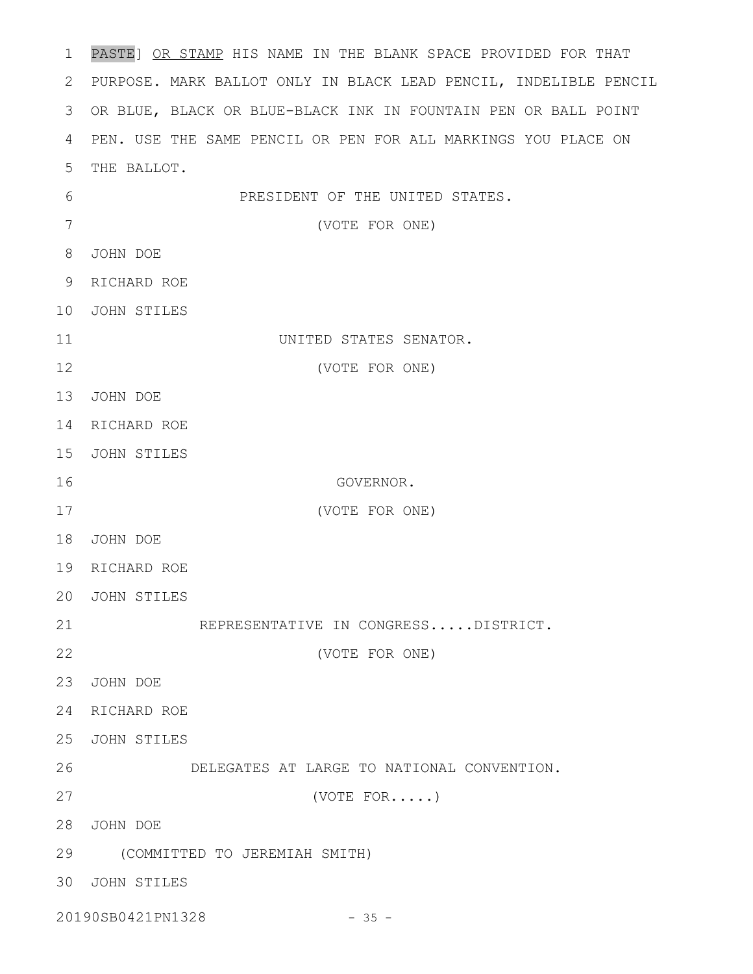PASTE] OR STAMP HIS NAME IN THE BLANK SPACE PROVIDED FOR THAT PURPOSE. MARK BALLOT ONLY IN BLACK LEAD PENCIL, INDELIBLE PENCIL 2 OR BLUE, BLACK OR BLUE-BLACK INK IN FOUNTAIN PEN OR BALL POINT 3 PEN. USE THE SAME PENCIL OR PEN FOR ALL MARKINGS YOU PLACE ON 4 5 THE BALLOT. PRESIDENT OF THE UNITED STATES. (VOTE FOR ONE) JOHN DOE 8 RICHARD ROE 9 JOHN STILES 10 UNITED STATES SENATOR. (VOTE FOR ONE) 13 JOHN DOE 14 RICHARD ROE 15 JOHN STILES GOVERNOR. (VOTE FOR ONE) JOHN DOE 18 19 RICHARD ROE JOHN STILES 20 REPRESENTATIVE IN CONGRESS.....DISTRICT. (VOTE FOR ONE) JOHN DOE 23 24 RICHARD ROE JOHN STILES 25 DELEGATES AT LARGE TO NATIONAL CONVENTION. (VOTE FOR.....) JOHN DOE 28 (COMMITTED TO JEREMIAH SMITH) 29 JOHN STILES 3020190SB0421PN1328 - 35 -1 6 7 11 12 16 17 21 22 26 27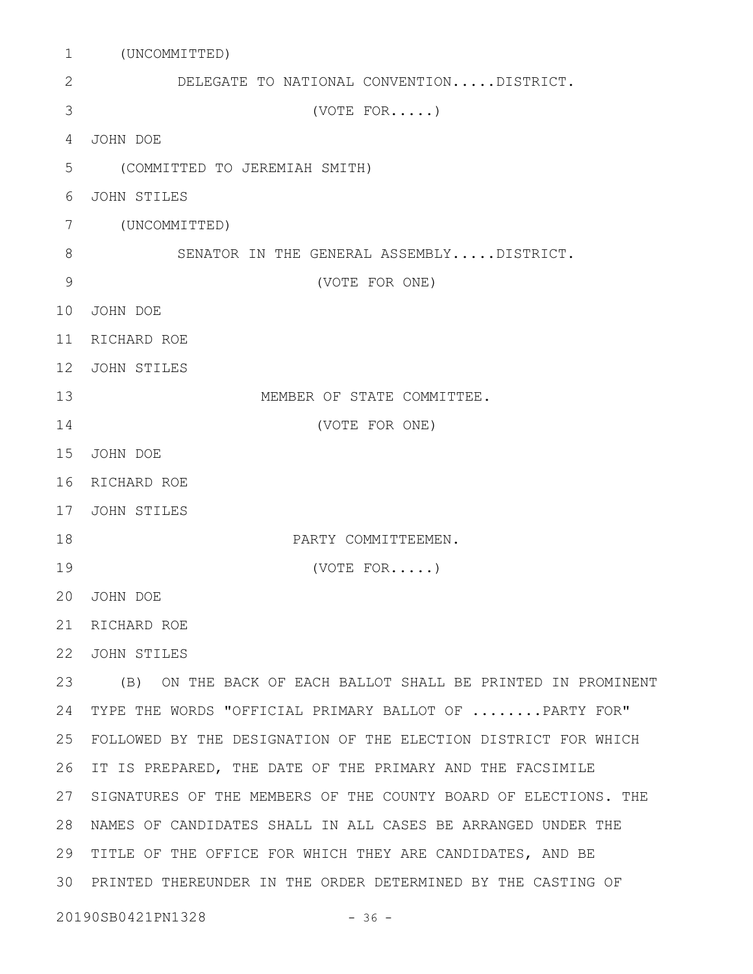(UNCOMMITTED) 1 DELEGATE TO NATIONAL CONVENTION.....DISTRICT. (VOTE FOR.....) JOHN DOE 4 (COMMITTED TO JEREMIAH SMITH) JOHN STILES (UNCOMMITTED) 7 SENATOR IN THE GENERAL ASSEMBLY.....DISTRICT. (VOTE FOR ONE) JOHN DOE 10 11 RICHARD ROE 12 JOHN STILES MEMBER OF STATE COMMITTEE. (VOTE FOR ONE) JOHN DOE 15 16 RICHARD ROE 17 JOHN STILES PARTY COMMITTEEMEN. (VOTE FOR.....) JOHN DOE 20 21 RICHARD ROE JOHN STILES 22 (B) ON THE BACK OF EACH BALLOT SHALL BE PRINTED IN PROMINENT 23 24 TYPE THE WORDS "OFFICIAL PRIMARY BALLOT OF .......PARTY FOR" FOLLOWED BY THE DESIGNATION OF THE ELECTION DISTRICT FOR WHICH 25 26 IT IS PREPARED, THE DATE OF THE PRIMARY AND THE FACSIMILE 27 SIGNATURES OF THE MEMBERS OF THE COUNTY BOARD OF ELECTIONS. THE NAMES OF CANDIDATES SHALL IN ALL CASES BE ARRANGED UNDER THE 28 29 TITLE OF THE OFFICE FOR WHICH THEY ARE CANDIDATES, AND BE PRINTED THEREUNDER IN THE ORDER DETERMINED BY THE CASTING OF 3020190SB0421PN1328 - 36 -2 3 5 6 8 9 13 14 18 19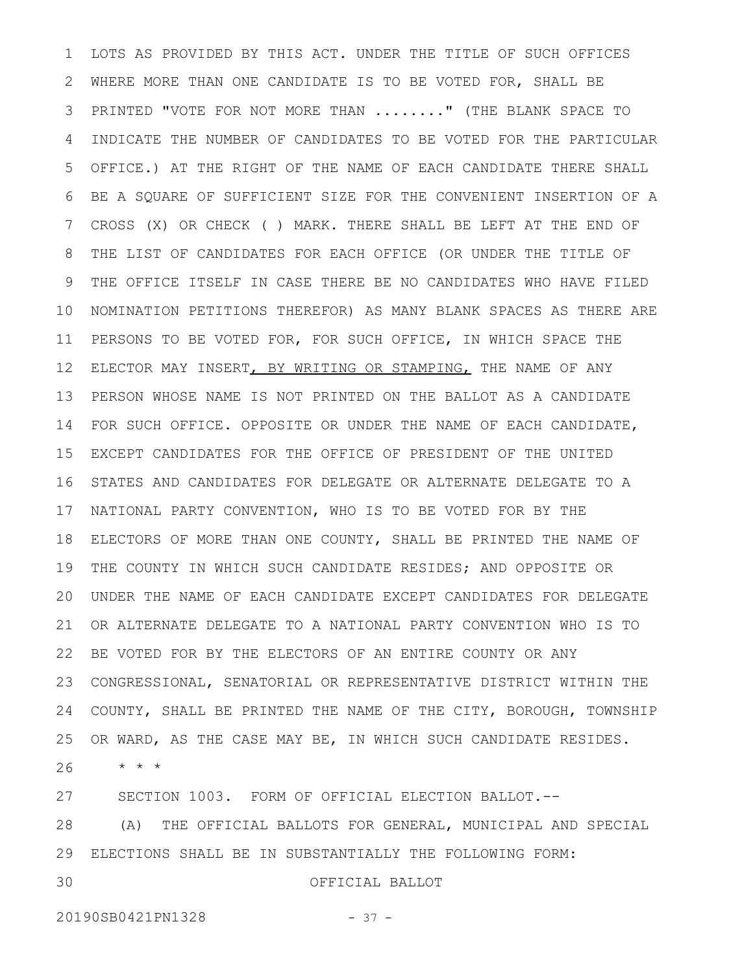LOTS AS PROVIDED BY THIS ACT. UNDER THE TITLE OF SUCH OFFICES WHERE MORE THAN ONE CANDIDATE IS TO BE VOTED FOR, SHALL BE PRINTED "VOTE FOR NOT MORE THAN ........" (THE BLANK SPACE TO INDICATE THE NUMBER OF CANDIDATES TO BE VOTED FOR THE PARTICULAR OFFICE.) AT THE RIGHT OF THE NAME OF EACH CANDIDATE THERE SHALL BE A SQUARE OF SUFFICIENT SIZE FOR THE CONVENIENT INSERTION OF A CROSS (X) OR CHECK ( ) MARK. THERE SHALL BE LEFT AT THE END OF THE LIST OF CANDIDATES FOR EACH OFFICE (OR UNDER THE TITLE OF THE OFFICE ITSELF IN CASE THERE BE NO CANDIDATES WHO HAVE FILED NOMINATION PETITIONS THEREFOR) AS MANY BLANK SPACES AS THERE ARE PERSONS TO BE VOTED FOR, FOR SUCH OFFICE, IN WHICH SPACE THE ELECTOR MAY INSERT, BY WRITING OR STAMPING, THE NAME OF ANY PERSON WHOSE NAME IS NOT PRINTED ON THE BALLOT AS A CANDIDATE FOR SUCH OFFICE. OPPOSITE OR UNDER THE NAME OF EACH CANDIDATE, EXCEPT CANDIDATES FOR THE OFFICE OF PRESIDENT OF THE UNITED STATES AND CANDIDATES FOR DELEGATE OR ALTERNATE DELEGATE TO A NATIONAL PARTY CONVENTION, WHO IS TO BE VOTED FOR BY THE ELECTORS OF MORE THAN ONE COUNTY, SHALL BE PRINTED THE NAME OF THE COUNTY IN WHICH SUCH CANDIDATE RESIDES; AND OPPOSITE OR UNDER THE NAME OF EACH CANDIDATE EXCEPT CANDIDATES FOR DELEGATE OR ALTERNATE DELEGATE TO A NATIONAL PARTY CONVENTION WHO IS TO BE VOTED FOR BY THE ELECTORS OF AN ENTIRE COUNTY OR ANY CONGRESSIONAL, SENATORIAL OR REPRESENTATIVE DISTRICT WITHIN THE COUNTY, SHALL BE PRINTED THE NAME OF THE CITY, BOROUGH, TOWNSHIP OR WARD, AS THE CASE MAY BE, IN WHICH SUCH CANDIDATE RESIDES. \* \* \* 1 2 3 4 5 6 7 8 9 10 11 12 13 14 15 16 17 18 19 20 21 22 23 24 25 26

SECTION 1003. FORM OF OFFICIAL ELECTION BALLOT.-- 27

(A) THE OFFICIAL BALLOTS FOR GENERAL, MUNICIPAL AND SPECIAL ELECTIONS SHALL BE IN SUBSTANTIALLY THE FOLLOWING FORM: 28 29

30

## OFFICIAL BALLOT

20190SB0421PN1328 - 37 -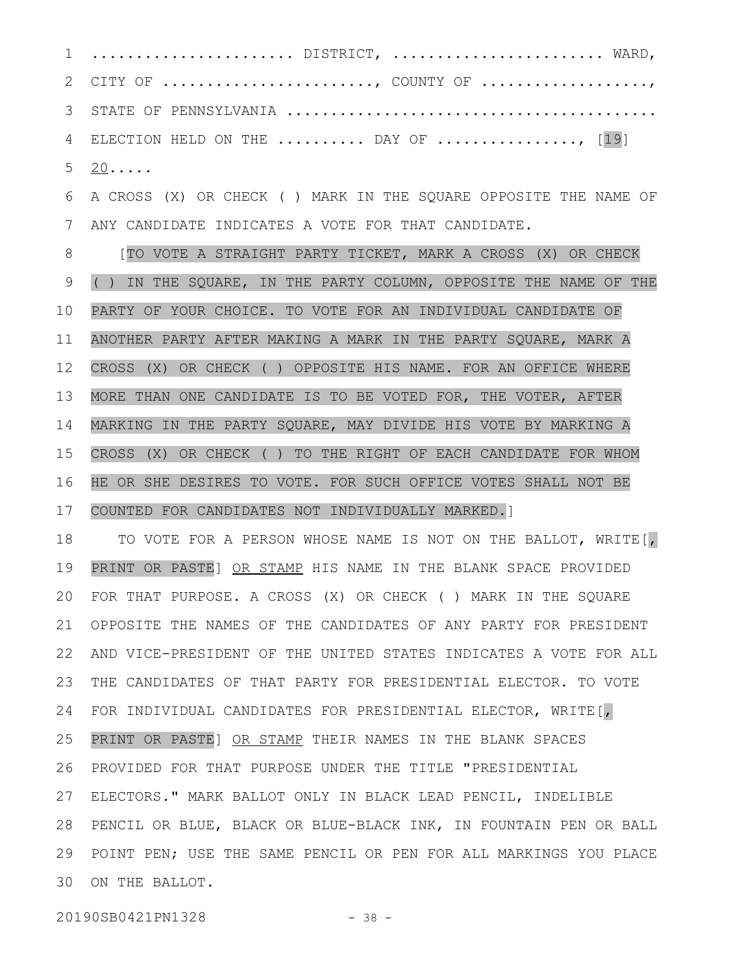....................... DISTRICT, ........................ WARD, CITY OF ........................, COUNTY OF ...................., STATE OF PENNSYLVANIA .......................................... ELECTION HELD ON THE  $\ldots \ldots \ldots$  DAY OF  $\ldots \ldots \ldots \ldots \ldots$ , [19]  $20 \ldots$ 1 2 3 4 5

A CROSS (X) OR CHECK ( ) MARK IN THE SQUARE OPPOSITE THE NAME OF ANY CANDIDATE INDICATES A VOTE FOR THAT CANDIDATE. 6 7

[TO VOTE A STRAIGHT PARTY TICKET, MARK A CROSS (X) OR CHECK ( ) IN THE SQUARE, IN THE PARTY COLUMN, OPPOSITE THE NAME OF THE PARTY OF YOUR CHOICE. TO VOTE FOR AN INDIVIDUAL CANDIDATE OF ANOTHER PARTY AFTER MAKING A MARK IN THE PARTY SQUARE, MARK A CROSS (X) OR CHECK ( ) OPPOSITE HIS NAME. FOR AN OFFICE WHERE MORE THAN ONE CANDIDATE IS TO BE VOTED FOR, THE VOTER, AFTER MARKING IN THE PARTY SQUARE, MAY DIVIDE HIS VOTE BY MARKING A CROSS (X) OR CHECK ( ) TO THE RIGHT OF EACH CANDIDATE FOR WHOM HE OR SHE DESIRES TO VOTE. FOR SUCH OFFICE VOTES SHALL NOT BE COUNTED FOR CANDIDATES NOT INDIVIDUALLY MARKED.] 8 9 10 11 12 13 14 15 16 17

TO VOTE FOR A PERSON WHOSE NAME IS NOT ON THE BALLOT, WRITE[, PRINT OR PASTE] OR STAMP HIS NAME IN THE BLANK SPACE PROVIDED FOR THAT PURPOSE. A CROSS (X) OR CHECK ( ) MARK IN THE SQUARE OPPOSITE THE NAMES OF THE CANDIDATES OF ANY PARTY FOR PRESIDENT AND VICE-PRESIDENT OF THE UNITED STATES INDICATES A VOTE FOR ALL THE CANDIDATES OF THAT PARTY FOR PRESIDENTIAL ELECTOR. TO VOTE FOR INDIVIDUAL CANDIDATES FOR PRESIDENTIAL ELECTOR, WRITE[, PRINT OR PASTE] OR STAMP THEIR NAMES IN THE BLANK SPACES PROVIDED FOR THAT PURPOSE UNDER THE TITLE "PRESIDENTIAL ELECTORS." MARK BALLOT ONLY IN BLACK LEAD PENCIL, INDELIBLE PENCIL OR BLUE, BLACK OR BLUE-BLACK INK, IN FOUNTAIN PEN OR BALL POINT PEN; USE THE SAME PENCIL OR PEN FOR ALL MARKINGS YOU PLACE 30 ON THE BALLOT. 18 19 20 21 22 23 24 25 26 27 28 29

20190SB0421PN1328 - 38 -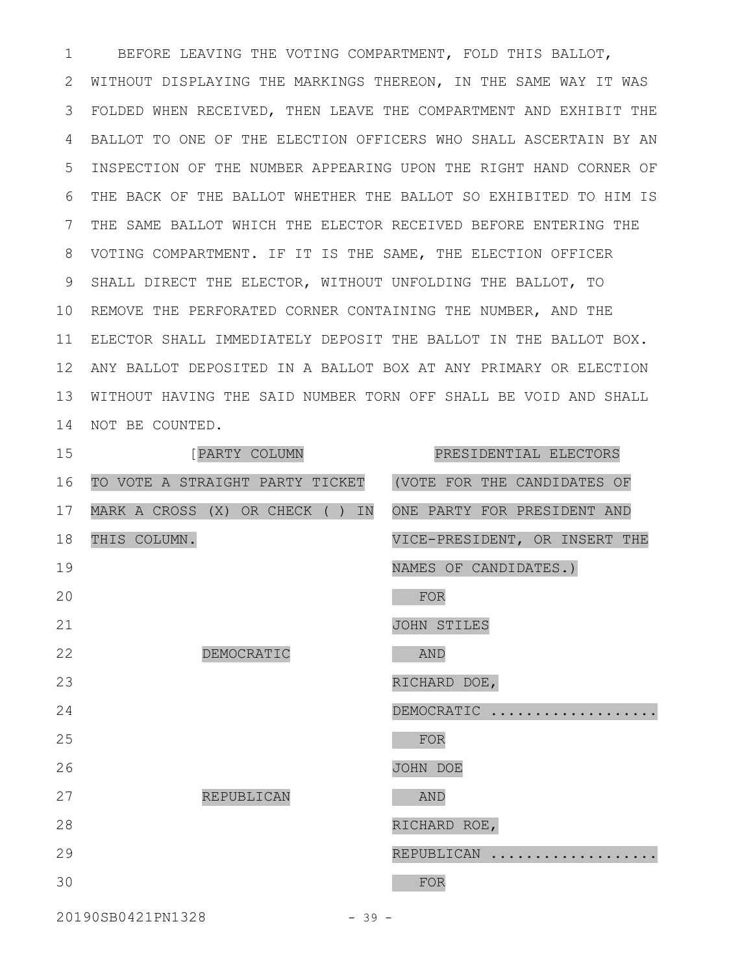BEFORE LEAVING THE VOTING COMPARTMENT, FOLD THIS BALLOT, 1 2 WITHOUT DISPLAYING THE MARKINGS THEREON, IN THE SAME WAY IT WAS FOLDED WHEN RECEIVED, THEN LEAVE THE COMPARTMENT AND EXHIBIT THE 3 BALLOT TO ONE OF THE ELECTION OFFICERS WHO SHALL ASCERTAIN BY AN 4 INSPECTION OF THE NUMBER APPEARING UPON THE RIGHT HAND CORNER OF 5 THE BACK OF THE BALLOT WHETHER THE BALLOT SO EXHIBITED TO HIM IS 6 7 THE SAME BALLOT WHICH THE ELECTOR RECEIVED BEFORE ENTERING THE VOTING COMPARTMENT. IF IT IS THE SAME, THE ELECTION OFFICER 8 9 SHALL DIRECT THE ELECTOR, WITHOUT UNFOLDING THE BALLOT, TO 10 REMOVE THE PERFORATED CORNER CONTAINING THE NUMBER, AND THE ELECTOR SHALL IMMEDIATELY DEPOSIT THE BALLOT IN THE BALLOT BOX. 11 ANY BALLOT DEPOSITED IN A BALLOT BOX AT ANY PRIMARY OR ELECTION 12 WITHOUT HAVING THE SAID NUMBER TORN OFF SHALL BE VOID AND SHALL 13 14 NOT BE COUNTED.

| 15 | [PARTY COLUMN                       | PRESIDENTIAL ELECTORS         |
|----|-------------------------------------|-------------------------------|
| 16 | TO VOTE A STRAIGHT PARTY TICKET     | (VOTE FOR THE CANDIDATES OF   |
| 17 | MARK A CROSS (X) OR CHECK ( )<br>IN | ONE PARTY FOR PRESIDENT AND   |
| 18 | THIS COLUMN.                        | VICE-PRESIDENT, OR INSERT THE |
| 19 |                                     | NAMES OF CANDIDATES.)         |
| 20 |                                     | FOR                           |
| 21 |                                     | JOHN STILES                   |
| 22 | DEMOCRATIC                          | <b>AND</b>                    |
| 23 |                                     | RICHARD DOE,                  |
| 24 |                                     | DEMOCRATIC                    |
| 25 |                                     | FOR                           |
| 26 |                                     | JOHN DOE                      |
| 27 | REPUBLICAN                          | <b>AND</b>                    |
| 28 |                                     | RICHARD ROE,                  |
| 29 |                                     | REPUBLICAN                    |
| 30 |                                     | FOR                           |
|    |                                     |                               |

20190SB0421PN1328 - 39 -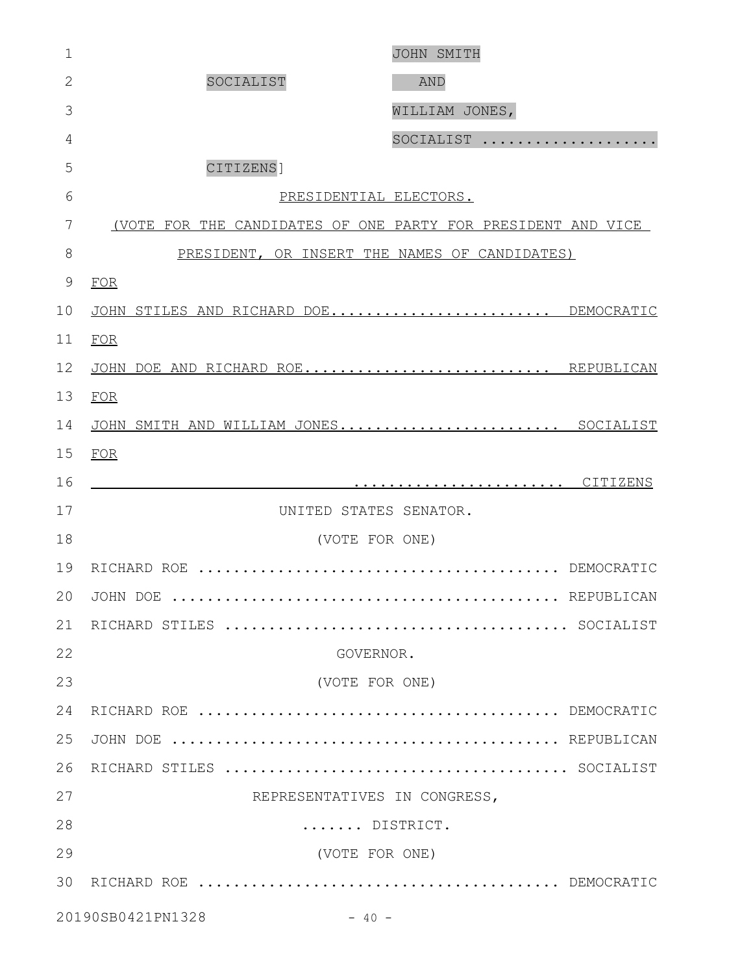| $\mathbf 1$    |                                                              | JOHN SMITH     |
|----------------|--------------------------------------------------------------|----------------|
| $\overline{2}$ | SOCIALIST                                                    | AND            |
| 3              |                                                              | WILLIAM JONES, |
| 4              |                                                              | SOCIALIST      |
| 5              | CITIZENS]                                                    |                |
| 6              | PRESIDENTIAL ELECTORS.                                       |                |
| 7              | (VOTE FOR THE CANDIDATES OF ONE PARTY FOR PRESIDENT AND VICE |                |
| 8              | PRESIDENT, OR INSERT THE NAMES OF CANDIDATES)                |                |
| $\mathcal{G}$  | FOR                                                          |                |
| 10             | JOHN STILES AND RICHARD DOE DEMOCRATIC                       |                |
| 11             | FOR                                                          |                |
| 12             | JOHN DOE AND RICHARD ROE REPUBLICAN                          |                |
| 13             | FOR                                                          |                |
| 14             | JOHN SMITH AND WILLIAM JONES SOCIALIST                       |                |
| 15             | FOR                                                          |                |
| 16             |                                                              |                |
| 17             | UNITED STATES SENATOR.                                       |                |
| 18             | (VOTE FOR ONE)                                               |                |
| 19             |                                                              |                |
|                | 20 JOHN DOE                                                  | REPUBLICAN     |
| 21             |                                                              |                |
| 22             | GOVERNOR.                                                    |                |
| 23             | (VOTE FOR ONE)                                               |                |
| 24             |                                                              |                |
| 25             |                                                              |                |
| 26             |                                                              |                |
| 27             | REPRESENTATIVES IN CONGRESS,                                 |                |
| 28             | DISTRICT.                                                    |                |
| 29             | (VOTE FOR ONE)                                               |                |
| 30             |                                                              |                |
|                | 20190SB0421PN1328<br>$-40 -$                                 |                |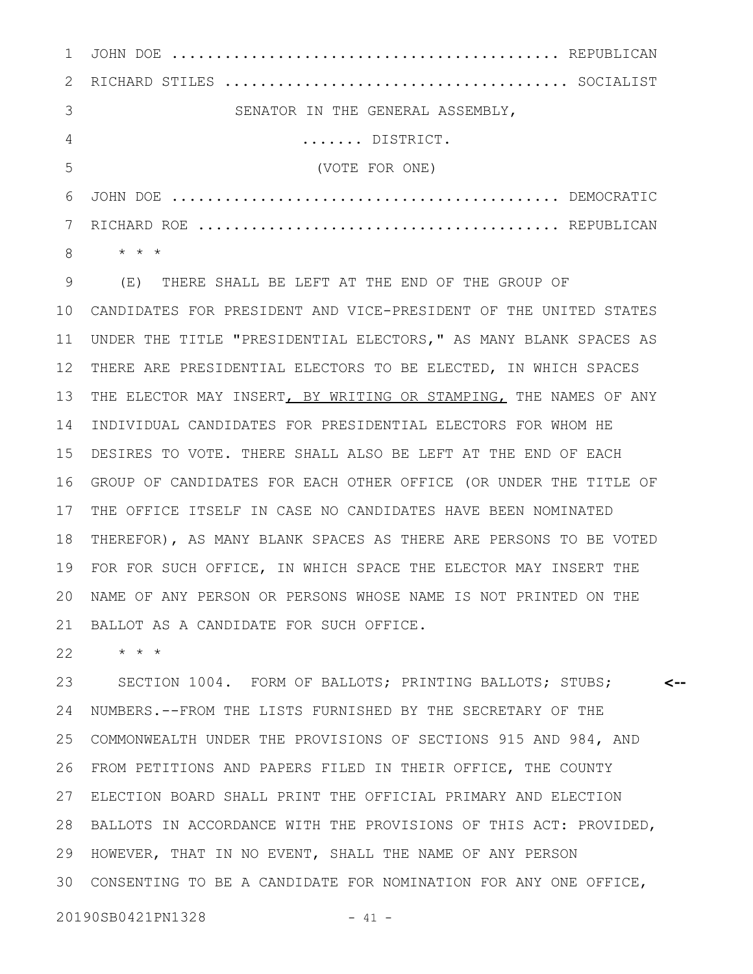|   | SENATOR IN THE GENERAL ASSEMBLY, |  |
|---|----------------------------------|--|
|   | $\dots\dots$ DISTRICT.           |  |
|   | (VOTE FOR ONE)                   |  |
| 6 |                                  |  |
|   |                                  |  |
| 8 | * * *                            |  |

(E) THERE SHALL BE LEFT AT THE END OF THE GROUP OF CANDIDATES FOR PRESIDENT AND VICE-PRESIDENT OF THE UNITED STATES 10 UNDER THE TITLE "PRESIDENTIAL ELECTORS," AS MANY BLANK SPACES AS THERE ARE PRESIDENTIAL ELECTORS TO BE ELECTED, IN WHICH SPACES 12 THE ELECTOR MAY INSERT, BY WRITING OR STAMPING, THE NAMES OF ANY INDIVIDUAL CANDIDATES FOR PRESIDENTIAL ELECTORS FOR WHOM HE DESIRES TO VOTE. THERE SHALL ALSO BE LEFT AT THE END OF EACH GROUP OF CANDIDATES FOR EACH OTHER OFFICE (OR UNDER THE TITLE OF THE OFFICE ITSELF IN CASE NO CANDIDATES HAVE BEEN NOMINATED THEREFOR), AS MANY BLANK SPACES AS THERE ARE PERSONS TO BE VOTED 18 FOR FOR SUCH OFFICE, IN WHICH SPACE THE ELECTOR MAY INSERT THE NAME OF ANY PERSON OR PERSONS WHOSE NAME IS NOT PRINTED ON THE 20 BALLOT AS A CANDIDATE FOR SUCH OFFICE. 9 11 13 14 15 16 17 19 21

\* \* \* 22

SECTION 1004. FORM OF BALLOTS; PRINTING BALLOTS; STUBS; NUMBERS.--FROM THE LISTS FURNISHED BY THE SECRETARY OF THE 24 COMMONWEALTH UNDER THE PROVISIONS OF SECTIONS 915 AND 984, AND 26 FROM PETITIONS AND PAPERS FILED IN THEIR OFFICE, THE COUNTY ELECTION BOARD SHALL PRINT THE OFFICIAL PRIMARY AND ELECTION 27 BALLOTS IN ACCORDANCE WITH THE PROVISIONS OF THIS ACT: PROVIDED, 28 HOWEVER, THAT IN NO EVENT, SHALL THE NAME OF ANY PERSON CONSENTING TO BE A CANDIDATE FOR NOMINATION FOR ANY ONE OFFICE, 30**<--** 23 25 29

20190SB0421PN1328 - 41 -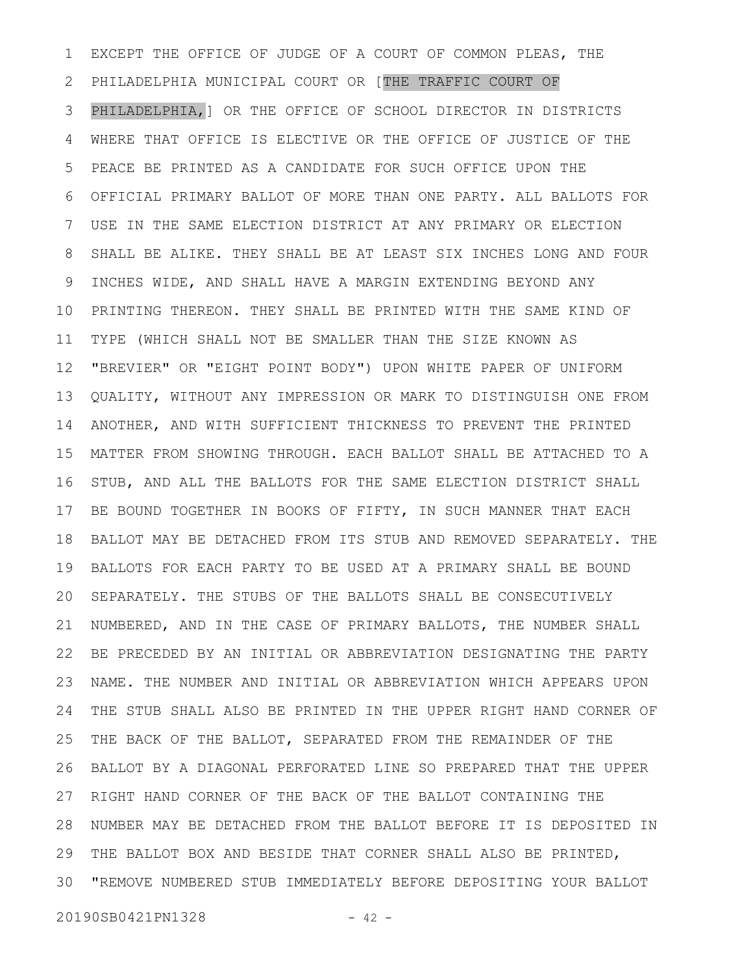EXCEPT THE OFFICE OF JUDGE OF A COURT OF COMMON PLEAS, THE PHILADELPHIA MUNICIPAL COURT OR [THE TRAFFIC COURT OF PHILADELPHIA,] OR THE OFFICE OF SCHOOL DIRECTOR IN DISTRICTS WHERE THAT OFFICE IS ELECTIVE OR THE OFFICE OF JUSTICE OF THE PEACE BE PRINTED AS A CANDIDATE FOR SUCH OFFICE UPON THE OFFICIAL PRIMARY BALLOT OF MORE THAN ONE PARTY. ALL BALLOTS FOR USE IN THE SAME ELECTION DISTRICT AT ANY PRIMARY OR ELECTION SHALL BE ALIKE. THEY SHALL BE AT LEAST SIX INCHES LONG AND FOUR INCHES WIDE, AND SHALL HAVE A MARGIN EXTENDING BEYOND ANY PRINTING THEREON. THEY SHALL BE PRINTED WITH THE SAME KIND OF TYPE (WHICH SHALL NOT BE SMALLER THAN THE SIZE KNOWN AS "BREVIER" OR "EIGHT POINT BODY") UPON WHITE PAPER OF UNIFORM QUALITY, WITHOUT ANY IMPRESSION OR MARK TO DISTINGUISH ONE FROM ANOTHER, AND WITH SUFFICIENT THICKNESS TO PREVENT THE PRINTED MATTER FROM SHOWING THROUGH. EACH BALLOT SHALL BE ATTACHED TO A STUB, AND ALL THE BALLOTS FOR THE SAME ELECTION DISTRICT SHALL BE BOUND TOGETHER IN BOOKS OF FIFTY, IN SUCH MANNER THAT EACH BALLOT MAY BE DETACHED FROM ITS STUB AND REMOVED SEPARATELY. THE BALLOTS FOR EACH PARTY TO BE USED AT A PRIMARY SHALL BE BOUND SEPARATELY. THE STUBS OF THE BALLOTS SHALL BE CONSECUTIVELY NUMBERED, AND IN THE CASE OF PRIMARY BALLOTS, THE NUMBER SHALL BE PRECEDED BY AN INITIAL OR ABBREVIATION DESIGNATING THE PARTY NAME. THE NUMBER AND INITIAL OR ABBREVIATION WHICH APPEARS UPON THE STUB SHALL ALSO BE PRINTED IN THE UPPER RIGHT HAND CORNER OF THE BACK OF THE BALLOT, SEPARATED FROM THE REMAINDER OF THE BALLOT BY A DIAGONAL PERFORATED LINE SO PREPARED THAT THE UPPER RIGHT HAND CORNER OF THE BACK OF THE BALLOT CONTAINING THE NUMBER MAY BE DETACHED FROM THE BALLOT BEFORE IT IS DEPOSITED IN THE BALLOT BOX AND BESIDE THAT CORNER SHALL ALSO BE PRINTED, "REMOVE NUMBERED STUB IMMEDIATELY BEFORE DEPOSITING YOUR BALLOT 301 2 3 4 5 6 7 8 9 10 11 12 13 14 15 16 17 18 19 20 21 22 23 24 25 26 27 28 29

20190SB0421PN1328 - 42 -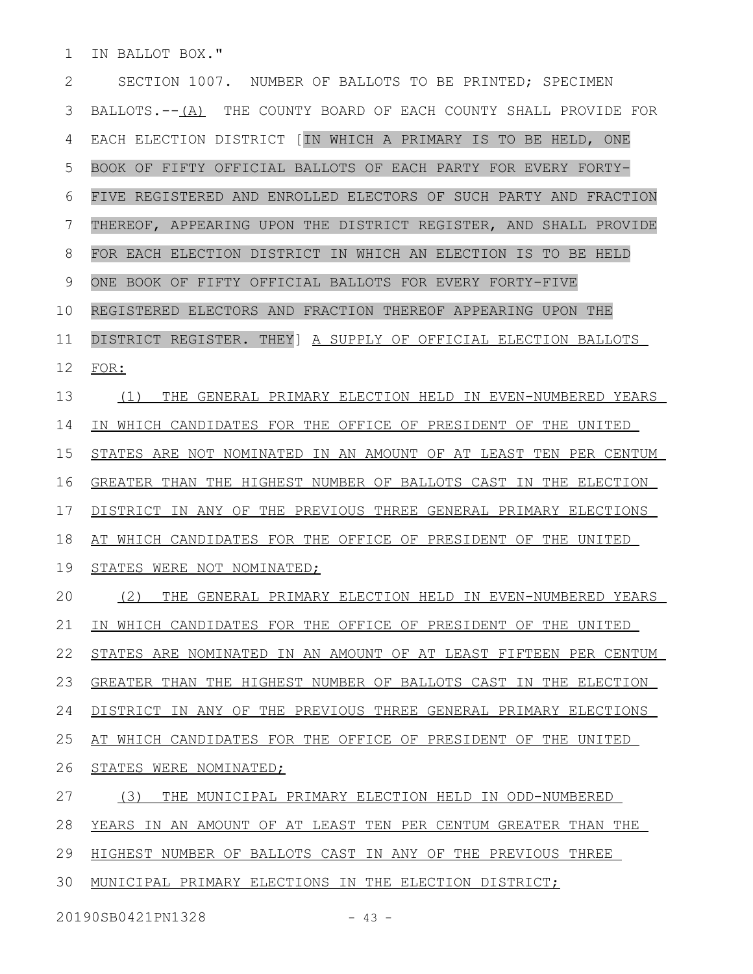IN BALLOT BOX." 1

SECTION 1007. NUMBER OF BALLOTS TO BE PRINTED; SPECIMEN BALLOTS.--(A) THE COUNTY BOARD OF EACH COUNTY SHALL PROVIDE FOR EACH ELECTION DISTRICT [IN WHICH A PRIMARY IS TO BE HELD, ONE BOOK OF FIFTY OFFICIAL BALLOTS OF EACH PARTY FOR EVERY FORTY-FIVE REGISTERED AND ENROLLED ELECTORS OF SUCH PARTY AND FRACTION THEREOF, APPEARING UPON THE DISTRICT REGISTER, AND SHALL PROVIDE FOR EACH ELECTION DISTRICT IN WHICH AN ELECTION IS TO BE HELD ONE BOOK OF FIFTY OFFICIAL BALLOTS FOR EVERY FORTY-FIVE REGISTERED ELECTORS AND FRACTION THEREOF APPEARING UPON THE DISTRICT REGISTER. THEY] A SUPPLY OF OFFICIAL ELECTION BALLOTS FOR: (1) THE GENERAL PRIMARY ELECTION HELD IN EVEN-NUMBERED YEARS IN WHICH CANDIDATES FOR THE OFFICE OF PRESIDENT OF THE UNITED STATES ARE NOT NOMINATED IN AN AMOUNT OF AT LEAST TEN PER CENTUM GREATER THAN THE HIGHEST NUMBER OF BALLOTS CAST IN THE ELECTION DISTRICT IN ANY OF THE PREVIOUS THREE GENERAL PRIMARY ELECTIONS AT WHICH CANDIDATES FOR THE OFFICE OF PRESIDENT OF THE UNITED STATES WERE NOT NOMINATED; (2) THE GENERAL PRIMARY ELECTION HELD IN EVEN-NUMBERED YEARS IN WHICH CANDIDATES FOR THE OFFICE OF PRESIDENT OF THE UNITED STATES ARE NOMINATED IN AN AMOUNT OF AT LEAST FIFTEEN PER CENTUM GREATER THAN THE HIGHEST NUMBER OF BALLOTS CAST IN THE ELECTION DISTRICT IN ANY OF THE PREVIOUS THREE GENERAL PRIMARY ELECTIONS AT WHICH CANDIDATES FOR THE OFFICE OF PRESIDENT OF THE UNITED STATES WERE NOMINATED; (3) THE MUNICIPAL PRIMARY ELECTION HELD IN ODD-NUMBERED YEARS IN AN AMOUNT OF AT LEAST TEN PER CENTUM GREATER THAN THE HIGHEST NUMBER OF BALLOTS CAST IN ANY OF THE PREVIOUS THREE 30 MUNICIPAL PRIMARY ELECTIONS IN THE ELECTION DISTRICT; 2 3 4 5 6 7 8 9 10 11 12 13 14 15 16 17 18 19 20 21 22 23 24 25 26 27 28 29

20190SB0421PN1328 - 43 -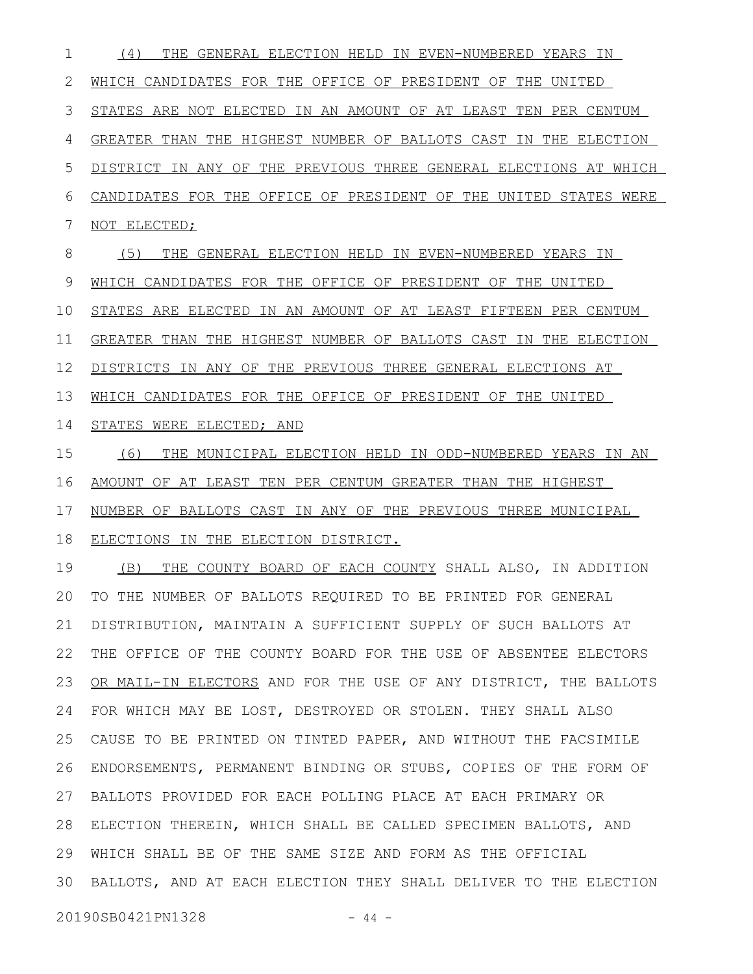(4) THE GENERAL ELECTION HELD IN EVEN-NUMBERED YEARS IN WHICH CANDIDATES FOR THE OFFICE OF PRESIDENT OF THE UNITED STATES ARE NOT ELECTED IN AN AMOUNT OF AT LEAST TEN PER CENTUM GREATER THAN THE HIGHEST NUMBER OF BALLOTS CAST IN THE ELECTION DISTRICT IN ANY OF THE PREVIOUS THREE GENERAL ELECTIONS AT WHICH CANDIDATES FOR THE OFFICE OF PRESIDENT OF THE UNITED STATES WERE NOT ELECTED; (5) THE GENERAL ELECTION HELD IN EVEN-NUMBERED YEARS IN WHICH CANDIDATES FOR THE OFFICE OF PRESIDENT OF THE UNITED STATES ARE ELECTED IN AN AMOUNT OF AT LEAST FIFTEEN PER CENTUM GREATER THAN THE HIGHEST NUMBER OF BALLOTS CAST IN THE ELECTION DISTRICTS IN ANY OF THE PREVIOUS THREE GENERAL ELECTIONS AT WHICH CANDIDATES FOR THE OFFICE OF PRESIDENT OF THE UNITED STATES WERE ELECTED; AND (6) THE MUNICIPAL ELECTION HELD IN ODD-NUMBERED YEARS IN AN AMOUNT OF AT LEAST TEN PER CENTUM GREATER THAN THE HIGHEST 1 2 3 4 5 6 7 8 9 10 11 12 13 14 15 16

NUMBER OF BALLOTS CAST IN ANY OF THE PREVIOUS THREE MUNICIPAL ELECTIONS IN THE ELECTION DISTRICT. 17 18

(B) THE COUNTY BOARD OF EACH COUNTY SHALL ALSO, IN ADDITION TO THE NUMBER OF BALLOTS REQUIRED TO BE PRINTED FOR GENERAL DISTRIBUTION, MAINTAIN A SUFFICIENT SUPPLY OF SUCH BALLOTS AT THE OFFICE OF THE COUNTY BOARD FOR THE USE OF ABSENTEE ELECTORS OR MAIL-IN ELECTORS AND FOR THE USE OF ANY DISTRICT, THE BALLOTS FOR WHICH MAY BE LOST, DESTROYED OR STOLEN. THEY SHALL ALSO CAUSE TO BE PRINTED ON TINTED PAPER, AND WITHOUT THE FACSIMILE ENDORSEMENTS, PERMANENT BINDING OR STUBS, COPIES OF THE FORM OF BALLOTS PROVIDED FOR EACH POLLING PLACE AT EACH PRIMARY OR ELECTION THEREIN, WHICH SHALL BE CALLED SPECIMEN BALLOTS, AND WHICH SHALL BE OF THE SAME SIZE AND FORM AS THE OFFICIAL BALLOTS, AND AT EACH ELECTION THEY SHALL DELIVER TO THE ELECTION 3019 20 21 22 23 24 25 26 27 28 29

20190SB0421PN1328 - 44 -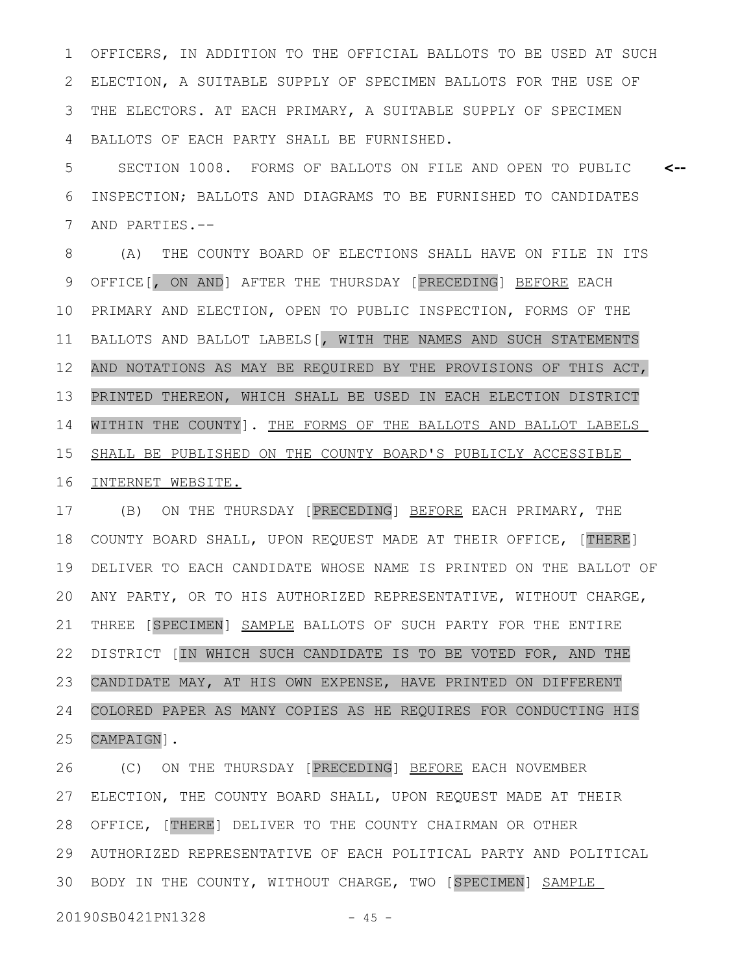OFFICERS, IN ADDITION TO THE OFFICIAL BALLOTS TO BE USED AT SUCH ELECTION, A SUITABLE SUPPLY OF SPECIMEN BALLOTS FOR THE USE OF THE ELECTORS. AT EACH PRIMARY, A SUITABLE SUPPLY OF SPECIMEN BALLOTS OF EACH PARTY SHALL BE FURNISHED. 1 2 3 4

SECTION 1008. FORMS OF BALLOTS ON FILE AND OPEN TO PUBLIC INSPECTION; BALLOTS AND DIAGRAMS TO BE FURNISHED TO CANDIDATES AND PARTIES.-- **<--** 5 6 7

(A) THE COUNTY BOARD OF ELECTIONS SHALL HAVE ON FILE IN ITS OFFICE[, ON AND] AFTER THE THURSDAY [PRECEDING] BEFORE EACH PRIMARY AND ELECTION, OPEN TO PUBLIC INSPECTION, FORMS OF THE BALLOTS AND BALLOT LABELS[, WITH THE NAMES AND SUCH STATEMENTS AND NOTATIONS AS MAY BE REQUIRED BY THE PROVISIONS OF THIS ACT, PRINTED THEREON, WHICH SHALL BE USED IN EACH ELECTION DISTRICT WITHIN THE COUNTY]. THE FORMS OF THE BALLOTS AND BALLOT LABELS SHALL BE PUBLISHED ON THE COUNTY BOARD'S PUBLICLY ACCESSIBLE INTERNET WEBSITE. 8 9 10 11 12 13 14 15 16

(B) ON THE THURSDAY [PRECEDING] BEFORE EACH PRIMARY, THE COUNTY BOARD SHALL, UPON REQUEST MADE AT THEIR OFFICE, [THERE] DELIVER TO EACH CANDIDATE WHOSE NAME IS PRINTED ON THE BALLOT OF ANY PARTY, OR TO HIS AUTHORIZED REPRESENTATIVE, WITHOUT CHARGE, THREE [SPECIMEN] SAMPLE BALLOTS OF SUCH PARTY FOR THE ENTIRE DISTRICT [IN WHICH SUCH CANDIDATE IS TO BE VOTED FOR, AND THE CANDIDATE MAY, AT HIS OWN EXPENSE, HAVE PRINTED ON DIFFERENT COLORED PAPER AS MANY COPIES AS HE REQUIRES FOR CONDUCTING HIS CAMPAIGN]. 17 18 19 20 21 22 23 24 25

(C) ON THE THURSDAY [PRECEDING] BEFORE EACH NOVEMBER ELECTION, THE COUNTY BOARD SHALL, UPON REQUEST MADE AT THEIR OFFICE, [THERE] DELIVER TO THE COUNTY CHAIRMAN OR OTHER AUTHORIZED REPRESENTATIVE OF EACH POLITICAL PARTY AND POLITICAL 30 BODY IN THE COUNTY, WITHOUT CHARGE, TWO [SPECIMEN] SAMPLE 26 27 28 29

20190SB0421PN1328 - 45 -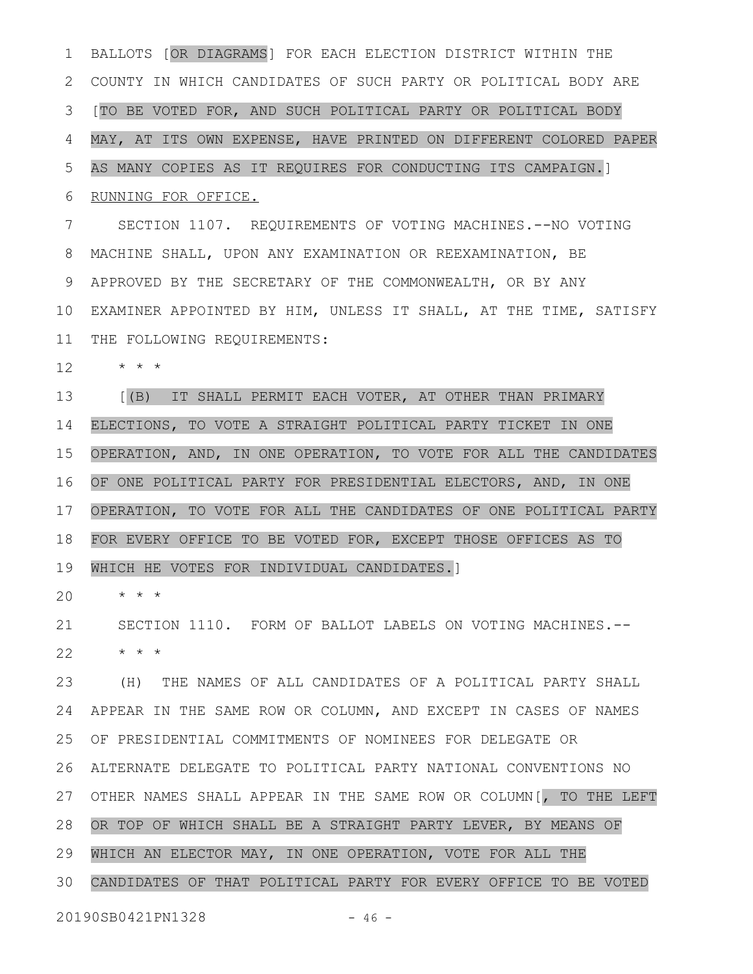BALLOTS [OR DIAGRAMS] FOR EACH ELECTION DISTRICT WITHIN THE COUNTY IN WHICH CANDIDATES OF SUCH PARTY OR POLITICAL BODY ARE [TO BE VOTED FOR, AND SUCH POLITICAL PARTY OR POLITICAL BODY MAY, AT ITS OWN EXPENSE, HAVE PRINTED ON DIFFERENT COLORED PAPER AS MANY COPIES AS IT REQUIRES FOR CONDUCTING ITS CAMPAIGN.] RUNNING FOR OFFICE. SECTION 1107. REQUIREMENTS OF VOTING MACHINES.--NO VOTING MACHINE SHALL, UPON ANY EXAMINATION OR REEXAMINATION, BE APPROVED BY THE SECRETARY OF THE COMMONWEALTH, OR BY ANY EXAMINER APPOINTED BY HIM, UNLESS IT SHALL, AT THE TIME, SATISFY 10 THE FOLLOWING REQUIREMENTS: \* \* \* [(B) IT SHALL PERMIT EACH VOTER, AT OTHER THAN PRIMARY ELECTIONS, TO VOTE A STRAIGHT POLITICAL PARTY TICKET IN ONE OPERATION, AND, IN ONE OPERATION, TO VOTE FOR ALL THE CANDIDATES OF ONE POLITICAL PARTY FOR PRESIDENTIAL ELECTORS, AND, IN ONE OPERATION, TO VOTE FOR ALL THE CANDIDATES OF ONE POLITICAL PARTY FOR EVERY OFFICE TO BE VOTED FOR, EXCEPT THOSE OFFICES AS TO WHICH HE VOTES FOR INDIVIDUAL CANDIDATES.] \* \* \* SECTION 1110. FORM OF BALLOT LABELS ON VOTING MACHINES.-- \* \* \* (H) THE NAMES OF ALL CANDIDATES OF A POLITICAL PARTY SHALL APPEAR IN THE SAME ROW OR COLUMN, AND EXCEPT IN CASES OF NAMES OF PRESIDENTIAL COMMITMENTS OF NOMINEES FOR DELEGATE OR ALTERNATE DELEGATE TO POLITICAL PARTY NATIONAL CONVENTIONS NO 27 OTHER NAMES SHALL APPEAR IN THE SAME ROW OR COLUMN [, TO THE LEFT OR TOP OF WHICH SHALL BE A STRAIGHT PARTY LEVER, BY MEANS OF WHICH AN ELECTOR MAY, IN ONE OPERATION, VOTE FOR ALL THE CANDIDATES OF THAT POLITICAL PARTY FOR EVERY OFFICE TO BE VOTED 20190SB0421PN1328 - 46 -1 2 3 4 5 6 7 8 9 11 12 13 14 15 16 17 18 19 20 21 22 23 24 25 26 28 29 30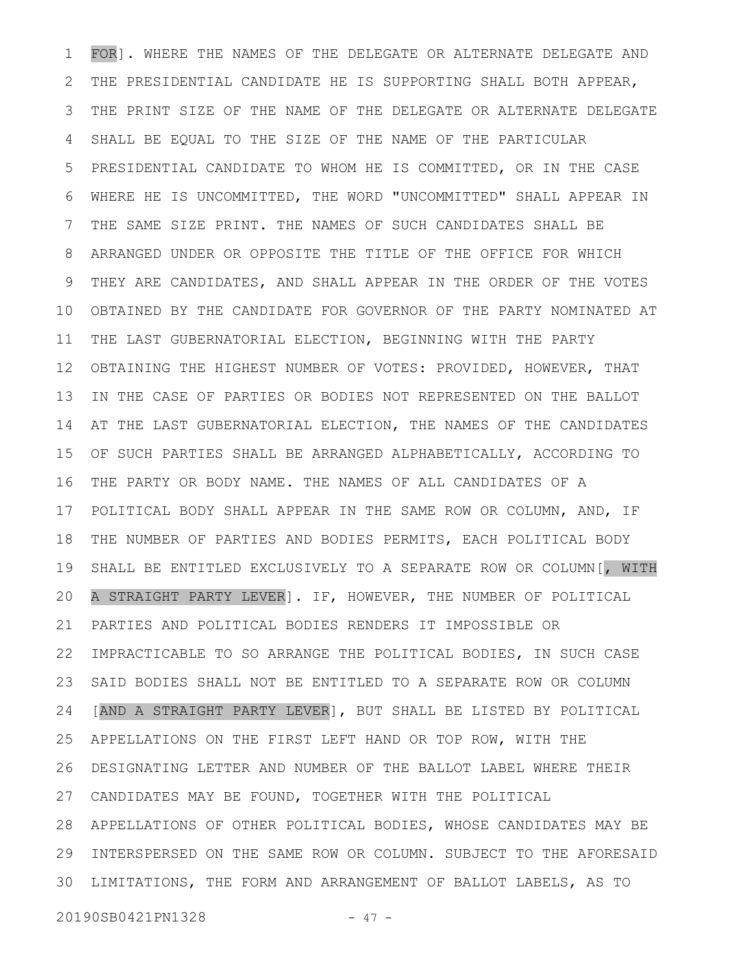FOR]. WHERE THE NAMES OF THE DELEGATE OR ALTERNATE DELEGATE AND THE PRESIDENTIAL CANDIDATE HE IS SUPPORTING SHALL BOTH APPEAR, THE PRINT SIZE OF THE NAME OF THE DELEGATE OR ALTERNATE DELEGATE SHALL BE EQUAL TO THE SIZE OF THE NAME OF THE PARTICULAR PRESIDENTIAL CANDIDATE TO WHOM HE IS COMMITTED, OR IN THE CASE WHERE HE IS UNCOMMITTED, THE WORD "UNCOMMITTED" SHALL APPEAR IN THE SAME SIZE PRINT. THE NAMES OF SUCH CANDIDATES SHALL BE ARRANGED UNDER OR OPPOSITE THE TITLE OF THE OFFICE FOR WHICH THEY ARE CANDIDATES, AND SHALL APPEAR IN THE ORDER OF THE VOTES OBTAINED BY THE CANDIDATE FOR GOVERNOR OF THE PARTY NOMINATED AT THE LAST GUBERNATORIAL ELECTION, BEGINNING WITH THE PARTY OBTAINING THE HIGHEST NUMBER OF VOTES: PROVIDED, HOWEVER, THAT IN THE CASE OF PARTIES OR BODIES NOT REPRESENTED ON THE BALLOT AT THE LAST GUBERNATORIAL ELECTION, THE NAMES OF THE CANDIDATES OF SUCH PARTIES SHALL BE ARRANGED ALPHABETICALLY, ACCORDING TO THE PARTY OR BODY NAME. THE NAMES OF ALL CANDIDATES OF A POLITICAL BODY SHALL APPEAR IN THE SAME ROW OR COLUMN, AND, IF THE NUMBER OF PARTIES AND BODIES PERMITS, EACH POLITICAL BODY SHALL BE ENTITLED EXCLUSIVELY TO A SEPARATE ROW OR COLUMN[, WITH A STRAIGHT PARTY LEVER]. IF, HOWEVER, THE NUMBER OF POLITICAL PARTIES AND POLITICAL BODIES RENDERS IT IMPOSSIBLE OR IMPRACTICABLE TO SO ARRANGE THE POLITICAL BODIES, IN SUCH CASE SAID BODIES SHALL NOT BE ENTITLED TO A SEPARATE ROW OR COLUMN [AND A STRAIGHT PARTY LEVER], BUT SHALL BE LISTED BY POLITICAL APPELLATIONS ON THE FIRST LEFT HAND OR TOP ROW, WITH THE DESIGNATING LETTER AND NUMBER OF THE BALLOT LABEL WHERE THEIR CANDIDATES MAY BE FOUND, TOGETHER WITH THE POLITICAL APPELLATIONS OF OTHER POLITICAL BODIES, WHOSE CANDIDATES MAY BE 28 INTERSPERSED ON THE SAME ROW OR COLUMN. SUBJECT TO THE AFORESAID LIMITATIONS, THE FORM AND ARRANGEMENT OF BALLOT LABELS, AS TO 1 2 3 4 5 6 7 8 9 10 11 12 13 14 15 16 17 18 19 20 21 22 23 24 25 26 27 29 30

20190SB0421PN1328 - 47 -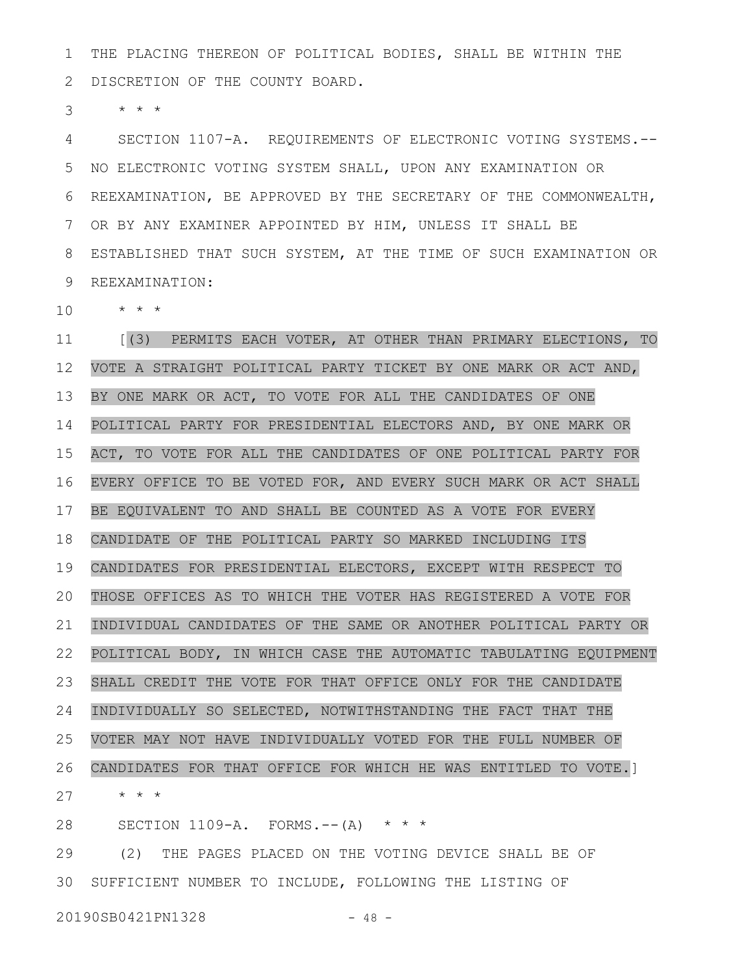THE PLACING THEREON OF POLITICAL BODIES, SHALL BE WITHIN THE DISCRETION OF THE COUNTY BOARD. 1 2

\* \* \* 3

SECTION 1107-A. REQUIREMENTS OF ELECTRONIC VOTING SYSTEMS.-- NO ELECTRONIC VOTING SYSTEM SHALL, UPON ANY EXAMINATION OR REEXAMINATION, BE APPROVED BY THE SECRETARY OF THE COMMONWEALTH, OR BY ANY EXAMINER APPOINTED BY HIM, UNLESS IT SHALL BE ESTABLISHED THAT SUCH SYSTEM, AT THE TIME OF SUCH EXAMINATION OR REEXAMINATION: 4 5 6 7 8 9

\* \* \* 10

[(3) PERMITS EACH VOTER, AT OTHER THAN PRIMARY ELECTIONS, TO VOTE A STRAIGHT POLITICAL PARTY TICKET BY ONE MARK OR ACT AND, BY ONE MARK OR ACT, TO VOTE FOR ALL THE CANDIDATES OF ONE POLITICAL PARTY FOR PRESIDENTIAL ELECTORS AND, BY ONE MARK OR ACT, TO VOTE FOR ALL THE CANDIDATES OF ONE POLITICAL PARTY FOR EVERY OFFICE TO BE VOTED FOR, AND EVERY SUCH MARK OR ACT SHALL BE EQUIVALENT TO AND SHALL BE COUNTED AS A VOTE FOR EVERY CANDIDATE OF THE POLITICAL PARTY SO MARKED INCLUDING ITS CANDIDATES FOR PRESIDENTIAL ELECTORS, EXCEPT WITH RESPECT TO THOSE OFFICES AS TO WHICH THE VOTER HAS REGISTERED A VOTE FOR INDIVIDUAL CANDIDATES OF THE SAME OR ANOTHER POLITICAL PARTY OR POLITICAL BODY, IN WHICH CASE THE AUTOMATIC TABULATING EQUIPMENT SHALL CREDIT THE VOTE FOR THAT OFFICE ONLY FOR THE CANDIDATE INDIVIDUALLY SO SELECTED, NOTWITHSTANDING THE FACT THAT THE VOTER MAY NOT HAVE INDIVIDUALLY VOTED FOR THE FULL NUMBER OF CANDIDATES FOR THAT OFFICE FOR WHICH HE WAS ENTITLED TO VOTE.] \* \* \* 11 12 13 14 15 16 17 18 19 20 21 22 23 24 25 26 27

SECTION  $1109-A.$  FORMS.--(A) \* \* \* 28

(2) THE PAGES PLACED ON THE VOTING DEVICE SHALL BE OF SUFFICIENT NUMBER TO INCLUDE, FOLLOWING THE LISTING OF 3029

20190SB0421PN1328 - 48 -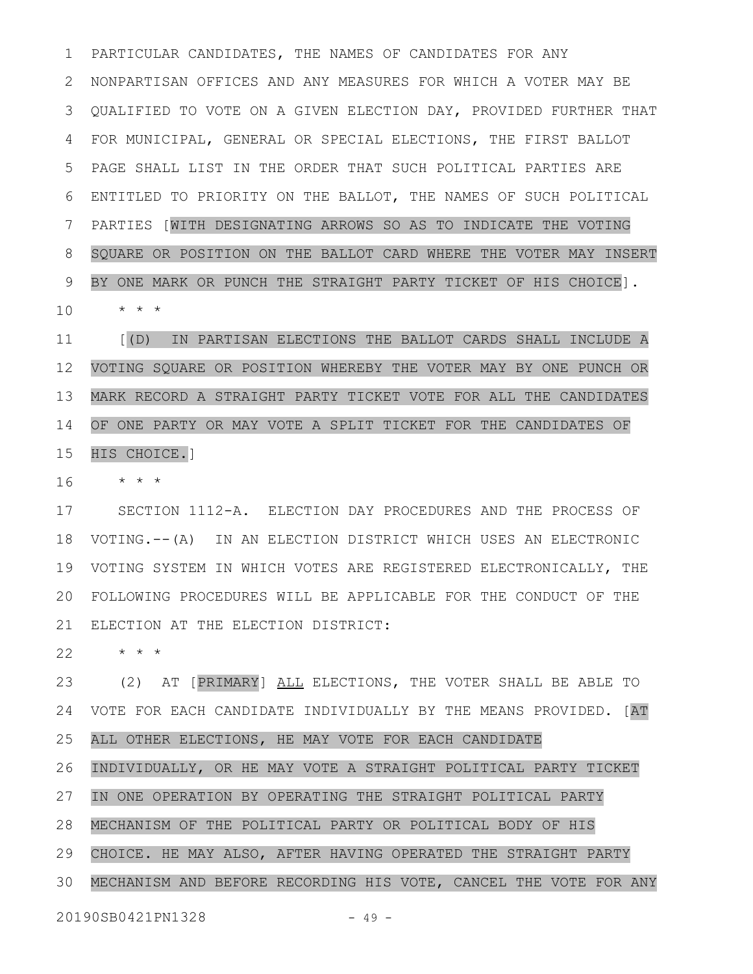PARTICULAR CANDIDATES, THE NAMES OF CANDIDATES FOR ANY NONPARTISAN OFFICES AND ANY MEASURES FOR WHICH A VOTER MAY BE QUALIFIED TO VOTE ON A GIVEN ELECTION DAY, PROVIDED FURTHER THAT 3 FOR MUNICIPAL, GENERAL OR SPECIAL ELECTIONS, THE FIRST BALLOT PAGE SHALL LIST IN THE ORDER THAT SUCH POLITICAL PARTIES ARE ENTITLED TO PRIORITY ON THE BALLOT, THE NAMES OF SUCH POLITICAL PARTIES [WITH DESIGNATING ARROWS SO AS TO INDICATE THE VOTING SQUARE OR POSITION ON THE BALLOT CARD WHERE THE VOTER MAY INSERT BY ONE MARK OR PUNCH THE STRAIGHT PARTY TICKET OF HIS CHOICE]. \* \* \* 1 2 4 5 6 7 8 9 10

[(D) IN PARTISAN ELECTIONS THE BALLOT CARDS SHALL INCLUDE A VOTING SQUARE OR POSITION WHEREBY THE VOTER MAY BY ONE PUNCH OR MARK RECORD A STRAIGHT PARTY TICKET VOTE FOR ALL THE CANDIDATES OF ONE PARTY OR MAY VOTE A SPLIT TICKET FOR THE CANDIDATES OF HIS CHOICE.] 11 12 13 14 15

\* \* \* 16

SECTION 1112-A. ELECTION DAY PROCEDURES AND THE PROCESS OF VOTING.--(A) IN AN ELECTION DISTRICT WHICH USES AN ELECTRONIC VOTING SYSTEM IN WHICH VOTES ARE REGISTERED ELECTRONICALLY, THE 19 FOLLOWING PROCEDURES WILL BE APPLICABLE FOR THE CONDUCT OF THE 20 21 ELECTION AT THE ELECTION DISTRICT: 17 18

\* \* \* 22

(2) AT [PRIMARY] ALL ELECTIONS, THE VOTER SHALL BE ABLE TO VOTE FOR EACH CANDIDATE INDIVIDUALLY BY THE MEANS PROVIDED. [AT ALL OTHER ELECTIONS, HE MAY VOTE FOR EACH CANDIDATE INDIVIDUALLY, OR HE MAY VOTE A STRAIGHT POLITICAL PARTY TICKET IN ONE OPERATION BY OPERATING THE STRAIGHT POLITICAL PARTY MECHANISM OF THE POLITICAL PARTY OR POLITICAL BODY OF HIS CHOICE. HE MAY ALSO, AFTER HAVING OPERATED THE STRAIGHT PARTY MECHANISM AND BEFORE RECORDING HIS VOTE, CANCEL THE VOTE FOR ANY 20190SB0421PN1328 - 49 -23 24 25 26 27 28 29 30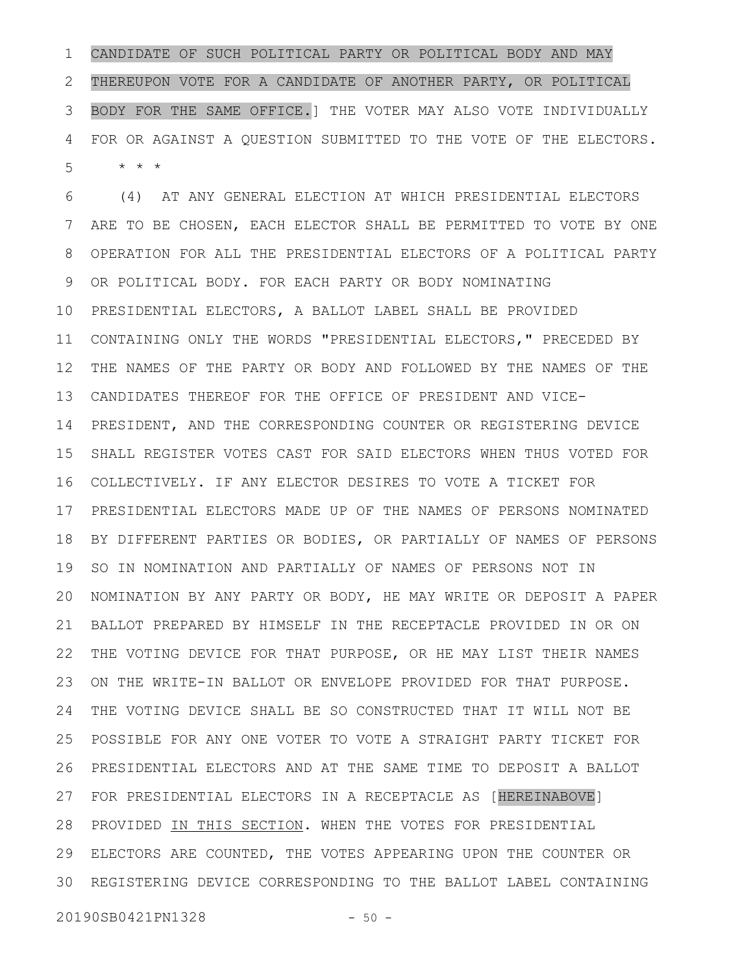CANDIDATE OF SUCH POLITICAL PARTY OR POLITICAL BODY AND MAY THEREUPON VOTE FOR A CANDIDATE OF ANOTHER PARTY, OR POLITICAL BODY FOR THE SAME OFFICE.] THE VOTER MAY ALSO VOTE INDIVIDUALLY FOR OR AGAINST A QUESTION SUBMITTED TO THE VOTE OF THE ELECTORS. \* \* \* 1 2 3 4 5

(4) AT ANY GENERAL ELECTION AT WHICH PRESIDENTIAL ELECTORS ARE TO BE CHOSEN, EACH ELECTOR SHALL BE PERMITTED TO VOTE BY ONE OPERATION FOR ALL THE PRESIDENTIAL ELECTORS OF A POLITICAL PARTY OR POLITICAL BODY. FOR EACH PARTY OR BODY NOMINATING PRESIDENTIAL ELECTORS, A BALLOT LABEL SHALL BE PROVIDED CONTAINING ONLY THE WORDS "PRESIDENTIAL ELECTORS," PRECEDED BY THE NAMES OF THE PARTY OR BODY AND FOLLOWED BY THE NAMES OF THE CANDIDATES THEREOF FOR THE OFFICE OF PRESIDENT AND VICE-PRESIDENT, AND THE CORRESPONDING COUNTER OR REGISTERING DEVICE SHALL REGISTER VOTES CAST FOR SAID ELECTORS WHEN THUS VOTED FOR COLLECTIVELY. IF ANY ELECTOR DESIRES TO VOTE A TICKET FOR PRESIDENTIAL ELECTORS MADE UP OF THE NAMES OF PERSONS NOMINATED BY DIFFERENT PARTIES OR BODIES, OR PARTIALLY OF NAMES OF PERSONS SO IN NOMINATION AND PARTIALLY OF NAMES OF PERSONS NOT IN 20 NOMINATION BY ANY PARTY OR BODY, HE MAY WRITE OR DEPOSIT A PAPER BALLOT PREPARED BY HIMSELF IN THE RECEPTACLE PROVIDED IN OR ON THE VOTING DEVICE FOR THAT PURPOSE, OR HE MAY LIST THEIR NAMES ON THE WRITE-IN BALLOT OR ENVELOPE PROVIDED FOR THAT PURPOSE. THE VOTING DEVICE SHALL BE SO CONSTRUCTED THAT IT WILL NOT BE POSSIBLE FOR ANY ONE VOTER TO VOTE A STRAIGHT PARTY TICKET FOR PRESIDENTIAL ELECTORS AND AT THE SAME TIME TO DEPOSIT A BALLOT FOR PRESIDENTIAL ELECTORS IN A RECEPTACLE AS [HEREINABOVE] 27 28 PROVIDED IN THIS SECTION. WHEN THE VOTES FOR PRESIDENTIAL ELECTORS ARE COUNTED, THE VOTES APPEARING UPON THE COUNTER OR REGISTERING DEVICE CORRESPONDING TO THE BALLOT LABEL CONTAINING 306 7 8 9 10 11 12 13 14 15 16 17 18 19 21 22 23 24 25 26 29

20190SB0421PN1328 - 50 -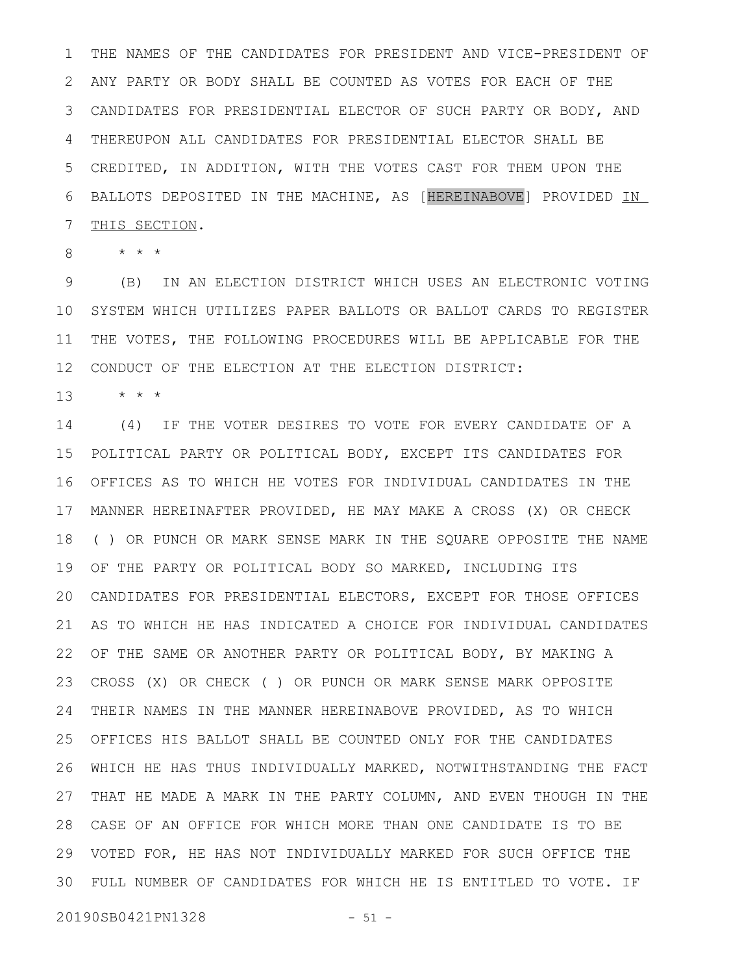THE NAMES OF THE CANDIDATES FOR PRESIDENT AND VICE-PRESIDENT OF ANY PARTY OR BODY SHALL BE COUNTED AS VOTES FOR EACH OF THE CANDIDATES FOR PRESIDENTIAL ELECTOR OF SUCH PARTY OR BODY, AND 3 THEREUPON ALL CANDIDATES FOR PRESIDENTIAL ELECTOR SHALL BE CREDITED, IN ADDITION, WITH THE VOTES CAST FOR THEM UPON THE BALLOTS DEPOSITED IN THE MACHINE, AS [HEREINABOVE] PROVIDED IN THIS SECTION. 1 2 4 5 6 7

\* \* \* 8

(B) IN AN ELECTION DISTRICT WHICH USES AN ELECTRONIC VOTING SYSTEM WHICH UTILIZES PAPER BALLOTS OR BALLOT CARDS TO REGISTER THE VOTES, THE FOLLOWING PROCEDURES WILL BE APPLICABLE FOR THE CONDUCT OF THE ELECTION AT THE ELECTION DISTRICT: 9 10 11 12

\* \* \* 13

(4) IF THE VOTER DESIRES TO VOTE FOR EVERY CANDIDATE OF A POLITICAL PARTY OR POLITICAL BODY, EXCEPT ITS CANDIDATES FOR 15 OFFICES AS TO WHICH HE VOTES FOR INDIVIDUAL CANDIDATES IN THE 16 MANNER HEREINAFTER PROVIDED, HE MAY MAKE A CROSS (X) OR CHECK 17 ( ) OR PUNCH OR MARK SENSE MARK IN THE SQUARE OPPOSITE THE NAME OF THE PARTY OR POLITICAL BODY SO MARKED, INCLUDING ITS 19 CANDIDATES FOR PRESIDENTIAL ELECTORS, EXCEPT FOR THOSE OFFICES AS TO WHICH HE HAS INDICATED A CHOICE FOR INDIVIDUAL CANDIDATES OF THE SAME OR ANOTHER PARTY OR POLITICAL BODY, BY MAKING A CROSS (X) OR CHECK ( ) OR PUNCH OR MARK SENSE MARK OPPOSITE THEIR NAMES IN THE MANNER HEREINABOVE PROVIDED, AS TO WHICH OFFICES HIS BALLOT SHALL BE COUNTED ONLY FOR THE CANDIDATES WHICH HE HAS THUS INDIVIDUALLY MARKED, NOTWITHSTANDING THE FACT 26 27 THAT HE MADE A MARK IN THE PARTY COLUMN, AND EVEN THOUGH IN THE CASE OF AN OFFICE FOR WHICH MORE THAN ONE CANDIDATE IS TO BE 28 VOTED FOR, HE HAS NOT INDIVIDUALLY MARKED FOR SUCH OFFICE THE FULL NUMBER OF CANDIDATES FOR WHICH HE IS ENTITLED TO VOTE. IF 3014 18 20 21 22 23 24 25 29

20190SB0421PN1328 - 51 -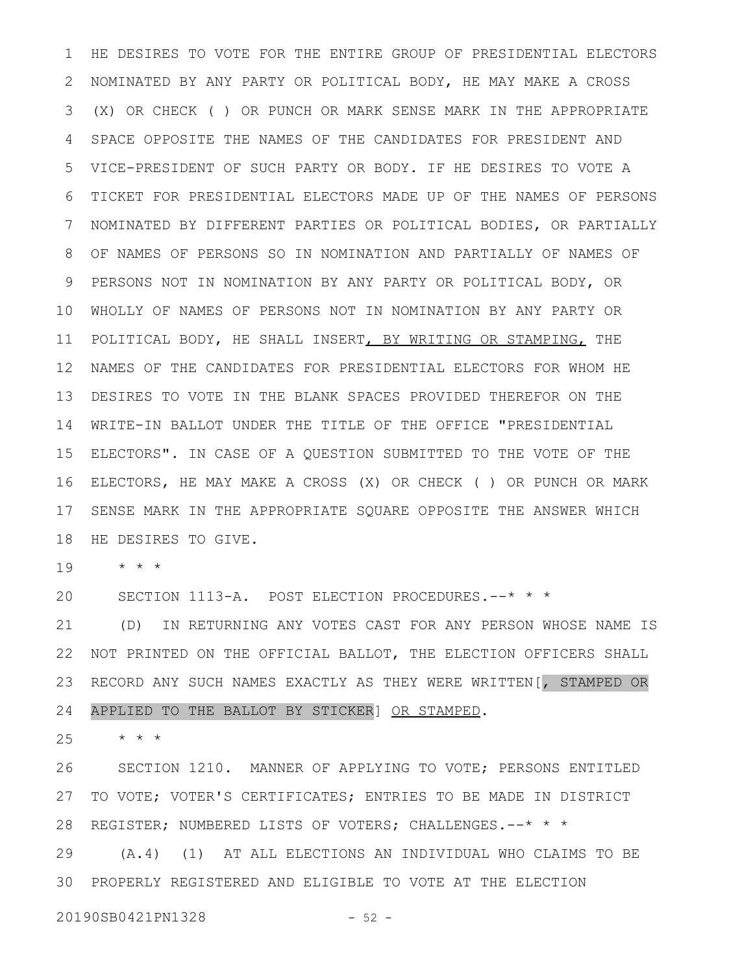HE DESIRES TO VOTE FOR THE ENTIRE GROUP OF PRESIDENTIAL ELECTORS NOMINATED BY ANY PARTY OR POLITICAL BODY, HE MAY MAKE A CROSS (X) OR CHECK ( ) OR PUNCH OR MARK SENSE MARK IN THE APPROPRIATE SPACE OPPOSITE THE NAMES OF THE CANDIDATES FOR PRESIDENT AND VICE-PRESIDENT OF SUCH PARTY OR BODY. IF HE DESIRES TO VOTE A TICKET FOR PRESIDENTIAL ELECTORS MADE UP OF THE NAMES OF PERSONS NOMINATED BY DIFFERENT PARTIES OR POLITICAL BODIES, OR PARTIALLY OF NAMES OF PERSONS SO IN NOMINATION AND PARTIALLY OF NAMES OF PERSONS NOT IN NOMINATION BY ANY PARTY OR POLITICAL BODY, OR WHOLLY OF NAMES OF PERSONS NOT IN NOMINATION BY ANY PARTY OR POLITICAL BODY, HE SHALL INSERT, BY WRITING OR STAMPING, THE NAMES OF THE CANDIDATES FOR PRESIDENTIAL ELECTORS FOR WHOM HE DESIRES TO VOTE IN THE BLANK SPACES PROVIDED THEREFOR ON THE WRITE-IN BALLOT UNDER THE TITLE OF THE OFFICE "PRESIDENTIAL 14 ELECTORS". IN CASE OF A QUESTION SUBMITTED TO THE VOTE OF THE ELECTORS, HE MAY MAKE A CROSS (X) OR CHECK ( ) OR PUNCH OR MARK SENSE MARK IN THE APPROPRIATE SQUARE OPPOSITE THE ANSWER WHICH HE DESIRES TO GIVE. 1 2 3 4 5 6 7 8 9 10 11 12 13 15 16 17 18

\* \* \* 19

SECTION 1113-A. POST ELECTION PROCEDURES.--\* \* \* 20

(D) IN RETURNING ANY VOTES CAST FOR ANY PERSON WHOSE NAME IS NOT PRINTED ON THE OFFICIAL BALLOT, THE ELECTION OFFICERS SHALL RECORD ANY SUCH NAMES EXACTLY AS THEY WERE WRITTEN[, STAMPED OR APPLIED TO THE BALLOT BY STICKER] OR STAMPED. 21 22 23 24

\* \* \* 25

SECTION 1210. MANNER OF APPLYING TO VOTE; PERSONS ENTITLED TO VOTE; VOTER'S CERTIFICATES; ENTRIES TO BE MADE IN DISTRICT REGISTER; NUMBERED LISTS OF VOTERS; CHALLENGES.--\* \* \* (A.4) (1) AT ALL ELECTIONS AN INDIVIDUAL WHO CLAIMS TO BE PROPERLY REGISTERED AND ELIGIBLE TO VOTE AT THE ELECTION 3026 27 28 29

20190SB0421PN1328 - 52 -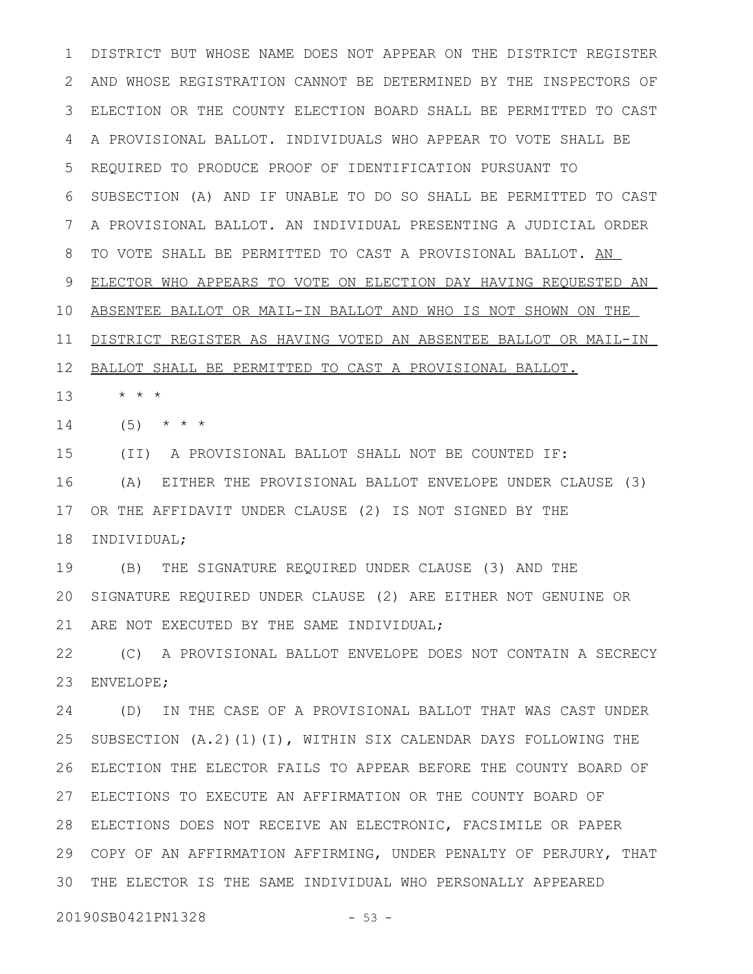DISTRICT BUT WHOSE NAME DOES NOT APPEAR ON THE DISTRICT REGISTER AND WHOSE REGISTRATION CANNOT BE DETERMINED BY THE INSPECTORS OF ELECTION OR THE COUNTY ELECTION BOARD SHALL BE PERMITTED TO CAST A PROVISIONAL BALLOT. INDIVIDUALS WHO APPEAR TO VOTE SHALL BE REQUIRED TO PRODUCE PROOF OF IDENTIFICATION PURSUANT TO SUBSECTION (A) AND IF UNABLE TO DO SO SHALL BE PERMITTED TO CAST A PROVISIONAL BALLOT. AN INDIVIDUAL PRESENTING A JUDICIAL ORDER TO VOTE SHALL BE PERMITTED TO CAST A PROVISIONAL BALLOT. AN ELECTOR WHO APPEARS TO VOTE ON ELECTION DAY HAVING REQUESTED AN ABSENTEE BALLOT OR MAIL-IN BALLOT AND WHO IS NOT SHOWN ON THE DISTRICT REGISTER AS HAVING VOTED AN ABSENTEE BALLOT OR MAIL-IN BALLOT SHALL BE PERMITTED TO CAST A PROVISIONAL BALLOT. \* \* \* 1 2 3 4 5 6 7 8 9 10 11 12 13

 $(5)$  \* \* \* 14

(II) A PROVISIONAL BALLOT SHALL NOT BE COUNTED IF: (A) EITHER THE PROVISIONAL BALLOT ENVELOPE UNDER CLAUSE (3) OR THE AFFIDAVIT UNDER CLAUSE (2) IS NOT SIGNED BY THE INDIVIDUAL; 15 16 17 18

(B) THE SIGNATURE REQUIRED UNDER CLAUSE (3) AND THE SIGNATURE REQUIRED UNDER CLAUSE (2) ARE EITHER NOT GENUINE OR ARE NOT EXECUTED BY THE SAME INDIVIDUAL; 19 20 21

(C) A PROVISIONAL BALLOT ENVELOPE DOES NOT CONTAIN A SECRECY ENVELOPE; 22 23

(D) IN THE CASE OF A PROVISIONAL BALLOT THAT WAS CAST UNDER SUBSECTION (A.2)(1)(I), WITHIN SIX CALENDAR DAYS FOLLOWING THE ELECTION THE ELECTOR FAILS TO APPEAR BEFORE THE COUNTY BOARD OF ELECTIONS TO EXECUTE AN AFFIRMATION OR THE COUNTY BOARD OF 27 ELECTIONS DOES NOT RECEIVE AN ELECTRONIC, FACSIMILE OR PAPER 28 29 COPY OF AN AFFIRMATION AFFIRMING, UNDER PENALTY OF PERJURY, THAT THE ELECTOR IS THE SAME INDIVIDUAL WHO PERSONALLY APPEARED 3024 25 26

20190SB0421PN1328 - 53 -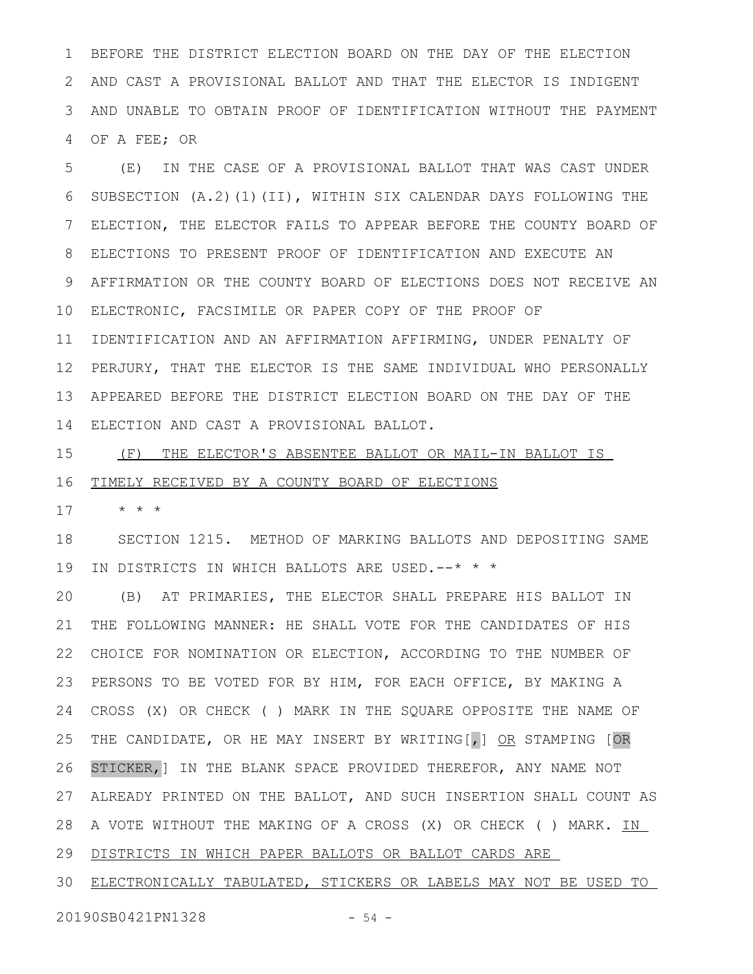BEFORE THE DISTRICT ELECTION BOARD ON THE DAY OF THE ELECTION AND CAST A PROVISIONAL BALLOT AND THAT THE ELECTOR IS INDIGENT AND UNABLE TO OBTAIN PROOF OF IDENTIFICATION WITHOUT THE PAYMENT OF A FEE; OR 1 2 3 4

(E) IN THE CASE OF A PROVISIONAL BALLOT THAT WAS CAST UNDER SUBSECTION (A.2)(1)(II), WITHIN SIX CALENDAR DAYS FOLLOWING THE ELECTION, THE ELECTOR FAILS TO APPEAR BEFORE THE COUNTY BOARD OF ELECTIONS TO PRESENT PROOF OF IDENTIFICATION AND EXECUTE AN AFFIRMATION OR THE COUNTY BOARD OF ELECTIONS DOES NOT RECEIVE AN ELECTRONIC, FACSIMILE OR PAPER COPY OF THE PROOF OF IDENTIFICATION AND AN AFFIRMATION AFFIRMING, UNDER PENALTY OF PERJURY, THAT THE ELECTOR IS THE SAME INDIVIDUAL WHO PERSONALLY APPEARED BEFORE THE DISTRICT ELECTION BOARD ON THE DAY OF THE ELECTION AND CAST A PROVISIONAL BALLOT. 5 6 7 8 9 10 11 12 13 14

(F) THE ELECTOR'S ABSENTEE BALLOT OR MAIL-IN BALLOT IS TIMELY RECEIVED BY A COUNTY BOARD OF ELECTIONS 15 16

\* \* \* 17

SECTION 1215. METHOD OF MARKING BALLOTS AND DEPOSITING SAME IN DISTRICTS IN WHICH BALLOTS ARE USED.--\* \* \* 18 19

(B) AT PRIMARIES, THE ELECTOR SHALL PREPARE HIS BALLOT IN THE FOLLOWING MANNER: HE SHALL VOTE FOR THE CANDIDATES OF HIS CHOICE FOR NOMINATION OR ELECTION, ACCORDING TO THE NUMBER OF PERSONS TO BE VOTED FOR BY HIM, FOR EACH OFFICE, BY MAKING A CROSS (X) OR CHECK ( ) MARK IN THE SQUARE OPPOSITE THE NAME OF THE CANDIDATE, OR HE MAY INSERT BY WRITING [, ] OR STAMPING [OR STICKER,] IN THE BLANK SPACE PROVIDED THEREFOR, ANY NAME NOT ALREADY PRINTED ON THE BALLOT, AND SUCH INSERTION SHALL COUNT AS A VOTE WITHOUT THE MAKING OF A CROSS (X) OR CHECK ( ) MARK. IN 29 DISTRICTS IN WHICH PAPER BALLOTS OR BALLOT CARDS ARE 20 21 22 23 24 25 26 27 28

ELECTRONICALLY TABULATED, STICKERS OR LABELS MAY NOT BE USED TO 30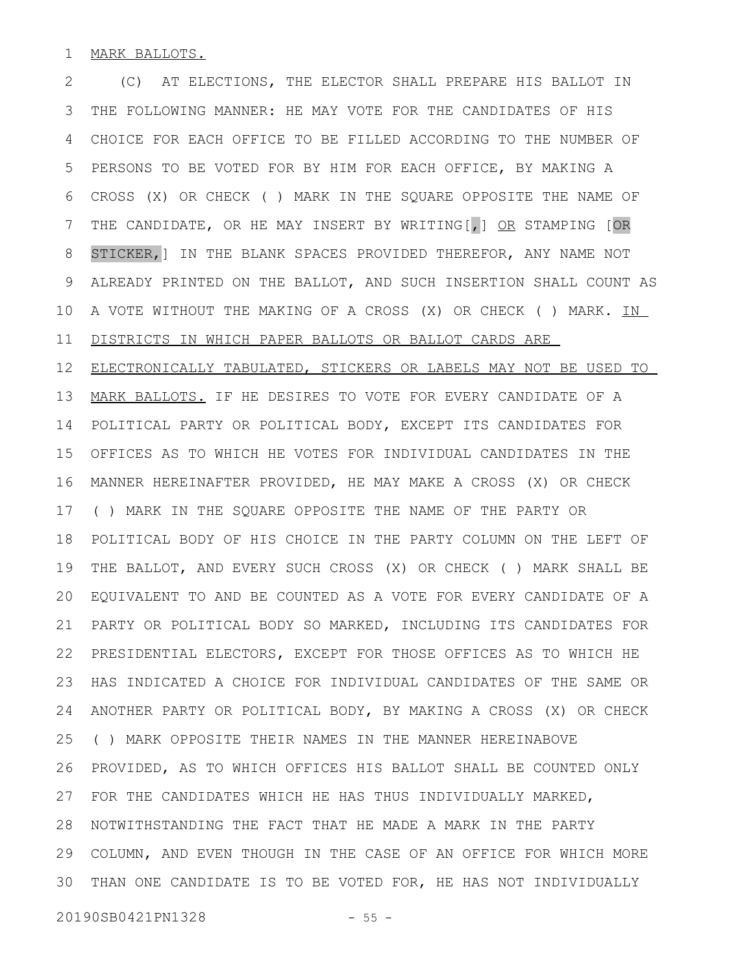MARK BALLOTS. 1

(C) AT ELECTIONS, THE ELECTOR SHALL PREPARE HIS BALLOT IN THE FOLLOWING MANNER: HE MAY VOTE FOR THE CANDIDATES OF HIS CHOICE FOR EACH OFFICE TO BE FILLED ACCORDING TO THE NUMBER OF PERSONS TO BE VOTED FOR BY HIM FOR EACH OFFICE, BY MAKING A CROSS (X) OR CHECK ( ) MARK IN THE SQUARE OPPOSITE THE NAME OF THE CANDIDATE, OR HE MAY INSERT BY WRITING[,] OR STAMPING [OR STICKER,] IN THE BLANK SPACES PROVIDED THEREFOR, ANY NAME NOT ALREADY PRINTED ON THE BALLOT, AND SUCH INSERTION SHALL COUNT AS A VOTE WITHOUT THE MAKING OF A CROSS (X) OR CHECK ( ) MARK. IN DISTRICTS IN WHICH PAPER BALLOTS OR BALLOT CARDS ARE 2 3 4 5 6 7 8 9 10 11

ELECTRONICALLY TABULATED, STICKERS OR LABELS MAY NOT BE USED TO MARK BALLOTS. IF HE DESIRES TO VOTE FOR EVERY CANDIDATE OF A POLITICAL PARTY OR POLITICAL BODY, EXCEPT ITS CANDIDATES FOR OFFICES AS TO WHICH HE VOTES FOR INDIVIDUAL CANDIDATES IN THE MANNER HEREINAFTER PROVIDED, HE MAY MAKE A CROSS (X) OR CHECK ( ) MARK IN THE SQUARE OPPOSITE THE NAME OF THE PARTY OR POLITICAL BODY OF HIS CHOICE IN THE PARTY COLUMN ON THE LEFT OF THE BALLOT, AND EVERY SUCH CROSS (X) OR CHECK ( ) MARK SHALL BE EQUIVALENT TO AND BE COUNTED AS A VOTE FOR EVERY CANDIDATE OF A PARTY OR POLITICAL BODY SO MARKED, INCLUDING ITS CANDIDATES FOR PRESIDENTIAL ELECTORS, EXCEPT FOR THOSE OFFICES AS TO WHICH HE HAS INDICATED A CHOICE FOR INDIVIDUAL CANDIDATES OF THE SAME OR ANOTHER PARTY OR POLITICAL BODY, BY MAKING A CROSS (X) OR CHECK ( ) MARK OPPOSITE THEIR NAMES IN THE MANNER HEREINABOVE PROVIDED, AS TO WHICH OFFICES HIS BALLOT SHALL BE COUNTED ONLY FOR THE CANDIDATES WHICH HE HAS THUS INDIVIDUALLY MARKED, NOTWITHSTANDING THE FACT THAT HE MADE A MARK IN THE PARTY COLUMN, AND EVEN THOUGH IN THE CASE OF AN OFFICE FOR WHICH MORE THAN ONE CANDIDATE IS TO BE VOTED FOR, HE HAS NOT INDIVIDUALLY 3012 13 14 15 16 17 18 19 20 21 22 23 24 25 26 27 28 29

20190SB0421PN1328 - 55 -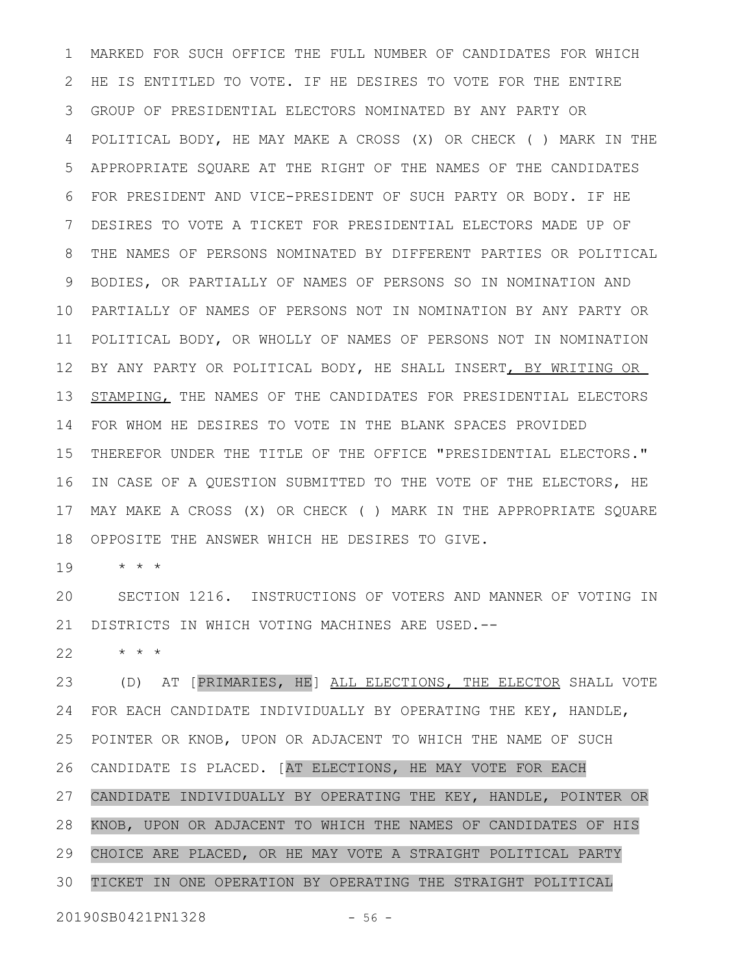MARKED FOR SUCH OFFICE THE FULL NUMBER OF CANDIDATES FOR WHICH HE IS ENTITLED TO VOTE. IF HE DESIRES TO VOTE FOR THE ENTIRE GROUP OF PRESIDENTIAL ELECTORS NOMINATED BY ANY PARTY OR POLITICAL BODY, HE MAY MAKE A CROSS (X) OR CHECK ( ) MARK IN THE APPROPRIATE SQUARE AT THE RIGHT OF THE NAMES OF THE CANDIDATES FOR PRESIDENT AND VICE-PRESIDENT OF SUCH PARTY OR BODY. IF HE DESIRES TO VOTE A TICKET FOR PRESIDENTIAL ELECTORS MADE UP OF THE NAMES OF PERSONS NOMINATED BY DIFFERENT PARTIES OR POLITICAL BODIES, OR PARTIALLY OF NAMES OF PERSONS SO IN NOMINATION AND PARTIALLY OF NAMES OF PERSONS NOT IN NOMINATION BY ANY PARTY OR POLITICAL BODY, OR WHOLLY OF NAMES OF PERSONS NOT IN NOMINATION BY ANY PARTY OR POLITICAL BODY, HE SHALL INSERT, BY WRITING OR STAMPING, THE NAMES OF THE CANDIDATES FOR PRESIDENTIAL ELECTORS FOR WHOM HE DESIRES TO VOTE IN THE BLANK SPACES PROVIDED THEREFOR UNDER THE TITLE OF THE OFFICE "PRESIDENTIAL ELECTORS." IN CASE OF A QUESTION SUBMITTED TO THE VOTE OF THE ELECTORS, HE MAY MAKE A CROSS (X) OR CHECK ( ) MARK IN THE APPROPRIATE SQUARE OPPOSITE THE ANSWER WHICH HE DESIRES TO GIVE. 1 2 3 4 5 6 7 8 9 10 11 12 13 14 15 16 17 18

\* \* \* 19

SECTION 1216. INSTRUCTIONS OF VOTERS AND MANNER OF VOTING IN DISTRICTS IN WHICH VOTING MACHINES ARE USED.-- 20 21

\* \* \* 22

(D) AT [PRIMARIES, HE] ALL ELECTIONS, THE ELECTOR SHALL VOTE FOR EACH CANDIDATE INDIVIDUALLY BY OPERATING THE KEY, HANDLE, POINTER OR KNOB, UPON OR ADJACENT TO WHICH THE NAME OF SUCH CANDIDATE IS PLACED. [AT ELECTIONS, HE MAY VOTE FOR EACH CANDIDATE INDIVIDUALLY BY OPERATING THE KEY, HANDLE, POINTER OR KNOB, UPON OR ADJACENT TO WHICH THE NAMES OF CANDIDATES OF HIS CHOICE ARE PLACED, OR HE MAY VOTE A STRAIGHT POLITICAL PARTY TICKET IN ONE OPERATION BY OPERATING THE STRAIGHT POLITICAL 23 24 25 26 27 28 29 30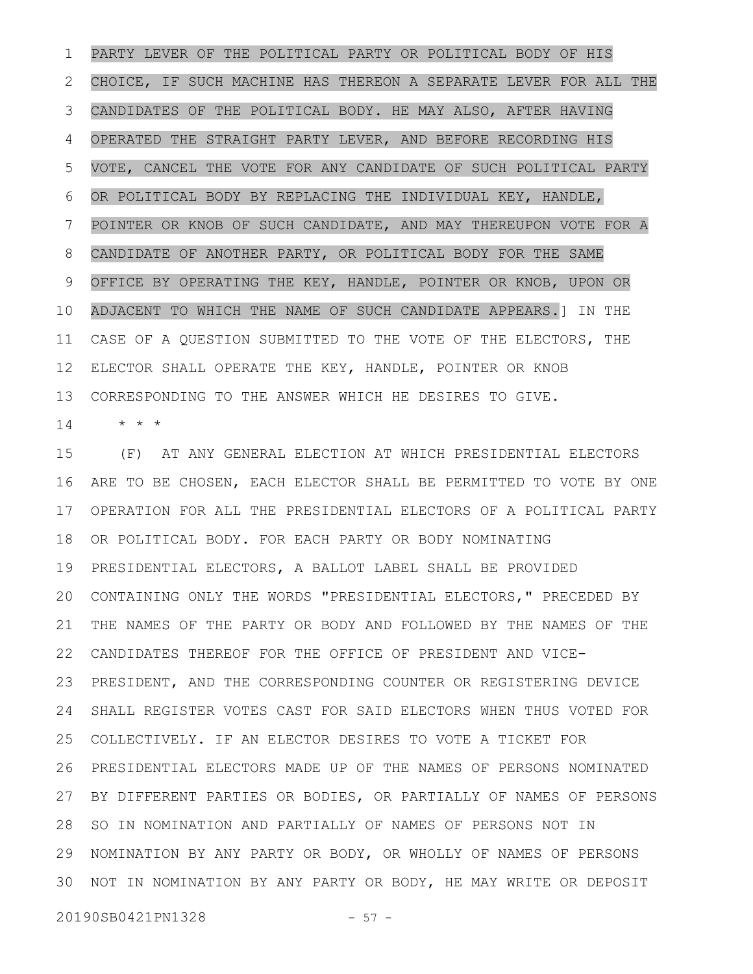PARTY LEVER OF THE POLITICAL PARTY OR POLITICAL BODY OF HIS CHOICE, IF SUCH MACHINE HAS THEREON A SEPARATE LEVER FOR ALL THE CANDIDATES OF THE POLITICAL BODY. HE MAY ALSO, AFTER HAVING OPERATED THE STRAIGHT PARTY LEVER, AND BEFORE RECORDING HIS VOTE, CANCEL THE VOTE FOR ANY CANDIDATE OF SUCH POLITICAL PARTY OR POLITICAL BODY BY REPLACING THE INDIVIDUAL KEY, HANDLE, POINTER OR KNOB OF SUCH CANDIDATE, AND MAY THEREUPON VOTE FOR A CANDIDATE OF ANOTHER PARTY, OR POLITICAL BODY FOR THE SAME OFFICE BY OPERATING THE KEY, HANDLE, POINTER OR KNOB, UPON OR ADJACENT TO WHICH THE NAME OF SUCH CANDIDATE APPEARS.] IN THE CASE OF A QUESTION SUBMITTED TO THE VOTE OF THE ELECTORS, THE ELECTOR SHALL OPERATE THE KEY, HANDLE, POINTER OR KNOB CORRESPONDING TO THE ANSWER WHICH HE DESIRES TO GIVE. 1 2 3 4 5 6 7 8 9 10 11 12 13

\* \* \* 14

(F) AT ANY GENERAL ELECTION AT WHICH PRESIDENTIAL ELECTORS ARE TO BE CHOSEN, EACH ELECTOR SHALL BE PERMITTED TO VOTE BY ONE OPERATION FOR ALL THE PRESIDENTIAL ELECTORS OF A POLITICAL PARTY OR POLITICAL BODY. FOR EACH PARTY OR BODY NOMINATING PRESIDENTIAL ELECTORS, A BALLOT LABEL SHALL BE PROVIDED CONTAINING ONLY THE WORDS "PRESIDENTIAL ELECTORS," PRECEDED BY THE NAMES OF THE PARTY OR BODY AND FOLLOWED BY THE NAMES OF THE CANDIDATES THEREOF FOR THE OFFICE OF PRESIDENT AND VICE-PRESIDENT, AND THE CORRESPONDING COUNTER OR REGISTERING DEVICE SHALL REGISTER VOTES CAST FOR SAID ELECTORS WHEN THUS VOTED FOR COLLECTIVELY. IF AN ELECTOR DESIRES TO VOTE A TICKET FOR PRESIDENTIAL ELECTORS MADE UP OF THE NAMES OF PERSONS NOMINATED BY DIFFERENT PARTIES OR BODIES, OR PARTIALLY OF NAMES OF PERSONS 28 SO IN NOMINATION AND PARTIALLY OF NAMES OF PERSONS NOT IN NOMINATION BY ANY PARTY OR BODY, OR WHOLLY OF NAMES OF PERSONS 29 30 NOT IN NOMINATION BY ANY PARTY OR BODY, HE MAY WRITE OR DEPOSIT 15 16 17 18 19 20 21 22 23 24 25 26 27

20190SB0421PN1328 - 57 -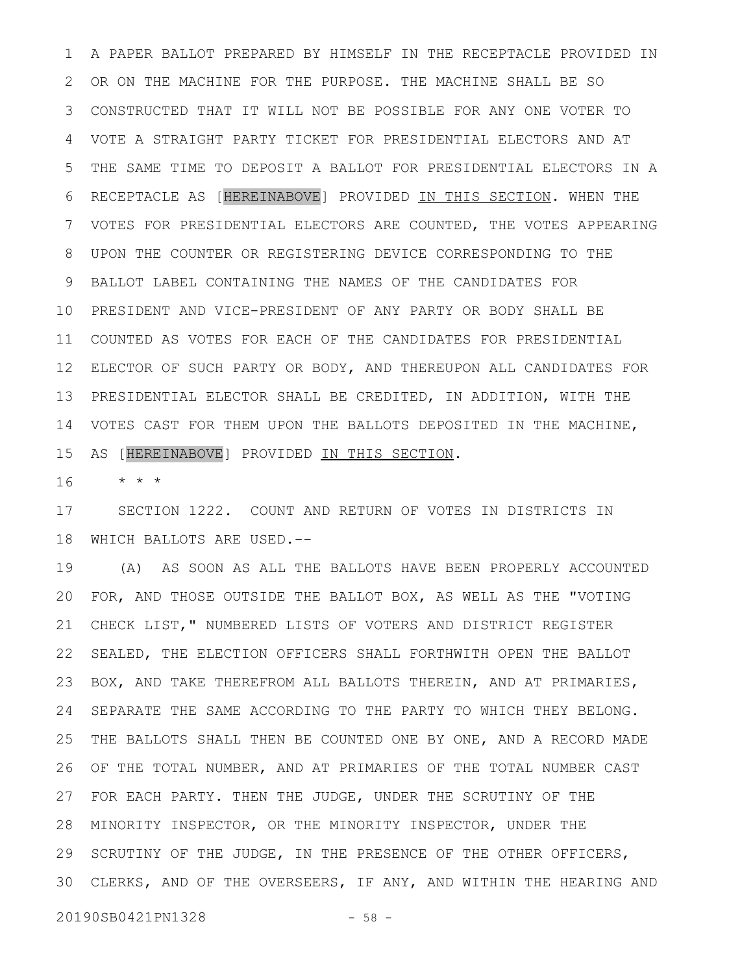A PAPER BALLOT PREPARED BY HIMSELF IN THE RECEPTACLE PROVIDED IN OR ON THE MACHINE FOR THE PURPOSE. THE MACHINE SHALL BE SO CONSTRUCTED THAT IT WILL NOT BE POSSIBLE FOR ANY ONE VOTER TO VOTE A STRAIGHT PARTY TICKET FOR PRESIDENTIAL ELECTORS AND AT THE SAME TIME TO DEPOSIT A BALLOT FOR PRESIDENTIAL ELECTORS IN A RECEPTACLE AS [HEREINABOVE] PROVIDED IN THIS SECTION. WHEN THE VOTES FOR PRESIDENTIAL ELECTORS ARE COUNTED, THE VOTES APPEARING UPON THE COUNTER OR REGISTERING DEVICE CORRESPONDING TO THE BALLOT LABEL CONTAINING THE NAMES OF THE CANDIDATES FOR PRESIDENT AND VICE-PRESIDENT OF ANY PARTY OR BODY SHALL BE COUNTED AS VOTES FOR EACH OF THE CANDIDATES FOR PRESIDENTIAL ELECTOR OF SUCH PARTY OR BODY, AND THEREUPON ALL CANDIDATES FOR 12 PRESIDENTIAL ELECTOR SHALL BE CREDITED, IN ADDITION, WITH THE VOTES CAST FOR THEM UPON THE BALLOTS DEPOSITED IN THE MACHINE, AS [HEREINABOVE] PROVIDED IN THIS SECTION. 1 2 3 4 5 6 7 8 9 10 11 13 14 15

\* \* \* 16

SECTION 1222. COUNT AND RETURN OF VOTES IN DISTRICTS IN WHICH BALLOTS ARE USED.-- 17 18

(A) AS SOON AS ALL THE BALLOTS HAVE BEEN PROPERLY ACCOUNTED FOR, AND THOSE OUTSIDE THE BALLOT BOX, AS WELL AS THE "VOTING CHECK LIST," NUMBERED LISTS OF VOTERS AND DISTRICT REGISTER SEALED, THE ELECTION OFFICERS SHALL FORTHWITH OPEN THE BALLOT BOX, AND TAKE THEREFROM ALL BALLOTS THEREIN, AND AT PRIMARIES, SEPARATE THE SAME ACCORDING TO THE PARTY TO WHICH THEY BELONG. THE BALLOTS SHALL THEN BE COUNTED ONE BY ONE, AND A RECORD MADE OF THE TOTAL NUMBER, AND AT PRIMARIES OF THE TOTAL NUMBER CAST FOR EACH PARTY. THEN THE JUDGE, UNDER THE SCRUTINY OF THE 28 MINORITY INSPECTOR, OR THE MINORITY INSPECTOR, UNDER THE SCRUTINY OF THE JUDGE, IN THE PRESENCE OF THE OTHER OFFICERS, CLERKS, AND OF THE OVERSEERS, IF ANY, AND WITHIN THE HEARING AND 3019 20 21 22 23 24 25 26 27 29

20190SB0421PN1328 - 58 -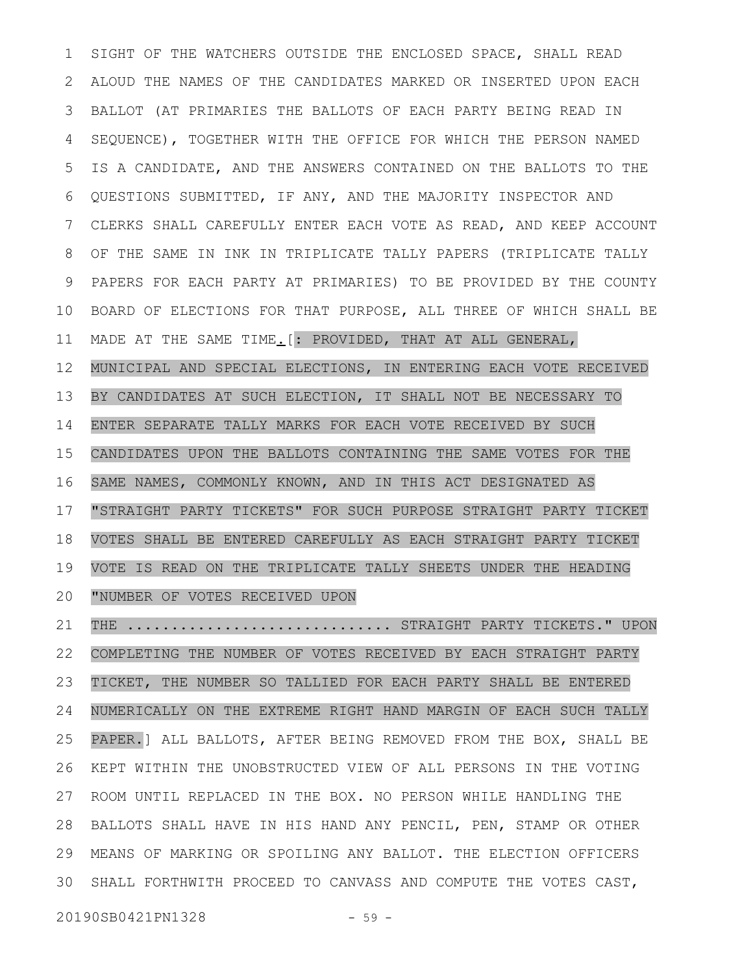SIGHT OF THE WATCHERS OUTSIDE THE ENCLOSED SPACE, SHALL READ ALOUD THE NAMES OF THE CANDIDATES MARKED OR INSERTED UPON EACH BALLOT (AT PRIMARIES THE BALLOTS OF EACH PARTY BEING READ IN SEQUENCE), TOGETHER WITH THE OFFICE FOR WHICH THE PERSON NAMED IS A CANDIDATE, AND THE ANSWERS CONTAINED ON THE BALLOTS TO THE QUESTIONS SUBMITTED, IF ANY, AND THE MAJORITY INSPECTOR AND CLERKS SHALL CAREFULLY ENTER EACH VOTE AS READ, AND KEEP ACCOUNT OF THE SAME IN INK IN TRIPLICATE TALLY PAPERS (TRIPLICATE TALLY PAPERS FOR EACH PARTY AT PRIMARIES) TO BE PROVIDED BY THE COUNTY BOARD OF ELECTIONS FOR THAT PURPOSE, ALL THREE OF WHICH SHALL BE MADE AT THE SAME TIME.[: PROVIDED, THAT AT ALL GENERAL, MUNICIPAL AND SPECIAL ELECTIONS, IN ENTERING EACH VOTE RECEIVED BY CANDIDATES AT SUCH ELECTION, IT SHALL NOT BE NECESSARY TO ENTER SEPARATE TALLY MARKS FOR EACH VOTE RECEIVED BY SUCH CANDIDATES UPON THE BALLOTS CONTAINING THE SAME VOTES FOR THE SAME NAMES, COMMONLY KNOWN, AND IN THIS ACT DESIGNATED AS "STRAIGHT PARTY TICKETS" FOR SUCH PURPOSE STRAIGHT PARTY TICKET VOTES SHALL BE ENTERED CAREFULLY AS EACH STRAIGHT PARTY TICKET VOTE IS READ ON THE TRIPLICATE TALLY SHEETS UNDER THE HEADING "NUMBER OF VOTES RECEIVED UPON THE .............................. STRAIGHT PARTY TICKETS." UPON COMPLETING THE NUMBER OF VOTES RECEIVED BY EACH STRAIGHT PARTY 1 2 3 4 5 6 7 8 9 10 11 12 13 14 15 16 17 18 19 20 21 22

TICKET, THE NUMBER SO TALLIED FOR EACH PARTY SHALL BE ENTERED NUMERICALLY ON THE EXTREME RIGHT HAND MARGIN OF EACH SUCH TALLY PAPER.] ALL BALLOTS, AFTER BEING REMOVED FROM THE BOX, SHALL BE KEPT WITHIN THE UNOBSTRUCTED VIEW OF ALL PERSONS IN THE VOTING ROOM UNTIL REPLACED IN THE BOX. NO PERSON WHILE HANDLING THE BALLOTS SHALL HAVE IN HIS HAND ANY PENCIL, PEN, STAMP OR OTHER MEANS OF MARKING OR SPOILING ANY BALLOT. THE ELECTION OFFICERS SHALL FORTHWITH PROCEED TO CANVASS AND COMPUTE THE VOTES CAST, 3023 24 25 26 27 28 29

20190SB0421PN1328 - 59 -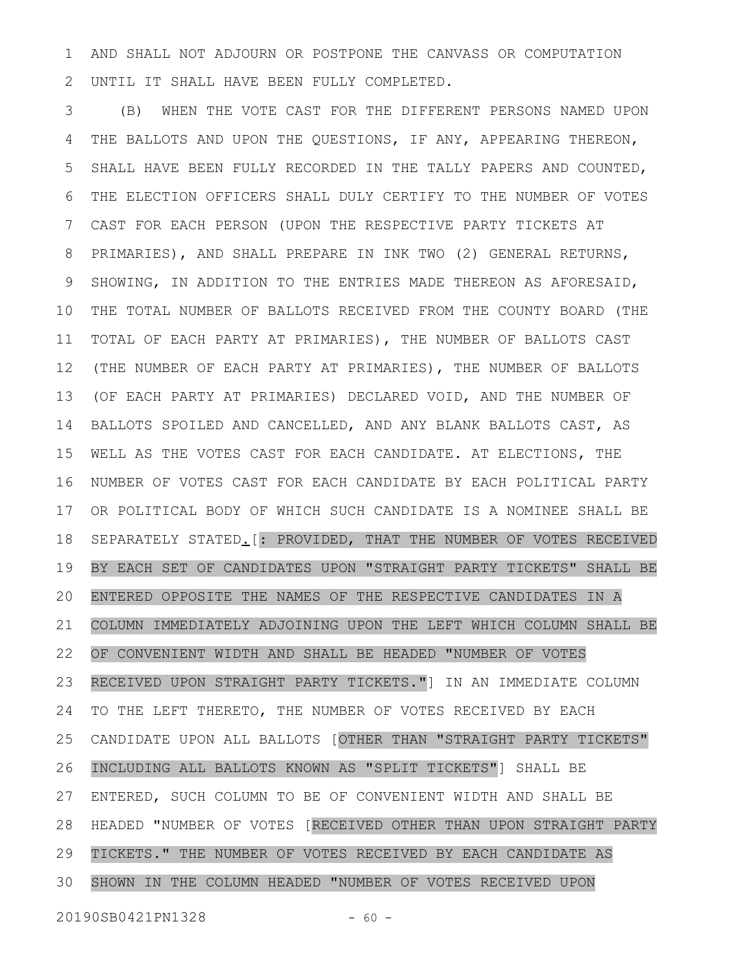AND SHALL NOT ADJOURN OR POSTPONE THE CANVASS OR COMPUTATION UNTIL IT SHALL HAVE BEEN FULLY COMPLETED. 1 2

(B) WHEN THE VOTE CAST FOR THE DIFFERENT PERSONS NAMED UPON THE BALLOTS AND UPON THE QUESTIONS, IF ANY, APPEARING THEREON, SHALL HAVE BEEN FULLY RECORDED IN THE TALLY PAPERS AND COUNTED, THE ELECTION OFFICERS SHALL DULY CERTIFY TO THE NUMBER OF VOTES CAST FOR EACH PERSON (UPON THE RESPECTIVE PARTY TICKETS AT PRIMARIES), AND SHALL PREPARE IN INK TWO (2) GENERAL RETURNS, SHOWING, IN ADDITION TO THE ENTRIES MADE THEREON AS AFORESAID, THE TOTAL NUMBER OF BALLOTS RECEIVED FROM THE COUNTY BOARD (THE TOTAL OF EACH PARTY AT PRIMARIES), THE NUMBER OF BALLOTS CAST (THE NUMBER OF EACH PARTY AT PRIMARIES), THE NUMBER OF BALLOTS (OF EACH PARTY AT PRIMARIES) DECLARED VOID, AND THE NUMBER OF BALLOTS SPOILED AND CANCELLED, AND ANY BLANK BALLOTS CAST, AS WELL AS THE VOTES CAST FOR EACH CANDIDATE. AT ELECTIONS, THE NUMBER OF VOTES CAST FOR EACH CANDIDATE BY EACH POLITICAL PARTY OR POLITICAL BODY OF WHICH SUCH CANDIDATE IS A NOMINEE SHALL BE SEPARATELY STATED. [: PROVIDED, THAT THE NUMBER OF VOTES RECEIVED BY EACH SET OF CANDIDATES UPON "STRAIGHT PARTY TICKETS" SHALL BE ENTERED OPPOSITE THE NAMES OF THE RESPECTIVE CANDIDATES IN A COLUMN IMMEDIATELY ADJOINING UPON THE LEFT WHICH COLUMN SHALL BE OF CONVENIENT WIDTH AND SHALL BE HEADED "NUMBER OF VOTES RECEIVED UPON STRAIGHT PARTY TICKETS."] IN AN IMMEDIATE COLUMN TO THE LEFT THERETO, THE NUMBER OF VOTES RECEIVED BY EACH CANDIDATE UPON ALL BALLOTS [OTHER THAN "STRAIGHT PARTY TICKETS" INCLUDING ALL BALLOTS KNOWN AS "SPLIT TICKETS"] SHALL BE ENTERED, SUCH COLUMN TO BE OF CONVENIENT WIDTH AND SHALL BE HEADED "NUMBER OF VOTES [RECEIVED OTHER THAN UPON STRAIGHT PARTY TICKETS." THE NUMBER OF VOTES RECEIVED BY EACH CANDIDATE AS SHOWN IN THE COLUMN HEADED "NUMBER OF VOTES RECEIVED UPON 3 4 5 6 7 8 9 10 11 12 13 14 15 16 17 18 19 20 21 22 23 24 25 26 27 28 29 30

20190SB0421PN1328 - 60 -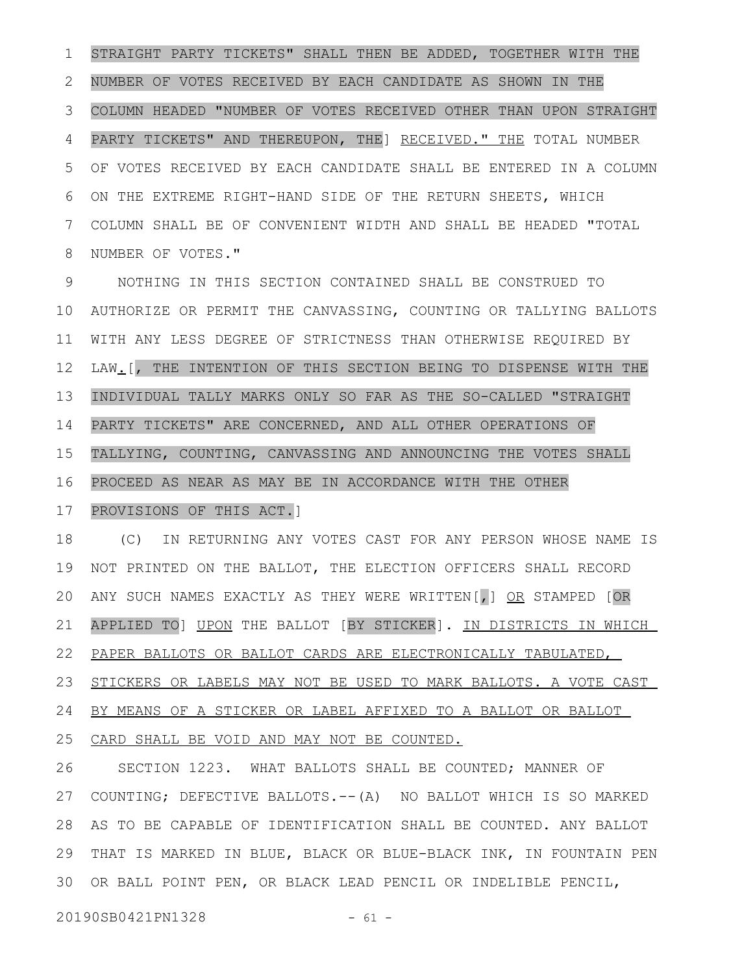STRAIGHT PARTY TICKETS" SHALL THEN BE ADDED, TOGETHER WITH THE NUMBER OF VOTES RECEIVED BY EACH CANDIDATE AS SHOWN IN THE COLUMN HEADED "NUMBER OF VOTES RECEIVED OTHER THAN UPON STRAIGHT PARTY TICKETS" AND THEREUPON, THE] RECEIVED." THE TOTAL NUMBER OF VOTES RECEIVED BY EACH CANDIDATE SHALL BE ENTERED IN A COLUMN ON THE EXTREME RIGHT-HAND SIDE OF THE RETURN SHEETS, WHICH COLUMN SHALL BE OF CONVENIENT WIDTH AND SHALL BE HEADED "TOTAL NUMBER OF VOTES." 1 2 3 4 5 6 7 8

NOTHING IN THIS SECTION CONTAINED SHALL BE CONSTRUED TO AUTHORIZE OR PERMIT THE CANVASSING, COUNTING OR TALLYING BALLOTS WITH ANY LESS DEGREE OF STRICTNESS THAN OTHERWISE REQUIRED BY LAW.[, THE INTENTION OF THIS SECTION BEING TO DISPENSE WITH THE INDIVIDUAL TALLY MARKS ONLY SO FAR AS THE SO-CALLED "STRAIGHT PARTY TICKETS" ARE CONCERNED, AND ALL OTHER OPERATIONS OF TALLYING, COUNTING, CANVASSING AND ANNOUNCING THE VOTES SHALL PROCEED AS NEAR AS MAY BE IN ACCORDANCE WITH THE OTHER 9 10 11 12 13 14 15 16

## PROVISIONS OF THIS ACT.] 17

(C) IN RETURNING ANY VOTES CAST FOR ANY PERSON WHOSE NAME IS NOT PRINTED ON THE BALLOT, THE ELECTION OFFICERS SHALL RECORD ANY SUCH NAMES EXACTLY AS THEY WERE WRITTEN[, ] OR STAMPED [OR APPLIED TO] UPON THE BALLOT [BY STICKER]. IN DISTRICTS IN WHICH PAPER BALLOTS OR BALLOT CARDS ARE ELECTRONICALLY TABULATED, STICKERS OR LABELS MAY NOT BE USED TO MARK BALLOTS. A VOTE CAST BY MEANS OF A STICKER OR LABEL AFFIXED TO A BALLOT OR BALLOT 18 19 20 21 22 23 24

CARD SHALL BE VOID AND MAY NOT BE COUNTED. 25

SECTION 1223. WHAT BALLOTS SHALL BE COUNTED; MANNER OF COUNTING; DEFECTIVE BALLOTS.--(A) NO BALLOT WHICH IS SO MARKED AS TO BE CAPABLE OF IDENTIFICATION SHALL BE COUNTED. ANY BALLOT THAT IS MARKED IN BLUE, BLACK OR BLUE-BLACK INK, IN FOUNTAIN PEN 30 OR BALL POINT PEN, OR BLACK LEAD PENCIL OR INDELIBLE PENCIL, 26 27 28 29

20190SB0421PN1328 - 61 -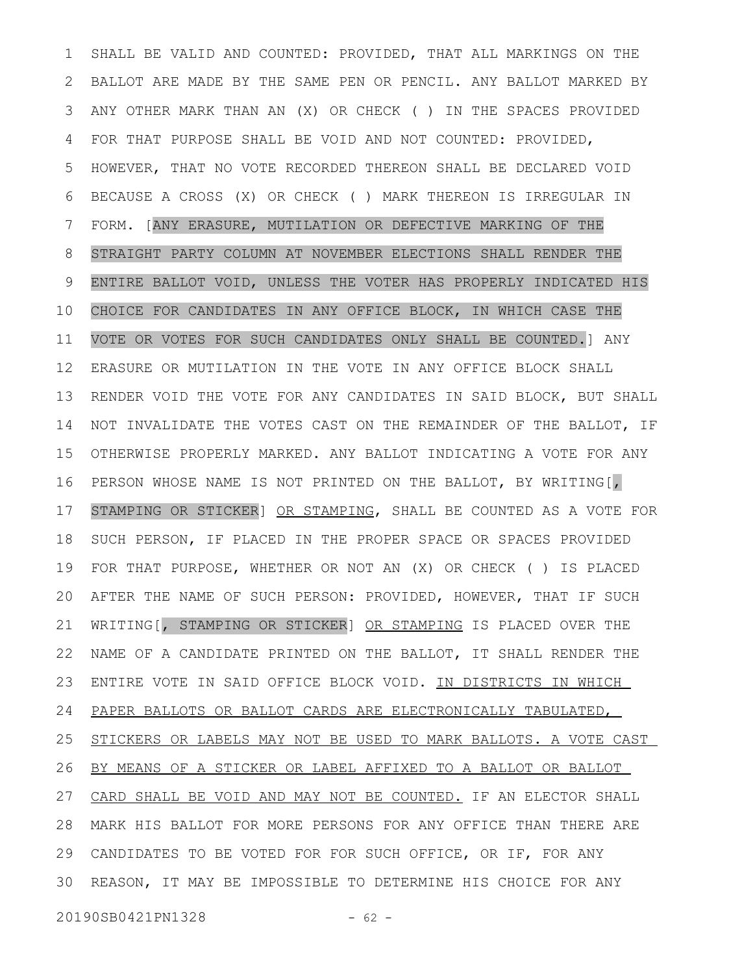SHALL BE VALID AND COUNTED: PROVIDED, THAT ALL MARKINGS ON THE BALLOT ARE MADE BY THE SAME PEN OR PENCIL. ANY BALLOT MARKED BY ANY OTHER MARK THAN AN (X) OR CHECK ( ) IN THE SPACES PROVIDED FOR THAT PURPOSE SHALL BE VOID AND NOT COUNTED: PROVIDED, HOWEVER, THAT NO VOTE RECORDED THEREON SHALL BE DECLARED VOID BECAUSE A CROSS (X) OR CHECK ( ) MARK THEREON IS IRREGULAR IN FORM. [ANY ERASURE, MUTILATION OR DEFECTIVE MARKING OF THE STRAIGHT PARTY COLUMN AT NOVEMBER ELECTIONS SHALL RENDER THE ENTIRE BALLOT VOID, UNLESS THE VOTER HAS PROPERLY INDICATED HIS CHOICE FOR CANDIDATES IN ANY OFFICE BLOCK, IN WHICH CASE THE VOTE OR VOTES FOR SUCH CANDIDATES ONLY SHALL BE COUNTED.] ANY ERASURE OR MUTILATION IN THE VOTE IN ANY OFFICE BLOCK SHALL RENDER VOID THE VOTE FOR ANY CANDIDATES IN SAID BLOCK, BUT SHALL NOT INVALIDATE THE VOTES CAST ON THE REMAINDER OF THE BALLOT, IF OTHERWISE PROPERLY MARKED. ANY BALLOT INDICATING A VOTE FOR ANY PERSON WHOSE NAME IS NOT PRINTED ON THE BALLOT, BY WRITING[, STAMPING OR STICKER] OR STAMPING, SHALL BE COUNTED AS A VOTE FOR SUCH PERSON, IF PLACED IN THE PROPER SPACE OR SPACES PROVIDED FOR THAT PURPOSE, WHETHER OR NOT AN (X) OR CHECK ( ) IS PLACED AFTER THE NAME OF SUCH PERSON: PROVIDED, HOWEVER, THAT IF SUCH WRITING[, STAMPING OR STICKER] OR STAMPING IS PLACED OVER THE NAME OF A CANDIDATE PRINTED ON THE BALLOT, IT SHALL RENDER THE ENTIRE VOTE IN SAID OFFICE BLOCK VOID. IN DISTRICTS IN WHICH PAPER BALLOTS OR BALLOT CARDS ARE ELECTRONICALLY TABULATED, STICKERS OR LABELS MAY NOT BE USED TO MARK BALLOTS. A VOTE CAST BY MEANS OF A STICKER OR LABEL AFFIXED TO A BALLOT OR BALLOT CARD SHALL BE VOID AND MAY NOT BE COUNTED. IF AN ELECTOR SHALL MARK HIS BALLOT FOR MORE PERSONS FOR ANY OFFICE THAN THERE ARE 28 CANDIDATES TO BE VOTED FOR FOR SUCH OFFICE, OR IF, FOR ANY 30 REASON, IT MAY BE IMPOSSIBLE TO DETERMINE HIS CHOICE FOR ANY 20190SB0421PN1328 - 62 -1 2 3 4 5 6 7 8 9 10 11 12 13 14 15 16 17 18 19 20 21 22 23 24 25 26 27 29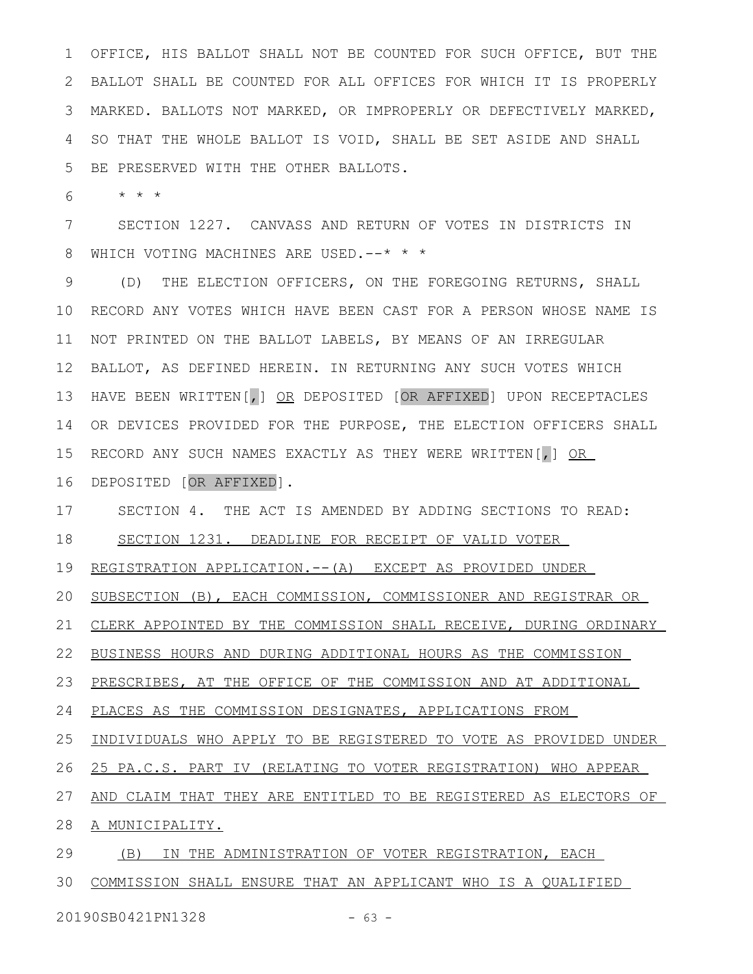OFFICE, HIS BALLOT SHALL NOT BE COUNTED FOR SUCH OFFICE, BUT THE BALLOT SHALL BE COUNTED FOR ALL OFFICES FOR WHICH IT IS PROPERLY MARKED. BALLOTS NOT MARKED, OR IMPROPERLY OR DEFECTIVELY MARKED, SO THAT THE WHOLE BALLOT IS VOID, SHALL BE SET ASIDE AND SHALL BE PRESERVED WITH THE OTHER BALLOTS. 1 2 3 4 5

\* \* \* 6

SECTION 1227. CANVASS AND RETURN OF VOTES IN DISTRICTS IN WHICH VOTING MACHINES ARE USED.--\* \* \* 7 8

(D) THE ELECTION OFFICERS, ON THE FOREGOING RETURNS, SHALL 10 RECORD ANY VOTES WHICH HAVE BEEN CAST FOR A PERSON WHOSE NAME IS NOT PRINTED ON THE BALLOT LABELS, BY MEANS OF AN IRREGULAR BALLOT, AS DEFINED HEREIN. IN RETURNING ANY SUCH VOTES WHICH HAVE BEEN WRITTEN[,] OR DEPOSITED [OR AFFIXED] UPON RECEPTACLES OR DEVICES PROVIDED FOR THE PURPOSE, THE ELECTION OFFICERS SHALL RECORD ANY SUCH NAMES EXACTLY AS THEY WERE WRITTEN[,] OR DEPOSITED [OR AFFIXED]. 9 11 12 13 14 15 16

SECTION 4. THE ACT IS AMENDED BY ADDING SECTIONS TO READ: SECTION 1231. DEADLINE FOR RECEIPT OF VALID VOTER 17 18

REGISTRATION APPLICATION.--(A) EXCEPT AS PROVIDED UNDER 19

SUBSECTION (B), EACH COMMISSION, COMMISSIONER AND REGISTRAR OR 20

CLERK APPOINTED BY THE COMMISSION SHALL RECEIVE, DURING ORDINARY 21

BUSINESS HOURS AND DURING ADDITIONAL HOURS AS THE COMMISSION 22

PRESCRIBES, AT THE OFFICE OF THE COMMISSION AND AT ADDITIONAL 23

PLACES AS THE COMMISSION DESIGNATES, APPLICATIONS FROM 24

INDIVIDUALS WHO APPLY TO BE REGISTERED TO VOTE AS PROVIDED UNDER 25

25 PA.C.S. PART IV (RELATING TO VOTER REGISTRATION) WHO APPEAR 26

AND CLAIM THAT THEY ARE ENTITLED TO BE REGISTERED AS ELECTORS OF 27

A MUNICIPALITY. 28

(B) IN THE ADMINISTRATION OF VOTER REGISTRATION, EACH 29

30 COMMISSION SHALL ENSURE THAT AN APPLICANT WHO IS A QUALIFIED

20190SB0421PN1328 - 63 -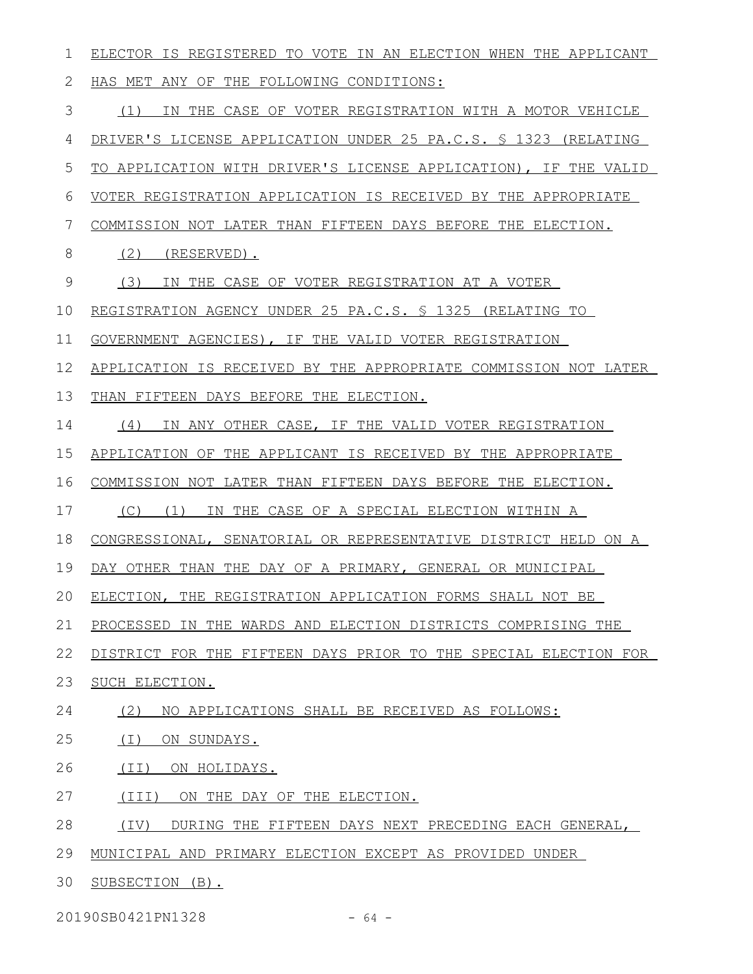| 1  | ELECTOR IS REGISTERED TO VOTE IN AN ELECTION WHEN THE APPLICANT       |
|----|-----------------------------------------------------------------------|
| 2  | HAS MET ANY OF THE FOLLOWING CONDITIONS:                              |
| 3  | IN THE CASE OF VOTER REGISTRATION WITH A MOTOR VEHICLE<br>(1)         |
| 4  | DRIVER'S LICENSE APPLICATION UNDER 25 PA.C.S. \$ 1323 (RELATING       |
| 5  | TO APPLICATION WITH DRIVER'S LICENSE APPLICATION), IF THE VALID       |
| 6  | VOTER REGISTRATION APPLICATION IS RECEIVED BY THE APPROPRIATE         |
| 7  | COMMISSION NOT LATER THAN FIFTEEN DAYS BEFORE THE ELECTION.           |
| 8  | (2)<br>(RESERVED).                                                    |
| 9  | (3)<br>IN THE CASE OF VOTER REGISTRATION AT A VOTER                   |
| 10 | REGISTRATION AGENCY UNDER 25 PA.C.S. § 1325 (RELATING TO              |
| 11 | GOVERNMENT AGENCIES), IF THE VALID VOTER REGISTRATION                 |
| 12 | APPLICATION IS RECEIVED BY THE APPROPRIATE COMMISSION NOT LATER       |
| 13 | THAN FIFTEEN DAYS BEFORE THE ELECTION.                                |
| 14 | (4)<br>IN ANY OTHER CASE, IF THE VALID VOTER REGISTRATION             |
| 15 | APPLICATION OF THE APPLICANT IS RECEIVED BY THE APPROPRIATE           |
| 16 | COMMISSION NOT LATER THAN FIFTEEN DAYS BEFORE THE ELECTION.           |
| 17 | $(C)$ $(1)$<br>IN THE CASE OF A SPECIAL ELECTION WITHIN A             |
| 18 | CONGRESSIONAL, SENATORIAL OR REPRESENTATIVE DISTRICT HELD ON A        |
| 19 | DAY OTHER THAN THE DAY OF A PRIMARY, GENERAL OR MUNICIPAL             |
| 20 | ELECTION, THE REGISTRATION APPLICATION FORMS SHALL NOT BE             |
| 21 | PROCESSED IN THE WARDS AND ELECTION DISTRICTS COMPRISING THE          |
| 22 | DISTRICT FOR THE FIFTEEN DAYS PRIOR TO THE SPECIAL ELECTION FOR       |
| 23 | SUCH ELECTION.                                                        |
| 24 | (2)<br>NO APPLICATIONS SHALL BE RECEIVED AS FOLLOWS:                  |
| 25 | (I)<br>ON SUNDAYS.                                                    |
| 26 | (II) ON HOLIDAYS.                                                     |
| 27 | $(\I{III})$<br>ON THE DAY OF THE ELECTION.                            |
| 28 | $(\text{IV})$<br>DURING THE FIFTEEN DAYS NEXT PRECEDING EACH GENERAL, |
| 29 | MUNICIPAL AND PRIMARY ELECTION EXCEPT AS PROVIDED UNDER               |
| 30 | SUBSECTION (B).                                                       |

20190SB0421PN1328 - 64 -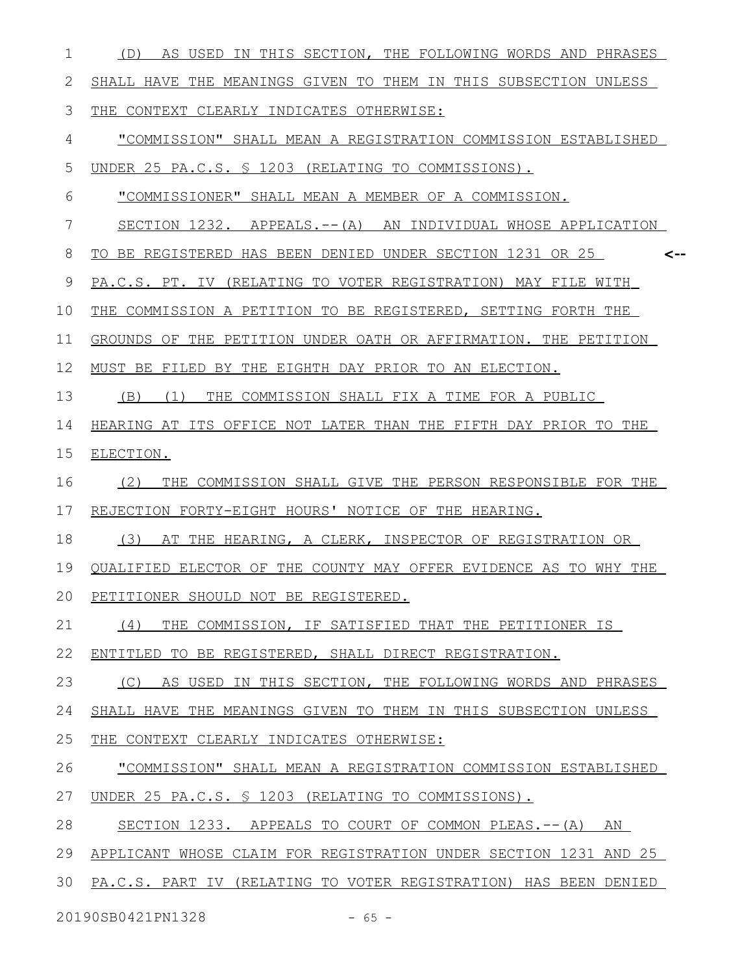| 1  | (D) AS USED IN THIS SECTION, THE FOLLOWING WORDS AND PHRASES     |
|----|------------------------------------------------------------------|
| 2  | SHALL HAVE THE MEANINGS GIVEN TO THEM IN THIS SUBSECTION UNLESS  |
| 3  | THE CONTEXT CLEARLY INDICATES OTHERWISE:                         |
| 4  | "COMMISSION" SHALL MEAN A REGISTRATION COMMISSION ESTABLISHED    |
| 5  | UNDER 25 PA.C.S. § 1203 (RELATING TO COMMISSIONS).               |
| 6  | "COMMISSIONER" SHALL MEAN A MEMBER OF A COMMISSION.              |
| 7  | SECTION 1232. APPEALS. -- (A) AN INDIVIDUAL WHOSE APPLICATION    |
| 8  | TO BE REGISTERED HAS BEEN DENIED UNDER SECTION 1231 OR 25<br><-- |
| 9  | PA.C.S. PT. IV (RELATING TO VOTER REGISTRATION) MAY FILE WITH    |
| 10 | THE COMMISSION A PETITION TO BE REGISTERED, SETTING FORTH THE    |
| 11 | GROUNDS OF THE PETITION UNDER OATH OR AFFIRMATION. THE PETITION  |
| 12 | MUST BE FILED BY THE EIGHTH DAY PRIOR TO AN ELECTION.            |
| 13 | (B)<br>(1)<br>THE COMMISSION SHALL FIX A TIME FOR A PUBLIC       |
| 14 | HEARING AT ITS OFFICE NOT LATER THAN THE FIFTH DAY PRIOR TO THE  |
| 15 | ELECTION.                                                        |
| 16 | THE COMMISSION SHALL GIVE THE PERSON RESPONSIBLE FOR THE<br>(2)  |
| 17 | REJECTION FORTY-EIGHT HOURS' NOTICE OF THE HEARING.              |
| 18 | (3)<br>AT THE HEARING, A CLERK, INSPECTOR OF REGISTRATION OR     |
| 19 | OUALIFIED ELECTOR OF THE COUNTY MAY OFFER EVIDENCE AS TO WHY THE |
|    | 20 PETITIONER SHOULD NOT BE REGISTERED.                          |
| 21 | (4)<br>THE COMMISSION, IF SATISFIED THAT THE PETITIONER IS       |
| 22 | ENTITLED TO BE REGISTERED, SHALL DIRECT REGISTRATION.            |
| 23 | (C)<br>AS USED IN THIS SECTION, THE FOLLOWING WORDS AND PHRASES  |
| 24 | SHALL HAVE THE MEANINGS GIVEN TO THEM IN THIS SUBSECTION UNLESS  |
| 25 | THE CONTEXT CLEARLY INDICATES OTHERWISE:                         |
| 26 | "COMMISSION" SHALL MEAN A REGISTRATION COMMISSION ESTABLISHED    |
| 27 | UNDER 25 PA.C.S. § 1203 (RELATING TO COMMISSIONS).               |
| 28 | SECTION 1233. APPEALS TO COURT OF COMMON PLEAS.-- (A) AN         |
| 29 | APPLICANT WHOSE CLAIM FOR REGISTRATION UNDER SECTION 1231 AND 25 |
| 30 | PA.C.S. PART IV (RELATING TO VOTER REGISTRATION) HAS BEEN DENIED |
|    | 20190SB0421PN1328<br>$-65 -$                                     |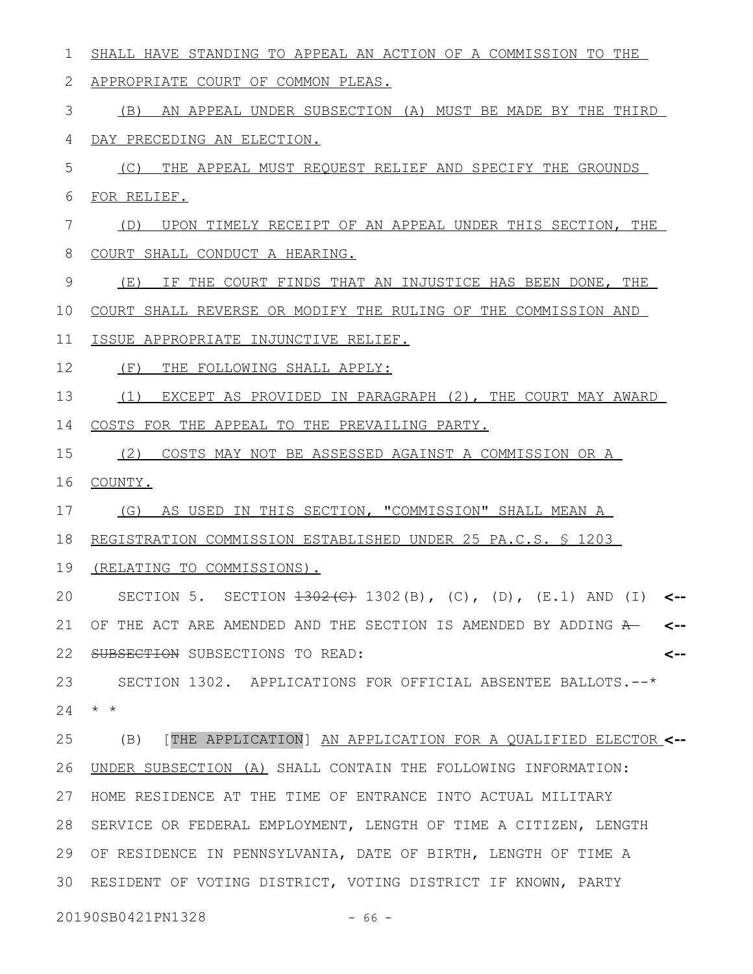SHALL HAVE STANDING TO APPEAL AN ACTION OF A COMMISSION TO THE APPROPRIATE COURT OF COMMON PLEAS. (B) AN APPEAL UNDER SUBSECTION (A) MUST BE MADE BY THE THIRD DAY PRECEDING AN ELECTION. (C) THE APPEAL MUST REQUEST RELIEF AND SPECIFY THE GROUNDS FOR RELIEF. (D) UPON TIMELY RECEIPT OF AN APPEAL UNDER THIS SECTION, THE COURT SHALL CONDUCT A HEARING. (E) IF THE COURT FINDS THAT AN INJUSTICE HAS BEEN DONE, THE COURT SHALL REVERSE OR MODIFY THE RULING OF THE COMMISSION AND ISSUE APPROPRIATE INJUNCTIVE RELIEF. (F) THE FOLLOWING SHALL APPLY: (1) EXCEPT AS PROVIDED IN PARAGRAPH (2), THE COURT MAY AWARD COSTS FOR THE APPEAL TO THE PREVAILING PARTY. (2) COSTS MAY NOT BE ASSESSED AGAINST A COMMISSION OR A COUNTY. (G) AS USED IN THIS SECTION, "COMMISSION" SHALL MEAN A REGISTRATION COMMISSION ESTABLISHED UNDER 25 PA.C.S. § 1203 19 (RELATING TO COMMISSIONS). SECTION 5. SECTION 1302(C) 1302(B), (C), (D), (E.1) AND (I) **<--** OF THE ACT ARE AMENDED AND THE SECTION IS AMENDED BY ADDING A **<--** SUBSECTION SUBSECTIONS TO READ: SECTION 1302. APPLICATIONS FOR OFFICIAL ABSENTEE BALLOTS.--\* \* \* 24 (B) [THE APPLICATION] AN APPLICATION FOR A QUALIFIED ELECTOR **<--** UNDER SUBSECTION (A) SHALL CONTAIN THE FOLLOWING INFORMATION: 27 HOME RESIDENCE AT THE TIME OF ENTRANCE INTO ACTUAL MILITARY 28 SERVICE OR FEDERAL EMPLOYMENT, LENGTH OF TIME A CITIZEN, LENGTH OF RESIDENCE IN PENNSYLVANIA, DATE OF BIRTH, LENGTH OF TIME A 29 30 RESIDENT OF VOTING DISTRICT, VOTING DISTRICT IF KNOWN, PARTY **<--** 1 2 3 4 5 6 7 8 9 10 11 12 13 14 15 16 17 18 20 21 22 23 25 26

20190SB0421PN1328 - 66 -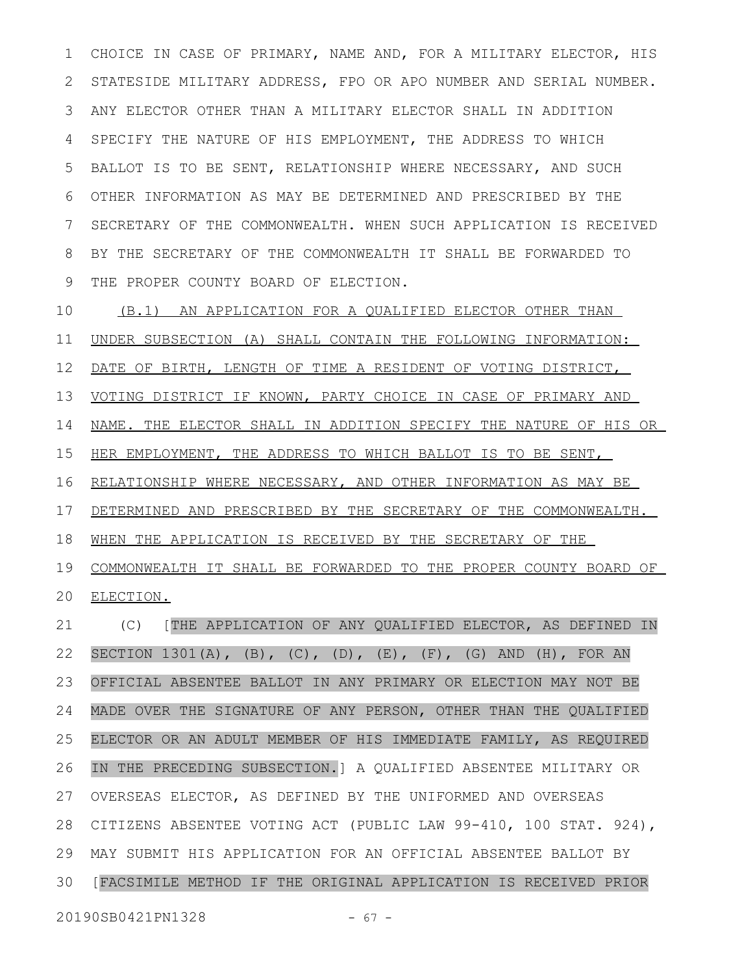CHOICE IN CASE OF PRIMARY, NAME AND, FOR A MILITARY ELECTOR, HIS STATESIDE MILITARY ADDRESS, FPO OR APO NUMBER AND SERIAL NUMBER. ANY ELECTOR OTHER THAN A MILITARY ELECTOR SHALL IN ADDITION SPECIFY THE NATURE OF HIS EMPLOYMENT, THE ADDRESS TO WHICH BALLOT IS TO BE SENT, RELATIONSHIP WHERE NECESSARY, AND SUCH OTHER INFORMATION AS MAY BE DETERMINED AND PRESCRIBED BY THE SECRETARY OF THE COMMONWEALTH. WHEN SUCH APPLICATION IS RECEIVED BY THE SECRETARY OF THE COMMONWEALTH IT SHALL BE FORWARDED TO THE PROPER COUNTY BOARD OF ELECTION. 1 2 3 4 5 6 7 8 9

(B.1) AN APPLICATION FOR A QUALIFIED ELECTOR OTHER THAN UNDER SUBSECTION (A) SHALL CONTAIN THE FOLLOWING INFORMATION: DATE OF BIRTH, LENGTH OF TIME A RESIDENT OF VOTING DISTRICT, VOTING DISTRICT IF KNOWN, PARTY CHOICE IN CASE OF PRIMARY AND NAME. THE ELECTOR SHALL IN ADDITION SPECIFY THE NATURE OF HIS OR HER EMPLOYMENT, THE ADDRESS TO WHICH BALLOT IS TO BE SENT, RELATIONSHIP WHERE NECESSARY, AND OTHER INFORMATION AS MAY BE DETERMINED AND PRESCRIBED BY THE SECRETARY OF THE COMMONWEALTH. WHEN THE APPLICATION IS RECEIVED BY THE SECRETARY OF THE COMMONWEALTH IT SHALL BE FORWARDED TO THE PROPER COUNTY BOARD OF ELECTION. (C) [THE APPLICATION OF ANY QUALIFIED ELECTOR, AS DEFINED IN SECTION  $1301(A)$ , (B), (C), (D), (E), (F), (G) AND (H), FOR AN 10 11 12 13 14 15 16 17 18 19 20 21 22

OFFICIAL ABSENTEE BALLOT IN ANY PRIMARY OR ELECTION MAY NOT BE MADE OVER THE SIGNATURE OF ANY PERSON, OTHER THAN THE QUALIFIED ELECTOR OR AN ADULT MEMBER OF HIS IMMEDIATE FAMILY, AS REQUIRED IN THE PRECEDING SUBSECTION.] A QUALIFIED ABSENTEE MILITARY OR OVERSEAS ELECTOR, AS DEFINED BY THE UNIFORMED AND OVERSEAS CITIZENS ABSENTEE VOTING ACT (PUBLIC LAW 99-410, 100 STAT. 924), MAY SUBMIT HIS APPLICATION FOR AN OFFICIAL ABSENTEE BALLOT BY 29 30 [FACSIMILE METHOD IF THE ORIGINAL APPLICATION IS RECEIVED PRIOR 23 24 25 26 27 28

20190SB0421PN1328 - 67 -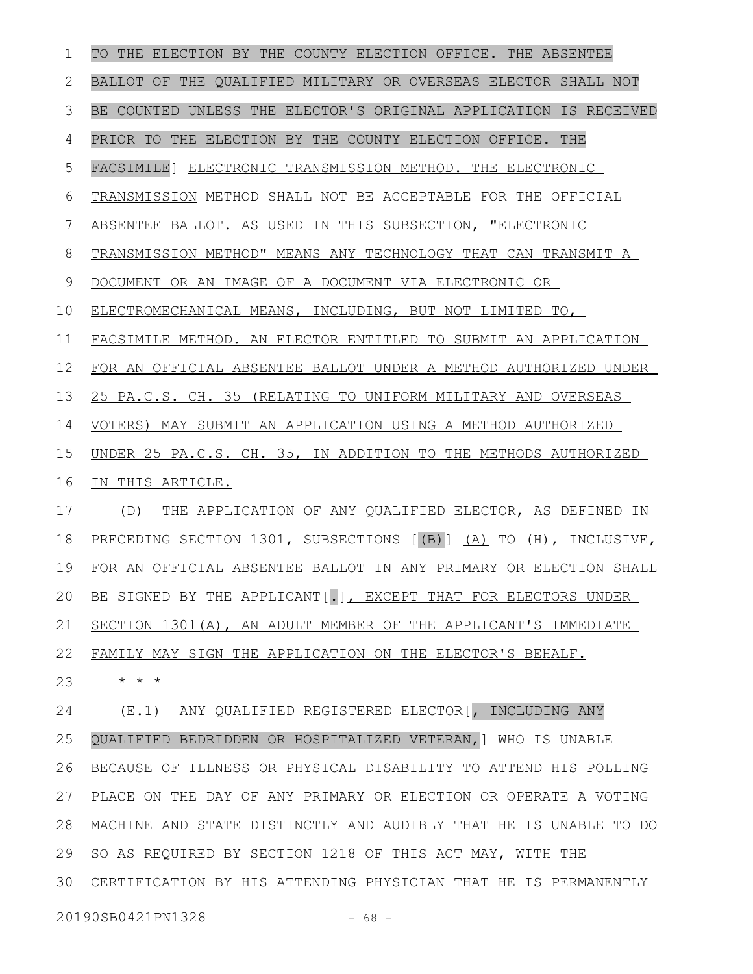TO THE ELECTION BY THE COUNTY ELECTION OFFICE. THE ABSENTEE BALLOT OF THE QUALIFIED MILITARY OR OVERSEAS ELECTOR SHALL NOT BE COUNTED UNLESS THE ELECTOR'S ORIGINAL APPLICATION IS RECEIVED PRIOR TO THE ELECTION BY THE COUNTY ELECTION OFFICE. THE FACSIMILE] ELECTRONIC TRANSMISSION METHOD. THE ELECTRONIC TRANSMISSION METHOD SHALL NOT BE ACCEPTABLE FOR THE OFFICIAL ABSENTEE BALLOT. AS USED IN THIS SUBSECTION, "ELECTRONIC TRANSMISSION METHOD" MEANS ANY TECHNOLOGY THAT CAN TRANSMIT A DOCUMENT OR AN IMAGE OF A DOCUMENT VIA ELECTRONIC OR ELECTROMECHANICAL MEANS, INCLUDING, BUT NOT LIMITED TO, FACSIMILE METHOD. AN ELECTOR ENTITLED TO SUBMIT AN APPLICATION FOR AN OFFICIAL ABSENTEE BALLOT UNDER A METHOD AUTHORIZED UNDER 25 PA.C.S. CH. 35 (RELATING TO UNIFORM MILITARY AND OVERSEAS VOTERS) MAY SUBMIT AN APPLICATION USING A METHOD AUTHORIZED UNDER 25 PA.C.S. CH. 35, IN ADDITION TO THE METHODS AUTHORIZED IN THIS ARTICLE. (D) THE APPLICATION OF ANY QUALIFIED ELECTOR, AS DEFINED IN PRECEDING SECTION 1301, SUBSECTIONS [(B)] (A) TO (H), INCLUSIVE, FOR AN OFFICIAL ABSENTEE BALLOT IN ANY PRIMARY OR ELECTION SHALL BE SIGNED BY THE APPLICANT[.], EXCEPT THAT FOR ELECTORS UNDER SECTION 1301(A), AN ADULT MEMBER OF THE APPLICANT'S IMMEDIATE FAMILY MAY SIGN THE APPLICATION ON THE ELECTOR'S BEHALF. \* \* \* (E.1) ANY QUALIFIED REGISTERED ELECTOR[, INCLUDING ANY QUALIFIED BEDRIDDEN OR HOSPITALIZED VETERAN,] WHO IS UNABLE BECAUSE OF ILLNESS OR PHYSICAL DISABILITY TO ATTEND HIS POLLING PLACE ON THE DAY OF ANY PRIMARY OR ELECTION OR OPERATE A VOTING MACHINE AND STATE DISTINCTLY AND AUDIBLY THAT HE IS UNABLE TO DO SO AS REQUIRED BY SECTION 1218 OF THIS ACT MAY, WITH THE CERTIFICATION BY HIS ATTENDING PHYSICIAN THAT HE IS PERMANENTLY 3020190SB0421PN1328 - 68 -1 2 3 4 5 6 7 8 9 10 11 12 13 14 15 16 17 18 19 20 21 22 23 24 25 26 27 28 29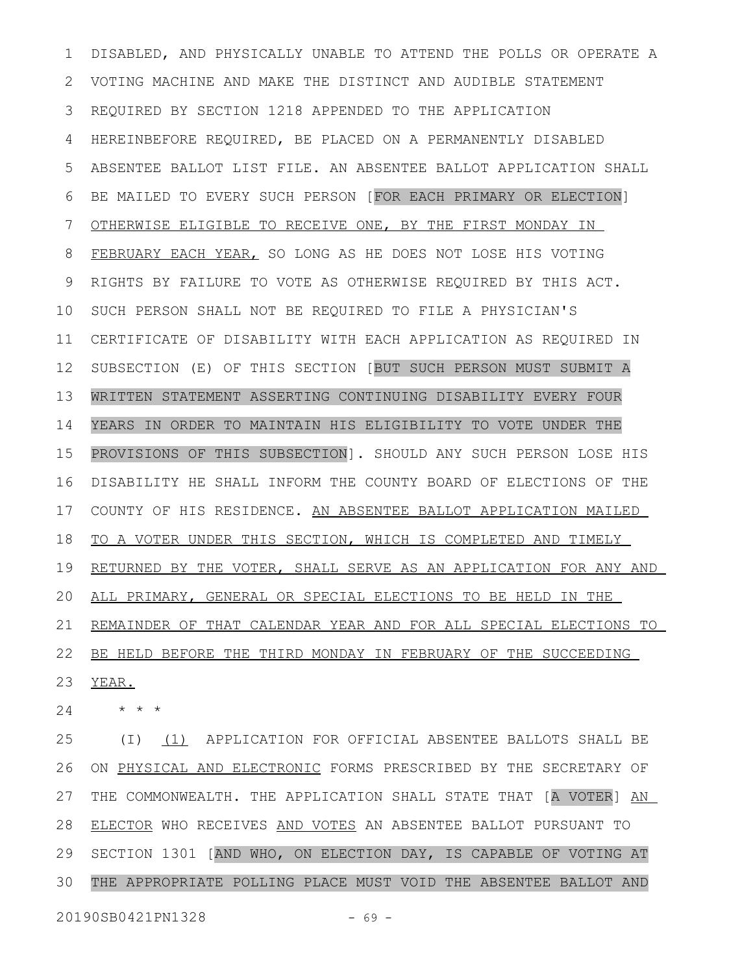DISABLED, AND PHYSICALLY UNABLE TO ATTEND THE POLLS OR OPERATE A VOTING MACHINE AND MAKE THE DISTINCT AND AUDIBLE STATEMENT REQUIRED BY SECTION 1218 APPENDED TO THE APPLICATION HEREINBEFORE REQUIRED, BE PLACED ON A PERMANENTLY DISABLED ABSENTEE BALLOT LIST FILE. AN ABSENTEE BALLOT APPLICATION SHALL BE MAILED TO EVERY SUCH PERSON [FOR EACH PRIMARY OR ELECTION] OTHERWISE ELIGIBLE TO RECEIVE ONE, BY THE FIRST MONDAY IN FEBRUARY EACH YEAR, SO LONG AS HE DOES NOT LOSE HIS VOTING RIGHTS BY FAILURE TO VOTE AS OTHERWISE REQUIRED BY THIS ACT. SUCH PERSON SHALL NOT BE REQUIRED TO FILE A PHYSICIAN'S CERTIFICATE OF DISABILITY WITH EACH APPLICATION AS REQUIRED IN SUBSECTION (E) OF THIS SECTION [BUT SUCH PERSON MUST SUBMIT A WRITTEN STATEMENT ASSERTING CONTINUING DISABILITY EVERY FOUR YEARS IN ORDER TO MAINTAIN HIS ELIGIBILITY TO VOTE UNDER THE PROVISIONS OF THIS SUBSECTION]. SHOULD ANY SUCH PERSON LOSE HIS DISABILITY HE SHALL INFORM THE COUNTY BOARD OF ELECTIONS OF THE COUNTY OF HIS RESIDENCE. AN ABSENTEE BALLOT APPLICATION MAILED TO A VOTER UNDER THIS SECTION, WHICH IS COMPLETED AND TIMELY RETURNED BY THE VOTER, SHALL SERVE AS AN APPLICATION FOR ANY AND ALL PRIMARY, GENERAL OR SPECIAL ELECTIONS TO BE HELD IN THE REMAINDER OF THAT CALENDAR YEAR AND FOR ALL SPECIAL ELECTIONS TO BE HELD BEFORE THE THIRD MONDAY IN FEBRUARY OF THE SUCCEEDING YEAR. 1 2 3 4 5 6 7 8 9 10 11 12 13 14 15 16 17 18 19 20 21 22 23

\* \* \* 24

(I) (1) APPLICATION FOR OFFICIAL ABSENTEE BALLOTS SHALL BE ON PHYSICAL AND ELECTRONIC FORMS PRESCRIBED BY THE SECRETARY OF THE COMMONWEALTH. THE APPLICATION SHALL STATE THAT [A VOTER] AN ELECTOR WHO RECEIVES AND VOTES AN ABSENTEE BALLOT PURSUANT TO SECTION 1301 [AND WHO, ON ELECTION DAY, IS CAPABLE OF VOTING AT THE APPROPRIATE POLLING PLACE MUST VOID THE ABSENTEE BALLOT AND 25 26 27 28 29 30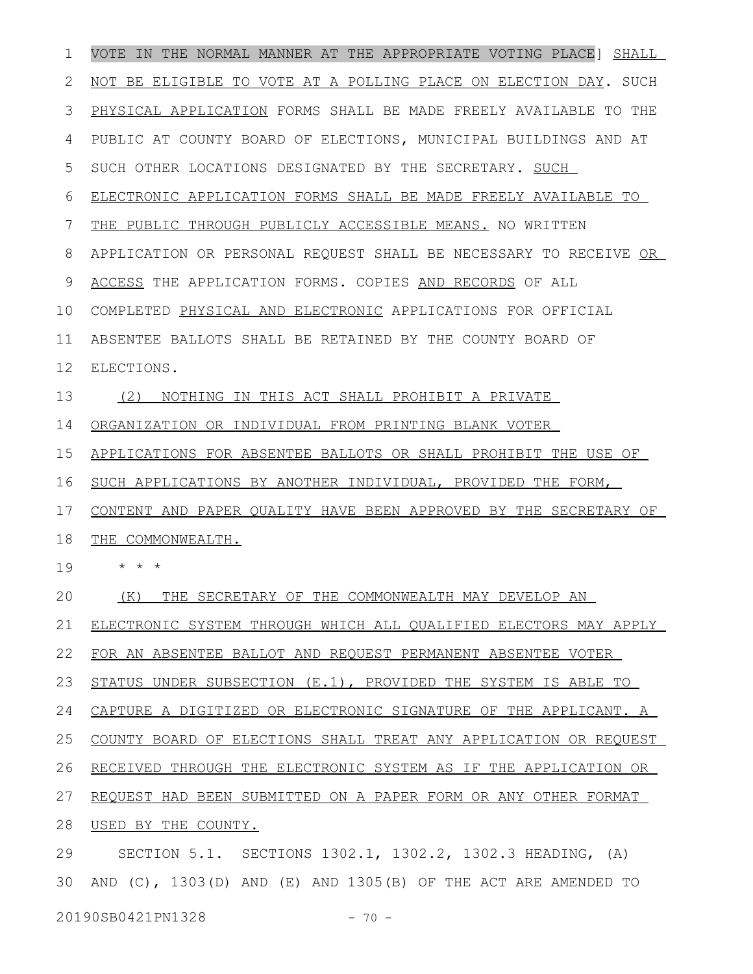VOTE IN THE NORMAL MANNER AT THE APPROPRIATE VOTING PLACE] SHALL NOT BE ELIGIBLE TO VOTE AT A POLLING PLACE ON ELECTION DAY. SUCH PHYSICAL APPLICATION FORMS SHALL BE MADE FREELY AVAILABLE TO THE PUBLIC AT COUNTY BOARD OF ELECTIONS, MUNICIPAL BUILDINGS AND AT SUCH OTHER LOCATIONS DESIGNATED BY THE SECRETARY. SUCH ELECTRONIC APPLICATION FORMS SHALL BE MADE FREELY AVAILABLE TO THE PUBLIC THROUGH PUBLICLY ACCESSIBLE MEANS. NO WRITTEN APPLICATION OR PERSONAL REQUEST SHALL BE NECESSARY TO RECEIVE OR ACCESS THE APPLICATION FORMS. COPIES AND RECORDS OF ALL COMPLETED PHYSICAL AND ELECTRONIC APPLICATIONS FOR OFFICIAL ABSENTEE BALLOTS SHALL BE RETAINED BY THE COUNTY BOARD OF ELECTIONS. (2) NOTHING IN THIS ACT SHALL PROHIBIT A PRIVATE ORGANIZATION OR INDIVIDUAL FROM PRINTING BLANK VOTER APPLICATIONS FOR ABSENTEE BALLOTS OR SHALL PROHIBIT THE USE OF SUCH APPLICATIONS BY ANOTHER INDIVIDUAL, PROVIDED THE FORM, CONTENT AND PAPER QUALITY HAVE BEEN APPROVED BY THE SECRETARY OF THE COMMONWEALTH. \* \* \* (K) THE SECRETARY OF THE COMMONWEALTH MAY DEVELOP AN ELECTRONIC SYSTEM THROUGH WHICH ALL QUALIFIED ELECTORS MAY APPLY FOR AN ABSENTEE BALLOT AND REQUEST PERMANENT ABSENTEE VOTER STATUS UNDER SUBSECTION (E.1), PROVIDED THE SYSTEM IS ABLE TO CAPTURE A DIGITIZED OR ELECTRONIC SIGNATURE OF THE APPLICANT. A COUNTY BOARD OF ELECTIONS SHALL TREAT ANY APPLICATION OR REQUEST RECEIVED THROUGH THE ELECTRONIC SYSTEM AS IF THE APPLICATION OR REQUEST HAD BEEN SUBMITTED ON A PAPER FORM OR ANY OTHER FORMAT 28 USED BY THE COUNTY. SECTION 5.1. SECTIONS 1302.1, 1302.2, 1302.3 HEADING, (A) AND (C), 1303(D) AND (E) AND 1305(B) OF THE ACT ARE AMENDED TO 301 2 3 4 5 6 7 8 9 10 11 12 13 14 15 16 17 18 19 20 21 22 23 24 25 26 27 29

20190SB0421PN1328 - 70 -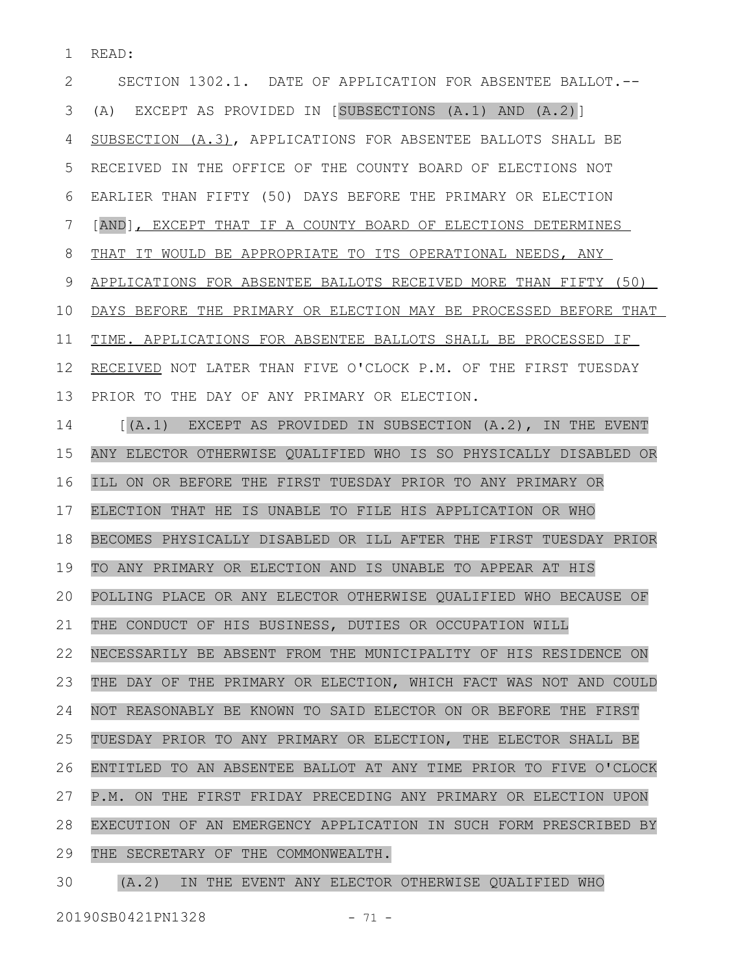READ: 1

SECTION 1302.1. DATE OF APPLICATION FOR ABSENTEE BALLOT.-- (A) EXCEPT AS PROVIDED IN [SUBSECTIONS (A.1) AND (A.2)] SUBSECTION (A.3), APPLICATIONS FOR ABSENTEE BALLOTS SHALL BE RECEIVED IN THE OFFICE OF THE COUNTY BOARD OF ELECTIONS NOT EARLIER THAN FIFTY (50) DAYS BEFORE THE PRIMARY OR ELECTION [AND], EXCEPT THAT IF A COUNTY BOARD OF ELECTIONS DETERMINES THAT IT WOULD BE APPROPRIATE TO ITS OPERATIONAL NEEDS, ANY APPLICATIONS FOR ABSENTEE BALLOTS RECEIVED MORE THAN FIFTY (50) DAYS BEFORE THE PRIMARY OR ELECTION MAY BE PROCESSED BEFORE THAT TIME. APPLICATIONS FOR ABSENTEE BALLOTS SHALL BE PROCESSED IF RECEIVED NOT LATER THAN FIVE O'CLOCK P.M. OF THE FIRST TUESDAY PRIOR TO THE DAY OF ANY PRIMARY OR ELECTION. [(A.1) EXCEPT AS PROVIDED IN SUBSECTION (A.2), IN THE EVENT ANY ELECTOR OTHERWISE QUALIFIED WHO IS SO PHYSICALLY DISABLED OR ILL ON OR BEFORE THE FIRST TUESDAY PRIOR TO ANY PRIMARY OR ELECTION THAT HE IS UNABLE TO FILE HIS APPLICATION OR WHO BECOMES PHYSICALLY DISABLED OR ILL AFTER THE FIRST TUESDAY PRIOR TO ANY PRIMARY OR ELECTION AND IS UNABLE TO APPEAR AT HIS POLLING PLACE OR ANY ELECTOR OTHERWISE QUALIFIED WHO BECAUSE OF THE CONDUCT OF HIS BUSINESS, DUTIES OR OCCUPATION WILL NECESSARILY BE ABSENT FROM THE MUNICIPALITY OF HIS RESIDENCE ON THE DAY OF THE PRIMARY OR ELECTION, WHICH FACT WAS NOT AND COULD NOT REASONABLY BE KNOWN TO SAID ELECTOR ON OR BEFORE THE FIRST TUESDAY PRIOR TO ANY PRIMARY OR ELECTION, THE ELECTOR SHALL BE ENTITLED TO AN ABSENTEE BALLOT AT ANY TIME PRIOR TO FIVE O'CLOCK P.M. ON THE FIRST FRIDAY PRECEDING ANY PRIMARY OR ELECTION UPON EXECUTION OF AN EMERGENCY APPLICATION IN SUCH FORM PRESCRIBED BY THE SECRETARY OF THE COMMONWEALTH. 2 3 4 5 6 7 8 9 10 11 12 13 14 15 16 17 18 19 20 21 22 23 24 25 26 27 28 29

(A.2) IN THE EVENT ANY ELECTOR OTHERWISE QUALIFIED WHO 30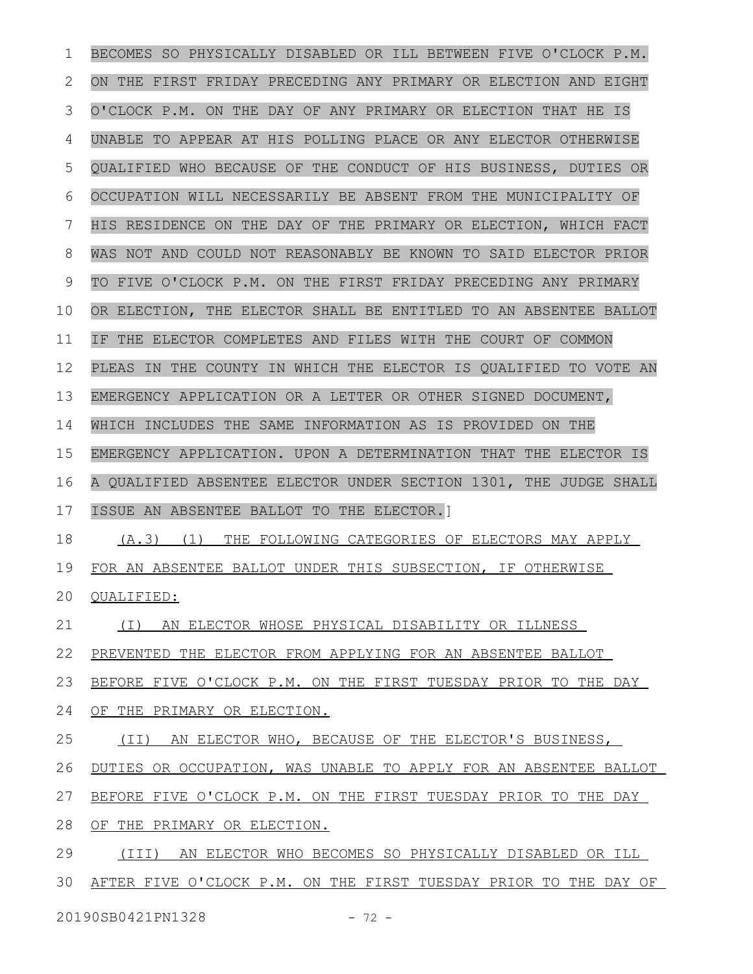BECOMES SO PHYSICALLY DISABLED OR ILL BETWEEN FIVE O'CLOCK P.M. ON THE FIRST FRIDAY PRECEDING ANY PRIMARY OR ELECTION AND EIGHT O'CLOCK P.M. ON THE DAY OF ANY PRIMARY OR ELECTION THAT HE IS UNABLE TO APPEAR AT HIS POLLING PLACE OR ANY ELECTOR OTHERWISE QUALIFIED WHO BECAUSE OF THE CONDUCT OF HIS BUSINESS, DUTIES OR OCCUPATION WILL NECESSARILY BE ABSENT FROM THE MUNICIPALITY OF HIS RESIDENCE ON THE DAY OF THE PRIMARY OR ELECTION, WHICH FACT WAS NOT AND COULD NOT REASONABLY BE KNOWN TO SAID ELECTOR PRIOR TO FIVE O'CLOCK P.M. ON THE FIRST FRIDAY PRECEDING ANY PRIMARY OR ELECTION, THE ELECTOR SHALL BE ENTITLED TO AN ABSENTEE BALLOT IF THE ELECTOR COMPLETES AND FILES WITH THE COURT OF COMMON PLEAS IN THE COUNTY IN WHICH THE ELECTOR IS QUALIFIED TO VOTE AN EMERGENCY APPLICATION OR A LETTER OR OTHER SIGNED DOCUMENT, WHICH INCLUDES THE SAME INFORMATION AS IS PROVIDED ON THE EMERGENCY APPLICATION. UPON A DETERMINATION THAT THE ELECTOR IS A QUALIFIED ABSENTEE ELECTOR UNDER SECTION 1301, THE JUDGE SHALL ISSUE AN ABSENTEE BALLOT TO THE ELECTOR.] (A.3) (1) THE FOLLOWING CATEGORIES OF ELECTORS MAY APPLY FOR AN ABSENTEE BALLOT UNDER THIS SUBSECTION, IF OTHERWISE QUALIFIED: (I) AN ELECTOR WHOSE PHYSICAL DISABILITY OR ILLNESS PREVENTED THE ELECTOR FROM APPLYING FOR AN ABSENTEE BALLOT BEFORE FIVE O'CLOCK P.M. ON THE FIRST TUESDAY PRIOR TO THE DAY OF THE PRIMARY OR ELECTION. (II) AN ELECTOR WHO, BECAUSE OF THE ELECTOR'S BUSINESS, DUTIES OR OCCUPATION, WAS UNABLE TO APPLY FOR AN ABSENTEE BALLOT BEFORE FIVE O'CLOCK P.M. ON THE FIRST TUESDAY PRIOR TO THE DAY OF THE PRIMARY OR ELECTION. (III) AN ELECTOR WHO BECOMES SO PHYSICALLY DISABLED OR ILL AFTER FIVE O'CLOCK P.M. ON THE FIRST TUESDAY PRIOR TO THE DAY OF 1 2 3 4 5 6 7 8 9 10 11 12 13 14 15 16 17 18 19 20 21 22 23 24 25 26 27 28 29 30

20190SB0421PN1328 - 72 -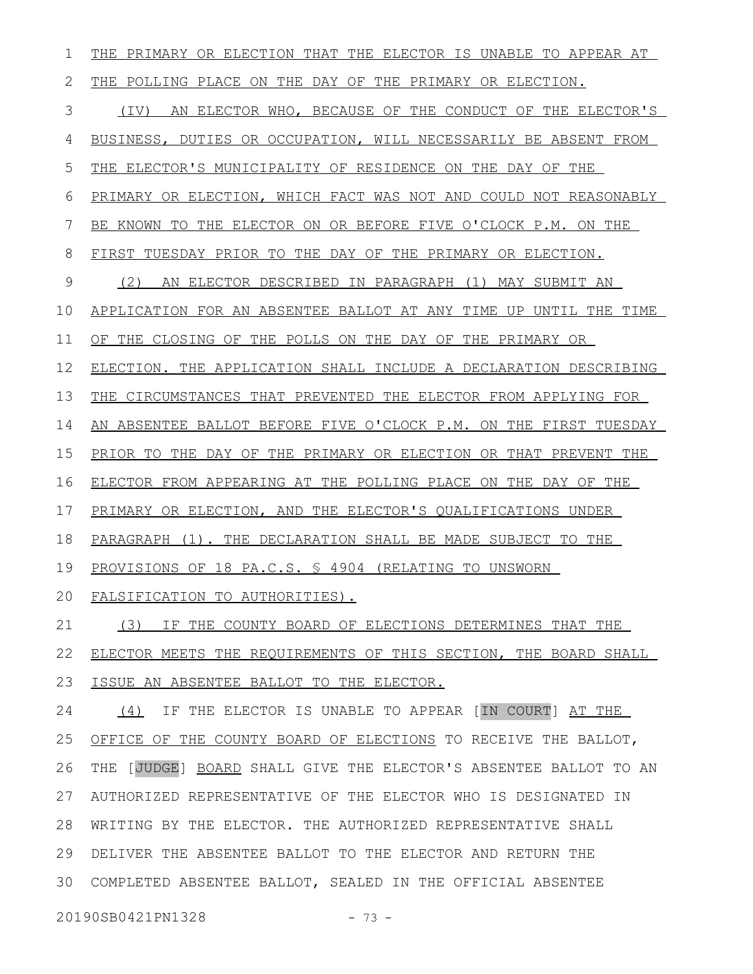THE PRIMARY OR ELECTION THAT THE ELECTOR IS UNABLE TO APPEAR AT THE POLLING PLACE ON THE DAY OF THE PRIMARY OR ELECTION. (IV) AN ELECTOR WHO, BECAUSE OF THE CONDUCT OF THE ELECTOR'S BUSINESS, DUTIES OR OCCUPATION, WILL NECESSARILY BE ABSENT FROM THE ELECTOR'S MUNICIPALITY OF RESIDENCE ON THE DAY OF THE PRIMARY OR ELECTION, WHICH FACT WAS NOT AND COULD NOT REASONABLY BE KNOWN TO THE ELECTOR ON OR BEFORE FIVE O'CLOCK P.M. ON THE FIRST TUESDAY PRIOR TO THE DAY OF THE PRIMARY OR ELECTION. (2) AN ELECTOR DESCRIBED IN PARAGRAPH (1) MAY SUBMIT AN APPLICATION FOR AN ABSENTEE BALLOT AT ANY TIME UP UNTIL THE TIME OF THE CLOSING OF THE POLLS ON THE DAY OF THE PRIMARY OR ELECTION. THE APPLICATION SHALL INCLUDE A DECLARATION DESCRIBING THE CIRCUMSTANCES THAT PREVENTED THE ELECTOR FROM APPLYING FOR AN ABSENTEE BALLOT BEFORE FIVE O'CLOCK P.M. ON THE FIRST TUESDAY PRIOR TO THE DAY OF THE PRIMARY OR ELECTION OR THAT PREVENT THE ELECTOR FROM APPEARING AT THE POLLING PLACE ON THE DAY OF THE PRIMARY OR ELECTION, AND THE ELECTOR'S QUALIFICATIONS UNDER PARAGRAPH (1). THE DECLARATION SHALL BE MADE SUBJECT TO THE PROVISIONS OF 18 PA.C.S. § 4904 (RELATING TO UNSWORN FALSIFICATION TO AUTHORITIES). (3) IF THE COUNTY BOARD OF ELECTIONS DETERMINES THAT THE ELECTOR MEETS THE REQUIREMENTS OF THIS SECTION, THE BOARD SHALL ISSUE AN ABSENTEE BALLOT TO THE ELECTOR. (4) IF THE ELECTOR IS UNABLE TO APPEAR [IN COURT] AT THE OFFICE OF THE COUNTY BOARD OF ELECTIONS TO RECEIVE THE BALLOT, THE [JUDGE] BOARD SHALL GIVE THE ELECTOR'S ABSENTEE BALLOT TO AN AUTHORIZED REPRESENTATIVE OF THE ELECTOR WHO IS DESIGNATED IN WRITING BY THE ELECTOR. THE AUTHORIZED REPRESENTATIVE SHALL 28 DELIVER THE ABSENTEE BALLOT TO THE ELECTOR AND RETURN THE COMPLETED ABSENTEE BALLOT, SEALED IN THE OFFICIAL ABSENTEE 3020190SB0421PN1328 - 73 -1 2 3 4 5 6 7 8 9 10 11 12 13 14 15 16 17 18 19 20 21 22 23 24 25 26 27 29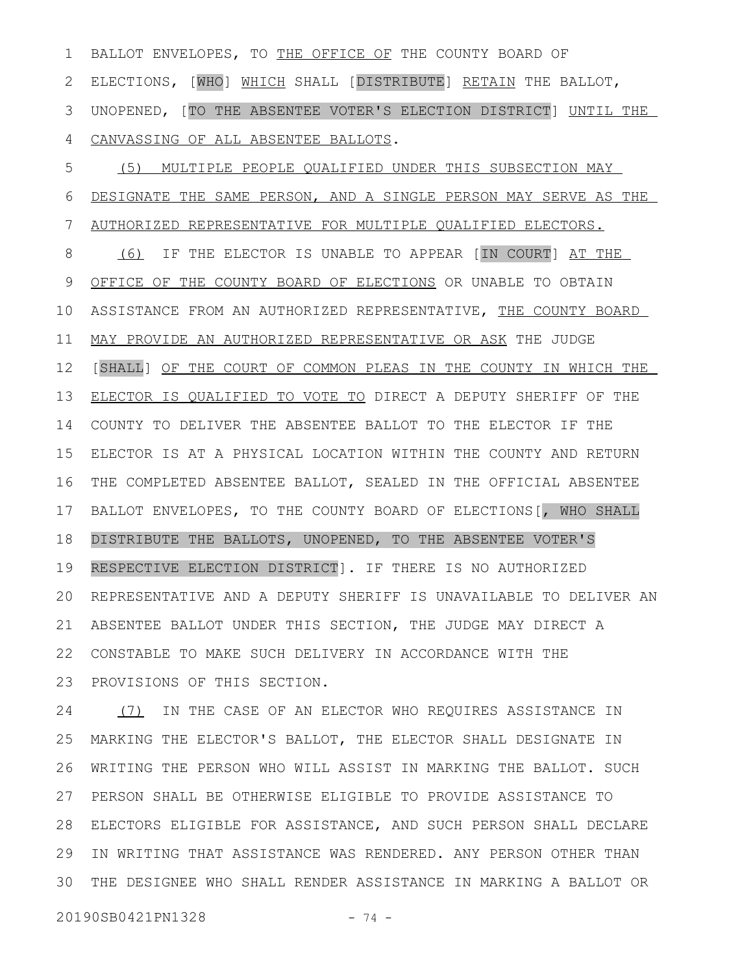BALLOT ENVELOPES, TO THE OFFICE OF THE COUNTY BOARD OF ELECTIONS, [WHO] WHICH SHALL [DISTRIBUTE] RETAIN THE BALLOT, UNOPENED, [TO THE ABSENTEE VOTER'S ELECTION DISTRICT] UNTIL THE CANVASSING OF ALL ABSENTEE BALLOTS. 1 2 3 4

(5) MULTIPLE PEOPLE QUALIFIED UNDER THIS SUBSECTION MAY DESIGNATE THE SAME PERSON, AND A SINGLE PERSON MAY SERVE AS THE AUTHORIZED REPRESENTATIVE FOR MULTIPLE QUALIFIED ELECTORS. (6) IF THE ELECTOR IS UNABLE TO APPEAR [IN COURT] AT THE OFFICE OF THE COUNTY BOARD OF ELECTIONS OR UNABLE TO OBTAIN ASSISTANCE FROM AN AUTHORIZED REPRESENTATIVE, THE COUNTY BOARD MAY PROVIDE AN AUTHORIZED REPRESENTATIVE OR ASK THE JUDGE [SHALL] OF THE COURT OF COMMON PLEAS IN THE COUNTY IN WHICH THE ELECTOR IS QUALIFIED TO VOTE TO DIRECT A DEPUTY SHERIFF OF THE COUNTY TO DELIVER THE ABSENTEE BALLOT TO THE ELECTOR IF THE ELECTOR IS AT A PHYSICAL LOCATION WITHIN THE COUNTY AND RETURN THE COMPLETED ABSENTEE BALLOT, SEALED IN THE OFFICIAL ABSENTEE BALLOT ENVELOPES, TO THE COUNTY BOARD OF ELECTIONS[, WHO SHALL DISTRIBUTE THE BALLOTS, UNOPENED, TO THE ABSENTEE VOTER'S RESPECTIVE ELECTION DISTRICT]. IF THERE IS NO AUTHORIZED REPRESENTATIVE AND A DEPUTY SHERIFF IS UNAVAILABLE TO DELIVER AN ABSENTEE BALLOT UNDER THIS SECTION, THE JUDGE MAY DIRECT A CONSTABLE TO MAKE SUCH DELIVERY IN ACCORDANCE WITH THE PROVISIONS OF THIS SECTION. 5 6 7 8 9 10 11 12 13 14 15 16 17 18 19 20 21 22 23

(7) IN THE CASE OF AN ELECTOR WHO REQUIRES ASSISTANCE IN MARKING THE ELECTOR'S BALLOT, THE ELECTOR SHALL DESIGNATE IN WRITING THE PERSON WHO WILL ASSIST IN MARKING THE BALLOT. SUCH PERSON SHALL BE OTHERWISE ELIGIBLE TO PROVIDE ASSISTANCE TO ELECTORS ELIGIBLE FOR ASSISTANCE, AND SUCH PERSON SHALL DECLARE 28 IN WRITING THAT ASSISTANCE WAS RENDERED. ANY PERSON OTHER THAN THE DESIGNEE WHO SHALL RENDER ASSISTANCE IN MARKING A BALLOT OR 3024 25 26 27 29

20190SB0421PN1328 - 74 -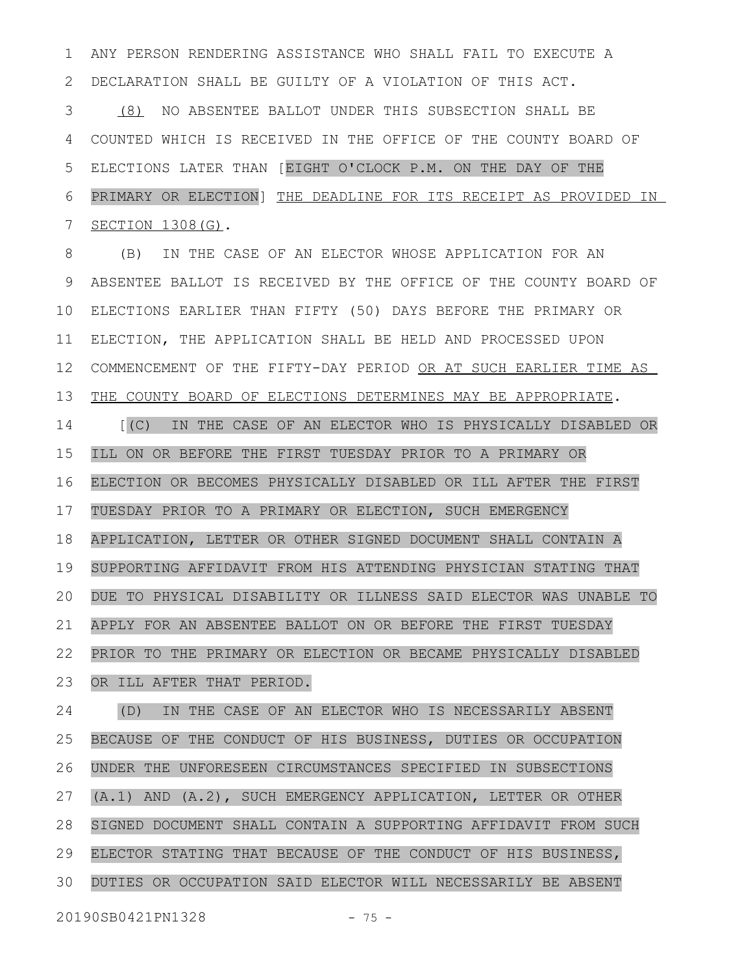ANY PERSON RENDERING ASSISTANCE WHO SHALL FAIL TO EXECUTE A DECLARATION SHALL BE GUILTY OF A VIOLATION OF THIS ACT. (8) NO ABSENTEE BALLOT UNDER THIS SUBSECTION SHALL BE COUNTED WHICH IS RECEIVED IN THE OFFICE OF THE COUNTY BOARD OF ELECTIONS LATER THAN [EIGHT O'CLOCK P.M. ON THE DAY OF THE PRIMARY OR ELECTION] THE DEADLINE FOR ITS RECEIPT AS PROVIDED IN SECTION 1308(G). (B) IN THE CASE OF AN ELECTOR WHOSE APPLICATION FOR AN ABSENTEE BALLOT IS RECEIVED BY THE OFFICE OF THE COUNTY BOARD OF ELECTIONS EARLIER THAN FIFTY (50) DAYS BEFORE THE PRIMARY OR ELECTION, THE APPLICATION SHALL BE HELD AND PROCESSED UPON COMMENCEMENT OF THE FIFTY-DAY PERIOD OR AT SUCH EARLIER TIME AS THE COUNTY BOARD OF ELECTIONS DETERMINES MAY BE APPROPRIATE. [(C) IN THE CASE OF AN ELECTOR WHO IS PHYSICALLY DISABLED OR ILL ON OR BEFORE THE FIRST TUESDAY PRIOR TO A PRIMARY OR ELECTION OR BECOMES PHYSICALLY DISABLED OR ILL AFTER THE FIRST TUESDAY PRIOR TO A PRIMARY OR ELECTION, SUCH EMERGENCY APPLICATION, LETTER OR OTHER SIGNED DOCUMENT SHALL CONTAIN A SUPPORTING AFFIDAVIT FROM HIS ATTENDING PHYSICIAN STATING THAT DUE TO PHYSICAL DISABILITY OR ILLNESS SAID ELECTOR WAS UNABLE TO APPLY FOR AN ABSENTEE BALLOT ON OR BEFORE THE FIRST TUESDAY PRIOR TO THE PRIMARY OR ELECTION OR BECAME PHYSICALLY DISABLED OR ILL AFTER THAT PERIOD. (D) IN THE CASE OF AN ELECTOR WHO IS NECESSARILY ABSENT BECAUSE OF THE CONDUCT OF HIS BUSINESS, DUTIES OR OCCUPATION UNDER THE UNFORESEEN CIRCUMSTANCES SPECIFIED IN SUBSECTIONS (A.1) AND (A.2), SUCH EMERGENCY APPLICATION, LETTER OR OTHER SIGNED DOCUMENT SHALL CONTAIN A SUPPORTING AFFIDAVIT FROM SUCH ELECTOR STATING THAT BECAUSE OF THE CONDUCT OF HIS BUSINESS, DUTIES OR OCCUPATION SAID ELECTOR WILL NECESSARILY BE ABSENT 1 2 3 4 5 6 7 8 9 10 11 12 13 14 15 16 17 18 19 20 21 22 23 24 25 26 27 28 29 30

20190SB0421PN1328 - 75 -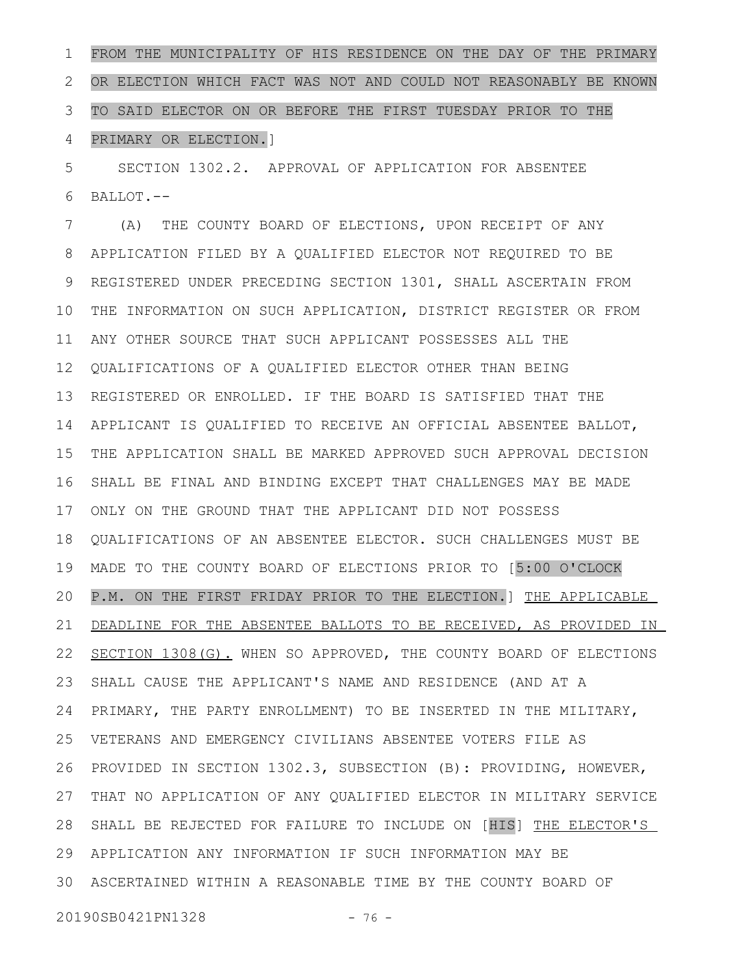FROM THE MUNICIPALITY OF HIS RESIDENCE ON THE DAY OF THE PRIMARY OR ELECTION WHICH FACT WAS NOT AND COULD NOT REASONABLY BE KNOWN TO SAID ELECTOR ON OR BEFORE THE FIRST TUESDAY PRIOR TO THE PRIMARY OR ELECTION.] 1 2 3 4

SECTION 1302.2. APPROVAL OF APPLICATION FOR ABSENTEE BALLOT.-- 5 6

(A) THE COUNTY BOARD OF ELECTIONS, UPON RECEIPT OF ANY APPLICATION FILED BY A QUALIFIED ELECTOR NOT REQUIRED TO BE REGISTERED UNDER PRECEDING SECTION 1301, SHALL ASCERTAIN FROM THE INFORMATION ON SUCH APPLICATION, DISTRICT REGISTER OR FROM ANY OTHER SOURCE THAT SUCH APPLICANT POSSESSES ALL THE QUALIFICATIONS OF A QUALIFIED ELECTOR OTHER THAN BEING REGISTERED OR ENROLLED. IF THE BOARD IS SATISFIED THAT THE APPLICANT IS QUALIFIED TO RECEIVE AN OFFICIAL ABSENTEE BALLOT, THE APPLICATION SHALL BE MARKED APPROVED SUCH APPROVAL DECISION SHALL BE FINAL AND BINDING EXCEPT THAT CHALLENGES MAY BE MADE ONLY ON THE GROUND THAT THE APPLICANT DID NOT POSSESS QUALIFICATIONS OF AN ABSENTEE ELECTOR. SUCH CHALLENGES MUST BE MADE TO THE COUNTY BOARD OF ELECTIONS PRIOR TO [5:00 O'CLOCK P.M. ON THE FIRST FRIDAY PRIOR TO THE ELECTION.] THE APPLICABLE DEADLINE FOR THE ABSENTEE BALLOTS TO BE RECEIVED, AS PROVIDED IN SECTION 1308(G). WHEN SO APPROVED, THE COUNTY BOARD OF ELECTIONS SHALL CAUSE THE APPLICANT'S NAME AND RESIDENCE (AND AT A PRIMARY, THE PARTY ENROLLMENT) TO BE INSERTED IN THE MILITARY, VETERANS AND EMERGENCY CIVILIANS ABSENTEE VOTERS FILE AS PROVIDED IN SECTION 1302.3, SUBSECTION (B): PROVIDING, HOWEVER, THAT NO APPLICATION OF ANY QUALIFIED ELECTOR IN MILITARY SERVICE 28 SHALL BE REJECTED FOR FAILURE TO INCLUDE ON [HIS] THE ELECTOR'S APPLICATION ANY INFORMATION IF SUCH INFORMATION MAY BE 29 ASCERTAINED WITHIN A REASONABLE TIME BY THE COUNTY BOARD OF 307 8 9 10 11 12 13 14 15 16 17 18 19 20 21 22 23 24 25 26 27

20190SB0421PN1328 - 76 -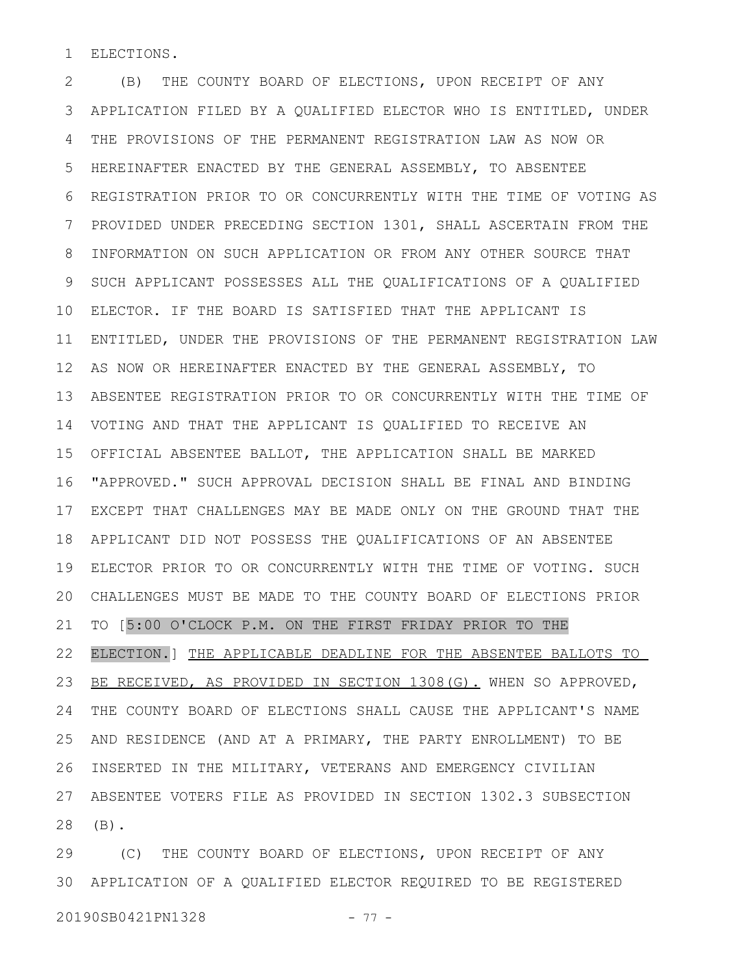ELECTIONS. 1

(B) THE COUNTY BOARD OF ELECTIONS, UPON RECEIPT OF ANY APPLICATION FILED BY A QUALIFIED ELECTOR WHO IS ENTITLED, UNDER THE PROVISIONS OF THE PERMANENT REGISTRATION LAW AS NOW OR HEREINAFTER ENACTED BY THE GENERAL ASSEMBLY, TO ABSENTEE REGISTRATION PRIOR TO OR CONCURRENTLY WITH THE TIME OF VOTING AS PROVIDED UNDER PRECEDING SECTION 1301, SHALL ASCERTAIN FROM THE INFORMATION ON SUCH APPLICATION OR FROM ANY OTHER SOURCE THAT SUCH APPLICANT POSSESSES ALL THE QUALIFICATIONS OF A QUALIFIED ELECTOR. IF THE BOARD IS SATISFIED THAT THE APPLICANT IS 10 ENTITLED, UNDER THE PROVISIONS OF THE PERMANENT REGISTRATION LAW AS NOW OR HEREINAFTER ENACTED BY THE GENERAL ASSEMBLY, TO ABSENTEE REGISTRATION PRIOR TO OR CONCURRENTLY WITH THE TIME OF VOTING AND THAT THE APPLICANT IS QUALIFIED TO RECEIVE AN OFFICIAL ABSENTEE BALLOT, THE APPLICATION SHALL BE MARKED "APPROVED." SUCH APPROVAL DECISION SHALL BE FINAL AND BINDING 16 EXCEPT THAT CHALLENGES MAY BE MADE ONLY ON THE GROUND THAT THE 17 APPLICANT DID NOT POSSESS THE QUALIFICATIONS OF AN ABSENTEE ELECTOR PRIOR TO OR CONCURRENTLY WITH THE TIME OF VOTING. SUCH 19 CHALLENGES MUST BE MADE TO THE COUNTY BOARD OF ELECTIONS PRIOR TO [5:00 O'CLOCK P.M. ON THE FIRST FRIDAY PRIOR TO THE ELECTION.] THE APPLICABLE DEADLINE FOR THE ABSENTEE BALLOTS TO BE RECEIVED, AS PROVIDED IN SECTION 1308(G). WHEN SO APPROVED, THE COUNTY BOARD OF ELECTIONS SHALL CAUSE THE APPLICANT'S NAME AND RESIDENCE (AND AT A PRIMARY, THE PARTY ENROLLMENT) TO BE INSERTED IN THE MILITARY, VETERANS AND EMERGENCY CIVILIAN ABSENTEE VOTERS FILE AS PROVIDED IN SECTION 1302.3 SUBSECTION (B). 2 3 4 5 6 7 8 9 11 12 13 14 15 18 20 21 22 23 24 25 26 27 28

(C) THE COUNTY BOARD OF ELECTIONS, UPON RECEIPT OF ANY APPLICATION OF A QUALIFIED ELECTOR REQUIRED TO BE REGISTERED 3020190SB0421PN1328 - 77 -29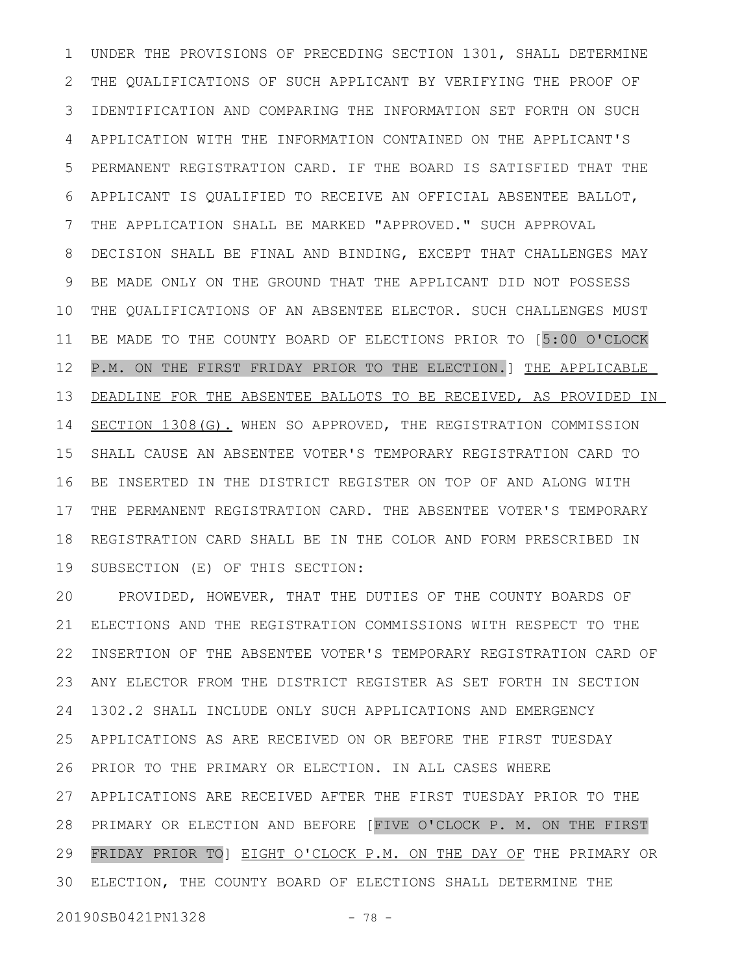UNDER THE PROVISIONS OF PRECEDING SECTION 1301, SHALL DETERMINE THE QUALIFICATIONS OF SUCH APPLICANT BY VERIFYING THE PROOF OF IDENTIFICATION AND COMPARING THE INFORMATION SET FORTH ON SUCH APPLICATION WITH THE INFORMATION CONTAINED ON THE APPLICANT'S PERMANENT REGISTRATION CARD. IF THE BOARD IS SATISFIED THAT THE APPLICANT IS QUALIFIED TO RECEIVE AN OFFICIAL ABSENTEE BALLOT, THE APPLICATION SHALL BE MARKED "APPROVED." SUCH APPROVAL DECISION SHALL BE FINAL AND BINDING, EXCEPT THAT CHALLENGES MAY BE MADE ONLY ON THE GROUND THAT THE APPLICANT DID NOT POSSESS THE QUALIFICATIONS OF AN ABSENTEE ELECTOR. SUCH CHALLENGES MUST BE MADE TO THE COUNTY BOARD OF ELECTIONS PRIOR TO [5:00 O'CLOCK P.M. ON THE FIRST FRIDAY PRIOR TO THE ELECTION.] THE APPLICABLE DEADLINE FOR THE ABSENTEE BALLOTS TO BE RECEIVED, AS PROVIDED IN SECTION 1308(G). WHEN SO APPROVED, THE REGISTRATION COMMISSION SHALL CAUSE AN ABSENTEE VOTER'S TEMPORARY REGISTRATION CARD TO BE INSERTED IN THE DISTRICT REGISTER ON TOP OF AND ALONG WITH THE PERMANENT REGISTRATION CARD. THE ABSENTEE VOTER'S TEMPORARY REGISTRATION CARD SHALL BE IN THE COLOR AND FORM PRESCRIBED IN SUBSECTION (E) OF THIS SECTION: 1 2 3 4 5 6 7 8 9 10 11 12 13 14 15 16 17 18 19

PROVIDED, HOWEVER, THAT THE DUTIES OF THE COUNTY BOARDS OF ELECTIONS AND THE REGISTRATION COMMISSIONS WITH RESPECT TO THE INSERTION OF THE ABSENTEE VOTER'S TEMPORARY REGISTRATION CARD OF ANY ELECTOR FROM THE DISTRICT REGISTER AS SET FORTH IN SECTION 1302.2 SHALL INCLUDE ONLY SUCH APPLICATIONS AND EMERGENCY APPLICATIONS AS ARE RECEIVED ON OR BEFORE THE FIRST TUESDAY PRIOR TO THE PRIMARY OR ELECTION. IN ALL CASES WHERE APPLICATIONS ARE RECEIVED AFTER THE FIRST TUESDAY PRIOR TO THE PRIMARY OR ELECTION AND BEFORE [FIVE O'CLOCK P. M. ON THE FIRST 28 FRIDAY PRIOR TO] EIGHT O'CLOCK P.M. ON THE DAY OF THE PRIMARY OR ELECTION, THE COUNTY BOARD OF ELECTIONS SHALL DETERMINE THE 20 21 22 23 24 25 26 27 29 30

20190SB0421PN1328 - 78 -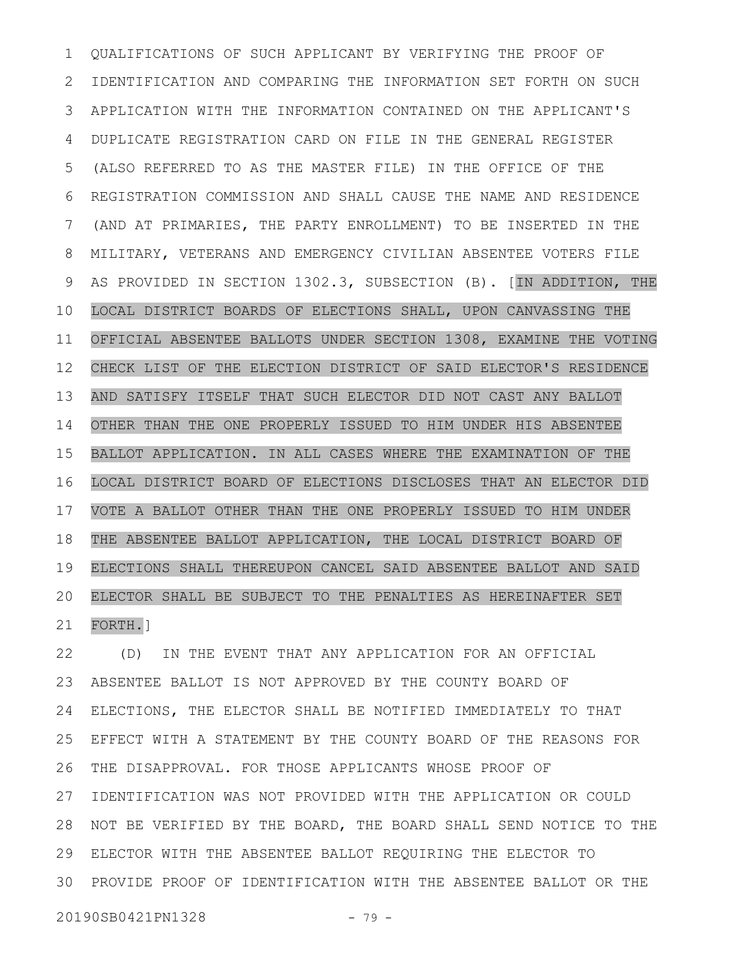QUALIFICATIONS OF SUCH APPLICANT BY VERIFYING THE PROOF OF IDENTIFICATION AND COMPARING THE INFORMATION SET FORTH ON SUCH APPLICATION WITH THE INFORMATION CONTAINED ON THE APPLICANT'S DUPLICATE REGISTRATION CARD ON FILE IN THE GENERAL REGISTER (ALSO REFERRED TO AS THE MASTER FILE) IN THE OFFICE OF THE REGISTRATION COMMISSION AND SHALL CAUSE THE NAME AND RESIDENCE (AND AT PRIMARIES, THE PARTY ENROLLMENT) TO BE INSERTED IN THE MILITARY, VETERANS AND EMERGENCY CIVILIAN ABSENTEE VOTERS FILE AS PROVIDED IN SECTION 1302.3, SUBSECTION (B). [IN ADDITION, THE LOCAL DISTRICT BOARDS OF ELECTIONS SHALL, UPON CANVASSING THE OFFICIAL ABSENTEE BALLOTS UNDER SECTION 1308, EXAMINE THE VOTING CHECK LIST OF THE ELECTION DISTRICT OF SAID ELECTOR'S RESIDENCE AND SATISFY ITSELF THAT SUCH ELECTOR DID NOT CAST ANY BALLOT OTHER THAN THE ONE PROPERLY ISSUED TO HIM UNDER HIS ABSENTEE BALLOT APPLICATION. IN ALL CASES WHERE THE EXAMINATION OF THE LOCAL DISTRICT BOARD OF ELECTIONS DISCLOSES THAT AN ELECTOR DID VOTE A BALLOT OTHER THAN THE ONE PROPERLY ISSUED TO HIM UNDER THE ABSENTEE BALLOT APPLICATION, THE LOCAL DISTRICT BOARD OF ELECTIONS SHALL THEREUPON CANCEL SAID ABSENTEE BALLOT AND SAID ELECTOR SHALL BE SUBJECT TO THE PENALTIES AS HEREINAFTER SET FORTH.] 1 2 3 4 5 6 7 8 9 10 11 12 13 14 15 16 17 18 19 20 21

(D) IN THE EVENT THAT ANY APPLICATION FOR AN OFFICIAL ABSENTEE BALLOT IS NOT APPROVED BY THE COUNTY BOARD OF ELECTIONS, THE ELECTOR SHALL BE NOTIFIED IMMEDIATELY TO THAT EFFECT WITH A STATEMENT BY THE COUNTY BOARD OF THE REASONS FOR THE DISAPPROVAL. FOR THOSE APPLICANTS WHOSE PROOF OF IDENTIFICATION WAS NOT PROVIDED WITH THE APPLICATION OR COULD 28 NOT BE VERIFIED BY THE BOARD, THE BOARD SHALL SEND NOTICE TO THE ELECTOR WITH THE ABSENTEE BALLOT REQUIRING THE ELECTOR TO 29 PROVIDE PROOF OF IDENTIFICATION WITH THE ABSENTEE BALLOT OR THE 3022 23 24 25 26 27

20190SB0421PN1328 - 79 -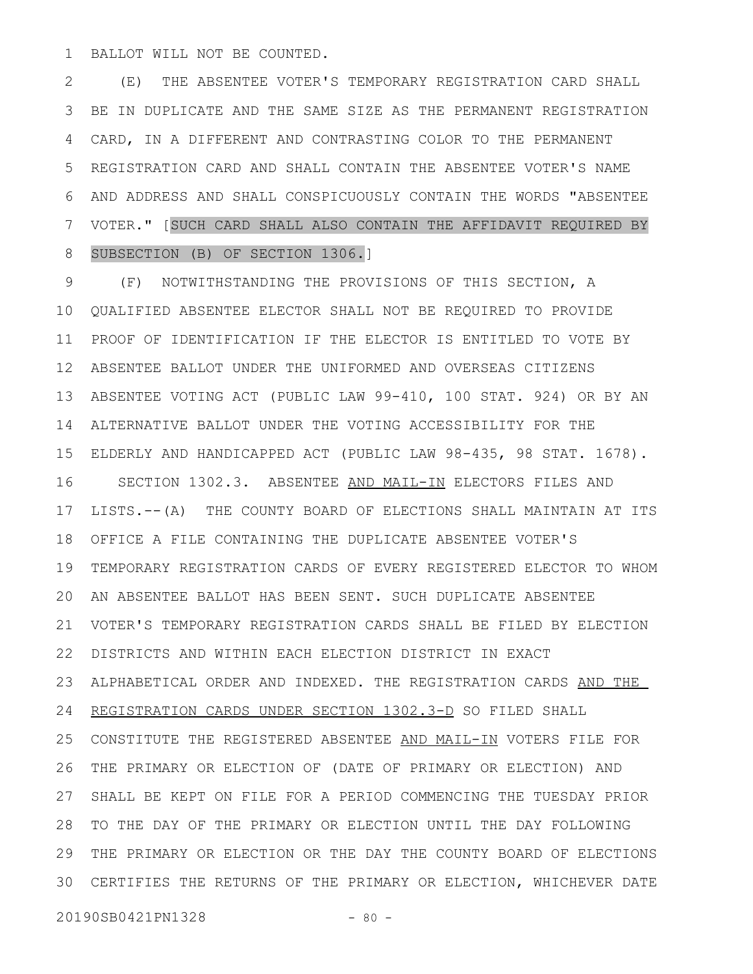BALLOT WILL NOT BE COUNTED. 1

(E) THE ABSENTEE VOTER'S TEMPORARY REGISTRATION CARD SHALL BE IN DUPLICATE AND THE SAME SIZE AS THE PERMANENT REGISTRATION CARD, IN A DIFFERENT AND CONTRASTING COLOR TO THE PERMANENT REGISTRATION CARD AND SHALL CONTAIN THE ABSENTEE VOTER'S NAME AND ADDRESS AND SHALL CONSPICUOUSLY CONTAIN THE WORDS "ABSENTEE VOTER." [SUCH CARD SHALL ALSO CONTAIN THE AFFIDAVIT REQUIRED BY SUBSECTION (B) OF SECTION 1306.] 2 3 4 5 6 7 8

(F) NOTWITHSTANDING THE PROVISIONS OF THIS SECTION, A QUALIFIED ABSENTEE ELECTOR SHALL NOT BE REQUIRED TO PROVIDE PROOF OF IDENTIFICATION IF THE ELECTOR IS ENTITLED TO VOTE BY ABSENTEE BALLOT UNDER THE UNIFORMED AND OVERSEAS CITIZENS ABSENTEE VOTING ACT (PUBLIC LAW 99-410, 100 STAT. 924) OR BY AN 14 ALTERNATIVE BALLOT UNDER THE VOTING ACCESSIBILITY FOR THE ELDERLY AND HANDICAPPED ACT (PUBLIC LAW 98-435, 98 STAT. 1678). 15 SECTION 1302.3. ABSENTEE AND MAIL-IN ELECTORS FILES AND LISTS.--(A) THE COUNTY BOARD OF ELECTIONS SHALL MAINTAIN AT ITS OFFICE A FILE CONTAINING THE DUPLICATE ABSENTEE VOTER'S 18 TEMPORARY REGISTRATION CARDS OF EVERY REGISTERED ELECTOR TO WHOM AN ABSENTEE BALLOT HAS BEEN SENT. SUCH DUPLICATE ABSENTEE 20 VOTER'S TEMPORARY REGISTRATION CARDS SHALL BE FILED BY ELECTION DISTRICTS AND WITHIN EACH ELECTION DISTRICT IN EXACT ALPHABETICAL ORDER AND INDEXED. THE REGISTRATION CARDS AND THE REGISTRATION CARDS UNDER SECTION 1302.3-D SO FILED SHALL CONSTITUTE THE REGISTERED ABSENTEE AND MAIL-IN VOTERS FILE FOR THE PRIMARY OR ELECTION OF (DATE OF PRIMARY OR ELECTION) AND SHALL BE KEPT ON FILE FOR A PERIOD COMMENCING THE TUESDAY PRIOR 28 TO THE DAY OF THE PRIMARY OR ELECTION UNTIL THE DAY FOLLOWING THE PRIMARY OR ELECTION OR THE DAY THE COUNTY BOARD OF ELECTIONS CERTIFIES THE RETURNS OF THE PRIMARY OR ELECTION, WHICHEVER DATE 309 10 11 12 13 16 17 19 21 22 23 24 25 26 27 29

20190SB0421PN1328 - 80 -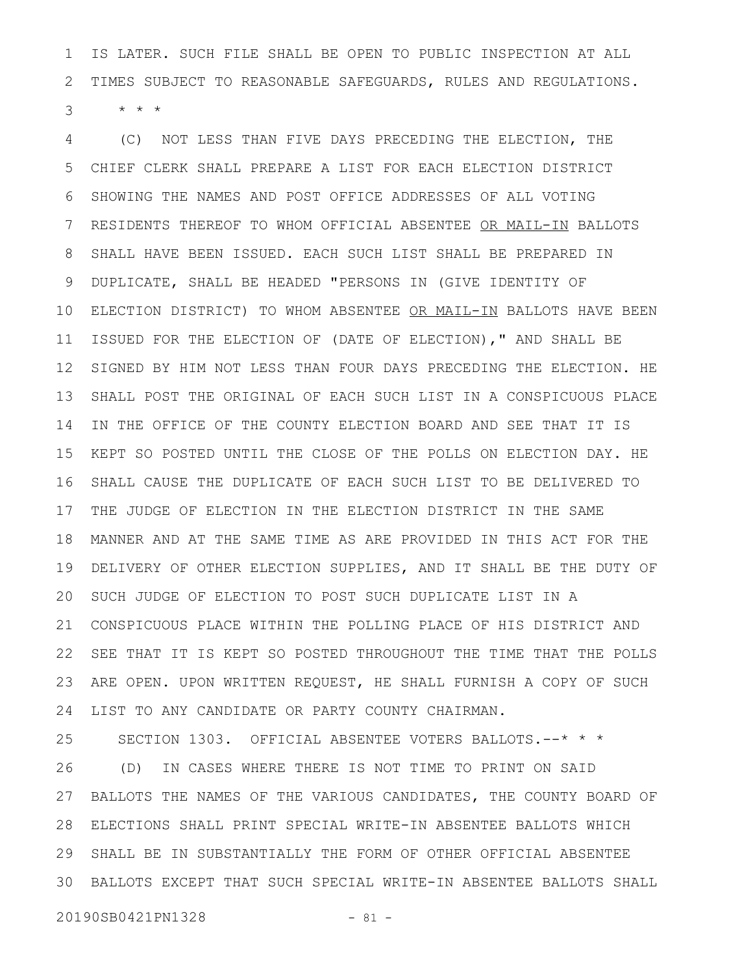IS LATER. SUCH FILE SHALL BE OPEN TO PUBLIC INSPECTION AT ALL TIMES SUBJECT TO REASONABLE SAFEGUARDS, RULES AND REGULATIONS.  $\star$   $\star$   $\star$ 1 2 3

(C) NOT LESS THAN FIVE DAYS PRECEDING THE ELECTION, THE CHIEF CLERK SHALL PREPARE A LIST FOR EACH ELECTION DISTRICT SHOWING THE NAMES AND POST OFFICE ADDRESSES OF ALL VOTING RESIDENTS THEREOF TO WHOM OFFICIAL ABSENTEE OR MAIL-IN BALLOTS SHALL HAVE BEEN ISSUED. EACH SUCH LIST SHALL BE PREPARED IN DUPLICATE, SHALL BE HEADED "PERSONS IN (GIVE IDENTITY OF ELECTION DISTRICT) TO WHOM ABSENTEE OR MAIL-IN BALLOTS HAVE BEEN ISSUED FOR THE ELECTION OF (DATE OF ELECTION)," AND SHALL BE SIGNED BY HIM NOT LESS THAN FOUR DAYS PRECEDING THE ELECTION. HE SHALL POST THE ORIGINAL OF EACH SUCH LIST IN A CONSPICUOUS PLACE IN THE OFFICE OF THE COUNTY ELECTION BOARD AND SEE THAT IT IS KEPT SO POSTED UNTIL THE CLOSE OF THE POLLS ON ELECTION DAY. HE SHALL CAUSE THE DUPLICATE OF EACH SUCH LIST TO BE DELIVERED TO THE JUDGE OF ELECTION IN THE ELECTION DISTRICT IN THE SAME MANNER AND AT THE SAME TIME AS ARE PROVIDED IN THIS ACT FOR THE DELIVERY OF OTHER ELECTION SUPPLIES, AND IT SHALL BE THE DUTY OF SUCH JUDGE OF ELECTION TO POST SUCH DUPLICATE LIST IN A CONSPICUOUS PLACE WITHIN THE POLLING PLACE OF HIS DISTRICT AND SEE THAT IT IS KEPT SO POSTED THROUGHOUT THE TIME THAT THE POLLS ARE OPEN. UPON WRITTEN REQUEST, HE SHALL FURNISH A COPY OF SUCH LIST TO ANY CANDIDATE OR PARTY COUNTY CHAIRMAN. SECTION 1303. OFFICIAL ABSENTEE VOTERS BALLOTS.--\* \* \* 4 5 6 7 8 9 10 11 12 13 14 15 16 17 18 19 20 21 22 23 24 25

(D) IN CASES WHERE THERE IS NOT TIME TO PRINT ON SAID BALLOTS THE NAMES OF THE VARIOUS CANDIDATES, THE COUNTY BOARD OF ELECTIONS SHALL PRINT SPECIAL WRITE-IN ABSENTEE BALLOTS WHICH SHALL BE IN SUBSTANTIALLY THE FORM OF OTHER OFFICIAL ABSENTEE BALLOTS EXCEPT THAT SUCH SPECIAL WRITE-IN ABSENTEE BALLOTS SHALL 3026 27 28 29

20190SB0421PN1328 - 81 -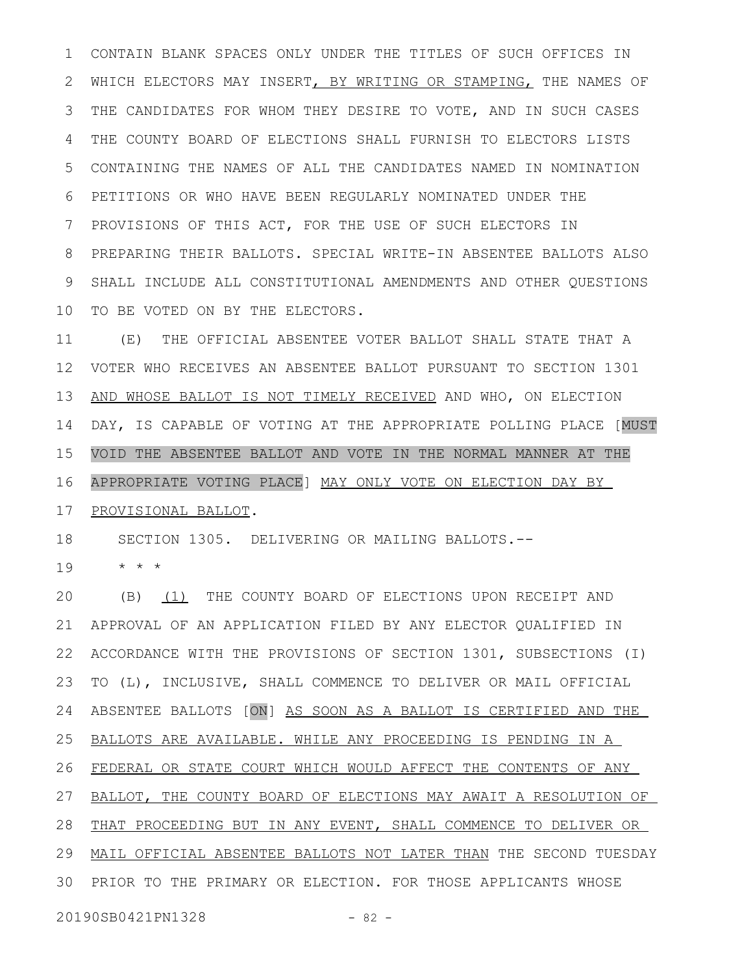CONTAIN BLANK SPACES ONLY UNDER THE TITLES OF SUCH OFFICES IN WHICH ELECTORS MAY INSERT, BY WRITING OR STAMPING, THE NAMES OF THE CANDIDATES FOR WHOM THEY DESIRE TO VOTE, AND IN SUCH CASES THE COUNTY BOARD OF ELECTIONS SHALL FURNISH TO ELECTORS LISTS CONTAINING THE NAMES OF ALL THE CANDIDATES NAMED IN NOMINATION PETITIONS OR WHO HAVE BEEN REGULARLY NOMINATED UNDER THE PROVISIONS OF THIS ACT, FOR THE USE OF SUCH ELECTORS IN PREPARING THEIR BALLOTS. SPECIAL WRITE-IN ABSENTEE BALLOTS ALSO SHALL INCLUDE ALL CONSTITUTIONAL AMENDMENTS AND OTHER QUESTIONS TO BE VOTED ON BY THE ELECTORS. 1 2 3 4 5 6 7 8 9 10

(E) THE OFFICIAL ABSENTEE VOTER BALLOT SHALL STATE THAT A VOTER WHO RECEIVES AN ABSENTEE BALLOT PURSUANT TO SECTION 1301 AND WHOSE BALLOT IS NOT TIMELY RECEIVED AND WHO, ON ELECTION DAY, IS CAPABLE OF VOTING AT THE APPROPRIATE POLLING PLACE [MUST VOID THE ABSENTEE BALLOT AND VOTE IN THE NORMAL MANNER AT THE APPROPRIATE VOTING PLACE] MAY ONLY VOTE ON ELECTION DAY BY 11 12 13 14 15 16

PROVISIONAL BALLOT. 17

SECTION 1305. DELIVERING OR MAILING BALLOTS.-- 18

\* \* \* 19

(B) (1) THE COUNTY BOARD OF ELECTIONS UPON RECEIPT AND APPROVAL OF AN APPLICATION FILED BY ANY ELECTOR QUALIFIED IN ACCORDANCE WITH THE PROVISIONS OF SECTION 1301, SUBSECTIONS (I) TO (L), INCLUSIVE, SHALL COMMENCE TO DELIVER OR MAIL OFFICIAL ABSENTEE BALLOTS [ON] AS SOON AS A BALLOT IS CERTIFIED AND THE BALLOTS ARE AVAILABLE. WHILE ANY PROCEEDING IS PENDING IN A FEDERAL OR STATE COURT WHICH WOULD AFFECT THE CONTENTS OF ANY BALLOT, THE COUNTY BOARD OF ELECTIONS MAY AWAIT A RESOLUTION OF 28 THAT PROCEEDING BUT IN ANY EVENT, SHALL COMMENCE TO DELIVER OR 29 MAIL OFFICIAL ABSENTEE BALLOTS NOT LATER THAN THE SECOND TUESDAY 30 PRIOR TO THE PRIMARY OR ELECTION. FOR THOSE APPLICANTS WHOSE 20 21 22 23 24 25 26 27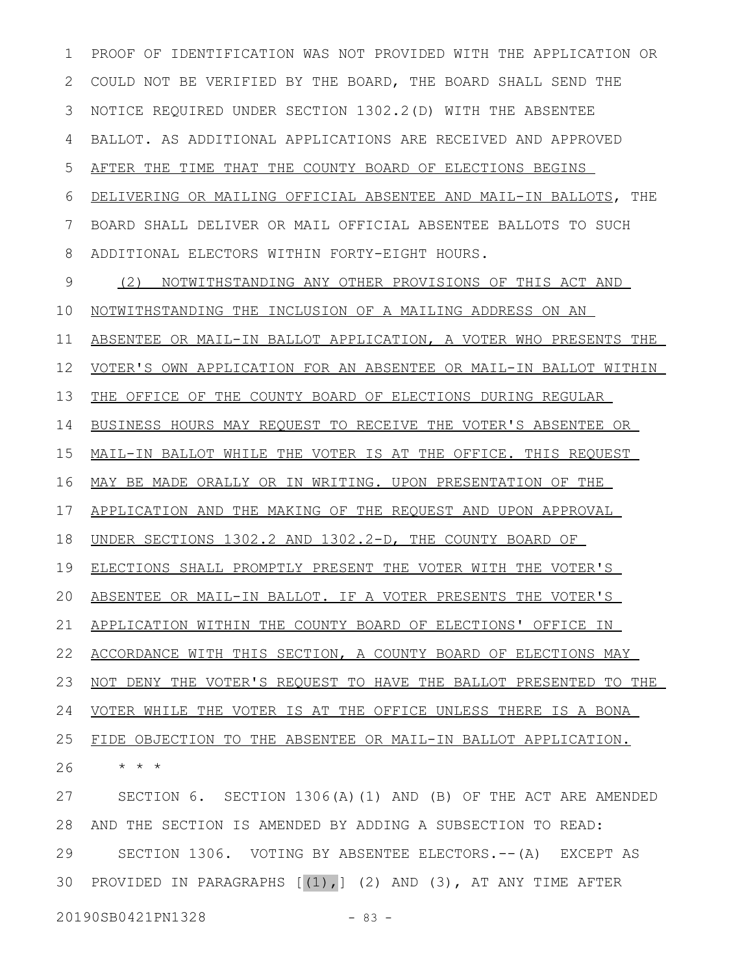PROOF OF IDENTIFICATION WAS NOT PROVIDED WITH THE APPLICATION OR COULD NOT BE VERIFIED BY THE BOARD, THE BOARD SHALL SEND THE NOTICE REQUIRED UNDER SECTION 1302.2(D) WITH THE ABSENTEE BALLOT. AS ADDITIONAL APPLICATIONS ARE RECEIVED AND APPROVED AFTER THE TIME THAT THE COUNTY BOARD OF ELECTIONS BEGINS DELIVERING OR MAILING OFFICIAL ABSENTEE AND MAIL-IN BALLOTS, THE BOARD SHALL DELIVER OR MAIL OFFICIAL ABSENTEE BALLOTS TO SUCH ADDITIONAL ELECTORS WITHIN FORTY-EIGHT HOURS. (2) NOTWITHSTANDING ANY OTHER PROVISIONS OF THIS ACT AND NOTWITHSTANDING THE INCLUSION OF A MAILING ADDRESS ON AN ABSENTEE OR MAIL-IN BALLOT APPLICATION, A VOTER WHO PRESENTS THE VOTER'S OWN APPLICATION FOR AN ABSENTEE OR MAIL-IN BALLOT WITHIN THE OFFICE OF THE COUNTY BOARD OF ELECTIONS DURING REGULAR BUSINESS HOURS MAY REQUEST TO RECEIVE THE VOTER'S ABSENTEE OR MAIL-IN BALLOT WHILE THE VOTER IS AT THE OFFICE. THIS REQUEST MAY BE MADE ORALLY OR IN WRITING. UPON PRESENTATION OF THE APPLICATION AND THE MAKING OF THE REQUEST AND UPON APPROVAL UNDER SECTIONS 1302.2 AND 1302.2-D, THE COUNTY BOARD OF ELECTIONS SHALL PROMPTLY PRESENT THE VOTER WITH THE VOTER'S ABSENTEE OR MAIL-IN BALLOT. IF A VOTER PRESENTS THE VOTER'S APPLICATION WITHIN THE COUNTY BOARD OF ELECTIONS' OFFICE IN ACCORDANCE WITH THIS SECTION, A COUNTY BOARD OF ELECTIONS MAY NOT DENY THE VOTER'S REQUEST TO HAVE THE BALLOT PRESENTED TO THE VOTER WHILE THE VOTER IS AT THE OFFICE UNLESS THERE IS A BONA FIDE OBJECTION TO THE ABSENTEE OR MAIL-IN BALLOT APPLICATION. \* \* \* SECTION 6. SECTION 1306(A)(1) AND (B) OF THE ACT ARE AMENDED AND THE SECTION IS AMENDED BY ADDING A SUBSECTION TO READ: 1 2 3 4 5 6 7 8 9 10 11 12 13 14 15 16 17 18 19 20 21 22 23 24 25 26 27 28

SECTION 1306. VOTING BY ABSENTEE ELECTORS.--(A) EXCEPT AS 30 PROVIDED IN PARAGRAPHS  $[(1),]$  (2) AND (3), AT ANY TIME AFTER 29

20190SB0421PN1328 - 83 -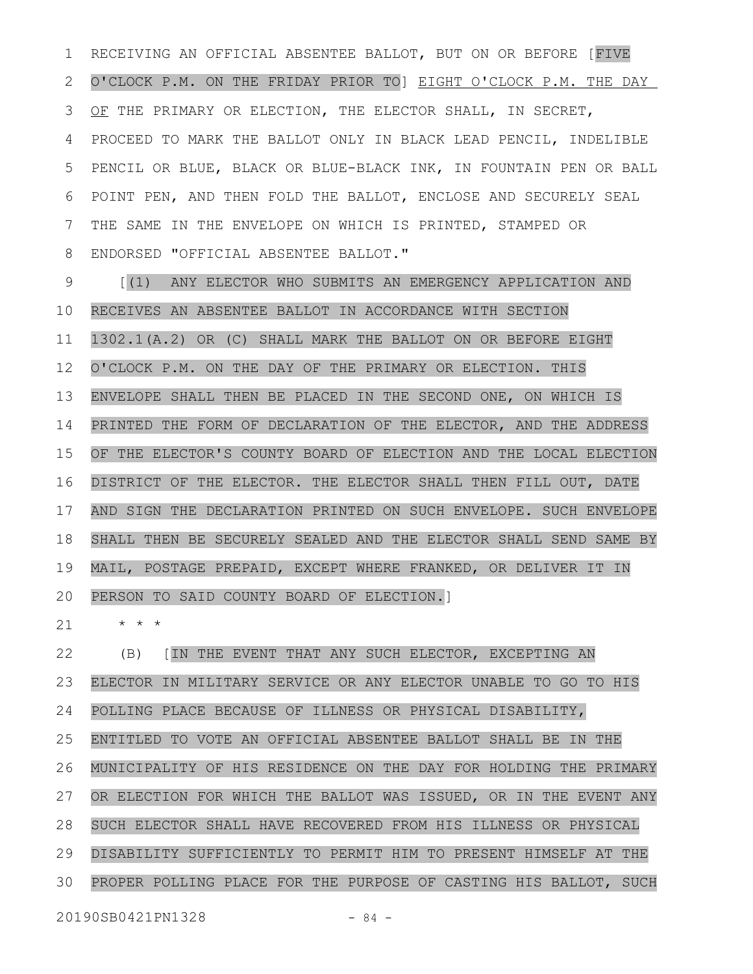RECEIVING AN OFFICIAL ABSENTEE BALLOT, BUT ON OR BEFORE [FIVE O'CLOCK P.M. ON THE FRIDAY PRIOR TO] EIGHT O'CLOCK P.M. THE DAY OF THE PRIMARY OR ELECTION, THE ELECTOR SHALL, IN SECRET, PROCEED TO MARK THE BALLOT ONLY IN BLACK LEAD PENCIL, INDELIBLE PENCIL OR BLUE, BLACK OR BLUE-BLACK INK, IN FOUNTAIN PEN OR BALL POINT PEN, AND THEN FOLD THE BALLOT, ENCLOSE AND SECURELY SEAL THE SAME IN THE ENVELOPE ON WHICH IS PRINTED, STAMPED OR ENDORSED "OFFICIAL ABSENTEE BALLOT." 1 2 3 4 5 6 7 8

[(1) ANY ELECTOR WHO SUBMITS AN EMERGENCY APPLICATION AND RECEIVES AN ABSENTEE BALLOT IN ACCORDANCE WITH SECTION 1302.1(A.2) OR (C) SHALL MARK THE BALLOT ON OR BEFORE EIGHT O'CLOCK P.M. ON THE DAY OF THE PRIMARY OR ELECTION. THIS ENVELOPE SHALL THEN BE PLACED IN THE SECOND ONE, ON WHICH IS PRINTED THE FORM OF DECLARATION OF THE ELECTOR, AND THE ADDRESS OF THE ELECTOR'S COUNTY BOARD OF ELECTION AND THE LOCAL ELECTION DISTRICT OF THE ELECTOR. THE ELECTOR SHALL THEN FILL OUT, DATE AND SIGN THE DECLARATION PRINTED ON SUCH ENVELOPE. SUCH ENVELOPE SHALL THEN BE SECURELY SEALED AND THE ELECTOR SHALL SEND SAME BY MAIL, POSTAGE PREPAID, EXCEPT WHERE FRANKED, OR DELIVER IT IN PERSON TO SAID COUNTY BOARD OF ELECTION.] 9 10 11 12 13 14 15 16 17 18 19 20

\* \* \* 21

(B) [IN THE EVENT THAT ANY SUCH ELECTOR, EXCEPTING AN ELECTOR IN MILITARY SERVICE OR ANY ELECTOR UNABLE TO GO TO HIS POLLING PLACE BECAUSE OF ILLNESS OR PHYSICAL DISABILITY, ENTITLED TO VOTE AN OFFICIAL ABSENTEE BALLOT SHALL BE IN THE MUNICIPALITY OF HIS RESIDENCE ON THE DAY FOR HOLDING THE PRIMARY OR ELECTION FOR WHICH THE BALLOT WAS ISSUED, OR IN THE EVENT ANY SUCH ELECTOR SHALL HAVE RECOVERED FROM HIS ILLNESS OR PHYSICAL DISABILITY SUFFICIENTLY TO PERMIT HIM TO PRESENT HIMSELF AT THE PROPER POLLING PLACE FOR THE PURPOSE OF CASTING HIS BALLOT, SUCH 22 23 24 25 26 27 28 29 30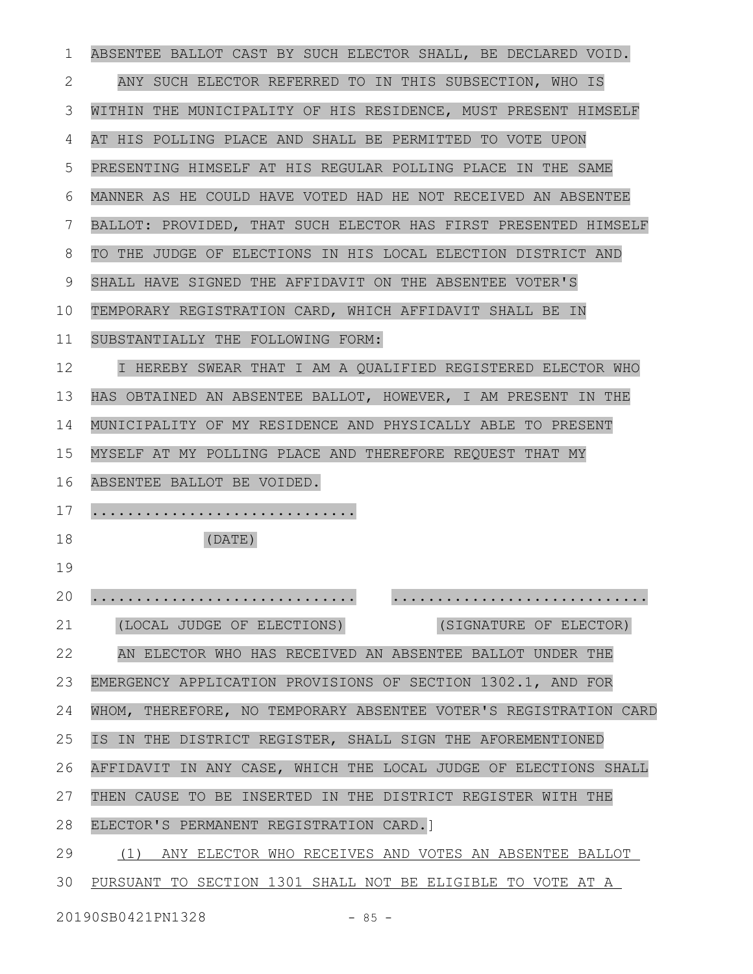| 1  | ABSENTEE BALLOT CAST BY SUCH ELECTOR SHALL, BE DECLARED VOID.    |
|----|------------------------------------------------------------------|
| 2  | ANY SUCH ELECTOR REFERRED TO IN THIS SUBSECTION, WHO IS          |
| 3  | WITHIN THE MUNICIPALITY OF HIS RESIDENCE, MUST PRESENT HIMSELF   |
| 4  | AT HIS POLLING PLACE AND SHALL BE PERMITTED TO VOTE UPON         |
| 5  | PRESENTING HIMSELF AT HIS REGULAR POLLING PLACE IN THE SAME      |
| 6  | MANNER AS HE COULD HAVE VOTED HAD HE NOT RECEIVED AN ABSENTEE    |
| 7  | BALLOT: PROVIDED, THAT SUCH ELECTOR HAS FIRST PRESENTED HIMSELF  |
| 8  | TO THE JUDGE OF ELECTIONS IN HIS LOCAL ELECTION DISTRICT AND     |
| 9  | SHALL HAVE SIGNED THE AFFIDAVIT ON THE ABSENTEE VOTER'S          |
| 10 | TEMPORARY REGISTRATION CARD, WHICH AFFIDAVIT SHALL BE IN         |
| 11 | SUBSTANTIALLY THE FOLLOWING FORM:                                |
| 12 | I HEREBY SWEAR THAT I AM A QUALIFIED REGISTERED ELECTOR WHO      |
| 13 | HAS OBTAINED AN ABSENTEE BALLOT, HOWEVER, I AM PRESENT IN THE    |
| 14 | MUNICIPALITY OF MY RESIDENCE AND PHYSICALLY ABLE TO PRESENT      |
| 15 | MYSELF AT MY POLLING PLACE AND THEREFORE REQUEST THAT MY         |
| 16 | ABSENTEE BALLOT BE VOIDED.                                       |
| 17 |                                                                  |
| 18 | (DATE)                                                           |
| 19 |                                                                  |
| 20 |                                                                  |
| 21 | (SIGNATURE OF ELECTOR)<br>(LOCAL JUDGE OF ELECTIONS)             |
| 22 | AN ELECTOR WHO HAS RECEIVED AN ABSENTEE BALLOT UNDER THE         |
| 23 | EMERGENCY APPLICATION PROVISIONS OF SECTION 1302.1, AND FOR      |
| 24 | WHOM, THEREFORE, NO TEMPORARY ABSENTEE VOTER'S REGISTRATION CARD |
| 25 | IS IN THE DISTRICT REGISTER, SHALL SIGN THE AFOREMENTIONED       |
| 26 | AFFIDAVIT IN ANY CASE, WHICH THE LOCAL JUDGE OF ELECTIONS SHALL  |
| 27 | THEN CAUSE TO BE INSERTED IN THE DISTRICT REGISTER WITH THE      |
| 28 | ELECTOR'S PERMANENT REGISTRATION CARD.]                          |
| 29 | (1) ANY ELECTOR WHO RECEIVES AND VOTES AN ABSENTEE BALLOT        |
| 30 | PURSUANT TO SECTION 1301 SHALL NOT BE ELIGIBLE TO VOTE AT A      |
|    |                                                                  |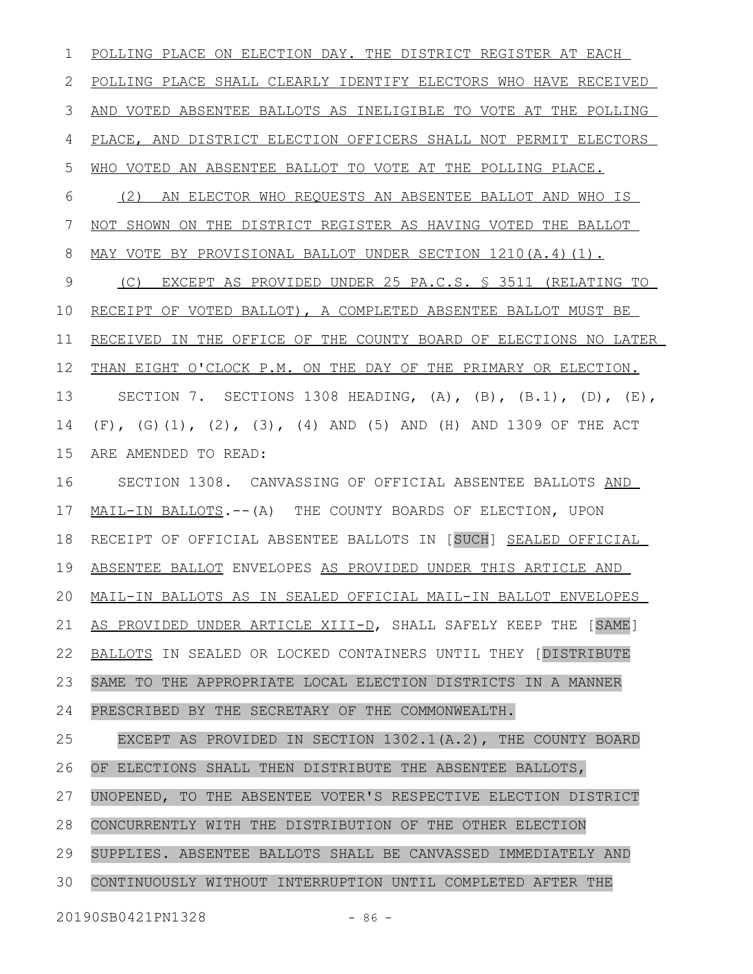POLLING PLACE ON ELECTION DAY. THE DISTRICT REGISTER AT EACH POLLING PLACE SHALL CLEARLY IDENTIFY ELECTORS WHO HAVE RECEIVED AND VOTED ABSENTEE BALLOTS AS INELIGIBLE TO VOTE AT THE POLLING PLACE, AND DISTRICT ELECTION OFFICERS SHALL NOT PERMIT ELECTORS WHO VOTED AN ABSENTEE BALLOT TO VOTE AT THE POLLING PLACE. (2) AN ELECTOR WHO REQUESTS AN ABSENTEE BALLOT AND WHO IS NOT SHOWN ON THE DISTRICT REGISTER AS HAVING VOTED THE BALLOT MAY VOTE BY PROVISIONAL BALLOT UNDER SECTION 1210(A.4)(1). (C) EXCEPT AS PROVIDED UNDER 25 PA.C.S. § 3511 (RELATING TO RECEIPT OF VOTED BALLOT), A COMPLETED ABSENTEE BALLOT MUST BE RECEIVED IN THE OFFICE OF THE COUNTY BOARD OF ELECTIONS NO LATER THAN EIGHT O'CLOCK P.M. ON THE DAY OF THE PRIMARY OR ELECTION. SECTION 7. SECTIONS 1308 HEADING,  $(A)$ ,  $(B)$ ,  $(B.1)$ ,  $(D)$ ,  $(E)$ , (F), (G)(1), (2), (3), (4) AND (5) AND (H) AND 1309 OF THE ACT ARE AMENDED TO READ: SECTION 1308. CANVASSING OF OFFICIAL ABSENTEE BALLOTS AND MAIL-IN BALLOTS.--(A) THE COUNTY BOARDS OF ELECTION, UPON RECEIPT OF OFFICIAL ABSENTEE BALLOTS IN [SUCH] SEALED OFFICIAL ABSENTEE BALLOT ENVELOPES AS PROVIDED UNDER THIS ARTICLE AND MAIL-IN BALLOTS AS IN SEALED OFFICIAL MAIL-IN BALLOT ENVELOPES AS PROVIDED UNDER ARTICLE XIII-D, SHALL SAFELY KEEP THE [SAME] BALLOTS IN SEALED OR LOCKED CONTAINERS UNTIL THEY [DISTRIBUTE SAME TO THE APPROPRIATE LOCAL ELECTION DISTRICTS IN A MANNER PRESCRIBED BY THE SECRETARY OF THE COMMONWEALTH. EXCEPT AS PROVIDED IN SECTION 1302.1(A.2), THE COUNTY BOARD OF ELECTIONS SHALL THEN DISTRIBUTE THE ABSENTEE BALLOTS, UNOPENED, TO THE ABSENTEE VOTER'S RESPECTIVE ELECTION DISTRICT CONCURRENTLY WITH THE DISTRIBUTION OF THE OTHER ELECTION SUPPLIES. ABSENTEE BALLOTS SHALL BE CANVASSED IMMEDIATELY AND CONTINUOUSLY WITHOUT INTERRUPTION UNTIL COMPLETED AFTER THE 1 2 3 4 5 6 7 8 9 10 11 12 13 14 15 16 17 18 19 20 21 22 23 24 25 26 27 28 29 30

20190SB0421PN1328 - 86 -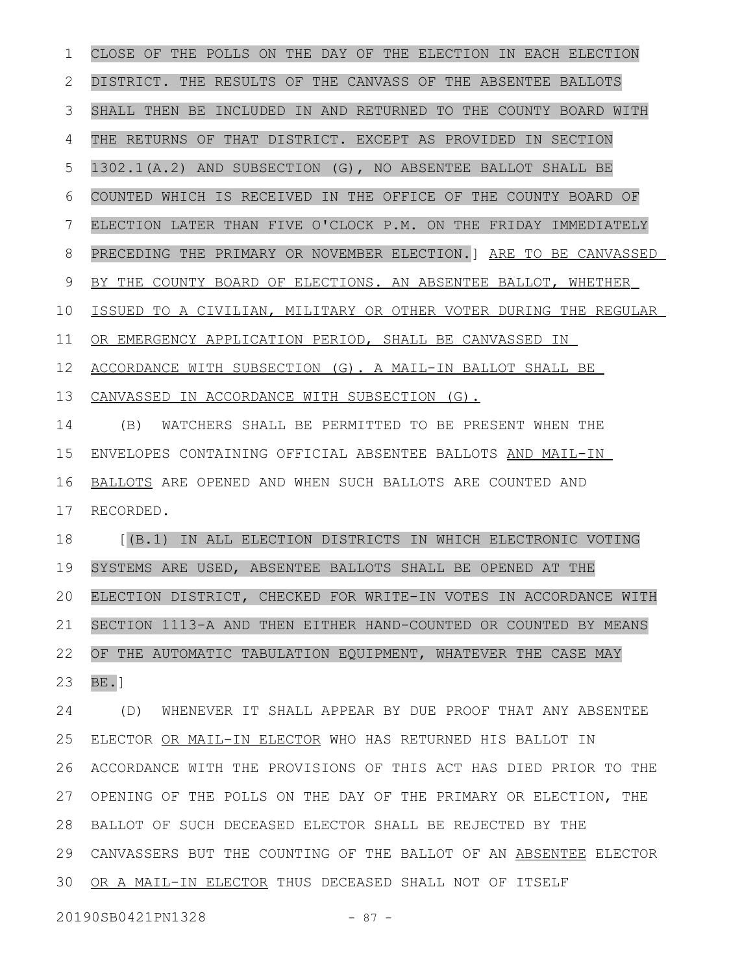CLOSE OF THE POLLS ON THE DAY OF THE ELECTION IN EACH ELECTION DISTRICT. THE RESULTS OF THE CANVASS OF THE ABSENTEE BALLOTS SHALL THEN BE INCLUDED IN AND RETURNED TO THE COUNTY BOARD WITH THE RETURNS OF THAT DISTRICT. EXCEPT AS PROVIDED IN SECTION 1302.1(A.2) AND SUBSECTION (G), NO ABSENTEE BALLOT SHALL BE COUNTED WHICH IS RECEIVED IN THE OFFICE OF THE COUNTY BOARD OF ELECTION LATER THAN FIVE O'CLOCK P.M. ON THE FRIDAY IMMEDIATELY PRECEDING THE PRIMARY OR NOVEMBER ELECTION.] ARE TO BE CANVASSED BY THE COUNTY BOARD OF ELECTIONS. AN ABSENTEE BALLOT, WHETHER ISSUED TO A CIVILIAN, MILITARY OR OTHER VOTER DURING THE REGULAR OR EMERGENCY APPLICATION PERIOD, SHALL BE CANVASSED IN ACCORDANCE WITH SUBSECTION (G). A MAIL-IN BALLOT SHALL BE CANVASSED IN ACCORDANCE WITH SUBSECTION (G). (B) WATCHERS SHALL BE PERMITTED TO BE PRESENT WHEN THE ENVELOPES CONTAINING OFFICIAL ABSENTEE BALLOTS AND MAIL-IN BALLOTS ARE OPENED AND WHEN SUCH BALLOTS ARE COUNTED AND RECORDED. [(B.1) IN ALL ELECTION DISTRICTS IN WHICH ELECTRONIC VOTING SYSTEMS ARE USED, ABSENTEE BALLOTS SHALL BE OPENED AT THE ELECTION DISTRICT, CHECKED FOR WRITE-IN VOTES IN ACCORDANCE WITH SECTION 1113-A AND THEN EITHER HAND-COUNTED OR COUNTED BY MEANS OF THE AUTOMATIC TABULATION EQUIPMENT, WHATEVER THE CASE MAY  $BE.$ ] (D) WHENEVER IT SHALL APPEAR BY DUE PROOF THAT ANY ABSENTEE ELECTOR OR MAIL-IN ELECTOR WHO HAS RETURNED HIS BALLOT IN ACCORDANCE WITH THE PROVISIONS OF THIS ACT HAS DIED PRIOR TO THE OPENING OF THE POLLS ON THE DAY OF THE PRIMARY OR ELECTION, THE BALLOT OF SUCH DECEASED ELECTOR SHALL BE REJECTED BY THE CANVASSERS BUT THE COUNTING OF THE BALLOT OF AN ABSENTEE ELECTOR OR A MAIL-IN ELECTOR THUS DECEASED SHALL NOT OF ITSELF 1 2 3 4 5 6 7 8 9 10 11 12 13 14 15 16 17 18 19 20 21 22 23 24 25 26 27 28 29 30

20190SB0421PN1328 - 87 -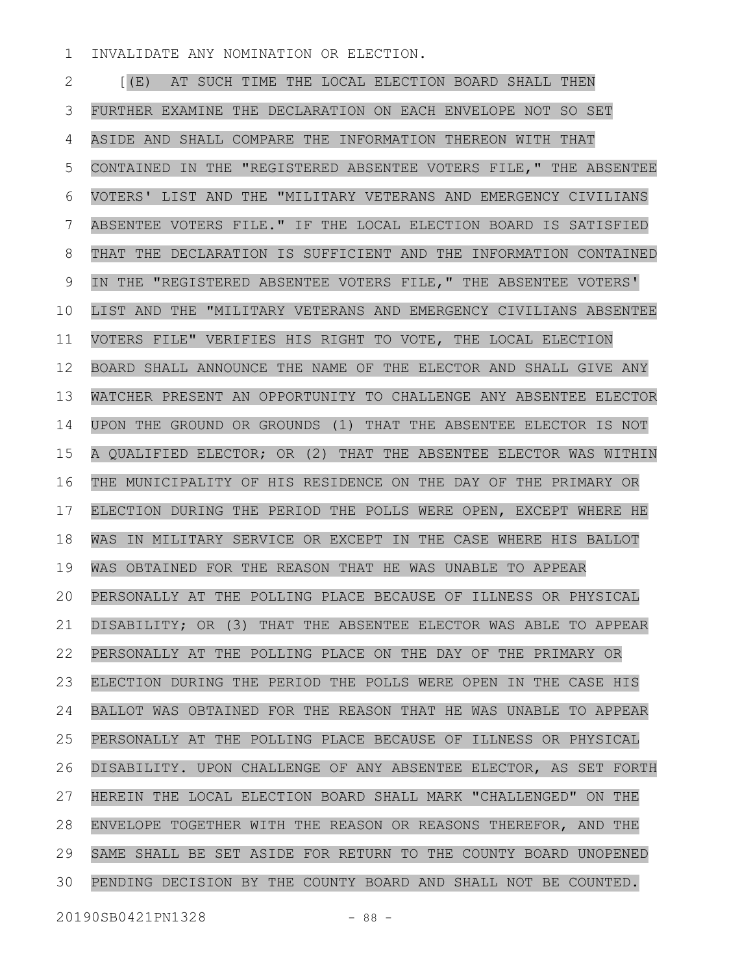INVALIDATE ANY NOMINATION OR ELECTION. 1

[(E) AT SUCH TIME THE LOCAL ELECTION BOARD SHALL THEN FURTHER EXAMINE THE DECLARATION ON EACH ENVELOPE NOT SO SET ASIDE AND SHALL COMPARE THE INFORMATION THEREON WITH THAT CONTAINED IN THE "REGISTERED ABSENTEE VOTERS FILE," THE ABSENTEE VOTERS' LIST AND THE "MILITARY VETERANS AND EMERGENCY CIVILIANS ABSENTEE VOTERS FILE." IF THE LOCAL ELECTION BOARD IS SATISFIED THAT THE DECLARATION IS SUFFICIENT AND THE INFORMATION CONTAINED IN THE "REGISTERED ABSENTEE VOTERS FILE," THE ABSENTEE VOTERS' LIST AND THE "MILITARY VETERANS AND EMERGENCY CIVILIANS ABSENTEE VOTERS FILE" VERIFIES HIS RIGHT TO VOTE, THE LOCAL ELECTION BOARD SHALL ANNOUNCE THE NAME OF THE ELECTOR AND SHALL GIVE ANY WATCHER PRESENT AN OPPORTUNITY TO CHALLENGE ANY ABSENTEE ELECTOR UPON THE GROUND OR GROUNDS (1) THAT THE ABSENTEE ELECTOR IS NOT A QUALIFIED ELECTOR; OR (2) THAT THE ABSENTEE ELECTOR WAS WITHIN THE MUNICIPALITY OF HIS RESIDENCE ON THE DAY OF THE PRIMARY OR ELECTION DURING THE PERIOD THE POLLS WERE OPEN, EXCEPT WHERE HE WAS IN MILITARY SERVICE OR EXCEPT IN THE CASE WHERE HIS BALLOT WAS OBTAINED FOR THE REASON THAT HE WAS UNABLE TO APPEAR PERSONALLY AT THE POLLING PLACE BECAUSE OF ILLNESS OR PHYSICAL DISABILITY; OR (3) THAT THE ABSENTEE ELECTOR WAS ABLE TO APPEAR PERSONALLY AT THE POLLING PLACE ON THE DAY OF THE PRIMARY OR ELECTION DURING THE PERIOD THE POLLS WERE OPEN IN THE CASE HIS BALLOT WAS OBTAINED FOR THE REASON THAT HE WAS UNABLE TO APPEAR PERSONALLY AT THE POLLING PLACE BECAUSE OF ILLNESS OR PHYSICAL DISABILITY. UPON CHALLENGE OF ANY ABSENTEE ELECTOR, AS SET FORTH HEREIN THE LOCAL ELECTION BOARD SHALL MARK "CHALLENGED" ON THE ENVELOPE TOGETHER WITH THE REASON OR REASONS THEREFOR, AND THE SAME SHALL BE SET ASIDE FOR RETURN TO THE COUNTY BOARD UNOPENED PENDING DECISION BY THE COUNTY BOARD AND SHALL NOT BE COUNTED. 2 3 4 5 6 7 8 9 10 11 12 13 14 15 16 17 18 19 20 21 22 23 24 25 26 27 28 29 30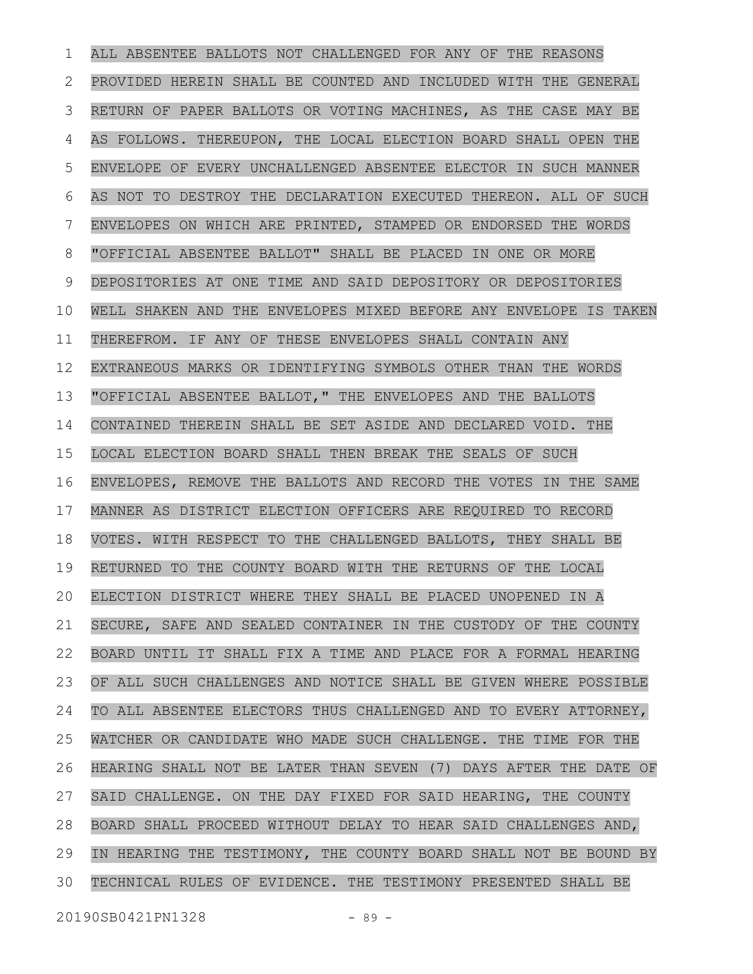ALL ABSENTEE BALLOTS NOT CHALLENGED FOR ANY OF THE REASONS PROVIDED HEREIN SHALL BE COUNTED AND INCLUDED WITH THE GENERAL RETURN OF PAPER BALLOTS OR VOTING MACHINES, AS THE CASE MAY BE AS FOLLOWS. THEREUPON, THE LOCAL ELECTION BOARD SHALL OPEN THE ENVELOPE OF EVERY UNCHALLENGED ABSENTEE ELECTOR IN SUCH MANNER AS NOT TO DESTROY THE DECLARATION EXECUTED THEREON. ALL OF SUCH ENVELOPES ON WHICH ARE PRINTED, STAMPED OR ENDORSED THE WORDS "OFFICIAL ABSENTEE BALLOT" SHALL BE PLACED IN ONE OR MORE DEPOSITORIES AT ONE TIME AND SAID DEPOSITORY OR DEPOSITORIES WELL SHAKEN AND THE ENVELOPES MIXED BEFORE ANY ENVELOPE IS TAKEN THEREFROM. IF ANY OF THESE ENVELOPES SHALL CONTAIN ANY EXTRANEOUS MARKS OR IDENTIFYING SYMBOLS OTHER THAN THE WORDS "OFFICIAL ABSENTEE BALLOT," THE ENVELOPES AND THE BALLOTS CONTAINED THEREIN SHALL BE SET ASIDE AND DECLARED VOID. THE LOCAL ELECTION BOARD SHALL THEN BREAK THE SEALS OF SUCH ENVELOPES, REMOVE THE BALLOTS AND RECORD THE VOTES IN THE SAME MANNER AS DISTRICT ELECTION OFFICERS ARE REQUIRED TO RECORD VOTES. WITH RESPECT TO THE CHALLENGED BALLOTS, THEY SHALL BE RETURNED TO THE COUNTY BOARD WITH THE RETURNS OF THE LOCAL ELECTION DISTRICT WHERE THEY SHALL BE PLACED UNOPENED IN A SECURE, SAFE AND SEALED CONTAINER IN THE CUSTODY OF THE COUNTY BOARD UNTIL IT SHALL FIX A TIME AND PLACE FOR A FORMAL HEARING OF ALL SUCH CHALLENGES AND NOTICE SHALL BE GIVEN WHERE POSSIBLE TO ALL ABSENTEE ELECTORS THUS CHALLENGED AND TO EVERY ATTORNEY, WATCHER OR CANDIDATE WHO MADE SUCH CHALLENGE. THE TIME FOR THE HEARING SHALL NOT BE LATER THAN SEVEN (7) DAYS AFTER THE DATE OF SAID CHALLENGE. ON THE DAY FIXED FOR SAID HEARING, THE COUNTY BOARD SHALL PROCEED WITHOUT DELAY TO HEAR SAID CHALLENGES AND, IN HEARING THE TESTIMONY, THE COUNTY BOARD SHALL NOT BE BOUND BY TECHNICAL RULES OF EVIDENCE. THE TESTIMONY PRESENTED SHALL BE 1 2 3 4 5 6 7 8 9 10 11 12 13 14 15 16 17 18 19 20 21 22 23 24 25 26 27 28 29 30

20190SB0421PN1328 - 89 -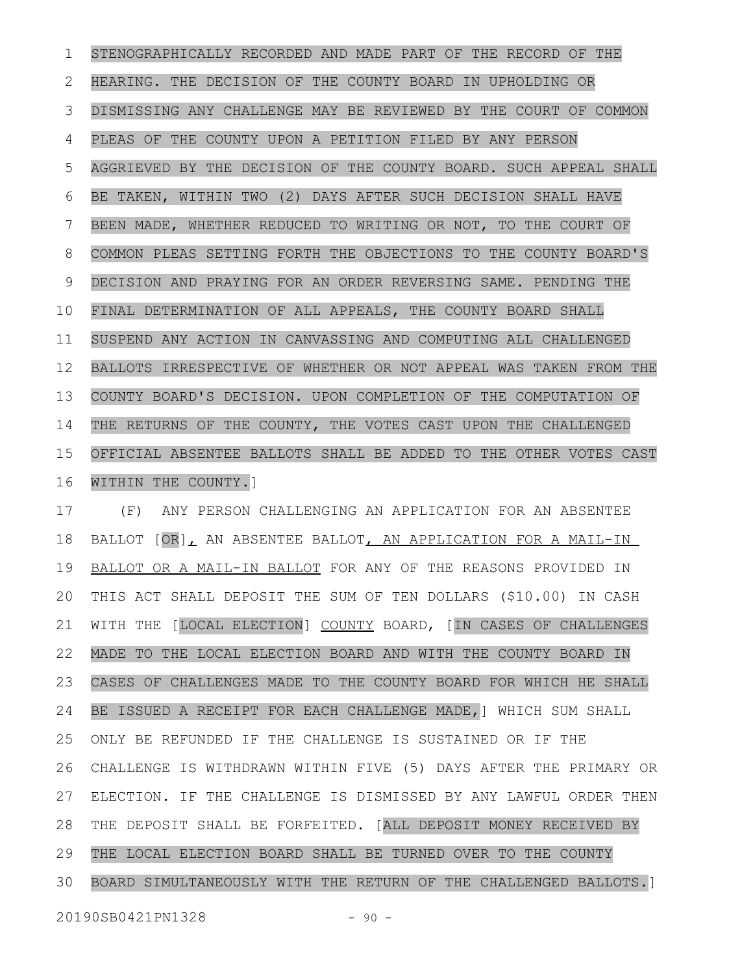STENOGRAPHICALLY RECORDED AND MADE PART OF THE RECORD OF THE HEARING. THE DECISION OF THE COUNTY BOARD IN UPHOLDING OR DISMISSING ANY CHALLENGE MAY BE REVIEWED BY THE COURT OF COMMON PLEAS OF THE COUNTY UPON A PETITION FILED BY ANY PERSON AGGRIEVED BY THE DECISION OF THE COUNTY BOARD. SUCH APPEAL SHALL BE TAKEN, WITHIN TWO (2) DAYS AFTER SUCH DECISION SHALL HAVE BEEN MADE, WHETHER REDUCED TO WRITING OR NOT, TO THE COURT OF COMMON PLEAS SETTING FORTH THE OBJECTIONS TO THE COUNTY BOARD'S DECISION AND PRAYING FOR AN ORDER REVERSING SAME. PENDING THE FINAL DETERMINATION OF ALL APPEALS, THE COUNTY BOARD SHALL SUSPEND ANY ACTION IN CANVASSING AND COMPUTING ALL CHALLENGED BALLOTS IRRESPECTIVE OF WHETHER OR NOT APPEAL WAS TAKEN FROM THE COUNTY BOARD'S DECISION. UPON COMPLETION OF THE COMPUTATION OF THE RETURNS OF THE COUNTY, THE VOTES CAST UPON THE CHALLENGED OFFICIAL ABSENTEE BALLOTS SHALL BE ADDED TO THE OTHER VOTES CAST WITHIN THE COUNTY.] 1 2 3 4 5 6 7 8 9 10 11 12 13 14 15 16

(F) ANY PERSON CHALLENGING AN APPLICATION FOR AN ABSENTEE BALLOT  $[OR]_L$  AN ABSENTEE BALLOT, AN APPLICATION FOR A MAIL-IN BALLOT OR A MAIL-IN BALLOT FOR ANY OF THE REASONS PROVIDED IN THIS ACT SHALL DEPOSIT THE SUM OF TEN DOLLARS (\$10.00) IN CASH WITH THE [LOCAL ELECTION] COUNTY BOARD, [IN CASES OF CHALLENGES MADE TO THE LOCAL ELECTION BOARD AND WITH THE COUNTY BOARD IN CASES OF CHALLENGES MADE TO THE COUNTY BOARD FOR WHICH HE SHALL BE ISSUED A RECEIPT FOR EACH CHALLENGE MADE,] WHICH SUM SHALL ONLY BE REFUNDED IF THE CHALLENGE IS SUSTAINED OR IF THE CHALLENGE IS WITHDRAWN WITHIN FIVE (5) DAYS AFTER THE PRIMARY OR ELECTION. IF THE CHALLENGE IS DISMISSED BY ANY LAWFUL ORDER THEN THE DEPOSIT SHALL BE FORFEITED. [ALL DEPOSIT MONEY RECEIVED BY THE LOCAL ELECTION BOARD SHALL BE TURNED OVER TO THE COUNTY BOARD SIMULTANEOUSLY WITH THE RETURN OF THE CHALLENGED BALLOTS.] 17 18 19 20 21 22 23 24 25 26 27 28 29 30

20190SB0421PN1328 - 90 -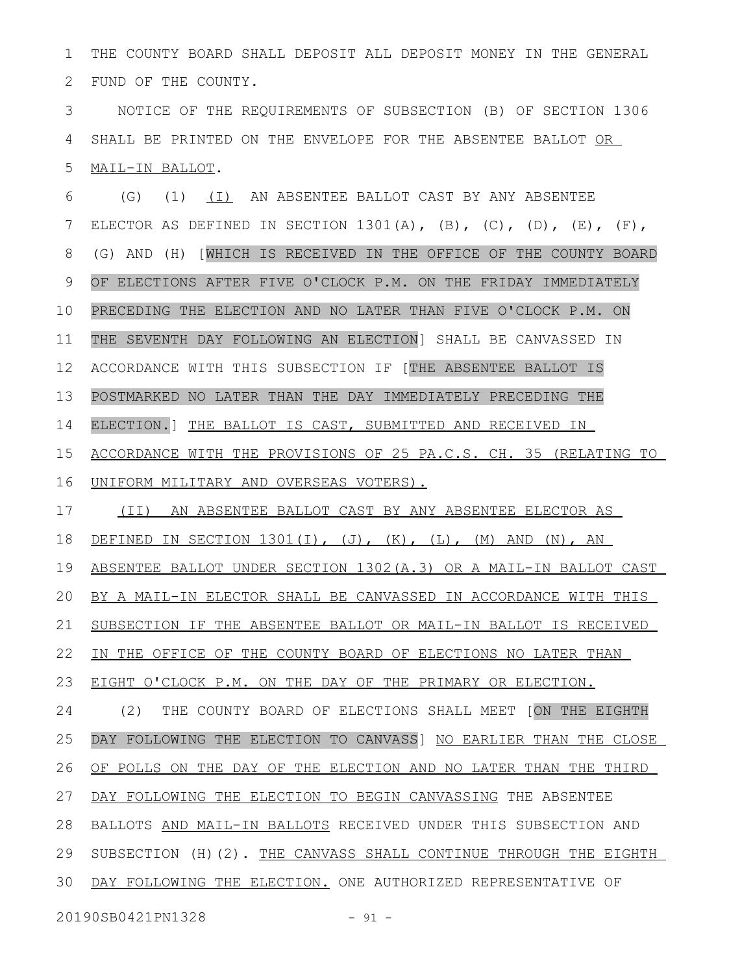THE COUNTY BOARD SHALL DEPOSIT ALL DEPOSIT MONEY IN THE GENERAL FUND OF THE COUNTY. 1 2

NOTICE OF THE REQUIREMENTS OF SUBSECTION (B) OF SECTION 1306 SHALL BE PRINTED ON THE ENVELOPE FOR THE ABSENTEE BALLOT OR MAIL-IN BALLOT. 3 4 5

(G) (1) (I) AN ABSENTEE BALLOT CAST BY ANY ABSENTEE ELECTOR AS DEFINED IN SECTION 1301(A),  $(B)$ ,  $(C)$ ,  $(D)$ ,  $(E)$ ,  $(F)$ , (G) AND (H) [WHICH IS RECEIVED IN THE OFFICE OF THE COUNTY BOARD OF ELECTIONS AFTER FIVE O'CLOCK P.M. ON THE FRIDAY IMMEDIATELY PRECEDING THE ELECTION AND NO LATER THAN FIVE O'CLOCK P.M. ON THE SEVENTH DAY FOLLOWING AN ELECTION] SHALL BE CANVASSED IN ACCORDANCE WITH THIS SUBSECTION IF [THE ABSENTEE BALLOT IS POSTMARKED NO LATER THAN THE DAY IMMEDIATELY PRECEDING THE ELECTION.] THE BALLOT IS CAST, SUBMITTED AND RECEIVED IN ACCORDANCE WITH THE PROVISIONS OF 25 PA.C.S. CH. 35 (RELATING TO UNIFORM MILITARY AND OVERSEAS VOTERS). (II) AN ABSENTEE BALLOT CAST BY ANY ABSENTEE ELECTOR AS DEFINED IN SECTION  $1301(I)$ , (J), (K), (L), (M) AND (N), AN ABSENTEE BALLOT UNDER SECTION 1302(A.3) OR A MAIL-IN BALLOT CAST BY A MAIL-IN ELECTOR SHALL BE CANVASSED IN ACCORDANCE WITH THIS SUBSECTION IF THE ABSENTEE BALLOT OR MAIL-IN BALLOT IS RECEIVED IN THE OFFICE OF THE COUNTY BOARD OF ELECTIONS NO LATER THAN EIGHT O'CLOCK P.M. ON THE DAY OF THE PRIMARY OR ELECTION. (2) THE COUNTY BOARD OF ELECTIONS SHALL MEET [ON THE EIGHTH DAY FOLLOWING THE ELECTION TO CANVASS] NO EARLIER THAN THE CLOSE OF POLLS ON THE DAY OF THE ELECTION AND NO LATER THAN THE THIRD DAY FOLLOWING THE ELECTION TO BEGIN CANVASSING THE ABSENTEE BALLOTS AND MAIL-IN BALLOTS RECEIVED UNDER THIS SUBSECTION AND SUBSECTION (H)(2). THE CANVASS SHALL CONTINUE THROUGH THE EIGHTH DAY FOLLOWING THE ELECTION. ONE AUTHORIZED REPRESENTATIVE OF 6 7 8 9 10 11 12 13 14 15 16 17 18 19 20 21 22 23 24 25 26 27 28 29 30

20190SB0421PN1328 - 91 -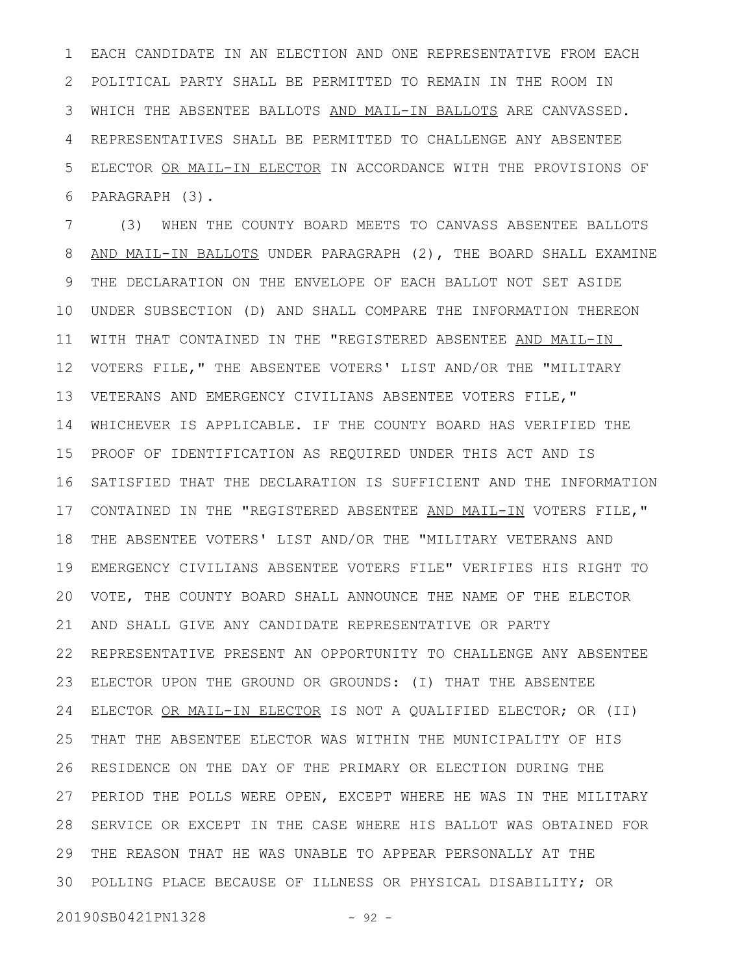EACH CANDIDATE IN AN ELECTION AND ONE REPRESENTATIVE FROM EACH POLITICAL PARTY SHALL BE PERMITTED TO REMAIN IN THE ROOM IN WHICH THE ABSENTEE BALLOTS AND MAIL-IN BALLOTS ARE CANVASSED. REPRESENTATIVES SHALL BE PERMITTED TO CHALLENGE ANY ABSENTEE ELECTOR OR MAIL-IN ELECTOR IN ACCORDANCE WITH THE PROVISIONS OF PARAGRAPH (3). 1 2 3 4 5 6

(3) WHEN THE COUNTY BOARD MEETS TO CANVASS ABSENTEE BALLOTS AND MAIL-IN BALLOTS UNDER PARAGRAPH (2), THE BOARD SHALL EXAMINE THE DECLARATION ON THE ENVELOPE OF EACH BALLOT NOT SET ASIDE UNDER SUBSECTION (D) AND SHALL COMPARE THE INFORMATION THEREON WITH THAT CONTAINED IN THE "REGISTERED ABSENTEE AND MAIL-IN VOTERS FILE," THE ABSENTEE VOTERS' LIST AND/OR THE "MILITARY VETERANS AND EMERGENCY CIVILIANS ABSENTEE VOTERS FILE," WHICHEVER IS APPLICABLE. IF THE COUNTY BOARD HAS VERIFIED THE PROOF OF IDENTIFICATION AS REQUIRED UNDER THIS ACT AND IS SATISFIED THAT THE DECLARATION IS SUFFICIENT AND THE INFORMATION CONTAINED IN THE "REGISTERED ABSENTEE AND MAIL-IN VOTERS FILE," THE ABSENTEE VOTERS' LIST AND/OR THE "MILITARY VETERANS AND EMERGENCY CIVILIANS ABSENTEE VOTERS FILE" VERIFIES HIS RIGHT TO VOTE, THE COUNTY BOARD SHALL ANNOUNCE THE NAME OF THE ELECTOR AND SHALL GIVE ANY CANDIDATE REPRESENTATIVE OR PARTY REPRESENTATIVE PRESENT AN OPPORTUNITY TO CHALLENGE ANY ABSENTEE ELECTOR UPON THE GROUND OR GROUNDS: (I) THAT THE ABSENTEE ELECTOR OR MAIL-IN ELECTOR IS NOT A QUALIFIED ELECTOR; OR (II) THAT THE ABSENTEE ELECTOR WAS WITHIN THE MUNICIPALITY OF HIS RESIDENCE ON THE DAY OF THE PRIMARY OR ELECTION DURING THE PERIOD THE POLLS WERE OPEN, EXCEPT WHERE HE WAS IN THE MILITARY 28 SERVICE OR EXCEPT IN THE CASE WHERE HIS BALLOT WAS OBTAINED FOR THE REASON THAT HE WAS UNABLE TO APPEAR PERSONALLY AT THE POLLING PLACE BECAUSE OF ILLNESS OR PHYSICAL DISABILITY; OR 307 8 9 10 11 12 13 14 15 16 17 18 19 20 21 22 23 24 25 26 27 29

20190SB0421PN1328 - 92 -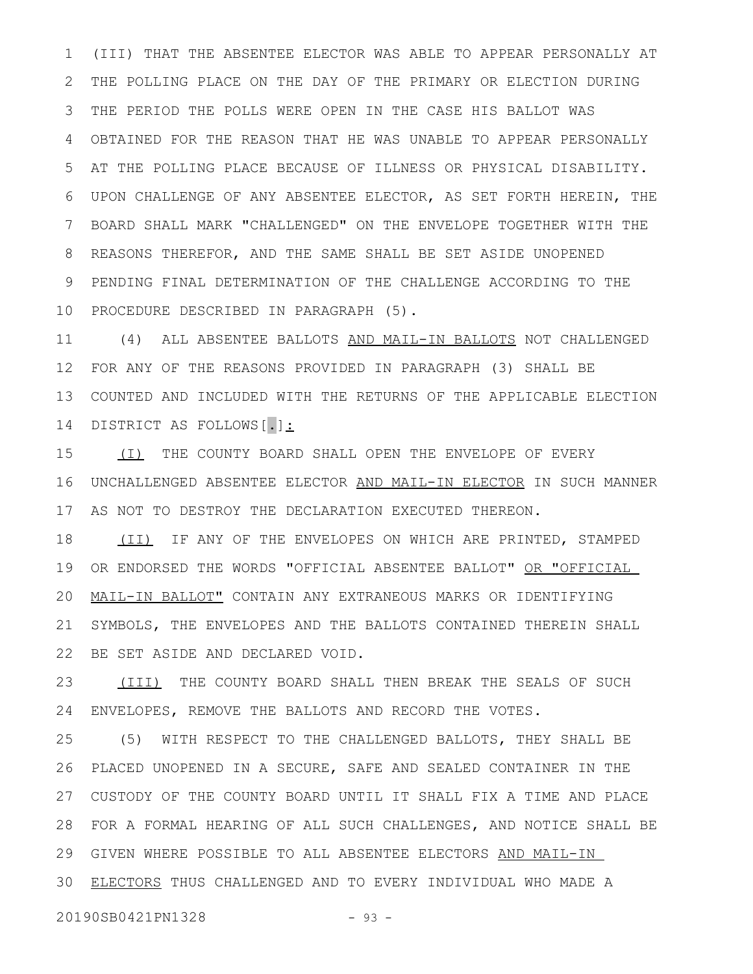(III) THAT THE ABSENTEE ELECTOR WAS ABLE TO APPEAR PERSONALLY AT THE POLLING PLACE ON THE DAY OF THE PRIMARY OR ELECTION DURING THE PERIOD THE POLLS WERE OPEN IN THE CASE HIS BALLOT WAS OBTAINED FOR THE REASON THAT HE WAS UNABLE TO APPEAR PERSONALLY AT THE POLLING PLACE BECAUSE OF ILLNESS OR PHYSICAL DISABILITY. UPON CHALLENGE OF ANY ABSENTEE ELECTOR, AS SET FORTH HEREIN, THE BOARD SHALL MARK "CHALLENGED" ON THE ENVELOPE TOGETHER WITH THE REASONS THEREFOR, AND THE SAME SHALL BE SET ASIDE UNOPENED PENDING FINAL DETERMINATION OF THE CHALLENGE ACCORDING TO THE PROCEDURE DESCRIBED IN PARAGRAPH (5). 10 1 2 3 4 5 6 7 8 9

11 (4) ALL ABSENTEE BALLOTS AND MAIL-IN BALLOTS NOT CHALLENGED FOR ANY OF THE REASONS PROVIDED IN PARAGRAPH (3) SHALL BE COUNTED AND INCLUDED WITH THE RETURNS OF THE APPLICABLE ELECTION DISTRICT AS FOLLOWS[.]: 12 13 14

(I) THE COUNTY BOARD SHALL OPEN THE ENVELOPE OF EVERY UNCHALLENGED ABSENTEE ELECTOR AND MAIL-IN ELECTOR IN SUCH MANNER AS NOT TO DESTROY THE DECLARATION EXECUTED THEREON. 15 16 17

(II) IF ANY OF THE ENVELOPES ON WHICH ARE PRINTED, STAMPED OR ENDORSED THE WORDS "OFFICIAL ABSENTEE BALLOT" OR "OFFICIAL MAIL-IN BALLOT" CONTAIN ANY EXTRANEOUS MARKS OR IDENTIFYING SYMBOLS, THE ENVELOPES AND THE BALLOTS CONTAINED THEREIN SHALL BE SET ASIDE AND DECLARED VOID. 18 19 20 21 22

(III) THE COUNTY BOARD SHALL THEN BREAK THE SEALS OF SUCH ENVELOPES, REMOVE THE BALLOTS AND RECORD THE VOTES. 23 24

(5) WITH RESPECT TO THE CHALLENGED BALLOTS, THEY SHALL BE PLACED UNOPENED IN A SECURE, SAFE AND SEALED CONTAINER IN THE CUSTODY OF THE COUNTY BOARD UNTIL IT SHALL FIX A TIME AND PLACE 27 FOR A FORMAL HEARING OF ALL SUCH CHALLENGES, AND NOTICE SHALL BE 28 29 GIVEN WHERE POSSIBLE TO ALL ABSENTEE ELECTORS AND MAIL-IN 30 ELECTORS THUS CHALLENGED AND TO EVERY INDIVIDUAL WHO MADE A 25 26

20190SB0421PN1328 - 93 -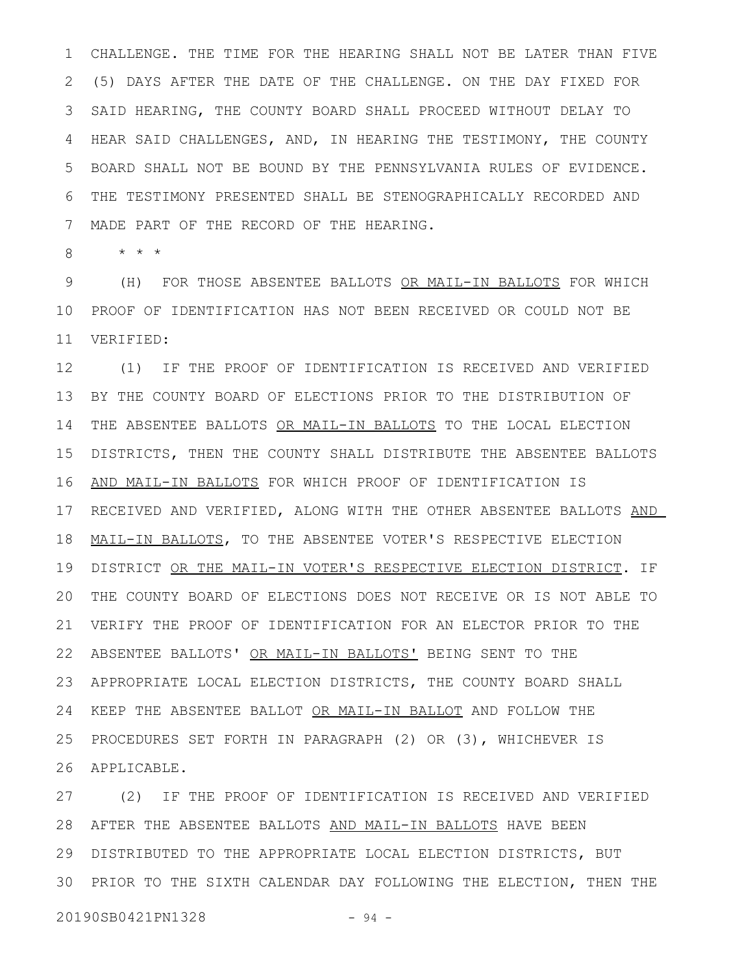CHALLENGE. THE TIME FOR THE HEARING SHALL NOT BE LATER THAN FIVE (5) DAYS AFTER THE DATE OF THE CHALLENGE. ON THE DAY FIXED FOR SAID HEARING, THE COUNTY BOARD SHALL PROCEED WITHOUT DELAY TO HEAR SAID CHALLENGES, AND, IN HEARING THE TESTIMONY, THE COUNTY BOARD SHALL NOT BE BOUND BY THE PENNSYLVANIA RULES OF EVIDENCE. THE TESTIMONY PRESENTED SHALL BE STENOGRAPHICALLY RECORDED AND MADE PART OF THE RECORD OF THE HEARING. 1 2 3 4 5 6 7

\* \* \* 8

(H) FOR THOSE ABSENTEE BALLOTS OR MAIL-IN BALLOTS FOR WHICH PROOF OF IDENTIFICATION HAS NOT BEEN RECEIVED OR COULD NOT BE VERIFIED: 9 10 11

(1) IF THE PROOF OF IDENTIFICATION IS RECEIVED AND VERIFIED BY THE COUNTY BOARD OF ELECTIONS PRIOR TO THE DISTRIBUTION OF THE ABSENTEE BALLOTS OR MAIL-IN BALLOTS TO THE LOCAL ELECTION DISTRICTS, THEN THE COUNTY SHALL DISTRIBUTE THE ABSENTEE BALLOTS AND MAIL-IN BALLOTS FOR WHICH PROOF OF IDENTIFICATION IS 17 RECEIVED AND VERIFIED, ALONG WITH THE OTHER ABSENTEE BALLOTS AND MAIL-IN BALLOTS, TO THE ABSENTEE VOTER'S RESPECTIVE ELECTION DISTRICT OR THE MAIL-IN VOTER'S RESPECTIVE ELECTION DISTRICT. IF THE COUNTY BOARD OF ELECTIONS DOES NOT RECEIVE OR IS NOT ABLE TO VERIFY THE PROOF OF IDENTIFICATION FOR AN ELECTOR PRIOR TO THE ABSENTEE BALLOTS' OR MAIL-IN BALLOTS' BEING SENT TO THE APPROPRIATE LOCAL ELECTION DISTRICTS, THE COUNTY BOARD SHALL 23 24 KEEP THE ABSENTEE BALLOT OR MAIL-IN BALLOT AND FOLLOW THE 25 PROCEDURES SET FORTH IN PARAGRAPH (2) OR (3), WHICHEVER IS 26 APPLICABLE. 12 13 14 15 16 18 19 20 21 22

(2) IF THE PROOF OF IDENTIFICATION IS RECEIVED AND VERIFIED 28 AFTER THE ABSENTEE BALLOTS AND MAIL-IN BALLOTS HAVE BEEN DISTRIBUTED TO THE APPROPRIATE LOCAL ELECTION DISTRICTS, BUT 29 PRIOR TO THE SIXTH CALENDAR DAY FOLLOWING THE ELECTION, THEN THE 3027

20190SB0421PN1328 - 94 -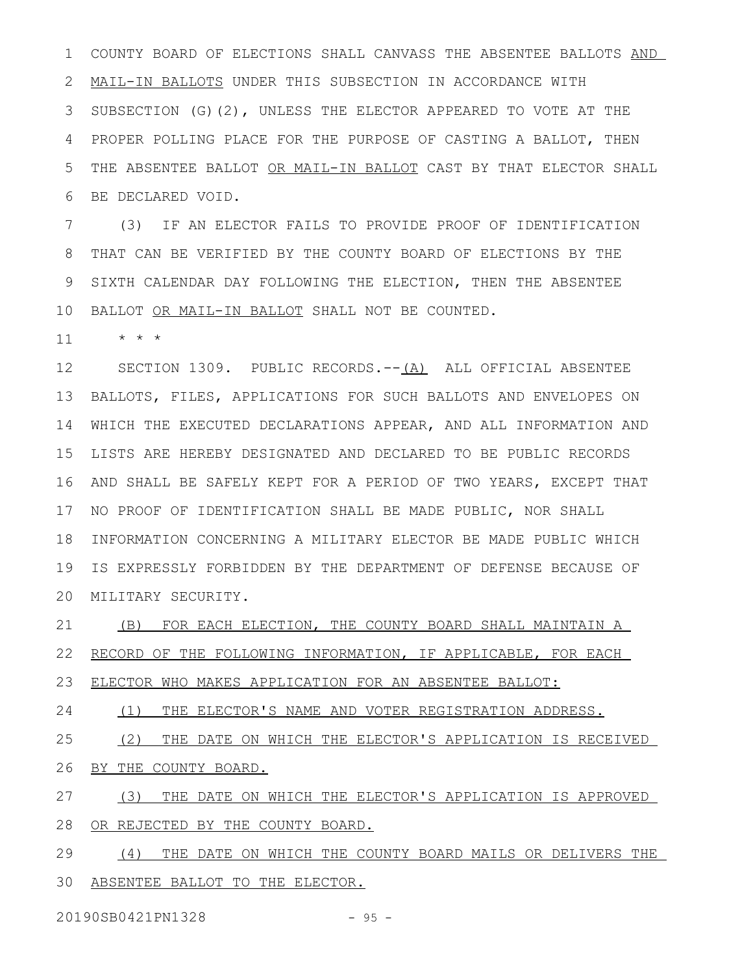COUNTY BOARD OF ELECTIONS SHALL CANVASS THE ABSENTEE BALLOTS AND MAIL-IN BALLOTS UNDER THIS SUBSECTION IN ACCORDANCE WITH SUBSECTION (G)(2), UNLESS THE ELECTOR APPEARED TO VOTE AT THE PROPER POLLING PLACE FOR THE PURPOSE OF CASTING A BALLOT, THEN THE ABSENTEE BALLOT OR MAIL-IN BALLOT CAST BY THAT ELECTOR SHALL BE DECLARED VOID. 1 2 3 4 5 6

(3) IF AN ELECTOR FAILS TO PROVIDE PROOF OF IDENTIFICATION THAT CAN BE VERIFIED BY THE COUNTY BOARD OF ELECTIONS BY THE SIXTH CALENDAR DAY FOLLOWING THE ELECTION, THEN THE ABSENTEE 10 BALLOT OR MAIL-IN BALLOT SHALL NOT BE COUNTED. 7 8 9

\* \* \* 11

SECTION 1309. PUBLIC RECORDS. $--(A)$  ALL OFFICIAL ABSENTEE BALLOTS, FILES, APPLICATIONS FOR SUCH BALLOTS AND ENVELOPES ON 13 WHICH THE EXECUTED DECLARATIONS APPEAR, AND ALL INFORMATION AND LISTS ARE HEREBY DESIGNATED AND DECLARED TO BE PUBLIC RECORDS AND SHALL BE SAFELY KEPT FOR A PERIOD OF TWO YEARS, EXCEPT THAT 16 17 NO PROOF OF IDENTIFICATION SHALL BE MADE PUBLIC, NOR SHALL 18 INFORMATION CONCERNING A MILITARY ELECTOR BE MADE PUBLIC WHICH IS EXPRESSLY FORBIDDEN BY THE DEPARTMENT OF DEFENSE BECAUSE OF MILITARY SECURITY. 20 12 14 15 19

(B) FOR EACH ELECTION, THE COUNTY BOARD SHALL MAINTAIN A RECORD OF THE FOLLOWING INFORMATION, IF APPLICABLE, FOR EACH 21 22

ELECTOR WHO MAKES APPLICATION FOR AN ABSENTEE BALLOT: 23

(1) THE ELECTOR'S NAME AND VOTER REGISTRATION ADDRESS. 24

(2) THE DATE ON WHICH THE ELECTOR'S APPLICATION IS RECEIVED BY THE COUNTY BOARD. 25 26

(3) THE DATE ON WHICH THE ELECTOR'S APPLICATION IS APPROVED OR REJECTED BY THE COUNTY BOARD. 27 28

(4) THE DATE ON WHICH THE COUNTY BOARD MAILS OR DELIVERS THE 30 ABSENTEE BALLOT TO THE ELECTOR. 29

20190SB0421PN1328 - 95 -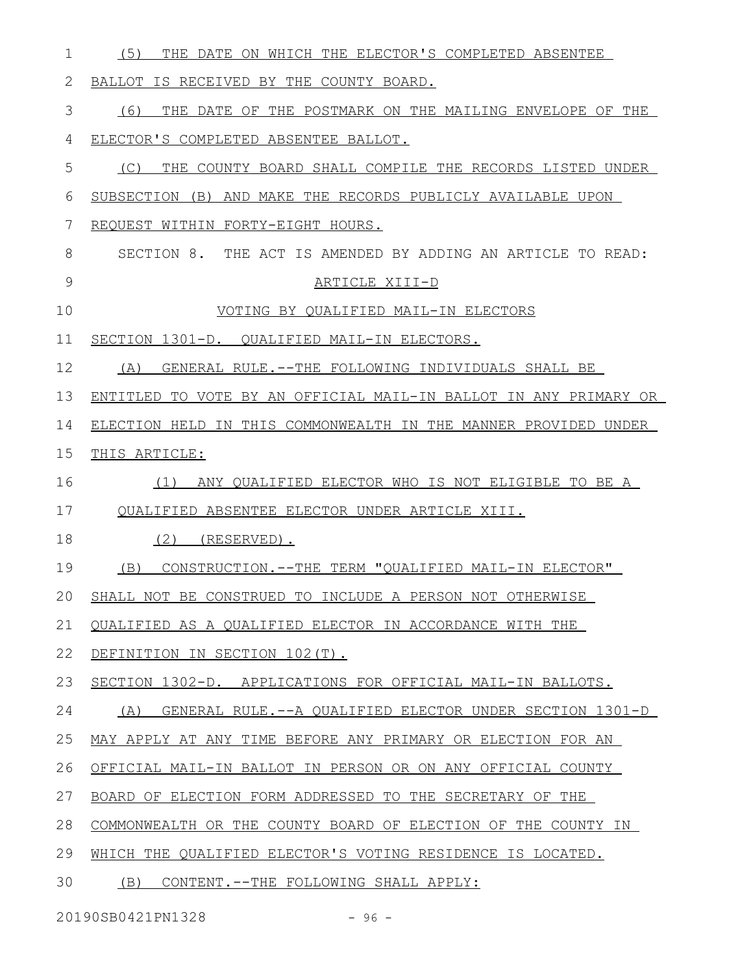| 1  | (5)<br>THE DATE ON WHICH THE ELECTOR'S COMPLETED ABSENTEE        |
|----|------------------------------------------------------------------|
| 2  | BALLOT IS RECEIVED BY THE COUNTY BOARD.                          |
| 3  | (6) THE DATE OF THE POSTMARK ON THE MAILING ENVELOPE OF THE      |
| 4  | ELECTOR'S COMPLETED ABSENTEE BALLOT.                             |
| 5  | THE COUNTY BOARD SHALL COMPILE THE RECORDS LISTED UNDER<br>(C)   |
| 6  | SUBSECTION (B) AND MAKE THE RECORDS PUBLICLY AVAILABLE UPON      |
| 7  | REQUEST WITHIN FORTY-EIGHT HOURS.                                |
| 8  | SECTION 8. THE ACT IS AMENDED BY ADDING AN ARTICLE TO READ:      |
| 9  | ARTICLE XIII-D                                                   |
| 10 | VOTING BY QUALIFIED MAIL-IN ELECTORS                             |
| 11 | SECTION 1301-D. QUALIFIED MAIL-IN ELECTORS.                      |
| 12 | GENERAL RULE.--THE FOLLOWING INDIVIDUALS SHALL BE<br>(A)         |
| 13 | ENTITLED TO VOTE BY AN OFFICIAL MAIL-IN BALLOT IN ANY PRIMARY OR |
| 14 | ELECTION HELD IN THIS COMMONWEALTH IN THE MANNER PROVIDED UNDER  |
| 15 | THIS ARTICLE:                                                    |
| 16 | (1)<br>ANY QUALIFIED ELECTOR WHO IS NOT ELIGIBLE TO BE A         |
| 17 | QUALIFIED ABSENTEE ELECTOR UNDER ARTICLE XIII.                   |
| 18 | $(2)$ (RESERVED).                                                |
| 19 | CONSTRUCTION. -- THE TERM "OUALIFIED MAIL-IN ELECTOR"<br>(B)     |
| 20 | SHALL NOT BE CONSTRUED TO INCLUDE A PERSON NOT OTHERWISE         |
| 21 | QUALIFIED AS A QUALIFIED ELECTOR IN ACCORDANCE WITH THE          |
| 22 | DEFINITION IN SECTION 102(T).                                    |
| 23 | SECTION 1302-D. APPLICATIONS FOR OFFICIAL MAIL-IN BALLOTS.       |
| 24 | GENERAL RULE.--A QUALIFIED ELECTOR UNDER SECTION 1301-D<br>(A)   |
| 25 | MAY APPLY AT ANY TIME BEFORE ANY PRIMARY OR ELECTION FOR AN      |
| 26 | OFFICIAL MAIL-IN BALLOT IN PERSON OR ON ANY OFFICIAL COUNTY      |
| 27 | BOARD OF ELECTION FORM ADDRESSED TO THE SECRETARY OF THE         |
| 28 | COMMONWEALTH OR THE COUNTY BOARD OF ELECTION OF THE COUNTY IN    |
| 29 | WHICH THE QUALIFIED ELECTOR'S VOTING RESIDENCE IS LOCATED.       |
| 30 | (B) CONTENT.--THE FOLLOWING SHALL APPLY:                         |
|    |                                                                  |

20190SB0421PN1328 - 96 -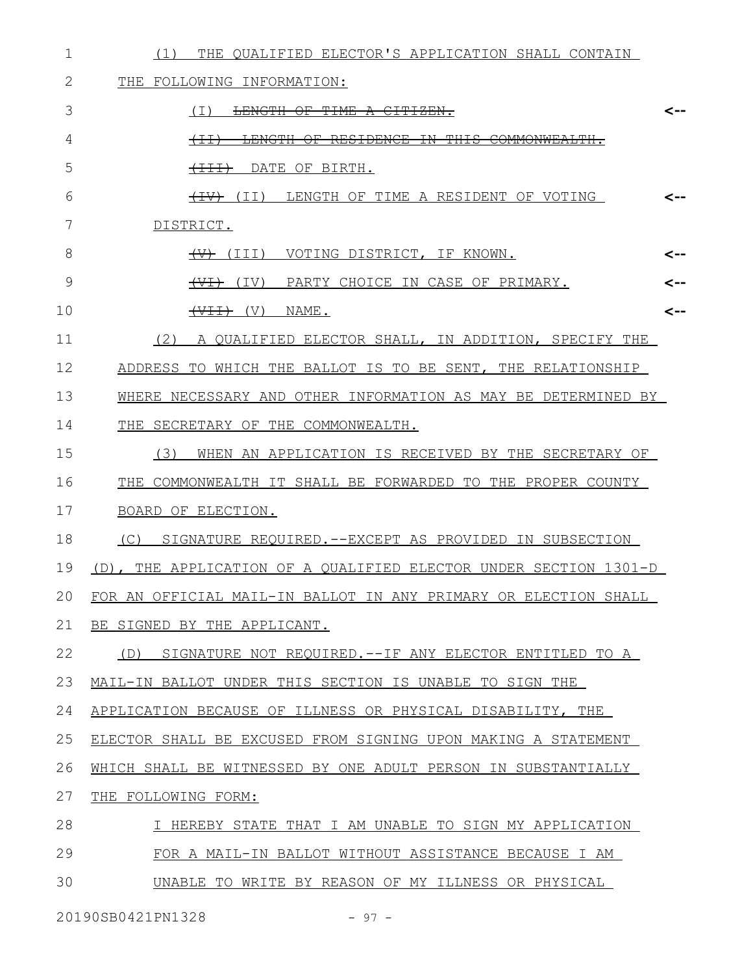| 1  | THE QUALIFIED ELECTOR'S APPLICATION SHALL CONTAIN<br>(1)         |     |
|----|------------------------------------------------------------------|-----|
| 2  | <b>THE</b><br>FOLLOWING INFORMATION:                             |     |
| 3  | LENGTH OF TIME A CITIZEN.<br>(I)                                 | <-- |
| 4  | <del>THT S</del><br>$+\pm\pm$                                    |     |
| 5  | $+11$<br>DATE OF BIRTH.                                          |     |
| 6  | <del>(IV)</del> (II)<br>LENGTH OF TIME A RESIDENT OF VOTING      | <-- |
| 7  | DISTRICT.                                                        |     |
| 8  | VOTING DISTRICT, IF KNOWN.<br>$\overline{(+)}$ (III)             | <-- |
| 9  | $\overline{(+)}$ (IV)<br>PARTY CHOICE IN CASE OF PRIMARY.        | <-- |
| 10 | $(V)$ $\leftrightarrow$ $\leftrightarrow$ $(V)$<br>NAME.         | <-- |
| 11 | (2)<br>A QUALIFIED ELECTOR SHALL, IN ADDITION, SPECIFY THE       |     |
| 12 | ADDRESS TO WHICH THE BALLOT IS TO BE SENT, THE RELATIONSHIP      |     |
| 13 | WHERE NECESSARY AND OTHER INFORMATION AS MAY BE DETERMINED BY    |     |
| 14 | THE SECRETARY OF THE COMMONWEALTH.                               |     |
| 15 | (3)<br>WHEN AN APPLICATION IS RECEIVED BY THE SECRETARY OF       |     |
| 16 | THE COMMONWEALTH IT SHALL BE FORWARDED TO THE PROPER COUNTY      |     |
| 17 | BOARD OF ELECTION.                                               |     |
| 18 | SIGNATURE REQUIRED. -- EXCEPT AS PROVIDED IN SUBSECTION<br>(C)   |     |
| 19 | (D), THE APPLICATION OF A QUALIFIED ELECTOR UNDER SECTION 1301-D |     |
| 20 | FOR AN OFFICIAL MAIL-IN BALLOT IN ANY PRIMARY OR ELECTION SHALL  |     |
| 21 | BE SIGNED BY THE APPLICANT.                                      |     |
| 22 | (D) SIGNATURE NOT REQUIRED.--IF ANY ELECTOR ENTITLED TO A        |     |
| 23 | MAIL-IN BALLOT UNDER THIS SECTION IS UNABLE TO SIGN THE          |     |
| 24 | APPLICATION BECAUSE OF ILLNESS OR PHYSICAL DISABILITY, THE       |     |
| 25 | ELECTOR SHALL BE EXCUSED FROM SIGNING UPON MAKING A STATEMENT    |     |
| 26 | WHICH SHALL BE WITNESSED BY ONE ADULT PERSON IN SUBSTANTIALLY    |     |
| 27 | THE FOLLOWING FORM:                                              |     |
| 28 | I HEREBY STATE THAT I AM UNABLE TO SIGN MY APPLICATION           |     |
| 29 | FOR A MAIL-IN BALLOT WITHOUT ASSISTANCE BECAUSE I AM             |     |
| 30 | UNABLE TO WRITE BY REASON OF MY ILLNESS OR PHYSICAL              |     |

20190SB0421PN1328 - 97 -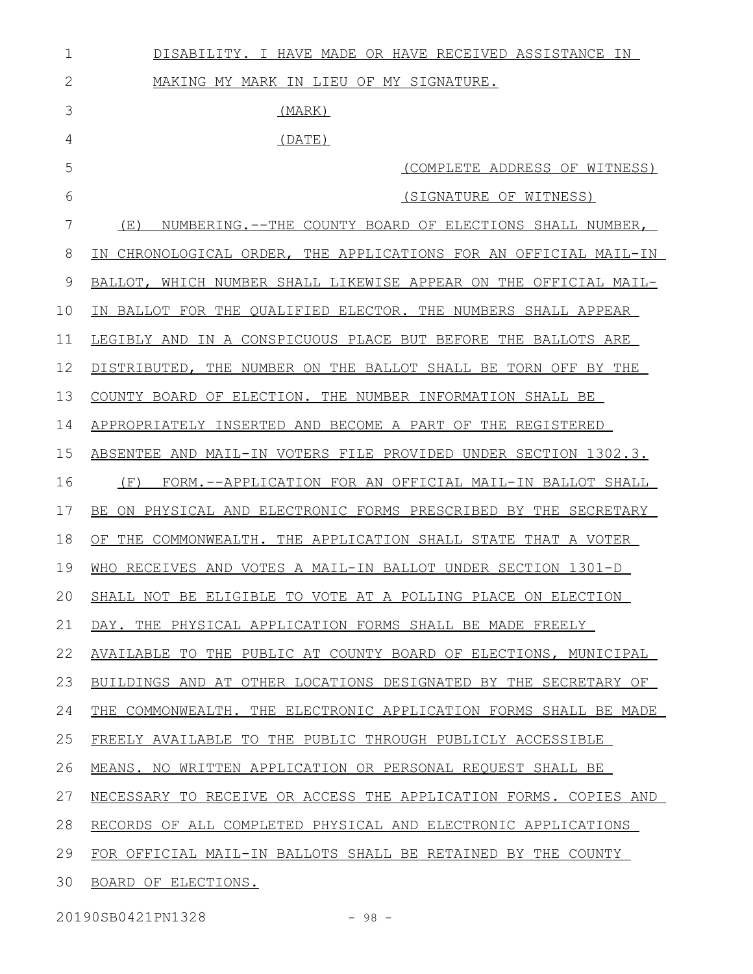| 1            | DISABILITY. I HAVE MADE OR HAVE RECEIVED ASSISTANCE IN           |
|--------------|------------------------------------------------------------------|
| $\mathbf{2}$ | MAKING MY MARK IN LIEU OF MY SIGNATURE.                          |
| 3            | (MARK)                                                           |
| 4            | (DATE)                                                           |
| 5            | (COMPLETE ADDRESS OF WITNESS)                                    |
| 6            | (SIGNATURE OF WITNESS)                                           |
| 7            | NUMBERING.--THE COUNTY BOARD OF ELECTIONS SHALL NUMBER,<br>(E)   |
| 8            | IN CHRONOLOGICAL ORDER, THE APPLICATIONS FOR AN OFFICIAL MAIL-IN |
| 9            | BALLOT, WHICH NUMBER SHALL LIKEWISE APPEAR ON THE OFFICIAL MAIL- |
| 10           | IN BALLOT FOR THE QUALIFIED ELECTOR. THE NUMBERS SHALL APPEAR    |
| 11           | LEGIBLY AND IN A CONSPICUOUS PLACE BUT BEFORE THE BALLOTS ARE    |
| 12           | DISTRIBUTED, THE NUMBER ON THE BALLOT SHALL BE TORN OFF BY THE   |
| 13           | COUNTY BOARD OF ELECTION. THE NUMBER INFORMATION SHALL BE        |
| 14           | APPROPRIATELY INSERTED AND BECOME A PART OF THE REGISTERED       |
| 15           | ABSENTEE AND MAIL-IN VOTERS FILE PROVIDED UNDER SECTION 1302.3.  |
| 16           | (F)<br>FORM.--APPLICATION FOR AN OFFICIAL MAIL-IN BALLOT SHALL   |
| 17           | BE ON PHYSICAL AND ELECTRONIC FORMS PRESCRIBED BY THE SECRETARY  |
| 18           | OF THE COMMONWEALTH. THE APPLICATION SHALL STATE THAT A VOTER    |
| 19           | WHO RECEIVES AND VOTES A MAIL-IN BALLOT UNDER SECTION 1301-D     |
| 20           | SHALL NOT BE ELIGIBLE TO VOTE AT A POLLING PLACE ON ELECTION     |
| 21           | DAY. THE PHYSICAL APPLICATION FORMS SHALL BE MADE FREELY         |
| 22           | AVAILABLE TO THE PUBLIC AT COUNTY BOARD OF ELECTIONS, MUNICIPAL  |
| 23           | BUILDINGS AND AT OTHER LOCATIONS DESIGNATED BY THE SECRETARY OF  |
| 24           | THE COMMONWEALTH. THE ELECTRONIC APPLICATION FORMS SHALL BE MADE |
| 25           | FREELY AVAILABLE TO THE PUBLIC THROUGH PUBLICLY ACCESSIBLE       |
| 26           | MEANS. NO WRITTEN APPLICATION OR PERSONAL REQUEST SHALL BE       |
| 27           | NECESSARY TO RECEIVE OR ACCESS THE APPLICATION FORMS. COPIES AND |
| 28           | RECORDS OF ALL COMPLETED PHYSICAL AND ELECTRONIC APPLICATIONS    |
| 29           | FOR OFFICIAL MAIL-IN BALLOTS SHALL BE RETAINED BY THE COUNTY     |
| 30           | BOARD OF ELECTIONS.                                              |

20190SB0421PN1328 - 98 -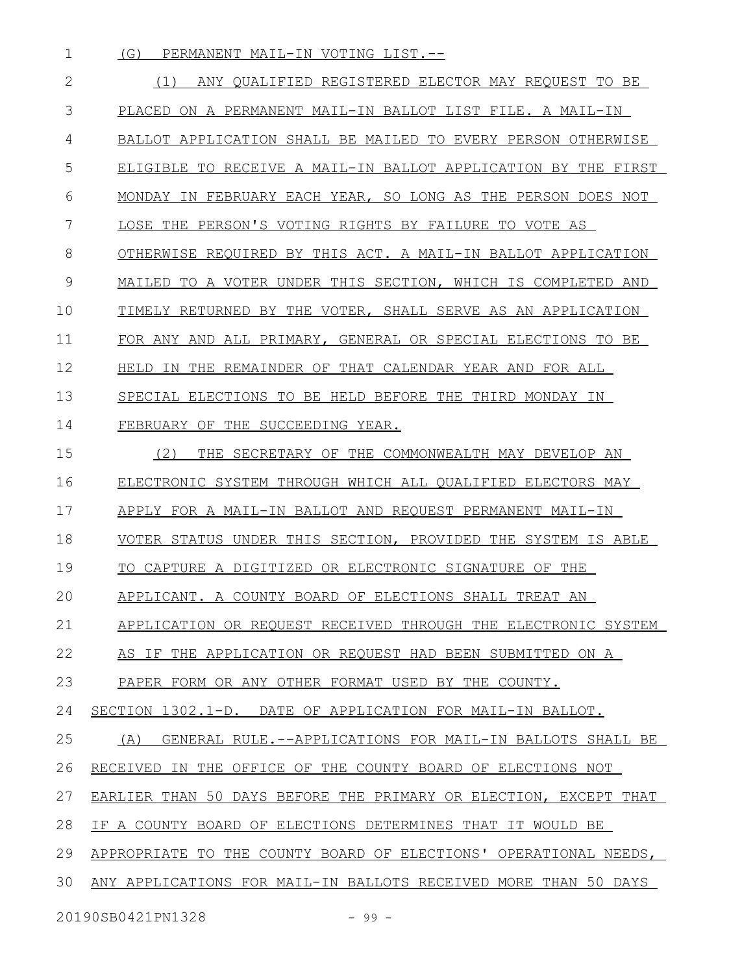(G) PERMANENT MAIL-IN VOTING LIST.-- 1

(1) ANY QUALIFIED REGISTERED ELECTOR MAY REQUEST TO BE PLACED ON A PERMANENT MAIL-IN BALLOT LIST FILE. A MAIL-IN BALLOT APPLICATION SHALL BE MAILED TO EVERY PERSON OTHERWISE ELIGIBLE TO RECEIVE A MAIL-IN BALLOT APPLICATION BY THE FIRST MONDAY IN FEBRUARY EACH YEAR, SO LONG AS THE PERSON DOES NOT LOSE THE PERSON'S VOTING RIGHTS BY FAILURE TO VOTE AS OTHERWISE REQUIRED BY THIS ACT. A MAIL-IN BALLOT APPLICATION MAILED TO A VOTER UNDER THIS SECTION, WHICH IS COMPLETED AND TIMELY RETURNED BY THE VOTER, SHALL SERVE AS AN APPLICATION FOR ANY AND ALL PRIMARY, GENERAL OR SPECIAL ELECTIONS TO BE HELD IN THE REMAINDER OF THAT CALENDAR YEAR AND FOR ALL SPECIAL ELECTIONS TO BE HELD BEFORE THE THIRD MONDAY IN FEBRUARY OF THE SUCCEEDING YEAR. (2) THE SECRETARY OF THE COMMONWEALTH MAY DEVELOP AN ELECTRONIC SYSTEM THROUGH WHICH ALL QUALIFIED ELECTORS MAY APPLY FOR A MAIL-IN BALLOT AND REQUEST PERMANENT MAIL-IN VOTER STATUS UNDER THIS SECTION, PROVIDED THE SYSTEM IS ABLE TO CAPTURE A DIGITIZED OR ELECTRONIC SIGNATURE OF THE APPLICANT. A COUNTY BOARD OF ELECTIONS SHALL TREAT AN APPLICATION OR REQUEST RECEIVED THROUGH THE ELECTRONIC SYSTEM AS IF THE APPLICATION OR REQUEST HAD BEEN SUBMITTED ON A PAPER FORM OR ANY OTHER FORMAT USED BY THE COUNTY. SECTION 1302.1-D. DATE OF APPLICATION FOR MAIL-IN BALLOT. (A) GENERAL RULE.--APPLICATIONS FOR MAIL-IN BALLOTS SHALL BE RECEIVED IN THE OFFICE OF THE COUNTY BOARD OF ELECTIONS NOT EARLIER THAN 50 DAYS BEFORE THE PRIMARY OR ELECTION, EXCEPT THAT IF A COUNTY BOARD OF ELECTIONS DETERMINES THAT IT WOULD BE APPROPRIATE TO THE COUNTY BOARD OF ELECTIONS' OPERATIONAL NEEDS, ANY APPLICATIONS FOR MAIL-IN BALLOTS RECEIVED MORE THAN 50 DAYS 20190SB0421PN1328 - 99 -2 3 4 5 6 7 8 9 10 11 12 13 14 15 16 17 18 19 20 21 22 23 24 25 26 27 28 29 30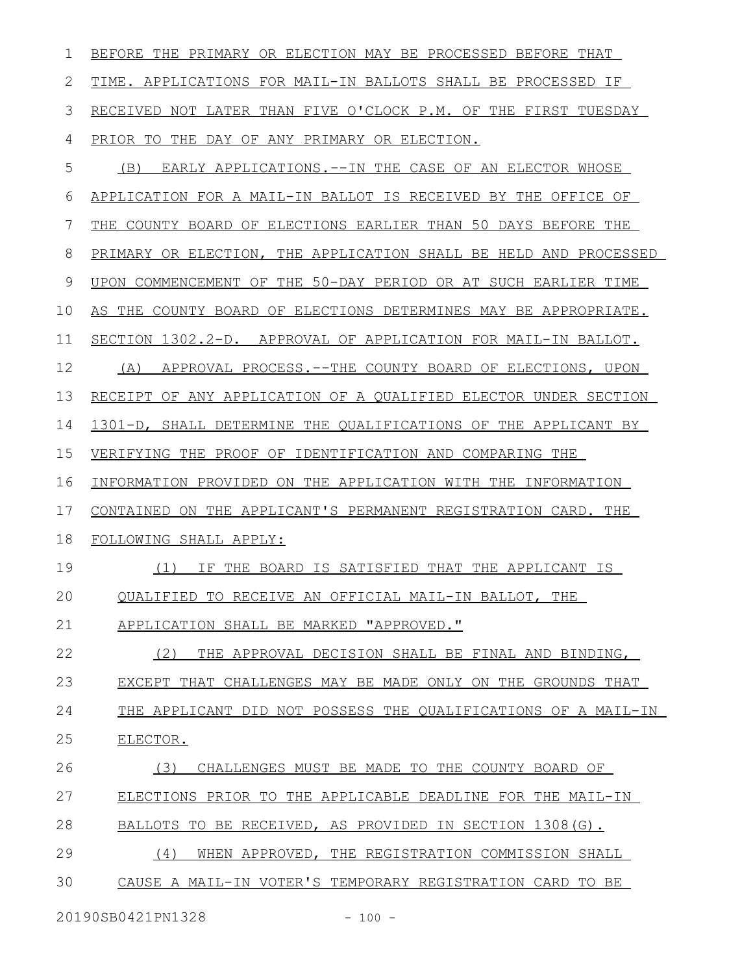| ı  | BEFORE THE PRIMARY OR ELECTION MAY BE PROCESSED BEFORE THAT      |
|----|------------------------------------------------------------------|
| 2  | TIME. APPLICATIONS FOR MAIL-IN BALLOTS SHALL BE PROCESSED IF     |
| 3  | RECEIVED NOT LATER THAN FIVE O'CLOCK P.M. OF THE FIRST TUESDAY   |
| 4  | PRIOR TO THE DAY OF ANY PRIMARY OR ELECTION.                     |
| 5  | EARLY APPLICATIONS. -- IN THE CASE OF AN ELECTOR WHOSE<br>(B)    |
| 6  | APPLICATION FOR A MAIL-IN BALLOT IS RECEIVED BY THE OFFICE OF    |
| 7  | THE COUNTY BOARD OF ELECTIONS EARLIER THAN 50 DAYS BEFORE THE    |
| 8  | PRIMARY OR ELECTION, THE APPLICATION SHALL BE HELD AND PROCESSED |
| 9  | UPON COMMENCEMENT OF THE 50-DAY PERIOD OR AT SUCH EARLIER TIME   |
| 10 | AS THE COUNTY BOARD OF ELECTIONS DETERMINES MAY BE APPROPRIATE.  |
| 11 | SECTION 1302.2-D. APPROVAL OF APPLICATION FOR MAIL-IN BALLOT.    |
| 12 | APPROVAL PROCESS.--THE COUNTY BOARD OF ELECTIONS, UPON<br>(A)    |
| 13 | RECEIPT OF ANY APPLICATION OF A QUALIFIED ELECTOR UNDER SECTION  |
| 14 | 1301-D, SHALL DETERMINE THE QUALIFICATIONS OF THE APPLICANT BY   |
| 15 | VERIFYING THE PROOF OF IDENTIFICATION AND COMPARING THE          |
| 16 | INFORMATION PROVIDED ON THE APPLICATION WITH THE INFORMATION     |
| 17 | CONTAINED ON THE APPLICANT'S PERMANENT REGISTRATION CARD. THE    |
| 18 | FOLLOWING SHALL APPLY:                                           |
| 19 | (1)<br>THE BOARD IS SATISFIED THAT THE APPLICANT IS<br>ΙF        |
| 20 | OUALIFIED TO RECEIVE AN OFFICIAL MAIL-IN BALLOT, THE             |
| 21 | APPLICATION SHALL BE MARKED "APPROVED."                          |
| 22 | (2)<br>THE APPROVAL DECISION SHALL BE FINAL AND BINDING,         |
| 23 | EXCEPT THAT CHALLENGES MAY BE MADE ONLY ON THE GROUNDS THAT      |
| 24 | THE APPLICANT DID NOT POSSESS THE QUALIFICATIONS OF A MAIL-IN    |
| 25 | ELECTOR.                                                         |
| 26 | CHALLENGES MUST BE MADE TO THE COUNTY BOARD OF<br>(3)            |
| 27 | ELECTIONS PRIOR TO THE APPLICABLE DEADLINE FOR THE MAIL-IN       |
| 28 | BALLOTS TO BE RECEIVED, AS PROVIDED IN SECTION 1308(G).          |
| 29 | (4)<br>WHEN APPROVED, THE REGISTRATION COMMISSION SHALL          |
| 30 | CAUSE A MAIL-IN VOTER'S TEMPORARY REGISTRATION CARD TO BE        |

20190SB0421PN1328 - 100 -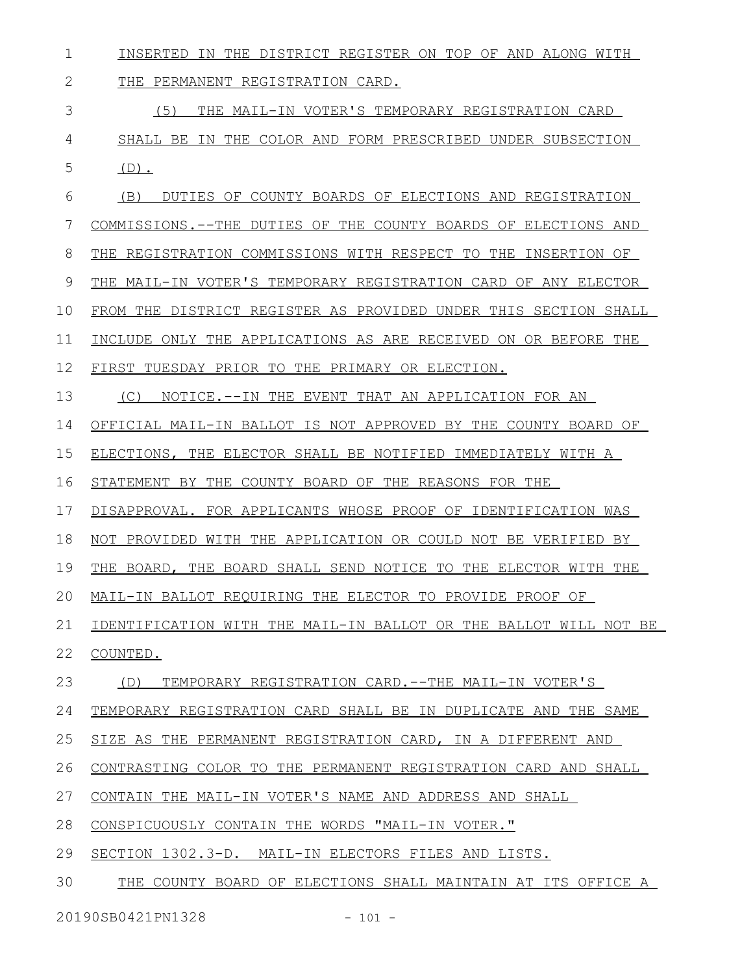| $\mathbf 1$  | INSERTED IN THE DISTRICT REGISTER ON TOP OF AND ALONG WITH        |
|--------------|-------------------------------------------------------------------|
| $\mathbf{2}$ | THE PERMANENT REGISTRATION CARD.                                  |
| 3            | (5) THE MAIL-IN VOTER'S TEMPORARY REGISTRATION CARD               |
| 4            | SHALL BE IN THE COLOR AND FORM PRESCRIBED UNDER SUBSECTION        |
| 5            | $(D)$ .                                                           |
| 6            | (B)<br>DUTIES OF COUNTY BOARDS OF ELECTIONS AND REGISTRATION      |
| 7            | COMMISSIONS.--THE DUTIES OF THE COUNTY BOARDS OF ELECTIONS AND    |
| 8            | REGISTRATION COMMISSIONS WITH RESPECT TO THE INSERTION OF<br>THE. |
| 9            | THE MAIL-IN VOTER'S TEMPORARY REGISTRATION CARD OF ANY ELECTOR    |
| 10           | FROM THE DISTRICT REGISTER AS PROVIDED UNDER THIS SECTION SHALL   |
| 11           | INCLUDE ONLY THE APPLICATIONS AS ARE RECEIVED ON OR BEFORE THE    |
| 12           | FIRST TUESDAY PRIOR TO THE PRIMARY OR ELECTION.                   |
| 13           | NOTICE.--IN THE EVENT THAT AN APPLICATION FOR AN<br>(C)           |
| 14           | OFFICIAL MAIL-IN BALLOT IS NOT APPROVED BY THE COUNTY BOARD OF    |
| 15           | ELECTIONS, THE ELECTOR SHALL BE NOTIFIED IMMEDIATELY WITH A       |
| 16           | STATEMENT BY THE COUNTY BOARD OF THE REASONS FOR THE              |
| 17           | DISAPPROVAL. FOR APPLICANTS WHOSE PROOF OF IDENTIFICATION WAS     |
| 18           | NOT PROVIDED WITH THE APPLICATION OR COULD NOT BE VERIFIED BY     |
| 19           | THE BOARD, THE BOARD SHALL SEND NOTICE TO THE ELECTOR WITH THE    |
|              | 20 MAIL-IN BALLOT REQUIRING THE ELECTOR TO PROVIDE PROOF OF       |
| 21           | IDENTIFICATION WITH THE MAIL-IN BALLOT OR THE BALLOT WILL NOT BE  |
| 22           | COUNTED.                                                          |
| 23           | TEMPORARY REGISTRATION CARD.--THE MAIL-IN VOTER'S<br>(D)          |
| 24           | TEMPORARY REGISTRATION CARD SHALL BE IN DUPLICATE AND THE SAME    |
| 25           | SIZE AS THE PERMANENT REGISTRATION CARD, IN A DIFFERENT AND       |
| 26           | CONTRASTING COLOR TO THE PERMANENT REGISTRATION CARD AND SHALL    |
| 27           | CONTAIN THE MAIL-IN VOTER'S NAME AND ADDRESS AND SHALL            |
| 28           | CONSPICUOUSLY CONTAIN THE WORDS "MAIL-IN VOTER."                  |
| 29           | SECTION 1302.3-D. MAIL-IN ELECTORS FILES AND LISTS.               |
| 30           | THE COUNTY BOARD OF ELECTIONS SHALL MAINTAIN AT ITS OFFICE A      |

20190SB0421PN1328 - 101 -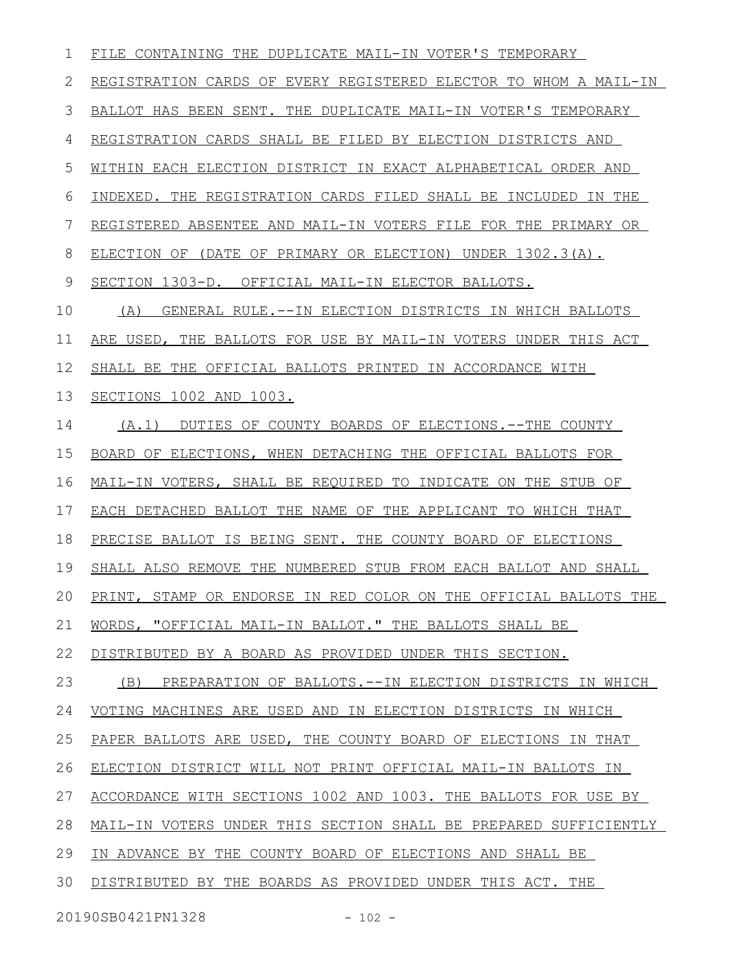| 1  | FILE CONTAINING THE DUPLICATE MAIL-IN VOTER'S TEMPORARY             |
|----|---------------------------------------------------------------------|
| 2  | REGISTRATION CARDS OF EVERY REGISTERED ELECTOR TO WHOM A MAIL-IN    |
| 3  | BALLOT HAS BEEN SENT. THE DUPLICATE MAIL-IN VOTER'S TEMPORARY       |
| 4  | REGISTRATION CARDS SHALL BE FILED BY ELECTION DISTRICTS AND         |
| 5  | WITHIN EACH ELECTION DISTRICT IN EXACT ALPHABETICAL ORDER AND       |
| 6  | INDEXED. THE REGISTRATION CARDS FILED SHALL BE INCLUDED IN THE      |
| 7  | REGISTERED ABSENTEE AND MAIL-IN VOTERS FILE FOR THE PRIMARY OR      |
| 8  | ELECTION OF (DATE OF PRIMARY OR ELECTION) UNDER 1302.3(A).          |
| 9  | SECTION 1303-D. OFFICIAL MAIL-IN ELECTOR BALLOTS.                   |
| 10 | GENERAL RULE. --IN ELECTION DISTRICTS IN WHICH BALLOTS<br>(A)       |
| 11 | ARE USED, THE BALLOTS FOR USE BY MAIL-IN VOTERS UNDER THIS ACT      |
| 12 | SHALL BE THE OFFICIAL BALLOTS PRINTED IN ACCORDANCE WITH            |
| 13 | SECTIONS 1002 AND 1003.                                             |
| 14 | (A.1) DUTIES OF COUNTY BOARDS OF ELECTIONS.--THE COUNTY             |
| 15 | BOARD OF ELECTIONS, WHEN DETACHING THE OFFICIAL BALLOTS FOR         |
| 16 | MAIL-IN VOTERS, SHALL BE REQUIRED TO INDICATE ON THE STUB OF        |
| 17 | EACH DETACHED BALLOT THE NAME OF THE APPLICANT TO WHICH THAT        |
| 18 | PRECISE BALLOT IS BEING SENT. THE COUNTY BOARD OF ELECTIONS         |
| 19 | SHALL ALSO REMOVE THE NUMBERED STUB FROM EACH BALLOT AND SHALL      |
|    | 20 PRINT, STAMP OR ENDORSE IN RED COLOR ON THE OFFICIAL BALLOTS THE |
| 21 | WORDS, "OFFICIAL MAIL-IN BALLOT." THE BALLOTS SHALL BE              |
| 22 | DISTRIBUTED BY A BOARD AS PROVIDED UNDER THIS SECTION.              |
| 23 | PREPARATION OF BALLOTS. --IN ELECTION DISTRICTS IN WHICH<br>(B)     |
| 24 | VOTING MACHINES ARE USED AND IN ELECTION DISTRICTS IN WHICH         |
| 25 | PAPER BALLOTS ARE USED, THE COUNTY BOARD OF ELECTIONS IN THAT       |
| 26 | ELECTION DISTRICT WILL NOT PRINT OFFICIAL MAIL-IN BALLOTS IN        |
| 27 | ACCORDANCE WITH SECTIONS 1002 AND 1003. THE BALLOTS FOR USE BY      |
| 28 | MAIL-IN VOTERS UNDER THIS SECTION SHALL BE PREPARED SUFFICIENTLY    |
| 29 | IN ADVANCE BY THE COUNTY BOARD OF ELECTIONS AND SHALL BE            |
| 30 | DISTRIBUTED BY THE BOARDS AS PROVIDED UNDER THIS ACT. THE           |
|    |                                                                     |

20190SB0421PN1328 - 102 -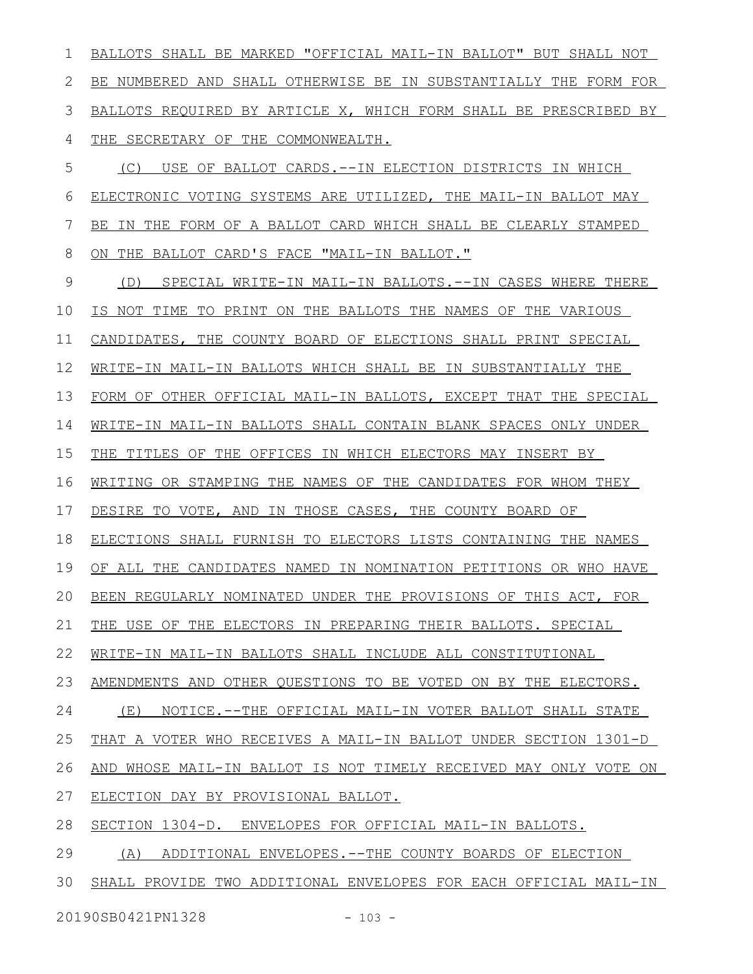BALLOTS SHALL BE MARKED "OFFICIAL MAIL-IN BALLOT" BUT SHALL NOT BE NUMBERED AND SHALL OTHERWISE BE IN SUBSTANTIALLY THE FORM FOR BALLOTS REQUIRED BY ARTICLE X, WHICH FORM SHALL BE PRESCRIBED BY THE SECRETARY OF THE COMMONWEALTH. (C) USE OF BALLOT CARDS.--IN ELECTION DISTRICTS IN WHICH ELECTRONIC VOTING SYSTEMS ARE UTILIZED, THE MAIL-IN BALLOT MAY BE IN THE FORM OF A BALLOT CARD WHICH SHALL BE CLEARLY STAMPED ON THE BALLOT CARD'S FACE "MAIL-IN BALLOT." (D) SPECIAL WRITE-IN MAIL-IN BALLOTS.--IN CASES WHERE THERE IS NOT TIME TO PRINT ON THE BALLOTS THE NAMES OF THE VARIOUS CANDIDATES, THE COUNTY BOARD OF ELECTIONS SHALL PRINT SPECIAL WRITE-IN MAIL-IN BALLOTS WHICH SHALL BE IN SUBSTANTIALLY THE FORM OF OTHER OFFICIAL MAIL-IN BALLOTS, EXCEPT THAT THE SPECIAL WRITE-IN MAIL-IN BALLOTS SHALL CONTAIN BLANK SPACES ONLY UNDER THE TITLES OF THE OFFICES IN WHICH ELECTORS MAY INSERT BY WRITING OR STAMPING THE NAMES OF THE CANDIDATES FOR WHOM THEY DESIRE TO VOTE, AND IN THOSE CASES, THE COUNTY BOARD OF ELECTIONS SHALL FURNISH TO ELECTORS LISTS CONTAINING THE NAMES OF ALL THE CANDIDATES NAMED IN NOMINATION PETITIONS OR WHO HAVE BEEN REGULARLY NOMINATED UNDER THE PROVISIONS OF THIS ACT, FOR THE USE OF THE ELECTORS IN PREPARING THEIR BALLOTS. SPECIAL WRITE-IN MAIL-IN BALLOTS SHALL INCLUDE ALL CONSTITUTIONAL AMENDMENTS AND OTHER QUESTIONS TO BE VOTED ON BY THE ELECTORS. (E) NOTICE.--THE OFFICIAL MAIL-IN VOTER BALLOT SHALL STATE THAT A VOTER WHO RECEIVES A MAIL-IN BALLOT UNDER SECTION 1301-D AND WHOSE MAIL-IN BALLOT IS NOT TIMELY RECEIVED MAY ONLY VOTE ON ELECTION DAY BY PROVISIONAL BALLOT. SECTION 1304-D. ENVELOPES FOR OFFICIAL MAIL-IN BALLOTS. (A) ADDITIONAL ENVELOPES.--THE COUNTY BOARDS OF ELECTION SHALL PROVIDE TWO ADDITIONAL ENVELOPES FOR EACH OFFICIAL MAIL-IN 1 2 3 4 5 6 7 8 9 10 11 12 13 14 15 16 17 18 19 20 21 22 23 24 25 26 27 28 29 30

20190SB0421PN1328 - 103 -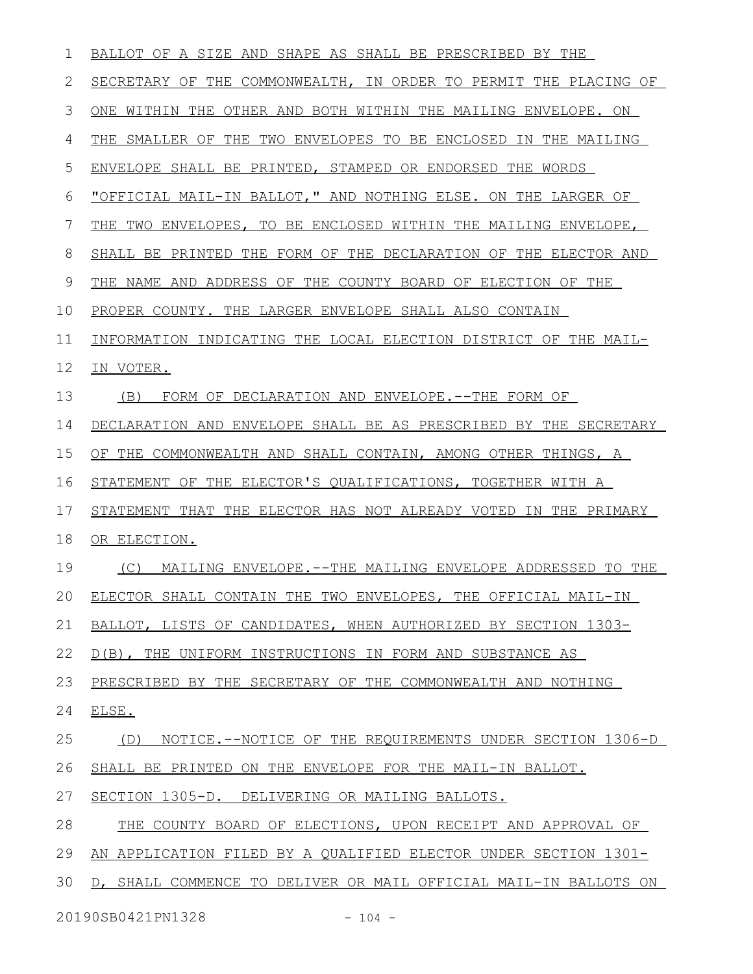| 1  | BALLOT OF A SIZE AND SHAPE AS SHALL BE PRESCRIBED BY THE          |
|----|-------------------------------------------------------------------|
| 2  | SECRETARY OF THE COMMONWEALTH, IN ORDER TO PERMIT THE PLACING OF  |
| 3  | WITHIN THE OTHER AND BOTH WITHIN THE MAILING ENVELOPE. ON<br>ONE  |
| 4  | THE<br>SMALLER OF THE TWO ENVELOPES TO BE ENCLOSED IN THE MAILING |
| 5  | ENVELOPE SHALL BE PRINTED, STAMPED OR ENDORSED THE WORDS          |
| 6  | "OFFICIAL MAIL-IN BALLOT," AND NOTHING ELSE. ON THE LARGER OF     |
| 7  | THE TWO ENVELOPES, TO BE ENCLOSED WITHIN THE MAILING ENVELOPE,    |
| 8  | SHALL BE PRINTED THE FORM OF THE DECLARATION OF THE ELECTOR AND   |
| 9  | THE NAME AND ADDRESS OF THE COUNTY BOARD OF ELECTION OF THE       |
| 10 | PROPER COUNTY. THE LARGER ENVELOPE SHALL ALSO CONTAIN             |
| 11 | INFORMATION INDICATING THE LOCAL ELECTION DISTRICT OF THE MAIL-   |
| 12 | IN VOTER.                                                         |
| 13 | FORM OF DECLARATION AND ENVELOPE.--THE FORM OF<br>(B)             |
| 14 | DECLARATION AND ENVELOPE SHALL BE AS PRESCRIBED BY THE SECRETARY  |
| 15 | OF THE COMMONWEALTH AND SHALL CONTAIN, AMONG OTHER THINGS, A      |
| 16 | STATEMENT OF THE ELECTOR'S QUALIFICATIONS, TOGETHER WITH A        |
| 17 | STATEMENT THAT THE ELECTOR HAS NOT ALREADY VOTED IN THE PRIMARY   |
| 18 | OR ELECTION.                                                      |
| 19 | MAILING ENVELOPE.--THE MAILING ENVELOPE ADDRESSED TO THE<br>(C)   |
| 20 | ELECTOR SHALL CONTAIN THE TWO ENVELOPES, THE OFFICIAL MAIL-IN     |
| 21 | BALLOT, LISTS OF CANDIDATES, WHEN AUTHORIZED BY SECTION 1303-     |
| 22 | D(B), THE UNIFORM INSTRUCTIONS IN FORM AND SUBSTANCE AS           |
| 23 | PRESCRIBED BY THE SECRETARY OF THE COMMONWEALTH AND NOTHING       |
| 24 | ELSE.                                                             |
| 25 | NOTICE.--NOTICE OF THE REOUIREMENTS UNDER SECTION 1306-D<br>(D)   |
| 26 | SHALL BE PRINTED ON THE ENVELOPE FOR THE MAIL-IN BALLOT.          |
| 27 | SECTION 1305-D. DELIVERING OR MAILING BALLOTS.                    |
| 28 | THE COUNTY BOARD OF ELECTIONS, UPON RECEIPT AND APPROVAL OF       |
| 29 | AN APPLICATION FILED BY A QUALIFIED ELECTOR UNDER SECTION 1301-   |
| 30 | D, SHALL COMMENCE TO DELIVER OR MAIL OFFICIAL MAIL-IN BALLOTS ON  |
|    | 20190SB0421PN1328<br>$-104 -$                                     |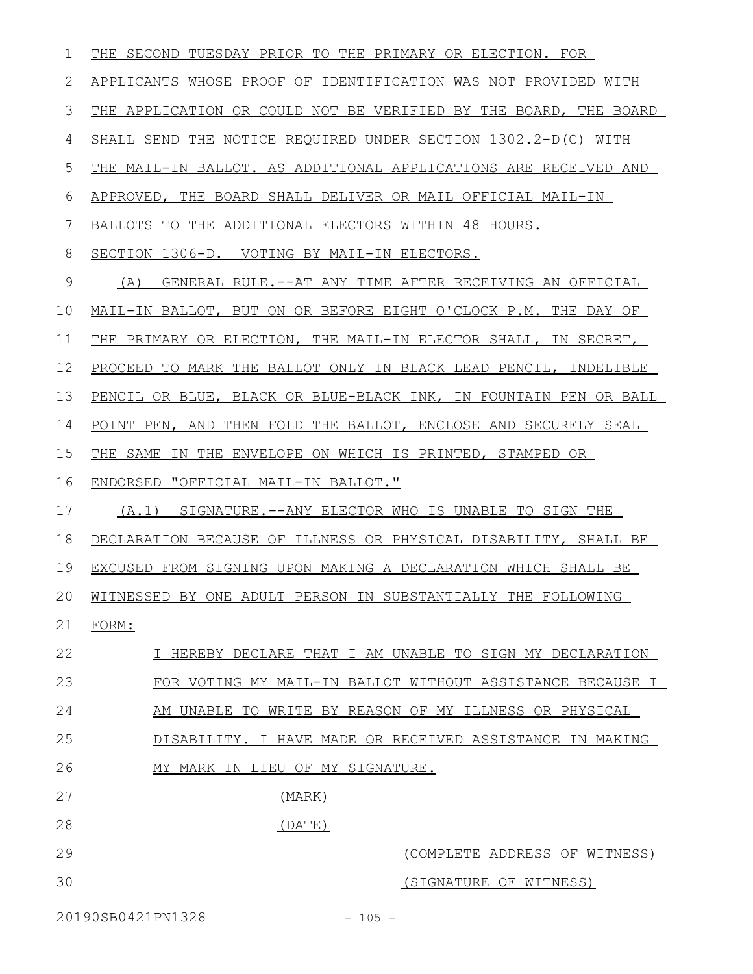| 1  | THE SECOND TUESDAY PRIOR TO THE PRIMARY OR ELECTION. FOR         |
|----|------------------------------------------------------------------|
| 2  | APPLICANTS WHOSE PROOF OF IDENTIFICATION WAS NOT PROVIDED WITH   |
| 3  | THE APPLICATION OR COULD NOT BE VERIFIED BY THE BOARD, THE BOARD |
| 4  | SHALL SEND THE NOTICE REQUIRED UNDER SECTION 1302.2-D(C) WITH    |
| 5  | THE MAIL-IN BALLOT. AS ADDITIONAL APPLICATIONS ARE RECEIVED AND  |
| 6  | APPROVED, THE BOARD SHALL DELIVER OR MAIL OFFICIAL MAIL-IN       |
| 7  | BALLOTS TO THE ADDITIONAL ELECTORS WITHIN 48 HOURS.              |
| 8  | SECTION 1306-D. VOTING BY MAIL-IN ELECTORS.                      |
| 9  | GENERAL RULE.--AT ANY TIME AFTER RECEIVING AN OFFICIAL<br>(A)    |
| 10 | MAIL-IN BALLOT, BUT ON OR BEFORE EIGHT O'CLOCK P.M. THE DAY OF   |
| 11 | THE PRIMARY OR ELECTION, THE MAIL-IN ELECTOR SHALL, IN SECRET,   |
| 12 | PROCEED TO MARK THE BALLOT ONLY IN BLACK LEAD PENCIL, INDELIBLE  |
| 13 | PENCIL OR BLUE, BLACK OR BLUE-BLACK INK, IN FOUNTAIN PEN OR BALL |
| 14 | POINT PEN, AND THEN FOLD THE BALLOT, ENCLOSE AND SECURELY SEAL   |
| 15 | THE SAME IN THE ENVELOPE ON WHICH IS PRINTED, STAMPED OR         |
| 16 | ENDORSED "OFFICIAL MAIL-IN BALLOT."                              |
| 17 | (A.1) SIGNATURE.--ANY ELECTOR WHO IS UNABLE TO SIGN THE          |
| 18 | DECLARATION BECAUSE OF ILLNESS OR PHYSICAL DISABILITY, SHALL BE  |
| 19 | EXCUSED FROM SIGNING UPON MAKING A DECLARATION WHICH SHALL BE    |
|    | 20 WITNESSED BY ONE ADULT PERSON IN SUBSTANTIALLY THE FOLLOWING  |
| 21 | FORM:                                                            |
| 22 | I HEREBY DECLARE THAT I AM UNABLE TO SIGN MY DECLARATION         |
| 23 | FOR VOTING MY MAIL-IN BALLOT WITHOUT ASSISTANCE BECAUSE I        |
| 24 | AM UNABLE TO WRITE BY REASON OF MY ILLNESS OR PHYSICAL           |
| 25 | DISABILITY. I HAVE MADE OR RECEIVED ASSISTANCE IN MAKING         |
| 26 | MY MARK IN LIEU OF MY SIGNATURE.                                 |
| 27 | (MARK)                                                           |
| 28 | (DATE)                                                           |
| 29 | (COMPLETE ADDRESS OF WITNESS)                                    |
| 30 | (SIGNATURE OF WITNESS)                                           |
|    |                                                                  |

20190SB0421PN1328 - 105 -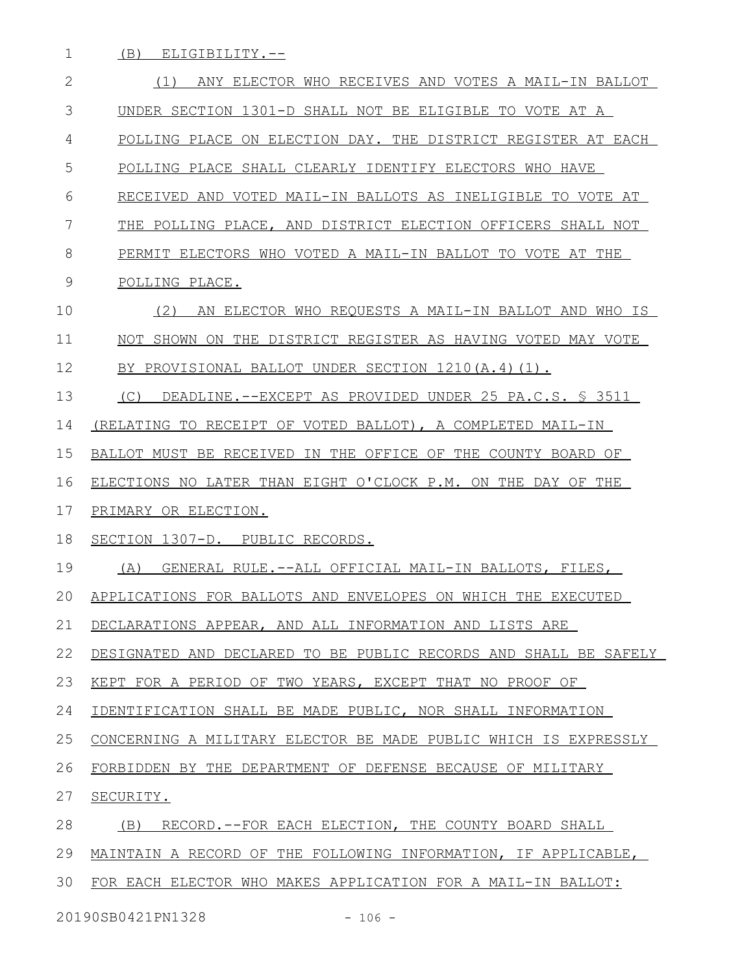(B) ELIGIBILITY.-- 1

| $\mathbf{2}$ | ANY ELECTOR WHO RECEIVES AND VOTES A MAIL-IN BALLOT<br>(1)       |
|--------------|------------------------------------------------------------------|
| 3            | UNDER SECTION 1301-D SHALL NOT BE ELIGIBLE TO VOTE AT A          |
| 4            | POLLING PLACE ON ELECTION DAY. THE DISTRICT REGISTER AT EACH     |
| 5            | POLLING PLACE SHALL CLEARLY IDENTIFY ELECTORS WHO HAVE           |
| 6            | RECEIVED AND VOTED MAIL-IN BALLOTS AS INELIGIBLE TO VOTE AT      |
| 7            | THE POLLING PLACE, AND DISTRICT ELECTION OFFICERS SHALL NOT      |
| 8            | PERMIT ELECTORS WHO VOTED A MAIL-IN BALLOT TO VOTE AT THE        |
| 9            | POLLING PLACE.                                                   |
| 10           | (2)<br>AN ELECTOR WHO REQUESTS A MAIL-IN BALLOT AND WHO IS       |
| 11           | NOT SHOWN ON THE DISTRICT REGISTER AS HAVING VOTED MAY VOTE      |
| 12           | BY PROVISIONAL BALLOT UNDER SECTION 1210(A.4)(1).                |
| 13           | DEADLINE.--EXCEPT AS PROVIDED UNDER 25 PA.C.S. \$ 3511<br>(C)    |
| 14           | (RELATING TO RECEIPT OF VOTED BALLOT), A COMPLETED MAIL-IN       |
| 15           | BALLOT MUST BE RECEIVED IN THE OFFICE OF THE COUNTY BOARD OF     |
| 16           | ELECTIONS NO LATER THAN EIGHT O'CLOCK P.M. ON THE DAY OF THE     |
| 17           | PRIMARY OR ELECTION.                                             |
| 18           | SECTION 1307-D. PUBLIC RECORDS.                                  |
| 19           | GENERAL RULE.--ALL OFFICIAL MAIL-IN BALLOTS, FILES,<br>(A)       |
| 20           | APPLICATIONS FOR BALLOTS AND ENVELOPES ON WHICH THE EXECUTED     |
| 21           | DECLARATIONS APPEAR, AND ALL INFORMATION AND LISTS ARE           |
| 22           | DESIGNATED AND DECLARED TO BE PUBLIC RECORDS AND SHALL BE SAFELY |
| 23           | KEPT FOR A PERIOD OF TWO YEARS, EXCEPT THAT NO PROOF OF          |
| 24           | IDENTIFICATION SHALL BE MADE PUBLIC, NOR SHALL INFORMATION       |
| 25           | CONCERNING A MILITARY ELECTOR BE MADE PUBLIC WHICH IS EXPRESSLY  |
| 26           | FORBIDDEN BY THE DEPARTMENT OF DEFENSE BECAUSE OF MILITARY       |
| 27           | SECURITY.                                                        |
| 28           | RECORD.--FOR EACH ELECTION, THE COUNTY BOARD SHALL<br>(B)        |
| 29           | MAINTAIN A RECORD OF THE FOLLOWING INFORMATION, IF APPLICABLE,   |
| 30           | FOR EACH ELECTOR WHO MAKES APPLICATION FOR A MAIL-IN BALLOT:     |

20190SB0421PN1328 - 106 -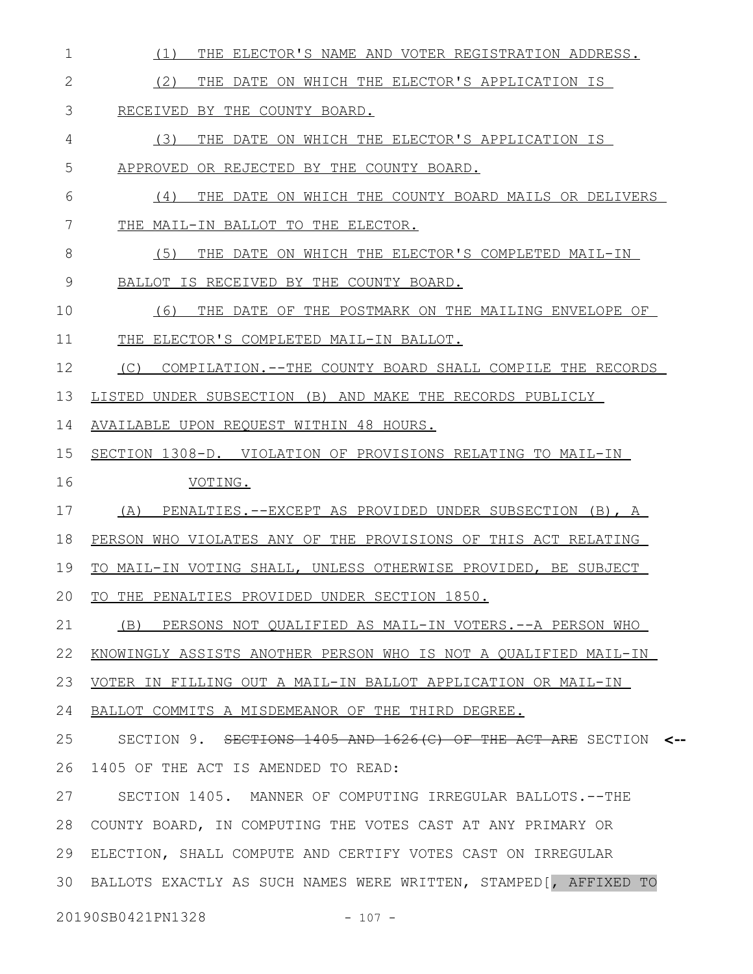(1) THE ELECTOR'S NAME AND VOTER REGISTRATION ADDRESS. (2) THE DATE ON WHICH THE ELECTOR'S APPLICATION IS RECEIVED BY THE COUNTY BOARD. (3) THE DATE ON WHICH THE ELECTOR'S APPLICATION IS APPROVED OR REJECTED BY THE COUNTY BOARD. (4) THE DATE ON WHICH THE COUNTY BOARD MAILS OR DELIVERS THE MAIL-IN BALLOT TO THE ELECTOR. (5) THE DATE ON WHICH THE ELECTOR'S COMPLETED MAIL-IN BALLOT IS RECEIVED BY THE COUNTY BOARD. (6) THE DATE OF THE POSTMARK ON THE MAILING ENVELOPE OF THE ELECTOR'S COMPLETED MAIL-IN BALLOT. (C) COMPILATION.--THE COUNTY BOARD SHALL COMPILE THE RECORDS LISTED UNDER SUBSECTION (B) AND MAKE THE RECORDS PUBLICLY AVAILABLE UPON REQUEST WITHIN 48 HOURS. SECTION 1308-D. VIOLATION OF PROVISIONS RELATING TO MAIL-IN VOTING. (A) PENALTIES.--EXCEPT AS PROVIDED UNDER SUBSECTION (B), A PERSON WHO VIOLATES ANY OF THE PROVISIONS OF THIS ACT RELATING TO MAIL-IN VOTING SHALL, UNLESS OTHERWISE PROVIDED, BE SUBJECT TO THE PENALTIES PROVIDED UNDER SECTION 1850. (B) PERSONS NOT QUALIFIED AS MAIL-IN VOTERS.--A PERSON WHO KNOWINGLY ASSISTS ANOTHER PERSON WHO IS NOT A QUALIFIED MAIL-IN VOTER IN FILLING OUT A MAIL-IN BALLOT APPLICATION OR MAIL-IN BALLOT COMMITS A MISDEMEANOR OF THE THIRD DEGREE. SECTION 9. SECTIONS 1405 AND 1626(C) OF THE ACT ARE SECTION **<--** 1405 OF THE ACT IS AMENDED TO READ: SECTION 1405. MANNER OF COMPUTING IRREGULAR BALLOTS.--THE 28 COUNTY BOARD, IN COMPUTING THE VOTES CAST AT ANY PRIMARY OR ELECTION, SHALL COMPUTE AND CERTIFY VOTES CAST ON IRREGULAR BALLOTS EXACTLY AS SUCH NAMES WERE WRITTEN, STAMPED[, AFFIXED TO 3020190SB0421PN1328 - 107 -1 2 3 4 5 6 7 8 9 10 11 12 13 14 15 16 17 18 19 20 21 22 23 24 25 26 27 29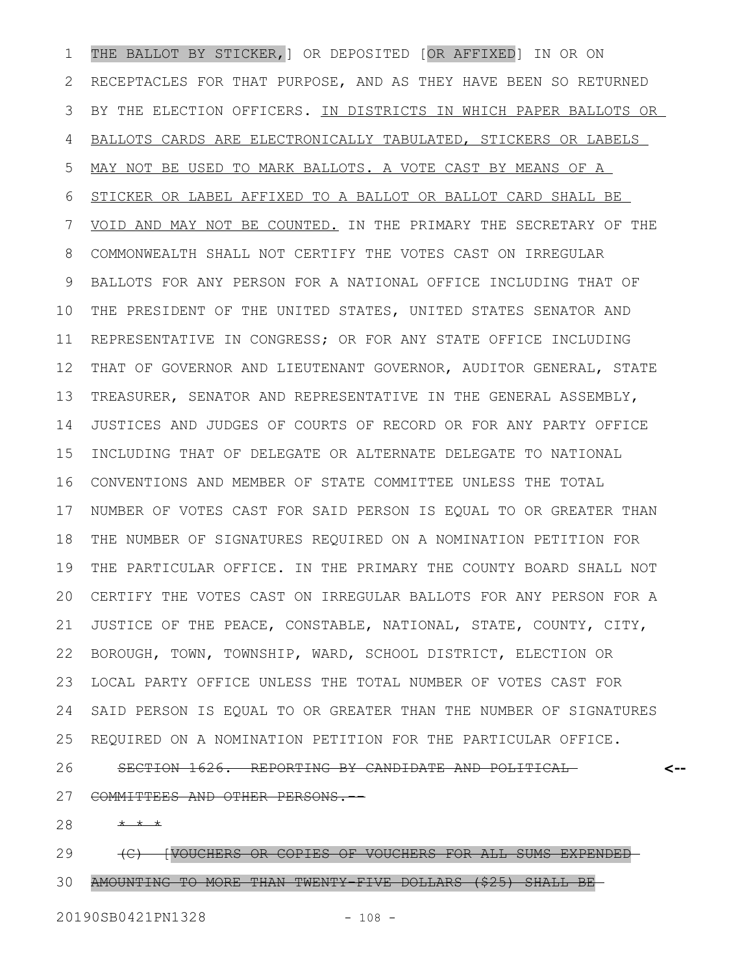THE BALLOT BY STICKER,] OR DEPOSITED [OR AFFIXED] IN OR ON RECEPTACLES FOR THAT PURPOSE, AND AS THEY HAVE BEEN SO RETURNED BY THE ELECTION OFFICERS. IN DISTRICTS IN WHICH PAPER BALLOTS OR BALLOTS CARDS ARE ELECTRONICALLY TABULATED, STICKERS OR LABELS MAY NOT BE USED TO MARK BALLOTS. A VOTE CAST BY MEANS OF A STICKER OR LABEL AFFIXED TO A BALLOT OR BALLOT CARD SHALL BE VOID AND MAY NOT BE COUNTED. IN THE PRIMARY THE SECRETARY OF THE COMMONWEALTH SHALL NOT CERTIFY THE VOTES CAST ON IRREGULAR BALLOTS FOR ANY PERSON FOR A NATIONAL OFFICE INCLUDING THAT OF THE PRESIDENT OF THE UNITED STATES, UNITED STATES SENATOR AND REPRESENTATIVE IN CONGRESS; OR FOR ANY STATE OFFICE INCLUDING THAT OF GOVERNOR AND LIEUTENANT GOVERNOR, AUDITOR GENERAL, STATE TREASURER, SENATOR AND REPRESENTATIVE IN THE GENERAL ASSEMBLY, JUSTICES AND JUDGES OF COURTS OF RECORD OR FOR ANY PARTY OFFICE INCLUDING THAT OF DELEGATE OR ALTERNATE DELEGATE TO NATIONAL CONVENTIONS AND MEMBER OF STATE COMMITTEE UNLESS THE TOTAL NUMBER OF VOTES CAST FOR SAID PERSON IS EQUAL TO OR GREATER THAN THE NUMBER OF SIGNATURES REQUIRED ON A NOMINATION PETITION FOR THE PARTICULAR OFFICE. IN THE PRIMARY THE COUNTY BOARD SHALL NOT CERTIFY THE VOTES CAST ON IRREGULAR BALLOTS FOR ANY PERSON FOR A JUSTICE OF THE PEACE, CONSTABLE, NATIONAL, STATE, COUNTY, CITY, BOROUGH, TOWN, TOWNSHIP, WARD, SCHOOL DISTRICT, ELECTION OR LOCAL PARTY OFFICE UNLESS THE TOTAL NUMBER OF VOTES CAST FOR SAID PERSON IS EQUAL TO OR GREATER THAN THE NUMBER OF SIGNATURES REQUIRED ON A NOMINATION PETITION FOR THE PARTICULAR OFFICE. SECTION 1626. REPORTING BY CANDIDATE AND POLITICAL COMMITTEES AND OTHER PERSONS.-- **<--** 1 2 3 4 5 6 7 8 9 10 11 12 13 14 15 16 17 18 19 20 21 22 23 24 25 26 27

\* \* \* 28

(C) [VOUCHERS OR COPIES OF VOUCHERS FOR ALL SUMS EXPENDED AMOUNTING TO MORE THAN TWENTY-FIVE DOLLARS (\$25) SHALL BE 29 30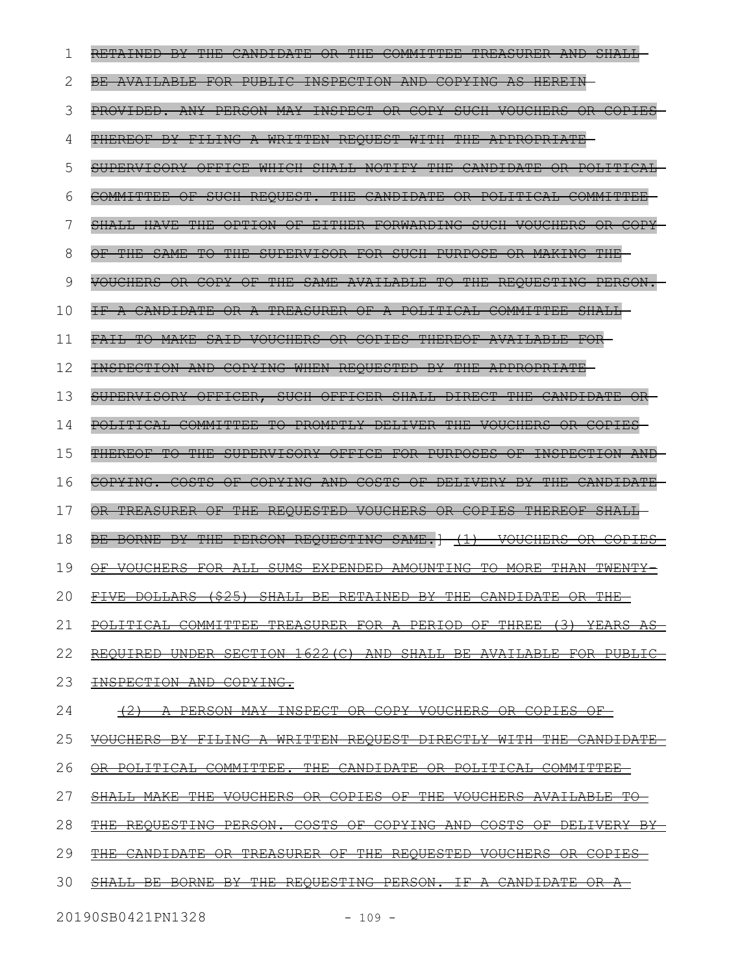|    | <del>RETAINED</del><br><del>THE</del><br>CANDIDATE<br><del>THE</del><br>COMMITTEE<br><b>TREASURER</b><br>-B¥-<br>ÐR                                                       |
|----|---------------------------------------------------------------------------------------------------------------------------------------------------------------------------|
| 2  | BE AVAILABLE FOR PUBLIC INSPECTION AND COPYING AS HEREIN                                                                                                                  |
| 3  | PROVIDED. ANY PERSON MAY INSPECT OR COPY SUCH VOUCHERS<br>ÐR                                                                                                              |
| 4  | WRITTEN REQUEST<br>WITH THE<br>THEREOF<br><del>FILING</del>                                                                                                               |
| 5  | $-HA$<br>NOTIFY THE<br><del>SUPERVISORY</del><br>OFFICE<br>WHICH<br>CANDIDATE<br><del>POLITICAL</del><br>θR                                                               |
| 6  | REQUEST.<br>$-$ <del>THE</del><br>COMMITTEE<br>CANDIDATE<br>SUCH<br><del>-POLITICAL</del><br>COMMITTEE<br>θF<br>⊖R                                                        |
| 7  | <del>THE</del><br>$\overline{\Theta}$ F<br><del>OPTION</del><br><b>EITHER</b><br>FORWARDING<br><del>VOUCHERS</del>                                                        |
| 8  | <del>THIF</del>                                                                                                                                                           |
| 9  | <b>THE</b><br><b>SAME</b><br>$\overline{+}\Theta$<br>$\overline{\text{THE}}$<br>REQUESTING<br><del>VOUCHERS</del><br>COPY<br>$\Theta$ F $-$<br>θR<br><del>AVAILABLE</del> |
| 10 | TREASURER<br>COMMITTEE<br>⊖₽<br><del>POLITICAL</del>                                                                                                                      |
| 11 | COPIES THEREOF<br><b>MAKE</b><br>SAID<br><b>VOUCHERS</b><br>AVAILABLE<br>$\Theta$ R                                                                                       |
| 12 | WHEN REQUESTED<br>BY THE<br>APPROPRIATE                                                                                                                                   |
| 13 | DIRECT THE<br>OFFICER,<br>SUCH<br>OFFICER SHALL<br>CANDIDATE<br>SUPERVISORY                                                                                               |
| 14 | POLITICAL COMMITTEE TO PROMPTLY DELIVER THE VOUCHERS<br><del>COPTES</del>                                                                                                 |
| 15 | THEREOF TO THE SUPERVISORY OFFICE FOR PURPOSES OF INSPECTION                                                                                                              |
| 16 | COPYING. COSTS OF COPYING AND COSTS OF DELIVERY<br><del>-THE</del>                                                                                                        |
| 17 | OR TREASURER OF THE REQUESTED VOUCHERS OR COPIES THEREOF<br><b>SHALL</b>                                                                                                  |
| 18 | BE BORNE BY THE PERSON REQUESTING SAME.<br><del>VOUCHERS</del>                                                                                                            |
| 19 | ALL SUMS EXPENDED AMOUNTING TO MORE THAN TWENTY<br><del>VOUCHERS FOR</del>                                                                                                |
| 20 | ופלא מתגדזמת הזזזה<br>סח גם דם נוגמי סווח זום<br>$C$ $T$ $T$ $T$ $T$<br>DEEA THED<br>D.D<br><del>iive dollarks (?Z3) shall be keiained bi ihe candidaie ok ihe</del>      |
| 21 | POLITICAL COMMITTEE TREASURER FOR A PERIOD OF THREE (3) YEARS AS                                                                                                          |
| 22 | REQUIRED UNDER SECTION 1622 (C) AND SHALL BE AVAILABLE FOR<br><del>PUBLIC</del>                                                                                           |
| 23 | <b>INSPECTION AND COPYING.</b>                                                                                                                                            |
| 24 | A PERSON MAY INSPECT OR COPY VOUCHERS OR COPIES OF<br>$+2$                                                                                                                |
| 25 | VOUCHERS BY FILING A WRITTEN REQUEST DIRECTLY WITH THE CANDIDATE                                                                                                          |
| 26 | <u>OR POLITICAL COMMITTEE. THE CANDIDATE OR POLITICAL COMMITTEE-</u>                                                                                                      |
| 27 | SHALL MAKE THE VOUCHERS OR COPIES OF THE VOUCHERS AVAILABLE TO                                                                                                            |
| 28 | REQUESTING PERSON. COSTS OF COPYING AND COSTS OF<br><del>DELIVERY BY-</del><br><del>THE -</del>                                                                           |
| 29 | THE CANDIDATE OR TREASURER OF THE REQUESTED VOUCHERS OR COPIES-                                                                                                           |
| 30 | <del>REOUESTING PERSON. IF A CANDIDATE OR A-</del><br><del>BORNE</del><br><del>THE -</del><br><del>∖⊥⊥∟ B⊡</del><br>᠊ <del>B</del> ¥                                      |
|    |                                                                                                                                                                           |

20190SB0421PN1328 - 109 -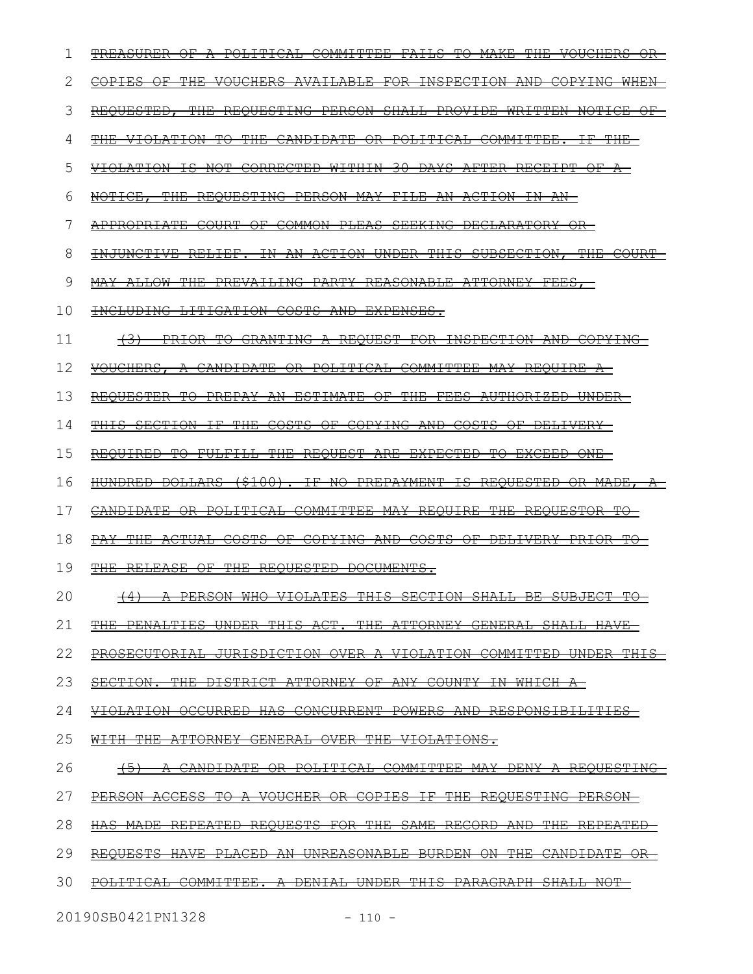| 1                             | 4 <del>ITTEE</del><br><b>POLITI</b><br>TREASURER<br><del>VOUCHERS</del><br><del>OR-</del><br>₩                                                                                                              |
|-------------------------------|-------------------------------------------------------------------------------------------------------------------------------------------------------------------------------------------------------------|
| 2                             | INSPECTION AND<br><del>THE</del><br>VOUCHERS AVAILABLE<br>$\pm$ OR<br><del>COPYING</del><br>$WHEN-$<br>⊖F                                                                                                   |
| 3                             | REQUESTED,<br><b>THE</b><br>REQUESTING<br>PERSON SHALL<br>PROVIDE WRITTEN<br><b>NOTICE</b><br>⊖₽                                                                                                            |
| 4                             | VIOLATION TO THE CANDIDATE OR POLITICAL COMMITTEE.<br><del>THE -</del><br>±₽                                                                                                                                |
| 5                             | VIOLATION IS NOT CORRECTED WITHIN 30 DAYS AFTER RECEIPT OF<br>$\triangle$                                                                                                                                   |
| 6                             | REQUESTING PERSON MAY FILE AN ACTION IN AN-                                                                                                                                                                 |
| 7                             | APPROPRIATE<br>COMMON PLEAS SEEKING DECLARATORY<br><b>COURT</b><br>$\Theta$ F $-$<br>$\rightarrow$ $\rightarrow$                                                                                            |
| 8                             | INJUNCTIVE RELIEF. IN AN ACTION UNDER THIS SUBSECTION,<br><del>THE</del><br><del>COUR</del>                                                                                                                 |
| 9                             | PREVAILING PARTY REASONABLE ATTORNEY FEES,<br><del>ALLOW THE</del>                                                                                                                                          |
| 10                            | INCLUDING LITIGATION COSTS AND EXPENSES.                                                                                                                                                                    |
| 11                            | PRIOR TO GRANTING A REQUEST FOR INSPECTION AND COPYING<br><del>(3)</del>                                                                                                                                    |
| 12                            | VOUCHERS, A CANDIDATE OR POLITICAL COMMITTEE MAY REQUIRE A-                                                                                                                                                 |
| 13                            | REQUESTER TO PREPAY AN ESTIMATE OF THE FEES AUTHORIZED UNDER                                                                                                                                                |
| 14                            | THIS SECTION IF THE<br>COSTS OF COPYING AND COSTS OF DELIVERY-                                                                                                                                              |
| 15                            | REQUIRED TO FULFILL THE REQUEST ARE EXPECTED TO EXCEED ONE                                                                                                                                                  |
| 16                            | HUNDRED DOLLARS (\$100).<br>NO PREPAYMENT IS REQUESTED OR MADE, A-<br>$\pm$ F $-$                                                                                                                           |
| 17                            | CANDIDATE OR POLITICAL COMMITTEE MAY REQUIRE THE REQUESTOR TO                                                                                                                                               |
| 18                            | COSTS<br>COPYING AND COSTS OF DELIVERY PRIOR TO<br>THE ACTUAL<br>⊖⊬<br><del>PAY-</del>                                                                                                                      |
| 19                            | THE RELEASE OF THE REQUESTED DOCUMENTS.                                                                                                                                                                     |
| 20                            | (4) A PERSON WHO VIOLATES THIS<br>SECTION SHALL BE SUBJECT TO                                                                                                                                               |
| 21                            | <b>ATTORNEY</b><br>PENALTIES<br>דזח<br><del>THE</del><br><del>UNDER</del><br><del>GENERAL</del><br><del>HAVE</del><br><del>SHALL</del><br><del>unio</del>                                                   |
| 22                            | PROSECUTORIAL<br>JURISDICTION<br><del>VIOLATION</del><br>COMMITTED<br><del>UNDER</del><br><del>THIS</del><br><del>OVER</del>                                                                                |
| 23                            | SECTION.<br><b>DISTRICT</b><br><b>ATTORNEY</b><br><del>THE</del><br>COUNTY<br>$\oplus$ F<br><del>ANY</del><br><del>WHICH</del><br>±₩<br>$\overline{\phantom{a}}$                                            |
| 24                            | <b>VIOLATION</b><br>RESPONSIBILITIES<br><del>OCCURRED</del><br><del>HAS</del><br><del>CONCURRENT</del><br><del>POWERS</del><br><del>AND</del>                                                               |
| 25                            | <b>ATTORNEY</b><br><b>GENERAL</b><br>ŦHE<br><del>THE</del><br>VIOLATIONS.<br><del>OVER</del>                                                                                                                |
| 26                            | $+5$<br><del>POLITICAL</del><br><del>COMMITTEE</del>                                                                                                                                                        |
| 27                            | ACCESS<br>REQUESTING<br>Ŧθ<br><del>VOUCHER</del><br><del>THE</del><br><del>PERSON</del><br><del>PERSON</del><br><del>COPI</del><br>±₽<br>$\Theta$ R                                                         |
| 28                            | REPEATED<br><del>REQUESTS</del><br><del>THE</del><br><del>SAME</del><br><del>THE</del><br><del>REPEATED</del><br><del>MADE</del><br><del>RECORD</del><br><del>AND</del><br><del>HAS</del><br><del>FOR</del> |
| 29                            | QUESTS<br>m t t t.<br>CANDIDATE<br>PLACED<br><b>UNREASONABLE</b><br><del>BURDEN</del><br><del>-HAVE</del><br>₩<br>θR                                                                                        |
| 30                            | <del>COMMITTEE.</del><br><del>THIS</del><br><del>DENIAL</del><br><del>UNDER</del><br><del>PARAGRAPH</del><br>₩⊖Ŧ                                                                                            |
| 20190SB0421PN1328<br>$-110 -$ |                                                                                                                                                                                                             |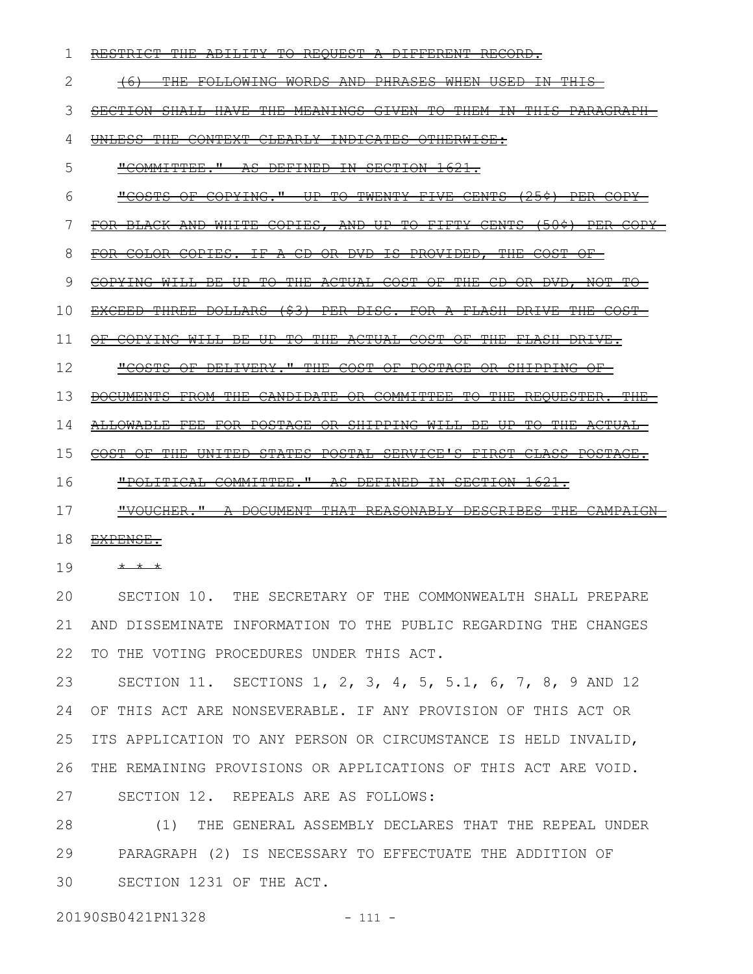RESTRICT THE ABILITY TO REQUEST A DIFFERENT RECORD. (6) THE FOLLOWING WORDS AND PHRASES WHEN USED IN THIS SECTION SHALL HAVE THE MEANINGS GIVEN TO THEM IN THIS PARAGRAPH-UNLESS THE CONTEXT CLEARLY INDICATES OTHERWISE: "COMMITTEE." AS DEFINED IN SECTION 1621. "COSTS OF COPYING." UP TO TWENTY-FIVE CENTS (25¢) PER COPY FOR BLACK AND WHITE COPIES, AND UP TO FIFTY CENTS (50¢) PER COPY FOR COLOR COPIES. IF A CD OR DVD IS PROVIDED, THE COST OF COPYING WILL BE UP TO THE ACTUAL COST OF THE CD OR DVD, NOT TO EXCEED THREE DOLLARS (\$3) PER DISC. FOR A FLASH DRIVE THE COST OF COPYING WILL BE UP TO THE ACTUAL COST OF THE FLASH DRIVE. "COSTS OF DELIVERY." THE COST OF POSTAGE OR SHIPPING OF DOCUMENTS FROM THE CANDIDATE OR COMMITTEE TO THE REQUESTER. THE ALLOWABLE FEE FOR POSTAGE OR SHIPPING WILL BE UP TO THE ACTUAL COST OF THE UNITED STATES POSTAL SERVICE'S FIRST-CLASS POSTAGE. "POLITICAL COMMITTEE." AS DEFINED IN SECTION 1621. "VOUCHER." A DOCUMENT THAT REASONABLY DESCRIBES THE CAMPAIGN 1 2 3 4 5 6 7 8 9 10 11 12 13 14 15 16 17

- 18 EXPENSE.
- \* \* \* 19

SECTION 10. THE SECRETARY OF THE COMMONWEALTH SHALL PREPARE AND DISSEMINATE INFORMATION TO THE PUBLIC REGARDING THE CHANGES 22 TO THE VOTING PROCEDURES UNDER THIS ACT. 20 21

SECTION 11. SECTIONS 1, 2, 3, 4, 5, 5.1, 6, 7, 8, 9 AND 12 OF THIS ACT ARE NONSEVERABLE. IF ANY PROVISION OF THIS ACT OR ITS APPLICATION TO ANY PERSON OR CIRCUMSTANCE IS HELD INVALID, THE REMAINING PROVISIONS OR APPLICATIONS OF THIS ACT ARE VOID. SECTION 12. REPEALS ARE AS FOLLOWS: 23 24 25 26 27

(1) THE GENERAL ASSEMBLY DECLARES THAT THE REPEAL UNDER PARAGRAPH (2) IS NECESSARY TO EFFECTUATE THE ADDITION OF SECTION 1231 OF THE ACT. 28 29 30

20190SB0421PN1328 - 111 -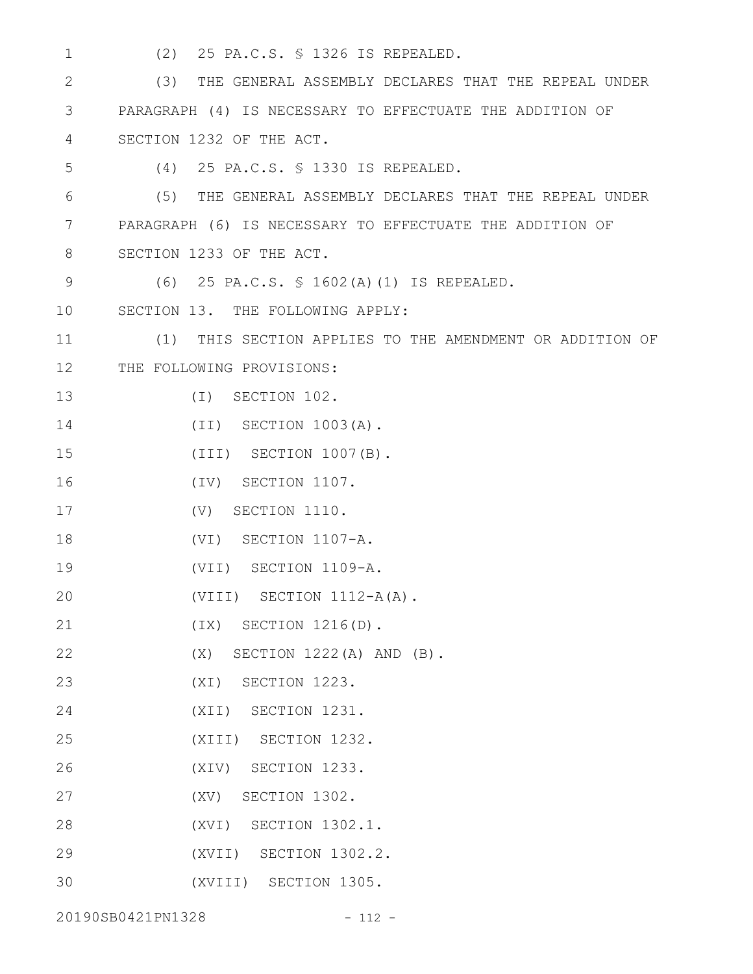1

(2) 25 PA.C.S. § 1326 IS REPEALED.

(3) THE GENERAL ASSEMBLY DECLARES THAT THE REPEAL UNDER PARAGRAPH (4) IS NECESSARY TO EFFECTUATE THE ADDITION OF SECTION 1232 OF THE ACT. (4) 25 PA.C.S. § 1330 IS REPEALED. (5) THE GENERAL ASSEMBLY DECLARES THAT THE REPEAL UNDER PARAGRAPH (6) IS NECESSARY TO EFFECTUATE THE ADDITION OF SECTION 1233 OF THE ACT. (6) 25 PA.C.S. § 1602(A)(1) IS REPEALED. SECTION 13. THE FOLLOWING APPLY: (1) THIS SECTION APPLIES TO THE AMENDMENT OR ADDITION OF 12 THE FOLLOWING PROVISIONS: (I) SECTION 102. (II) SECTION 1003(A). (III) SECTION 1007(B). (IV) SECTION 1107. (V) SECTION 1110. (VI) SECTION 1107-A. (VII) SECTION 1109-A. (VIII) SECTION 1112-A(A). (IX) SECTION 1216(D). (X) SECTION 1222(A) AND (B). (XI) SECTION 1223. (XII) SECTION 1231. (XIII) SECTION 1232. (XIV) SECTION 1233. (XV) SECTION 1302. (XVI) SECTION 1302.1. (XVII) SECTION 1302.2. (XVIII) SECTION 1305. 2 3 4 5 6 7 8 9 10 11 13 14 15 16 17 18 19 20 21 22 23 24 25 26 27 28 29 30

20190SB0421PN1328 - 112 -